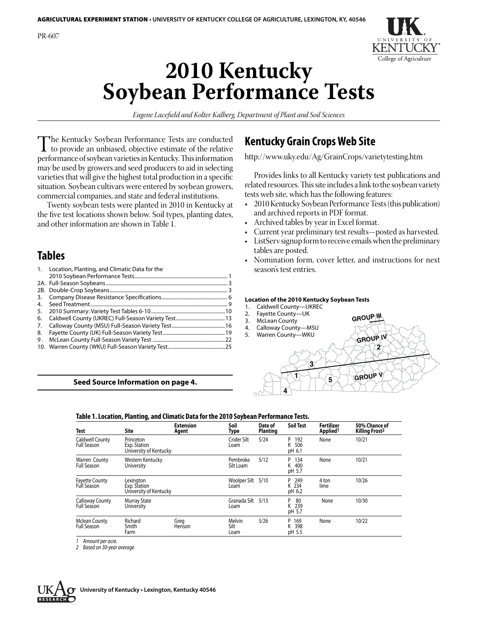

# **2010 Kentucky Soybean Performance Tests**

*Eugene Lacefield and Kolter Kalberg, Department of Plant and Soil Sciences*

The Kentucky Soybean Performance Tests are conducted<br>to provide an unbiased, objective estimate of the relative<br>performance of soybean varieties in Kentucky This information performance of soybean varieties in Kentucky. This information may be used by growers and seed producers to aid in selecting varieties that will give the highest total production in a specific situation. Soybean cultivars were entered by soybean growers, commercial companies, and state and federal institutions.

Twenty soybean tests were planted in 2010 in Kentucky at the five test locations shown below. Soil types, planting dates, and other information are shown in Table 1.

## **Tables**

| 1. | Location, Planting, and Climatic Data for the |  |
|----|-----------------------------------------------|--|
|    |                                               |  |
|    |                                               |  |
|    |                                               |  |
| 3. |                                               |  |
| 4. |                                               |  |
| 5. |                                               |  |
| 6. |                                               |  |
| 7. |                                               |  |
| 8. |                                               |  |
| 9. |                                               |  |
|    |                                               |  |

#### **Seed Source Information on page 4.**

## **Kentucky Grain Crops Web Site**

http://www.uky.edu/Ag/GrainCrops/varietytesting.htm

Provides links to all Kentucky variety test publications and related resources. This site includes a link to the soybean variety tests web site, which has the following features:

- 2010 Kentucky Soybean Performance Tests (this publication) and archived reports in PDF format.
- Archived tables by year in Excel format.
- • Current year preliminary test results—posted as harvested.
- ListServ signup form to receive emails when the preliminary tables are posted.
- Nomination form, cover letter, and instructions for next season's test entries.

#### **Location of the 2010 Kentucky Soybean Tests**

- 1. Caldwell County—UKREC
- 2. Fayette County—UK
- 3. McLean County
- 4. Calloway County—MSU
- 



**GROUP III** 

| Test                                         | Site                                                | <b>Extension</b><br>Agent | Soil<br>Type           | Date of<br><b>Planting</b> | <b>Soil Test</b>               | <b>Fertilizer</b><br>Applied <sup>1</sup> | 50% Chance of<br><b>Killing Frost<sup>2</sup></b> |
|----------------------------------------------|-----------------------------------------------------|---------------------------|------------------------|----------------------------|--------------------------------|-------------------------------------------|---------------------------------------------------|
| <b>Caldwell County</b><br><b>Full Season</b> | Princeton<br>Exp. Station<br>University of Kentucky |                           | Crider Silt<br>Loam    | 5/24                       | P<br>192<br>506<br>K<br>pH 6.1 | None                                      | 10/21                                             |
| Warren County<br><b>Full Season</b>          | Western Kentucky<br>University                      |                           | Pembroke<br>Silt Loam  | 5/12                       | 134<br>P<br>K<br>400<br>pH 5.7 | None                                      | 10/21                                             |
| <b>Fayette County</b><br>Full Season         | Lexinaton<br>Exp. Station<br>University of Kentucky |                           | Woolper Silt<br>Loam   | 5/10                       | 249<br>P<br>K 234<br>pH 6.2    | 4 ton<br>lime                             | 10/26                                             |
| <b>Calloway County</b><br><b>Full Season</b> | <b>Murray State</b><br>University                   |                           | Granada Silt<br>Loam   | 5/13                       | 80<br>p<br>K 239<br>pH 5.7     | None                                      | 10/30                                             |
| <b>Mclean County</b><br><b>Full Season</b>   | Richard<br>Smith<br>Farm                            | Greg<br>Henson            | Melvin<br>Silt<br>Loam | 5/26                       | P 169<br>K 398<br>pH 5.5       | None                                      | 10/22                                             |

**Table 1. Location, Planting, and Climatic Data for the 2010 Soybean Performance Tests.**

*1 Amount per acre.*

*2 Based on 30-year average.*

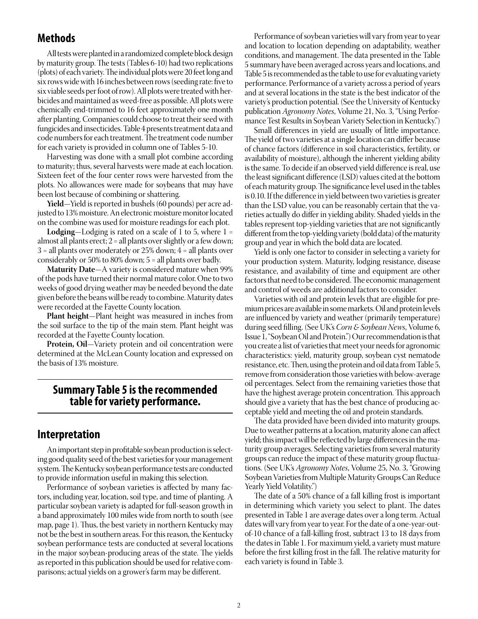## **Methods**

All tests were planted in a randomized complete block design by maturity group. The tests (Tables 6-10) had two replications (plots) of each variety.The individual plotswere 20 feetlong and six rows wide with 16 inches between rows (seeding rate: five to six viable seeds per foot of row). All plots were treated with herbicides and maintained as weed-free as possible. All plots were chemically end-trimmed to 16 feet approximately one month after planting. Companies could choose to treat their seed with fungicides and insecticides. Table 4 presents treatment data and code numbers for each treatment. The treatment code number for each variety is provided in column one of Tables 5-10.

Harvesting was done with a small plot combine according to maturity; thus, several harvests were made at each location. Sixteen feet of the four center rows were harvested from the plots. No allowances were made for soybeans that may have been lost because of combining or shattering.

**Yield**—Yield is reported in bushels (60 pounds) per acre adjusted to 13% moisture. An electronic moisture monitor located on the combine was used for moisture readings for each plot.

**Lodging**—Lodging is rated on a scale of 1 to 5, where 1 = almost all plants erect;  $2 =$  all plants over slightly or a few down;  $3$  = all plants over moderately or 25% down;  $4$  = all plants over considerably or 50% to 80% down; 5 = all plants over badly.

**Maturity Date**—A variety is considered mature when 99% of the pods have turned their normal mature color. One to two weeks of good drying weather may be needed beyond the date given before the beans will be ready to combine. Maturity dates were recorded at the Fayette County location.

**Plant height**—Plant height was measured in inches from the soil surface to the tip of the main stem. Plant height was recorded at the Fayette County location.

**Protein, Oil**—Variety protein and oil concentration were determined at the McLean County location and expressed on the basis of 13% moisture.

## **Summary Table 5 is the recommended table for variety performance.**

## **Interpretation**

An important step in profitable soybean production is selecting good quality seed of the best varieties for your management system. The Kentucky soybean performance tests are conducted to provide information useful in making this selection.

Performance of soybean varieties is affected by many factors, including year, location, soil type, and time of planting. A particular soybean variety is adapted for full-season growth in a band approximately 100 miles wide from north to south (see map, page 1). Thus, the best variety in northern Kentucky may not be the best in southern areas. For this reason, the Kentucky soybean performance tests are conducted at several locations in the major soybean-producing areas of the state. The yields as reported in this publication should be used for relative comparisons; actual yields on a grower's farm may be different.

Performance of soybean varieties will vary from year to year and location to location depending on adaptability, weather conditions, and management. The data presented in the Table 5 summary have been averaged across years and locations, and Table 5 is recommended as the table to use for evaluating variety performance. Performance of a variety across a period of years and at several locations in the state is the best indicator of the variety's production potential. (See the University of Kentucky publication *Agronomy Notes*, Volume 21, No. 3, "Using Performance Test Results in Soybean Variety Selection in Kentucky.")

Small differences in yield are usually of little importance. The yield of two varieties at a single location can differ because of chance factors (difference in soil characteristics, fertility, or availability of moisture), although the inherent yielding ability is the same. To decide if an observed yield difference is real, use the least significant difference (LSD) values cited at the bottom of each maturity group. The significance level used in the tables is 0.10. If the difference in yield between two varieties is greater than the LSD value, you can be reasonably certain that the varieties actually do differ in yielding ability. Shaded yields in the tables represent top-yielding varieties that are not significantly different from the top-yielding variety (bold data) of the maturity group and year in which the bold data are located.

 Yield is only one factor to consider in selecting a variety for your production system. Maturity, lodging resistance, disease resistance, and availability of time and equipment are other factors that need to be considered. The economic management and control of weeds are additional factors to consider.

 Varieties with oil and protein levels that are eligible for premium prices are available in some markets. Oil and protein levels are influenced by variety and weather (primarily temperature) during seed filling. (See UK's *Corn & Soybean News*, Volume 6, Issue 1, "Soybean Oil and Protein.") Our recommendation is that you create a list of varieties that meet your needs for agronomic characteristics: yield, maturity group, soybean cyst nematode resistance, etc. Then, using the protein and oil data from Table 5, remove from consideration those varieties with below-average oil percentages. Select from the remaining varieties those that have the highest average protein concentration. This approach should give a variety that has the best chance of producing acceptable yield and meeting the oil and protein standards.

The data provided have been divided into maturity groups. Due to weather patterns at a location, maturity alone can affect yield; this impact will be reflected by large differences in the maturity group averages. Selecting varieties from several maturity groups can reduce the impact of these maturity group fluctuations. (See UK's *Agronomy Notes*, Volume 25, No. 3, "Growing Soybean Varieties from Multiple Maturity Groups Can Reduce Yearly Yield Volatility.")

The date of a 50% chance of a fall killing frost is important in determining which variety you select to plant. The dates presented in Table 1 are average dates over a long term. Actual dates will vary from year to year. For the date of a one-year-outof-10 chance of a fall-killing frost, subtract 13 to 18 days from the datesin Table 1. For maximum yield, a variety must mature before the first killing frost in the fall. The relative maturity for each variety is found in Table 3.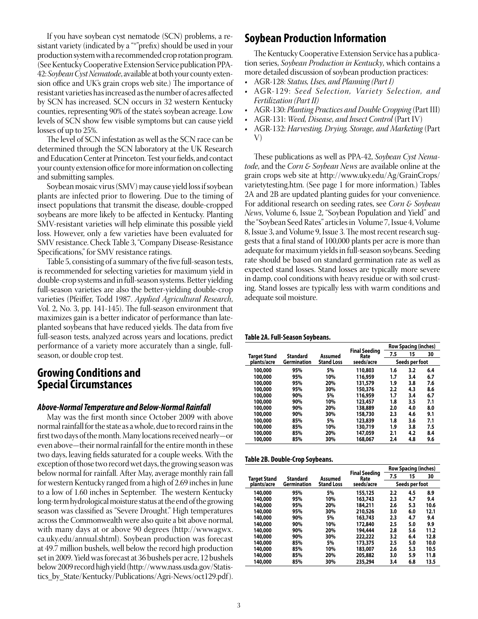If you have soybean cyst nematode (SCN) problems, a resistant variety (indicated by a "\*"prefix) should be used in your production system with a recommended crop rotation program. (SeeKentuckyCooperative Extension Service publication PPA-42: *Soybean Cyst Nematode*, available at both your county extension office and UK's grain crops web site.) The importance of resistant varieties has increased as the number of acres affected by SCN has increased. SCN occurs in 32 western Kentucky counties, representing 90% of the state's soybean acreage. Low levels of SCN show few visible symptoms but can cause yield losses of up to 25%.

 The level of SCN infestation as well as the SCN race can be determined through the SCN laboratory at the UK Research and EducationCenter at Princeton.Test your fields, and contact your county extension office formore information on collecting and submitting samples.

Soybean mosaic virus (SMV) may cause yield loss if soybean plants are infected prior to flowering. Due to the timing of insect populations that transmit the disease, double-cropped soybeans are more likely to be affected in Kentucky. Planting SMV-resistant varieties will help eliminate this possible yield loss. However, only a few varieties have been evaluated for SMV resistance. Check Table 3, "Company Disease-Resistance Specifications," for SMV resistance ratings.

Table 5, consisting of a summary of the five full-season tests, is recommended for selecting varieties for maximum yield in double-crop systems and in full-season systems. Better yielding full-season varieties are also the better-yielding double-crop varieties (Pfeiffer, Todd 1987. *Applied Agricultural Research*, Vol. 2, No. 3, pp. 141-145). The full-season environment that maximizes gain is a better indicator of performance than lateplanted soybeans that have reduced yields. The data from five full-season tests, analyzed across years and locations, predict performance of a variety more accurately than a single, fullseason, or double crop test.

## **Growing Conditions and Special Circumstances**

#### *Above-Normal Temperature and Below-Normal Rainfall*

 May was the first month since October 2009 with above normal rainfall for the state as a whole, due to record rains in the first two days of the month. Many locations received nearly—or even above—their normal rainfall for the entire month in these two days, leaving fields saturated for a couple weeks. With the exception of those two record wet days, the growing season was below normal for rainfall. After May, average monthly rain fall for western Kentucky ranged from a high of 2.69 inches in June to a low of 1.60 inches in September. The western Kentucky long-term hydrological moisture status at the end of the growing season was classified as "Severe Drought." High temperatures across the Commonwealth were also quite a bit above normal, with many days at or above 90 degrees (http://wwwagwx. ca.uky.edu/annual.shtml). Soybean production was forecast at 49.7 million bushels, well below the record high production set in 2009. Yield was forecast at 36 bushels per acre, 12 bushels below2009 record high yield (http://www.nass.usda.gov/Statistics\_by\_State/Kentucky/Publications/Agri-News/oct129.pdf ).

## **Soybean Production Information**

The Kentucky Cooperative Extension Service has a publication series, *Soybean Production in Kentucky*, which contains a more detailed discussion of soybean production practices:

- • AGR-128: *Status, Uses, and Planning (Part I)*
- AGR-129: Seed Selection, Variety Selection, and *Fertilization (Part II)*
- • AGR-130: *Planting Practices and Double Cropping*(Part III)
- • AGR-131: *Weed, Disease, and Insect Control* (Part IV)
- • AGR-132: *Harvesting, Drying, Storage, and Marketing* (Part V)

These publications as well as PPA-42, *Soybean Cyst Nematode*, and the *Corn & Soybean News* are available online at the grain crops web site at http://www.uky.edu/Ag/GrainCrops/ varietytesting.htm. (See page 1 for more information.) Tables 2A and 2B are updated planting guides for your convenience. For additional research on seeding rates, see *Corn & Soybean News*, Volume 6, Issue 2, "Soybean Population and Yield" and the "Soybean Seed Rates" articles in Volume 7, Issue 4, Volume 8, Issue 3, and Volume 9, Issue 3. The most recent research suggests that a final stand of 100,000 plants per acre is more than adequate for maximum yields in full-season soybeans. Seeding rate should be based on standard germination rate as well as expected stand losses. Stand losses are typically more severe in damp, cool conditions with heavy residue or with soil crusting. Stand losses are typically less with warm conditions and adequate soil moisture.

#### **Table 2A. Full-Season Soybeans.**

|              |                            |                   |                       | <b>Row Spacing (inches)</b> |                |     |  |
|--------------|----------------------------|-------------------|-----------------------|-----------------------------|----------------|-----|--|
| Target Stand | <b>Standard</b><br>Assumed |                   | Final Seeding<br>Rate | 7.5                         | 15             | 30  |  |
| plants/acre  | Germination                | <b>Stand Loss</b> | seeds/acre            |                             | Seeds per foot |     |  |
| 100,000      | 95%                        | 5%                | 110,803               | 1.6                         | 3.2            | 6.4 |  |
| 100,000      | 95%                        | 10%               | 116,959               | 1.7                         | 3.4            | 6.7 |  |
| 100,000      | 95%                        | 20%               | 131,579               | 1.9                         | 3.8            | 7.6 |  |
| 100,000      | 95%                        | 30%               | 150,376               | 2.2                         | 4.3            | 8.6 |  |
| 100,000      | 90%                        | 5%                | 116,959               | 1.7                         | 3.4            | 6.7 |  |
| 100,000      | 90%                        | 10%               | 123,457               | 1.8                         | 3.5            | 7.1 |  |
| 100,000      | 90%                        | 20%               | 138,889               | 2.0                         | 4.0            | 8.0 |  |
| 100,000      | 90%                        | 30%               | 158,730               | 2.3                         | 4.6            | 9.1 |  |
| 100,000      | 85%                        | 5%                | 123,839               | 1.8                         | 3.6            | 7.1 |  |
| 100,000      | 85%                        | 10%               | 130,719               | 1.9                         | 3.8            | 7.5 |  |
| 100,000      | 85%                        | 20%               | 147,059               | 2.1                         | 4.2            | 8.4 |  |
| 100,000      | 85%                        | 30%               | 168,067               | 2.4                         | 4.8            | 9.6 |  |

|  | Table 2B. Double-Crop Soybeans. |  |
|--|---------------------------------|--|
|--|---------------------------------|--|

|              |                     |                   |                              | <b>Row Spacing (inches)</b> |                |      |  |
|--------------|---------------------|-------------------|------------------------------|-----------------------------|----------------|------|--|
| Target Stand | Standard<br>Assumed |                   | <b>Final Seeding</b><br>Rate | 7.5                         | 15             | 30   |  |
| plants/acre  | <b>Germination</b>  | <b>Stand Loss</b> | seeds/acre                   |                             | Seeds per foot |      |  |
| 140,000      | 95%                 | 5%                | 155,125                      | 2.2                         | 4.5            | 8.9  |  |
| 140,000      | 95%                 | 10%               | 163,743                      | 2.3                         | 4.7            | 9.4  |  |
| 140,000      | 95%                 | 20%               | 184,211                      | 2.6                         | 5.3            | 10.6 |  |
| 140,000      | 95%                 | 30%               | 210,526                      | 3.0                         | 6.0            | 12.1 |  |
| 140,000      | 90%                 | 5%                | 163,743                      | 2.3                         | 4.7            | 9.4  |  |
| 140,000      | 90%                 | 10%               | 172,840                      | $2.5\,$                     | 5.0            | 9.9  |  |
| 140,000      | 90%                 | 20%               | 194,444                      | 2.8                         | 5.6            | 11.2 |  |
| 140,000      | 90%                 | 30%               | 222,222                      | 3.2                         | 6.4            | 12.8 |  |
| 140,000      | 85%                 | 5%                | 173,375                      | $2.5\,$                     | 5.0            | 10.0 |  |
| 140,000      | 85%                 | 10%               | 183,007                      | 2.6                         | 5.3            | 10.5 |  |
| 140,000      | 85%                 | 20%               | 205,882                      | 3.0                         | 5.9            | 11.8 |  |
| 140,000      | 85%                 | 30%               | 235,294                      | 3.4                         | 6.8            | 13.5 |  |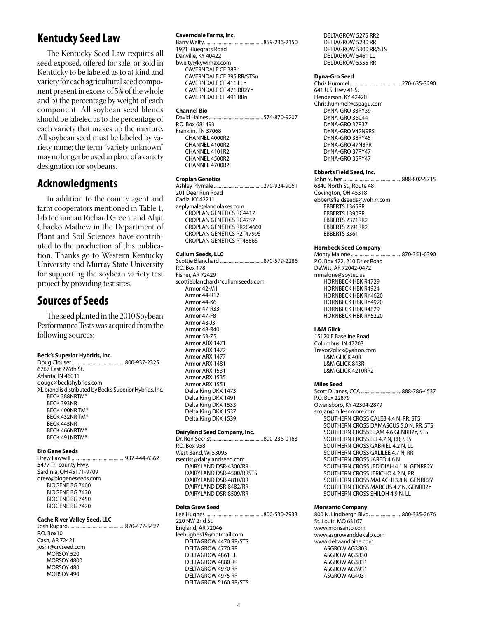## **Kentucky Seed Law**

 The Kentucky Seed Law requires all seed exposed, offered for sale, or sold in Kentucky to be labeled as to a) kind and variety for each agricultural seed component present in excess of 5% of thewhole and b) the percentage by weight of each component. All soybean seed blends should be labeled as to the percentage of each variety that makes up the mixture. All soybean seed must be labeled by variety name; the term "variety unknown" may no longer be used in place of a variety designation for soybeans.

## **Acknowledgments**

In addition to the county agent and farm cooperators mentioned in Table 1, lab technician Richard Green, and Ahjit Chacko Mathew in the Department of Plant and Soil Sciences have contributed to the production of this publication. Thanks go to Western Kentucky University and Murray State University for supporting the soybean variety test project by providing test sites.

## **Sources of Seeds**

The seed planted in the 2010 Soybean Performance Tests was acquired from the following sources:

#### **Beck's Superior Hybrids, Inc.**

| 6767 East 276th St.                                      |  |
|----------------------------------------------------------|--|
| Atlanta, IN 46031                                        |  |
| dougc@beckshybrids.com                                   |  |
| XL brand is distributed by Beck's Superior Hybrids, Inc. |  |
| BECK 388NRTM*                                            |  |
| <b>RFCK 393NR</b>                                        |  |
| BECK 400NR TM*                                           |  |
| BECK 432NR TM*                                           |  |
| <b>BECK 445NR</b>                                        |  |
| BECK 466NRTM*                                            |  |
| BECK 491NRTM*                                            |  |
|                                                          |  |

#### **Bio Gene Seeds**

Drew Lawwill ...........................................937-444-6362 5477 Tri-county Hwy. Sardinia, OH 45171-9709 drew@biogeneseeds.com BIOGENE BG 7400 BIOGENE BG 7420 BIOGENE BG 7450 BIOGENE BG 7470

#### **Cache River Valley Seed, LLC**

| P.O. Box10         |  |
|--------------------|--|
| Cash, AR 72421     |  |
| joshr@crvseed.com  |  |
| MORSOY 520         |  |
| <b>MORSOY 4800</b> |  |
| MORSOY 480         |  |
| MORSOY 490         |  |

#### **Caverndale Farms, Inc.**

Barry Welty................................................859-236-2150 1921 Bluegrass Road Danville, KY 40422 bwelty@kywimax.com CAVERNDALE CF 388n CAVERNDALE CF 395 RR/STSn CAVERNDALE CF 411 LLn CAVERNDALE CF 471 RR2Yn CAVERNDALE CF 491 RRn

#### **Channel Bio**

David Haines............................................574-870-9207 P.O. Box 681493 Franklin, TN 37068 CHANNEL 4000R2 CHANNEL 4100R2 CHANNEL 4101R2 CHANNEL 4500R2 CHANNEL 4700R2

#### **Croplan Genetics**

Ashley Plymale ........................................270-924-9061 201 Deer Run Road Cadiz, KY 42211 aeplymale@landolakes.com CROPLAN GENETICS RC4417 CROPLAN GENETICS RC4757 CROPLAN GENETICS RR2C4660 CROPLAN GENETICS R2T4799S CROPLAN GENETICS RT4886S

#### **Cullum Seeds, LLC**

Scottie Blanchard ...................................870-579-2286 P.O. Box 178 Fisher, AR 72429 scottieblanchard@cullumseeds.com Armor 42-M1 Armor 44-R12 Armor 44-K6 Armor 47-R33 Armor 47-F8 Armor 48-J3 Armor 48-R40 Armor 53-Z5 Armor ARX 1471 Armor ARX 1472 Armor ARX 1477 Armor ARX 1481 Armor ARX 1531 Armor ARX 1535 Armor ARX 1551 Delta King DKX 1473 Delta King DKX 1491 Delta King DKX 1533 Delta King DKX 1537 Delta King DKX 1539

#### **Dairyland Seed Company, Inc.**

Dr. Ron Secrist..........................................800-236-0163 P.O. Box 958 West Bend, WI 53095 rsecrist@dairylandseed.com DAIRYLAND DSR-4300/RR DAIRYLAND DSR-4500/RRSTS DAIRYLAND DSR-4810/RR DAIRYLAND DSR-8482/RR DAIRYLAND DSR-8509/RR

#### **Delta Grow Seed**

Lee Hughes...............................................800-530-7933 220 NW 2nd St. England, AR 72046 leehughes19@hotmail.com DELTAGROW 4470 RR/STS DELTAGROW 4770 RR DELTAGROW 4861 LL DELTAGROW 4880 RR DELTAGROW 4970 RR DELTAGROW 4975 RR DELTAGROW 5160 RR/STS

DELTAGROW 5275 RR2 DELTAGROW 5280 RR DELTAGROW 5300 RR/STS DELTAGROW 5461 LL DELTAGROW 5555 RR

#### **Dyna-Gro Seed**

Chris Hummel..........................................270-635-3290 641 U.S. Hwy 41 S. Henderson, KY 42420 Chris.hummel@cspagu.com DYNA-GRO 33RY39 DYNA-GRO 36C44 DYNA-GRO 37P37 DYNA-GRO V42N9RS DYNA-GRO 38RY45 DYNA-GRO 47N8RR DYNA-GRO 37RY47 DYNA-GRO 35RY47

#### **Ebberts Field Seed, Inc.**

John Suber................................................888-802-5715 6840 North St., Route 48 Covington, OH 45318 ebbertsfieldseeds@woh.rr.com EBBERTS 1365RR EBBERTS 1390RR EBBERTS 2371RR2 EBBERTS 2391RR2 EBBERTS 3361

#### **Hornbeck Seed Company**

Monty Malone .........................................870-351-0390 P.O. Box 472, 210 Drier Road DeWitt, AR 72042-0472 mmalone@soytec.us HORNBECK HBK R4729 HORNBECK HBK R4924 HORNBECK HBK RY4620 HORNBECK HBK RY4920 HORNBECK HBK R4829 HORNBECK HBK RY5220

#### **L&M Glick**

15120 E Baseline Road Columbus, IN 47203 Trevor2glick@yahoo.com L&M GLICK 40R L&M GLICK 843R L&M GLICK 4210RR2

#### **Miles Seed**

Scott D Janes, CCA .................................888-786-4537 P.O. Box 22879 Owensboro, KY 42304-2879 scojan@milesnmore.com SOUTHERN CROSS CALEB 4.4 N, RR, STS SOUTHERN CROSS DAMASCUS 5.0 N, RR, STS SOUTHERN CROSS ELAM 4.6 GENRR2Y, STS SOUTHERN CROSS ELI 4.7 N, RR, STS SOUTHERN CROSS GABRIEL 4.2 N, LL SOUTHERN CROSS GALILEE 4.7 N, RR SOUTHERN CROSS JARED 4.6 N SOUTHERN CROSS JEDIDIAH 4.1 N, GENRR2Y SOUTHERN CROSS JERICHO 4.2 N, RR SOUTHERN CROSS MALACHI 3.8 N, GENRR2Y SOUTHERN CROSS MARCUS 4.7 N, GENRR2Y SOUTHERN CROSS SHILOH 4.9 N, LL

#### **Monsanto Company**

800 N. Lindbergh Blvd. .........................800-335-2676 St. Louis, MO 63167 www.monsanto.com www.asgrowanddekalb.com www.deltaandpine.com ASGROW AG3803 ASGROW AG3830 ASGROW AG3831 ASGROW AG3931 ASGROW AG4031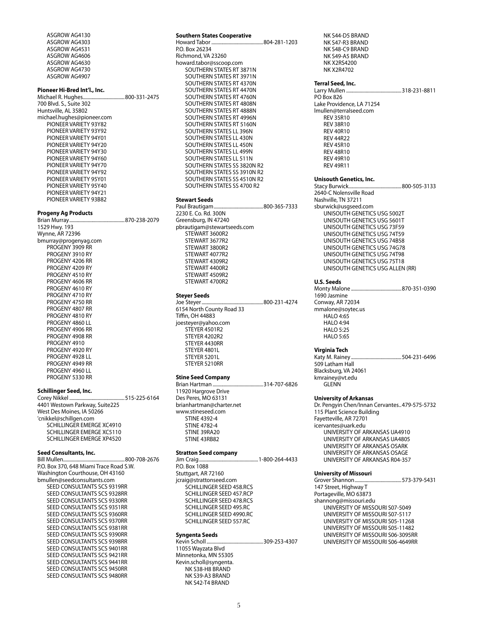ASGROW AG4130 ASGROW AG4303 ASGROW AG4531 ASGROW AG4606 ASGROW AG4630 ASGROW AG4730 ASGROW AG4907

#### **Pioneer Hi-Bred Int'l., Inc.**

Michael R. Hughes..................................800-331-2475 700 Blvd. S., Suite 302 Huntsville, AL 35802 michael.hughes@pioneer.com PIONEER VARIETY 93Y82 PIONEER VARIETY 93Y92 PIONEER VARIETY 94Y01 PIONEER VARIETY 94Y20 PIONEER VARIETY 94Y30 PIONEER VARIETY 94Y60 PIONEER VARIETY 94Y70 PIONEER VARIETY 94Y92 PIONEER VARIETY 95Y01 PIONEER VARIETY 95Y40 PIONEER VARIETY 94Y21 PIONEER VARIETY 93B82

#### **Progeny Ag Products**

Brian Murray.............................................870-238-2079 1529 Hwy. 193 Wynne, AR 72396 bmurray@progenyag.com PROGENY 3909 RR PROGENY 3910 RY PROGENY 4206 RR PROGENY 4209 RY PROGENY 4510 RY PROGENY 4606 RR PROGENY 4610 RY PROGENY 4710 RY PROGENY 4750 RR PROGENY 4807 RR PROGENY 4810 RY PROGENY 4860 LL PROGENY 4906 RR PROGENY 4908 RR PROGENY 4910 PROGENY 4920 RY PROGENY 4928 LL PROGENY 4949 RR PROGENY 4960 LL PROGENY 5330 RR

#### **Schillinger Seed, Inc.**

Corey Nikkel .............................................515-225-6164 4401 Westown Parkway, Suite225 West Des Moines, IA 50266 'cnikkel@schillgen.com SCHILLINGER EMERGE XC4910 SCHILLINGER EMERGE XC5110 SCHILLINGER EMERGE XP4520

#### **Seed Consultants, Inc.**

Bill Mullen..................................................800-708-2676 P.O. Box 370, 648 Miami Trace Road S.W. Washington Courthouse, OH 43160 bmullen@seedconsultants.com SEED CONSULTANTS SCS 9319RR SEED CONSULTANTS SCS 9328RR SEED CONSULTANTS SCS 9330RR SEED CONSULTANTS SCS 9351RR SEED CONSULTANTS SCS 9360RR SEED CONSULTANTS SCS 9370RR SEED CONSULTANTS SCS 9381RR SEED CONSULTANTS SCS 9390RR SEED CONSULTANTS SCS 9398RR SEED CONSULTANTS SCS 9401RR SEED CONSULTANTS SCS 9421RR SEED CONSULTANTS SCS 9441RR SEED CONSULTANTS SCS 9450RR SEED CONSULTANTS SCS 9480RR

#### **Southern States Cooperative**

Howard Tabor ..........................................804-281-1203 P.O. Box 26234 Richmond, VA 23260 howard.tabor@sscoop.com SOUTHERN STATES RT 3871N SOUTHERN STATES RT 3971N SOUTHERN STATES RT 4370N SOUTHERN STATES RT 4470N SOUTHERN STATES RT 4760N SOUTHERN STATES RT 4808N SOUTHERN STATES RT 4888N SOUTHERN STATES RT 4996N SOUTHERN STATES RT 5160N SOUTHERN STATES LL 396N SOUTHERN STATES LL 430N SOUTHERN STATES LL 450N SOUTHERN STATES LL 499N SOUTHERN STATES LL 511N SOUTHERN STATES SS 3820N R2 SOUTHERN STATES SS 3910N R2 SOUTHERN STATES SS 4510N R2 SOUTHERN STATES SS 4700 R2

#### **Stewart Seeds**

Paul Brautigam........................................800-365-7333 2230 E. Co. Rd. 300N Greensburg, IN 47240 pbrautigam@stewartseeds.com STEWART 3600R2 STEWART 3677R2 STEWART 3800R2 STEWART 4077R2 STEWART 4309R2 STEWART 4400R2 STEWART 4509R2 STEWART 4700R2

#### **Steyer Seeds**

Joe Steyer..................................................800-231-4274 6154 North County Road 33 Tiffin, OH 44883 joesteyer@yahoo.com STEYER 4501R2 STEYER 4202R2 STEYER 4430RR STEYER 4801L STEYER 5201L STEYER 5210RR

#### **Stine Seed Company**

Brian Hartman .........................................314-707-6826 11920 Hargrove Drive Des Peres, MO 63131 brianhartman@charter.net www.stineseed.com STINE 4392-4 STINE 4782-4 STINE 39RA20 STINE 43RB82

## **Stratton Seed company**

Jim Craig................................................1-800-264-4433 P.O. Box 1088 Stuttgart, AR 72160 jcraig@strattonseed.com SCHILLINGER SEED 458.RCS SCHILLINGER SEED 457.RCP SCHILLINGER SEED 478.RCS SCHILLINGER SEED 495.RC SCHILLINGER SEED 4990.RC SCHILLINGER SEED 557.RC

#### **Syngenta Seeds**

Kevin Scholl ..............................................309-253-4307 11055 Wayzata Blvd Minnetonka, MN 55305 Kevin.scholl@syngenta. NK S38-H8 BRAND NK S39-A3 BRAND NK S42-T4 BRAND

NK S44-D5 BRAND NK S47-R3 BRAND NK S48-C9 BRAND NK S49-A5 BRAND NK X2RS4200 NK X2R4702

## **Terral Seed, Inc.**

...318-231-8811 PO Box 826 Lake Providence, LA 71254 lmullen@terralseed.com REV 35R10 REV 38R10 REV 40R10 REV 44R22 REV 45R10 REV 48R10 REV 49R10

#### **Unisouth Genetics, Inc.**

REV 49R11

Stacy Burwick...........................................800-505-3133 2640-C Nolensville Road Nashville, TN 37211 sburwick@usgseed.com UNISOUTH GENETICS USG 5002T UNISOUTH GENETICS USG 5601T UNISOUTH GENETICS USG 73F59 UNISOUTH GENETICS USG 74T59 UNISOUTH GENETICS USG 74B58 UNISOUTH GENETICS USG 74G78 UNISOUTH GENETICS USG 74T98 UNISOUTH GENETICS USG 75T18 UNISOUTH GENETICS USG ALLEN (RR)

**U.S. Seeds** ...........................870-351-0390 1690 Jasmine Conway, AR 72034 mmalone@soytec.us HALO 4:65 HALO 4:94 HALO 5:25 HALO 5:65

#### **Virginia Tech**

Katy M. Rainey .........................................504-231-6496 509 Latham Hall Blacksburg, VA 24061 kmrainey@vt.edu GLENN

#### **University of Arkansas**

Dr. Pengyin Chen/Innan Cervantes..479-575-5732 115 Plant Science Building Fayetteville, AR 72701 icervantes@uark.edu UNIVERSITY OF ARKANSAS UA4910 UNIVERSITY OF ARKANSAS UA4805 UNIVERSITY OF ARKANSAS OSARK UNIVERSITY OF ARKANSAS OSAGE UNIVERSITY OF ARKANSAS R04-357

#### **University of Missouri**

Grover Shannon......................................573-379-5431 147 Street, Highway T Portageville, MO 63873 shannong@missouri.edu UNIVERSITY OF MISSOURI S07-5049 UNIVERSITY OF MISSOURI S07-5117 UNIVERSITY OF MISSOURI S05-11268 UNIVERSITY OF MISSOURI S05-11482 UNIVERSITY OF MISSOURI S06-3095RR UNIVERSITY OF MISSOURI S06-4649RR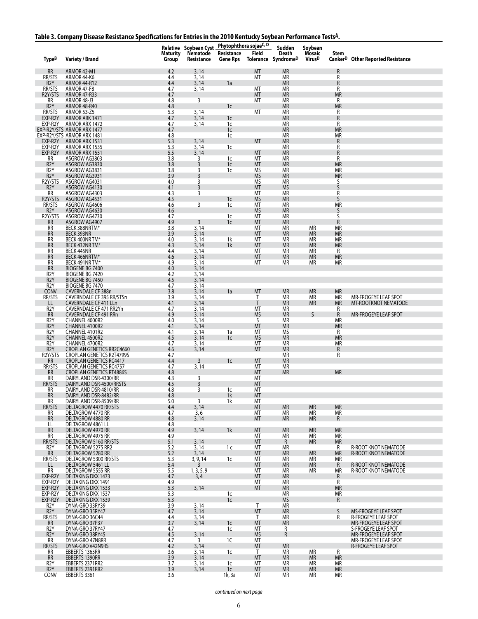|  |  | Table 3. Company Disease Resistance Specifications for Entries in the 2010 Kentucky Soybean Performance Tests <sup>A</sup> . |
|--|--|------------------------------------------------------------------------------------------------------------------------------|
|  |  |                                                                                                                              |

|                                             |                                                               | <b>Maturity</b> | Relative Soybean Cyst<br>Nematode | Phytophthora sojaeC, D<br>Resistance | Field                     | Sudden<br>Death<br>Tolerance SyndromeD | Soybean<br><b>Mosaic</b><br><b>Virus</b> <sup>D</sup> | Stem                      |                                                     |
|---------------------------------------------|---------------------------------------------------------------|-----------------|-----------------------------------|--------------------------------------|---------------------------|----------------------------------------|-------------------------------------------------------|---------------------------|-----------------------------------------------------|
| <b>TypeB</b>                                | <b>Variety / Brand</b>                                        | <b>Group</b>    | Resistance                        | <b>Gene Rps</b>                      |                           |                                        |                                                       |                           | Canker <sup>D</sup> Other Reported Resistance       |
| $\ensuremath{\mathsf{RR}}\xspace$<br>RR/STS | ARMOR 42-M1<br>ARMOR 44-K6                                    | 4.2<br>4.4      | 3, 14<br>3,14                     |                                      | <b>MT</b><br>MT           | <b>MR</b><br><b>MR</b>                 |                                                       | R<br>R                    |                                                     |
| R <sub>2</sub> Y<br>RR/STS                  | ARMOR 44-R12<br>ARMOR 47-F8                                   | 4.4<br>4.7      | 3,14<br>3,14                      | 1a                                   | МT                        | <b>MR</b><br>ΜR                        |                                                       | R<br>R                    |                                                     |
| R2Y/STS                                     | <b>ARMOR 47-R33</b>                                           | 4.7             |                                   |                                      | MT                        | <b>MR</b>                              |                                                       | <b>MR</b>                 |                                                     |
| RR<br>R2Y                                   | ARMOR 48-J3<br>ARMOR 48-R40                                   | 4.8<br>4.8      | 3                                 | 1 <sup>c</sup>                       | МT                        | ΜR<br><b>MR</b>                        |                                                       | R<br><b>MR</b>            |                                                     |
| RR/STS<br>EXP-R2Y                           | ARMOR 53-Z5                                                   | 5.3             | 3, 14                             |                                      | МT                        | МR                                     |                                                       | R                         |                                                     |
| EXP-R2Y                                     | ARMOR ARK 1471<br>ARMOR ARX 1472                              | 4.7<br>4.7      | 3, 14<br>3, 14                    | 1c<br>1c                             |                           | <b>MR</b><br>МR                        |                                                       | ${\sf R}$<br>R            |                                                     |
|                                             | EXP-R2Y/STS ARMOR ARX 1477<br>EXP-R2Y/STS ARMOR ARX 1481      | 4.7             |                                   | 1 <sup>c</sup>                       |                           | <b>MR</b><br><b>MR</b>                 |                                                       | <b>MR</b><br><b>MR</b>    |                                                     |
| EXP-R2Y                                     | ARMOR ARX 1531                                                | 4.8<br>5.3      | 3, 14                             | 1c                                   | MT                        | <b>MR</b>                              |                                                       | R                         |                                                     |
| EXP-R2Y<br>EXP-R2Y                          | ARMOR ARX 1535<br>ARMOR ARX 1551                              | 5.3<br>5.5      | 3,14<br>3, 14                     | 1c                                   | <b>MT</b>                 | МR<br><b>MR</b>                        |                                                       | R<br>R                    |                                                     |
| <b>RR</b>                                   | ASGROW AG3803                                                 | 3.8             | 3                                 | 1c                                   | МT                        | MR                                     |                                                       | R                         |                                                     |
| R <sub>2</sub> Y<br>R <sub>2</sub> Y        | ASGROW AG3830<br>ASGROW AG3831                                | 3.8<br>3.8      | 3<br>3                            | 1 <sub>c</sub><br>1c                 | MT<br>ΜS                  | <b>MR</b><br>ΜR                        |                                                       | <b>MR</b><br><b>MR</b>    |                                                     |
| R <sub>2</sub> Y<br>R2Y/STS                 | ASGROW AG3931                                                 | 3.9<br>$4.0$    | 3                                 |                                      | <b>MS</b><br><b>MS</b>    | <b>MR</b><br>MR                        |                                                       | <b>MR</b>                 |                                                     |
| R <sub>2</sub> Y                            | ASGROW AG4031<br>ASGROW AG4130                                | 4.1             | 3<br>3                            |                                      | MT                        | <b>MS</b>                              |                                                       | S<br>S                    |                                                     |
| RR<br>R2Y/STS                               | ASGROW AG4303<br>ASGROW AG4531                                | 4.3<br>4.5      | 3                                 | 1 <sub>c</sub>                       | МT<br><b>MS</b>           | ΜR<br><b>MR</b>                        |                                                       | R<br>S                    |                                                     |
| RR/STS                                      | ASGROW AG4606                                                 | 4.6             | 3                                 | 1c                                   | MT                        | ΜR                                     |                                                       | <b>MR</b>                 |                                                     |
| R <sub>2Y</sub><br>R2Y/STS                  | ASGROW AG4630<br>ASGROW AG4730                                | 4.6<br>4.7      |                                   | 1c                                   | <b>MS</b><br>MT           | <b>MR</b><br><b>MR</b>                 |                                                       | S<br>S                    |                                                     |
| RR                                          | ASGROW AG4907                                                 | 4.9             | 3                                 | 1 <sup>c</sup>                       | MT                        | <b>MR</b>                              |                                                       | $\mathsf{R}$              |                                                     |
| <b>RR</b><br><b>RR</b>                      | BECK 388NRTM*<br>BECK 393NR                                   | 3.8<br>3.9      | 3, 14<br>3, 14                    |                                      | MT<br>MT                  | MR<br><b>MR</b>                        | <b>MR</b><br><b>MR</b>                                | <b>MR</b><br><b>MR</b>    |                                                     |
| RR<br>RR                                    | BECK 400NR TM*<br>BECK 432NR TM*                              | 4.0<br>4.3      | 3, 14<br>3, 14                    | 1k<br>1 <sup>k</sup>                 | MT<br>MT                  | <b>MR</b><br><b>MR</b>                 | <b>MR</b><br><b>MR</b>                                | <b>MR</b><br><b>MR</b>    |                                                     |
| RR                                          | BECK 445NR                                                    | 4.4             | 3,14                              |                                      | MT                        | <b>MR</b>                              | <b>MR</b>                                             | R                         |                                                     |
| <b>RR</b><br><b>RR</b>                      | BECK 466NRTM*<br>BECK 491NR TM*                               | 4.6<br>4.9      | 3, 14<br>3,14                     |                                      | MT<br>MT                  | <b>MR</b><br>ΜR                        | <b>MR</b><br><b>MR</b>                                | <b>MR</b><br>MR           |                                                     |
| RR                                          | <b>BIOGENE BG 7400</b>                                        | 4.0             | 3, 14                             |                                      |                           |                                        |                                                       |                           |                                                     |
| R <sub>2</sub> Y<br>R <sub>2</sub> Y        | BIOGENE BG 7420<br>BIOGENE BG 7450                            | $4.2$<br>$4.5$  | 3,14<br>3,14                      |                                      |                           |                                        |                                                       |                           |                                                     |
| R <sub>2</sub> Y<br>CONV                    | BIOGENE BG 7470                                               | 4.7<br>3.8      | 3, 14<br>3, 14                    | 1a                                   |                           |                                        | <b>MR</b>                                             | <b>MR</b>                 |                                                     |
| RR/STS                                      | CAVERNDALE CF 388n<br>CAVERNDALE CF 395 RR/STSn               | 3.9             | 3, 14                             |                                      | MT<br>Т                   | <b>MR</b><br>ΜR                        | MR                                                    | <b>MR</b>                 | MR-FROGEYE LEAF SPOT                                |
| LL<br>R <sub>2</sub> Y                      | CAVERNDALE CF 411 LLn<br>CAVERNDALE CF 471 RR2Yn              | 4.1<br>4.7      | 3,14<br>3, 14                     |                                      | $\mathsf{T}$<br>MT        | <b>MR</b><br>ΜR                        | <b>MR</b>                                             | <b>MR</b><br>R            | MT-ROOTKNOT NEMATODE                                |
| <b>RR</b>                                   | CAVERNDALE CF 491 RRn                                         | 4.9             | 3,14                              |                                      | <b>MS</b>                 | <b>MR</b>                              | $\varsigma$                                           | ${\sf R}$                 | MR-FROGEYE LEAF SPOT                                |
| R <sub>2</sub> Y<br>R <sub>2</sub> Y        | CHANNEL 4000R2<br>CHANNEL 4100R2                              | 4.0<br>4.1      | 3, 14<br>3, 14                    |                                      | S<br>MT                   | <b>MR</b><br><b>MR</b>                 |                                                       | МR<br><b>MR</b>           |                                                     |
| R <sub>2</sub> Y                            | CHANNEL 4101R2                                                | 4.1             | 3, 14                             | 1a                                   | МT                        | <b>MS</b>                              |                                                       | R                         |                                                     |
| R <sub>2</sub> Y<br>R <sub>2</sub> Y        | CHANNEL 4500R2<br>CHANNEL 4700R2                              | 4.5<br>4.7      | 3,14<br>3, 14                     | 1 <sup>c</sup>                       | <b>MS</b><br>МT           | <b>MR</b><br>ΜR                        |                                                       | <b>MR</b><br><b>MR</b>    |                                                     |
| R <sub>2</sub> Y<br>R2Y/STS                 | CROPLAN GENETICS RR2C4660<br><b>CROPLAN GENETICS R2T4799S</b> | 4.6<br>4.7      | 3, 14                             |                                      | <b>MT</b>                 | <b>MR</b><br>ΜR                        |                                                       | R<br>R                    |                                                     |
| RR<br>RR/STS                                | <b>CROPLAN GENETICS RC4417</b>                                | 4.4             | 3                                 | 1 <sub>c</sub>                       | MT                        | <b>MR</b>                              |                                                       |                           |                                                     |
| <b>RR</b>                                   | CROPLAN GENETICS RC4757<br><b>CROPLAN GENETICS RT4886S</b>    | 4.7<br>4.8      | 3, 14                             |                                      | МT<br>MT                  | ΜR<br><b>MR</b>                        |                                                       | <b>MR</b>                 |                                                     |
| RR                                          | DAIRYLAND DSR-4300/RR                                         | 4.3<br>4.5      | 3<br>3                            |                                      | МT<br>МT                  |                                        |                                                       |                           |                                                     |
| RR/STS<br>RR                                | DAIRYLAND DSR-4500/RRSTS<br>DAIRYLAND DSR-4810/RR             | 4.8             | 3                                 | 1c                                   | МT                        |                                        |                                                       |                           |                                                     |
| <b>RR</b><br>RR                             | DAIRYLAND DSR-8482/RR<br>DAIRYLAND DSR-8509/RR                | 4.8<br>5.0      | 3                                 | 1k<br>1k                             | MT<br>МT                  |                                        |                                                       |                           |                                                     |
| RR/STS                                      | DELTAGROW 4470 RR/STS                                         | 4.4             | 3,14                              |                                      | MT                        | <b>MR</b>                              | <b>MR</b>                                             | <b>MR</b>                 |                                                     |
| <b>RR</b><br><b>RR</b>                      | DELTAGROW 4770 RR<br>DELTAGROW 4880 RR                        | 4.7<br>4.8      | 3,6<br>3,14                       |                                      | МT<br><b>MT</b>           | <b>MR</b><br><b>MR</b>                 | <b>MR</b><br><b>MR</b>                                | <b>MR</b><br>$\mathsf{R}$ |                                                     |
| LL<br><b>RR</b>                             | DELTAGROW 4861 LL<br>DELTAGROW 4970 RR                        | 4.8<br>4.9      | 3, 14                             | 1 <sup>k</sup>                       | <b>MT</b>                 | <b>MR</b>                              | <b>MR</b>                                             | <b>MR</b>                 |                                                     |
| <b>RR</b>                                   | DELTAGROW 4975 RR                                             | 4.9             |                                   |                                      | МT                        | MR                                     | <b>MR</b>                                             | <b>MR</b>                 |                                                     |
| RR/STS<br>R <sub>2</sub> Y                  | DELTAGROW 5160 RR/STS<br>DELTAGROW 5275 RR2                   | 5.1<br>5.2      | 3, 14<br>3, 14                    | 1 <sub>c</sub>                       | <b>MT</b><br>MT           | R<br><b>MR</b>                         | <b>MR</b>                                             | <b>MR</b><br>R            | <b>R-ROOT KNOT NEMATODE</b>                         |
| <b>RR</b>                                   | DELTAGROW 5280 RR                                             | 5.2             | 3, 14                             |                                      | МT                        | <b>MR</b>                              | <b>MR</b>                                             | <b>MR</b>                 | <b>R-ROOT KNOT NEMATODE</b>                         |
| RR/STS<br>LL                                | DELTAGROW 5300 RR/STS<br>DELTAGROW 5461 LL                    | 5.3<br>5.4      | 3, 9, 14<br>3                     | 1c                                   | МT<br><b>MT</b>           | МR<br><b>MR</b>                        | <b>MR</b><br><b>MR</b>                                | МR<br>R                   | R-ROOT KNOT NEMATODE                                |
| RR                                          | DELTAGROW 5555 RR<br><b>DELTAKING DKX 1473</b>                | 5.5<br>4.7      | 1, 3, 5, 9                        |                                      | МT                        | МR                                     | <b>MR</b>                                             | МR                        | R-ROOT KNOT NEMATODE                                |
| EXP-R2Y<br>EXP-R2Y                          | DELTAKING DKX 1491                                            | 4.9             | 3,4                               |                                      | MT<br>МT                  | <b>MR</b><br>МR                        |                                                       | R<br>R                    |                                                     |
| EXP-R2Y<br>EXP-R2Y                          | <b>DELTAKING DKX 1533</b><br>DELTAKING DKX 1537               | 5.3<br>5.3      | 3, 14                             | 1 <sup>c</sup>                       | MT                        | <b>MR</b><br><b>MR</b>                 |                                                       | <b>MR</b><br><b>MR</b>    |                                                     |
| EXP-R2Y                                     | <b>DELTAKING DKX 1539</b>                                     | 5.3             |                                   | 1c                                   |                           | <b>MS</b>                              |                                                       | $\mathsf{R}$              |                                                     |
| R <sub>2</sub> Y<br>R <sub>2</sub> Y        | DYNA-GRO 33RY39<br>DYNA-GRO 35RY47                            | 3.9<br>4.7      | 3.14<br>3.14                      |                                      | $\mathsf{T}$<br><b>MT</b> | <b>MR</b><br><b>MR</b>                 |                                                       | S                         | <b>MS-FROGEYE LEAF SPOT</b>                         |
| RR/STS                                      | DYNA-GRO 36C44                                                | 4.4             | 3, 14                             |                                      | T                         | <b>MR</b>                              |                                                       | R                         | <b>R-FROGEYE LEAF SPOT</b>                          |
| <b>RR</b><br>R <sub>2</sub> Y               | DYNA-GRO 37P37<br>DYNA-GRO 37RY47                             | 3.7<br>4.7      | 3, 14                             | 1 <sup>c</sup><br>1c                 | <b>MT</b><br>MT           | <b>MR</b><br>R                         |                                                       |                           | <b>MR-FROGEYE LEAF SPOT</b><br>S-FROGEYE LEAF SPOT  |
| R <sub>2</sub> Y<br>RR                      | DYNA-GRO 38RY45<br>DYNA-GRO 47N8RR                            | 4.5<br>4.7      | 3, 14<br>3                        | 1C                                   | <b>MS</b><br>МT           | R                                      |                                                       |                           | <b>MR-FROGEYE LEAF SPOT</b><br>MR-FROGEYE LEAF SPOT |
| RR/STS                                      | DYNA-GRO V42N9RS                                              | 4.2             | 3, 14                             |                                      | MT                        | <b>MR</b>                              |                                                       |                           | R-FROGEYE LEAF SPOT                                 |
| RR<br><b>RR</b>                             | EBBERTS 1365RR<br>EBBERTS 1390RR                              | 3.6<br>3.9      | 3, 14<br>3,14                     | 1c                                   | $\mathsf{T}$<br>MT        | МR<br>MR                               | МR<br><b>MR</b>                                       | R<br><b>MR</b>            |                                                     |
| R <sub>2</sub> Y                            | EBBERTS 2371RR2                                               | 3.7             | 3, 14                             | 1c                                   | МT                        | МR                                     | <b>MR</b>                                             | МR                        |                                                     |
| R <sub>2</sub> Y<br><b>CONV</b>             | EBBERTS 2391RR2<br>EBBERTS 3361                               | 3.9<br>3.6      | 3,14                              | 1c<br>1k, 3a                         | МT<br>МT                  | MR<br>МR                               | <b>MR</b><br>МR                                       | <b>MR</b><br>МR           |                                                     |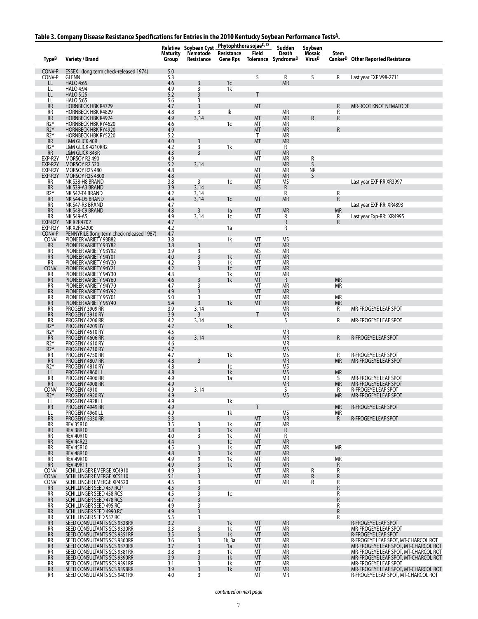#### **Table 3. Company Disease Resistance Specifications for Entries in the 2010 Kentucky Soybean Performance TestsA.**

|                                      |                                                                    | <b>Maturity</b> | Relative Soybean Cyst<br>Nematode | Phytophthora sojaeC, D<br>Resistance | Field              | Sudden<br>Death           | Soybean<br>Mosaic         | Stem                   |                                                                              |
|--------------------------------------|--------------------------------------------------------------------|-----------------|-----------------------------------|--------------------------------------|--------------------|---------------------------|---------------------------|------------------------|------------------------------------------------------------------------------|
| Type <sup>B</sup>                    | <b>Variety / Brand</b>                                             | Group           | Resistance                        | <b>Gene Rps</b>                      |                    | Tolerance SyndromeD       | <b>Virus</b> <sup>D</sup> |                        | Canker <sup>D</sup> Other Reported Resistance                                |
| CONV-P<br>CONV-P                     | ESSEX (long term check-released 1974)<br><b>GLENN</b>              | 5.0<br>5.3      |                                   |                                      | S.                 | R                         | S                         | R                      | Last year EXP V98-2711                                                       |
| LL<br>LL                             | <b>HALO 4:65</b><br>HALO 4:94                                      | 4.6<br>4.9      | 3<br>3                            | 1 <sub>c</sub><br>1k                 |                    | <b>MR</b>                 |                           |                        |                                                                              |
| LL<br>LL                             | <b>HALO 5:25</b><br><b>HALO 5:65</b>                               | 5.2<br>5.6      | 3<br>3                            |                                      | T                  |                           |                           |                        |                                                                              |
| <b>RR</b><br><b>RR</b>               | <b>HORNBECK HBK R4729</b><br><b>HORNBECK HBK R4829</b>             | 4.7<br>4.8      | 3<br>3                            | Ik                                   | MT                 | <b>MR</b>                 |                           | R<br>R                 | MR-ROOT KNOT NEMATODE                                                        |
| <b>RR</b><br>R <sub>2</sub> Y        | <b>HORNBECK HBK R4924</b><br><b>HORNBECK HBK RY4620</b>            | 4.9<br>4.6      | 3, 14                             | 1c                                   | MT<br>МT           | <b>MR</b><br>MR           | R                         | R                      |                                                                              |
| R <sub>2</sub> Y<br>R <sub>2</sub> Y | <b>HORNBECK HBK RY4920</b>                                         | 4.9             |                                   |                                      | MT<br>$\mathsf{T}$ | <b>MR</b><br>MR           |                           | $\mathsf{R}$           |                                                                              |
| <b>RR</b>                            | <b>HORNBECK HBK RY5220</b><br>L&M GLICK 40R                        | 5.2<br>4.0      | 3                                 |                                      | MT                 | <b>MR</b>                 |                           |                        |                                                                              |
| R <sub>2</sub> Y<br>RR               | L&M GLICK 4210RR2<br>L&M GLICK 843R                                | 4.2<br>4.3      | $\overline{3}$<br>$\overline{3}$  | 1k                                   | MT                 | R<br><b>MR</b>            |                           |                        |                                                                              |
| EXP-R2Y<br>EXP-R2Y                   | MORSOY R2 490<br>MORSOY R2 520                                     | 4.9<br>5.2      | 3, 14                             |                                      | МT                 | <b>MR</b><br><b>MR</b>    | R<br>S                    |                        |                                                                              |
| EXP-R2Y<br>EXP-R2Y                   | MORSOY R2S 480<br>MORSOY R2S 4800                                  | 4.8<br>4.8      |                                   |                                      | MT<br>MT           | <b>MR</b><br><b>MR</b>    | <b>NR</b><br>S            |                        |                                                                              |
| RR<br><b>RR</b>                      | NK S38-H8 BRAND<br>NK S39-A3 BRAND                                 | 3.8<br>3.9      | 3<br>3, 14                        | 1c                                   | МT<br><b>MS</b>    | ΜS<br>${\sf R}$           |                           |                        | Last year EXP-RR XR3997                                                      |
| R <sub>2</sub> Y                     | NK S42-T4 BRAND                                                    | 4.2             | 3, 14                             |                                      |                    | R                         |                           | R                      |                                                                              |
| <b>RR</b><br>RR                      | NK S44-D5 BRAND<br>NK S47-R3 BRAND                                 | 4.4<br>4.7      | 3, 14                             | 1 <sub>c</sub>                       | MT                 | <b>MR</b>                 |                           | $\mathsf{R}$           | Last year EXP-RR: XR4893                                                     |
| RR<br>RR                             | NK S48-C9 BRAND<br><b>NK S49-A5</b>                                | 4.8<br>4.9      | 3<br>3, 14                        | 1a<br>1c                             | MT<br>МT           | <b>MR</b><br>R            |                           | <b>MR</b><br>R         | Last year Exp-RR: XR4995                                                     |
| EXP-R2Y<br>EXP-R2Y                   | <b>NK X2R4702</b><br><b>NK X2RS4200</b>                            | 4.7<br>4.2      |                                   | 1a                                   |                    | R<br>R                    |                           | $\mathsf{R}$           |                                                                              |
| CONV-P<br>CONV                       | PENNYRILE (long term check-released 1987)<br>PIONEER VARIETY 93B82 | 4.7<br>3.8      |                                   | 1k                                   | МT                 | MS                        |                           |                        |                                                                              |
| <b>RR</b><br>RR                      | PIONEER VARIETY 93Y82<br>PIONEER VARIETY 93Y92                     | 3.8<br>3.9      | 3<br>3                            |                                      | MT<br><b>MS</b>    | <b>MR</b><br><b>MR</b>    |                           |                        |                                                                              |
| <b>RR</b>                            | PIONEER VARIETY 94Y01                                              | 4.0             | 3                                 | 1k                                   | MT                 | <b>MR</b>                 |                           |                        |                                                                              |
| <b>RR</b><br>CONV                    | PIONEER VARIETY 94Y20<br>PIONEER VARIETY 94Y21                     | 4.2<br>4.2      | 3<br>3                            | 1k<br>1c                             | МT<br>MT           | <b>MR</b><br><b>MR</b>    |                           |                        |                                                                              |
| <b>RR</b><br><b>RR</b>               | PIONEER VARIETY 94Y30<br>PIONEER VARIETY 94Y60                     | 4.3<br>4.6      | 3                                 | 1k<br>1k                             | МT<br>MT           | <b>MR</b><br>$\mathsf{R}$ |                           | <b>MR</b>              |                                                                              |
| RR<br><b>RR</b>                      | PIONEER VARIETY 94Y70<br>PIONEER VARIETY 94Y92                     | 4.7<br>4.9      | 3<br>3                            |                                      | МT<br>MT           | <b>MR</b><br><b>MR</b>    |                           | МR                     |                                                                              |
| RR<br>RR                             | PIONEER VARIETY 95Y01<br>PIONEER VARIETY 95Y40                     | 5.0<br>5.4      | 3<br>3                            | 1k                                   | МT<br>MT           | <b>MR</b><br><b>MR</b>    |                           | <b>MR</b><br><b>MR</b> |                                                                              |
| RR<br><b>RR</b>                      | PROGENY 3909 RR<br>PROGENY 3910 RY                                 | 3.9<br>3.9      | 3, 14<br>3                        |                                      | Τ                  | <b>MR</b><br><b>MR</b>    |                           | R                      | MR-FROGEYE LEAF SPOT                                                         |
| RR                                   | PROGENY 4206 RR                                                    | 4.2             | 3,14                              |                                      |                    | S                         |                           | R                      | MR-FROGEYE LEAF SPOT                                                         |
| R <sub>2</sub> Y<br>R <sub>2</sub> Y | PROGENY 4209 RY<br>PROGENY 4510 RY                                 | 4.2<br>4.5      |                                   | 1k                                   |                    | <b>MR</b>                 |                           |                        |                                                                              |
| <b>RR</b><br>R <sub>2</sub> Y        | PROGENY 4606 RR<br>PROGENY 4610 RY                                 | 4.6<br>4.6      | 3, 14                             |                                      |                    | <b>MR</b><br><b>MR</b>    |                           | R                      | R-FROGEYE LEAF SPOT                                                          |
| R <sub>2</sub> Y<br><b>RR</b>        | PROGENY 4710 RY<br>PROGENY 4750 RR                                 | 4.7<br>4.7      |                                   | 1k                                   |                    | <b>MS</b><br>ΜS           |                           | R                      | R-FROGEYE LEAF SPOT                                                          |
| <b>RR</b><br>R <sub>2</sub> Y        | PROGENY 4807 RR<br>PROGENY 4810 RY                                 | 4.8<br>4.8      | 3                                 | 1c                                   |                    | <b>MR</b><br>MS           |                           | <b>MR</b>              | <b>MR-FROGEYE LEAF SPOT</b>                                                  |
| LL<br>RR                             | PROGENY 4860 LL<br>PROGENY 4906 RR                                 | 4.8<br>4.9      |                                   | 1k<br>1a                             |                    | <b>MS</b><br><b>MR</b>    |                           | <b>MR</b><br>S         | MR-FROGEYE LEAF SPOT                                                         |
| RR                                   | PROGENY 4908 RR                                                    | 4.9             |                                   |                                      |                    | MR                        |                           | <b>MR</b>              | <b>MR-FROGEYE LEAF SPOT</b>                                                  |
| CONV<br>R <sub>2</sub> Y             | PROGENY 4910<br>PROGENY 4920 RY                                    | 4.9<br>4.9      | 3,14                              |                                      |                    | S<br><b>MS</b>            |                           | R<br><b>MR</b>         | R-FROGEYE LEAF SPOT<br><b>MR-FROGEYE LEAF SPOT</b>                           |
| LL<br><b>RR</b>                      | PROGENY 4928 LL<br>PROGENY 4949 RR                                 | 4.9<br>4.9      |                                   | 1k                                   | Т                  |                           |                           | <b>MR</b>              | <b>R-FROGEYE LEAF SPOT</b>                                                   |
| LL<br><b>RR</b>                      | PROGENY 4960 LL<br>PROGENY 5330 RR                                 | 4.9<br>5.3      |                                   | 1k                                   | <b>MT</b>          | <b>MS</b><br><b>MR</b>    |                           | МR<br>$\mathsf{R}$     | <b>R-FROGEYE LEAF SPOT</b>                                                   |
| <b>RR</b><br><b>RR</b>               | <b>REV 35R10</b><br><b>REV 38R10</b>                               | 3.5<br>3.8      | 3<br>$\overline{3}$               | 1k<br>1 <sup>k</sup>                 | MT<br><b>MT</b>    | <b>MR</b><br>$\mathsf{R}$ |                           |                        |                                                                              |
| <b>RR</b><br><b>RR</b>               | <b>REV 40R10</b><br><b>REV 44R22</b>                               | 4.0<br>4.4      | 3                                 | 1k<br>1c                             | MT<br><b>MT</b>    | R<br><b>MR</b>            |                           |                        |                                                                              |
| <b>RR</b>                            | <b>REV 45R10</b>                                                   | 4.5             | 3                                 | 1k                                   | МT                 | <b>MR</b>                 |                           | <b>MR</b>              |                                                                              |
| <b>RR</b><br><b>RR</b>               | <b>REV 48R10</b><br><b>REV 49R10</b>                               | 4.8<br>4.9      | 3<br>9                            | 1k<br>1k                             | MT<br>МT           | <b>MR</b><br><b>MR</b>    |                           | ΜR                     |                                                                              |
| <b>RR</b><br><b>CONV</b>             | <b>REV 49R11</b><br>SCHILLINGER EMERGE XC4910                      | 4.9<br>4.9      | 3<br>3                            | 1k                                   | <b>MT</b><br>МT    | <b>MR</b><br>ΜR           | R                         | R<br>R                 |                                                                              |
| <b>CONV</b><br><b>CONV</b>           | SCHILLINGER EMERGE XC5110<br>SCHILLINGER EMERGE XP4520             | 5.1<br>4.5      | 3<br>3                            |                                      | <b>MT</b><br>МT    | <b>MR</b><br>MR.          | R<br>R                    | R<br>R                 |                                                                              |
| RR<br>RR.                            | SCHILLINGER SEED 457.RCP<br>SCHILLINGER SEED 458.RCS               | 4.5<br>4.5      | 3<br>3                            | 1 <sup>c</sup>                       |                    |                           |                           | R<br>R                 |                                                                              |
| <b>RR</b><br><b>RR</b>               | SCHILLINGER SEED 478.RCS<br>SCHILLINGER SEED 495.RC                | 4.7<br>4.9      | 3<br>3                            |                                      |                    |                           |                           | R<br>R                 |                                                                              |
| <b>RR</b><br><b>RR</b>               | SCHILLINGER SEED 4990.RC<br>SCHILLINGER SEED 557.RC                | 4.9<br>5.5      | 3<br>3                            |                                      |                    |                           |                           | R<br>R                 |                                                                              |
| <b>RR</b>                            | SEED CONSULTANTS SCS 9328RR                                        | 3.2             |                                   | 1k                                   | <b>MT</b>          | <b>MR</b>                 |                           |                        | <b>R-FROGEYE LEAF SPOT</b>                                                   |
| <b>RR</b><br><b>RR</b>               | SEED CONSULTANTS SCS 9330RR<br>SEED CONSULTANTS SCS 9351RR         | 3.3<br>3.5      | 3<br>3                            | 1k<br>1k                             | MT<br><b>MT</b>    | <b>MR</b><br><b>MR</b>    |                           |                        | MR-FROGEYE LEAF SPOT<br><b>R-FROGEYE LEAF SPOT</b>                           |
| <b>RR</b><br><b>RR</b>               | SEED CONSULTANTS SCS 9360RR<br>SEED CONSULTANTS SCS 9370RR         | 3.6<br>3.7      | 3<br>3                            | 1k, 3a<br>1a                         | МT<br>MT           | МR<br><b>MR</b>           |                           |                        | R-FROGEYE LEAF SPOT, MT-CHARCOL ROT<br>MR-FROGEYE LEAF SPOT, MT-CHARCOL ROT  |
| RR<br><b>RR</b>                      | SEED CONSULTANTS SCS 9381RR<br>SEED CONSULTANTS SCS 9390RR         | 3.8<br>3.9      | 3<br>3                            | 1k<br>1k                             | МT<br>MT           | <b>MR</b><br><b>MR</b>    |                           |                        | MR-FROGEYE LEAF SPOT, MT-CHARCOL ROT<br>MR-FROGEYE LEAF SPOT, MT-CHARCOL ROT |
| <b>RR</b><br><b>RR</b>               | SEED CONSULTANTS SCS 9391RR<br>SEED CONSULTANTS SCS 9398RR         | 3.1<br>3.9      | 3<br>3                            | 1k<br>1k                             | МT<br>MT           | МR<br><b>MR</b>           |                           |                        | MR-FROGEYE LEAF SPOT<br>MR-FROGEYE LEAF SPOT, MT-CHARCOL ROT                 |
| RR                                   | SEED CONSULTANTS SCS 9401RR                                        | 4.0             | 3                                 |                                      | МT                 | МR                        |                           |                        | R-FROGEYE LEAF SPOT, MT-CHARCOL ROT                                          |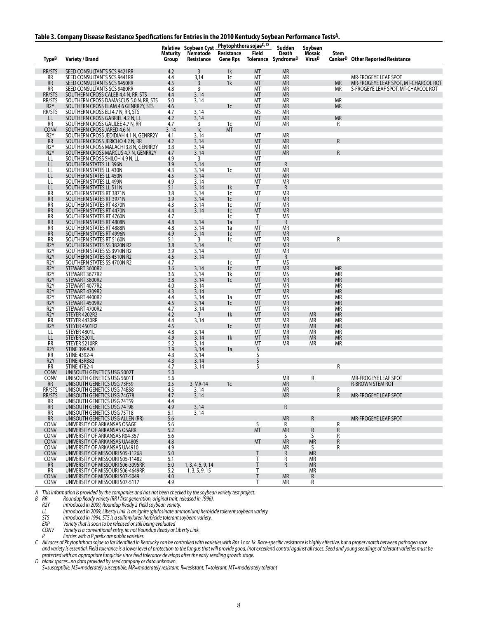|  |  | Table 3. Company Disease Resistance Specifications for Entries in the 2010 Kentucky Soybean Performance Tests <sup>A</sup> . |
|--|--|------------------------------------------------------------------------------------------------------------------------------|
|  |  |                                                                                                                              |

|                                      |                                                                                |                          | <b>Relative Soybean Cyst</b>        | Phytophthora sojaeC, D        |                    | Sudden                       | Soybean                             |                        |                                                              |
|--------------------------------------|--------------------------------------------------------------------------------|--------------------------|-------------------------------------|-------------------------------|--------------------|------------------------------|-------------------------------------|------------------------|--------------------------------------------------------------|
| Type <sup>B</sup>                    | <b>Variety / Brand</b>                                                         | Maturity<br><b>Group</b> | Nematode<br>Resistance              | Resistance<br><b>Gene Rps</b> | Field              | Death<br>Tolerance SyndromeD | Mosaic<br><b>Virus</b> <sup>D</sup> | Stem                   | Canker <sup>D</sup> Other Reported Resistance                |
| RR/STS                               | SEED CONSULTANTS SCS 9421RR                                                    | 4.2                      | 3                                   | 1k                            | <b>MT</b>          | <b>MR</b>                    |                                     |                        |                                                              |
| RR<br><b>RR</b>                      | SEED CONSULTANTS SCS 9441RR<br>SEED CONSULTANTS SCS 9450RR                     | 4.4<br>4.5               | 3,14<br>3                           | 1c<br>1k                      | МT<br>MT           | ΜR<br><b>MR</b>              |                                     | <b>MR</b>              | MR-FROGEYE LEAF SPOT<br>MR-FROGEYE LEAF SPOT, MT-CHARCOL ROT |
| RR                                   | SEED CONSULTANTS SCS 9480RR                                                    | 4.8                      | 3                                   |                               | МT                 | ΜR                           |                                     | MR                     | S-FROGEYE LEAF SPOT, MT-CHARCOL ROT                          |
| RR/STS                               | SOUTHERN CROSS CALEB 4.4 N, RR, STS                                            | 4.4                      | 3, 14                               |                               | MT                 | <b>MR</b>                    |                                     |                        |                                                              |
| RR/STS<br>R <sub>2</sub> Y           | SOUTHERN CROSS DAMASCUS 5.0 N, RR, STS<br>SOUTHERN CROSS ELAM 4.6 GENRR2Y, STS | 5.0<br>4.6               | 3, 14                               | 1c                            | МT<br>MT           | ΜR<br><b>MR</b>              |                                     | ΜR<br><b>MR</b>        |                                                              |
| RR/STS                               | SOUTHERN CROSS ELI 4.7 N, RR, STS                                              | 4.7                      | 3,14                                |                               | MS                 | МR                           |                                     |                        |                                                              |
| LL<br>RR                             | SOUTHERN CROSS GABRIEL 4.2 N, LL<br>SOUTHERN CROSS GALILEE 4.7 N, RR           | 4.2<br>4.7               | 3, 14<br>3                          | 1c                            | MT<br>МT           | <b>MR</b><br><b>MR</b>       |                                     | <b>MR</b><br>R         |                                                              |
| <b>CONV</b>                          | SOUTHERN CROSS JARED 4.6 N                                                     | 3, 14                    | 1 <sub>c</sub>                      | MT                            |                    |                              |                                     |                        |                                                              |
| R <sub>2</sub> Y<br><b>RR</b>        | SOUTHERN CROSS JEDIDIAH 4.1 N, GENRR2Y<br>SOUTHERN CROSS JERICHO 4.2 N, RR     | 4.1<br>4.2               | 3, 14<br>3, 14                      |                               | МT<br>MT           | МR<br><b>MR</b>              |                                     | $\mathsf{R}$           |                                                              |
| R <sub>2</sub> Y                     | SOUTHERN CROSS MALACHI 3.8 N, GENRR2Y                                          | 3.8                      | 3, 14                               |                               | МT                 | МR                           |                                     |                        |                                                              |
| R <sub>2</sub> Y                     | SOUTHERN CROSS MARCUS 4.7 N, GENRR2Y                                           | 4.7                      | 3, 14                               |                               | MT                 | <b>MR</b>                    |                                     | $\mathsf{R}$           |                                                              |
| LL<br>LL                             | SOUTHERN CROSS SHILOH 4.9 N, LL<br>SOUTHERN STATES LL 396N                     | 4.9<br>3.9               | 3<br>3, 14                          |                               | МT<br>MT           | R                            |                                     |                        |                                                              |
| LL                                   | SOUTHERN STATES LL 430N                                                        | 4.3                      | 3, 14                               | 1c                            | МT                 | <b>MR</b>                    |                                     |                        |                                                              |
| LL<br>LL                             | SOUTHERN STATES LL 450N<br>SOUTHERN STATES LL 499N                             | 4.5<br>4.9               | 3, 14<br>3, 14                      |                               | MT<br>МT           | <b>MR</b><br><b>MR</b>       |                                     |                        |                                                              |
| LL                                   | SOUTHERN STATES LL 511N                                                        | 5.1                      | 3,14                                | 1k                            | $\mathsf{T}$       | R                            |                                     |                        |                                                              |
| RR                                   | SOUTHERN STATES RT 3871N                                                       | 3.8                      | 3,14                                | 1c                            | МT                 | МR                           |                                     |                        |                                                              |
| <b>RR</b><br>RR                      | SOUTHERN STATES RT 3971N<br>SOUTHERN STATES RT 4370N                           | 3.9<br>4.3               | 3, 14<br>3, 14                      | 1c<br>1c                      | $\mathsf{T}$<br>MT | <b>MR</b><br>MR              |                                     |                        |                                                              |
| <b>RR</b>                            | SOUTHERN STATES RT 4470N                                                       | 4.4                      | 3, 14                               | 1c                            | MT                 | <b>MR</b>                    |                                     |                        |                                                              |
| RR<br><b>RR</b>                      | SOUTHERN STATES RT 4760N<br>SOUTHERN STATES RT 4808N                           | 4.7<br>4.8               | 3,14                                | 1c<br>1a                      | T<br>Τ             | ΜS<br>${\sf R}$              |                                     |                        |                                                              |
| RR                                   | SOUTHERN STATES RT 4888N                                                       | 4.8                      | 3,14                                | 1a                            | MT                 | <b>MR</b>                    |                                     |                        |                                                              |
| <b>RR</b>                            | SOUTHERN STATES RT 4996N                                                       | 4.9                      | 3,14                                | 1c                            | MT                 | <b>MR</b>                    |                                     |                        |                                                              |
| RR<br>R <sub>2</sub> Y               | SOUTHERN STATES RT 5160N<br>SOUTHERN STATES SS 3820N R2                        | 5.1<br>3.8               | 3<br>3,14                           | 1c                            | MT<br>MT           | ΜR<br><b>MR</b>              |                                     | R                      |                                                              |
| R <sub>2</sub> Y                     | SOUTHERN STATES SS 3910N R2                                                    | $\frac{3.9}{4.5}$        | 3, 14                               |                               | МT                 | ΜR                           |                                     |                        |                                                              |
| R <sub>2</sub> Y<br>R <sub>2</sub> Y | SOUTHERN STATES SS 4510N R2<br>SOUTHERN STATES SS 4700N R2                     | 4.7                      | 3, 14                               |                               | MT<br>$\mathsf{T}$ | R<br>MS                      |                                     |                        |                                                              |
| R <sub>2</sub> Y                     | STEWART 3600R2                                                                 | 3.6                      | 3, 14                               | 1c<br>1 <sub>c</sub>          | MT                 | <b>MR</b>                    |                                     | <b>MR</b>              |                                                              |
| R <sub>2</sub> Y                     | STEWART 3677R2                                                                 | 3.6                      | 3, 14                               | 1k                            | МT                 | <b>MS</b>                    |                                     | <b>MR</b>              |                                                              |
| R <sub>2</sub> Y<br>R <sub>2</sub> Y | STEWART 3800R2<br>STEWART 4077R2                                               | 3.8<br>$4.0$             | 3, 14<br>3, 14                      | 1 <sup>c</sup>                | MT<br>MT           | <b>MR</b><br><b>MR</b>       |                                     | <b>MR</b><br><b>MR</b> |                                                              |
| R <sub>2</sub> Y                     | STEWART 4309R2                                                                 | 4.3                      | 3, 14                               |                               | MT                 | <b>MR</b>                    |                                     | <b>MR</b>              |                                                              |
| R <sub>2</sub> Y<br>R <sub>2</sub> Y | STEWART 4400R2                                                                 | 4.4<br>4.5               | 3, 14                               | 1a                            | МT                 | ΜS<br><b>MR</b>              |                                     | <b>MR</b><br><b>MR</b> |                                                              |
| R <sub>2</sub> Y                     | STEWART 4509R2<br>STEWART 4700R2                                               | 4.7                      | 3, 14<br>3, 14                      | 1 <sub>c</sub>                | MT<br>MT           | ΜR                           |                                     | <b>MR</b>              |                                                              |
| R <sub>2</sub> Y                     | STEYER 4202R2                                                                  | 4.2                      | $\overline{3}$                      | 1k                            | MT                 | <b>MR</b>                    | <b>MR</b>                           | <b>MR</b>              |                                                              |
| RR<br>R <sub>2</sub> Y               | STEYER 4430RR<br>STEYER 4501R2                                                 | 4.4<br>4.5               | 3,14                                | 1 <sub>c</sub>                | МT<br>MT           | ΜR<br><b>MR</b>              | ΜR<br><b>MR</b>                     | МR<br><b>MR</b>        |                                                              |
| LL                                   | STEYER 4801L                                                                   | 4.8                      | 3,14                                |                               | MT                 | ΜR                           | ΜR                                  | <b>MR</b>              |                                                              |
| LL                                   | STEYER 5201L                                                                   | 4.9<br>5.2               | 3,14                                | 1k                            | <b>MT</b>          | <b>MR</b>                    | <b>MR</b>                           | <b>MR</b>              |                                                              |
| RR<br>R <sub>2</sub> Y               | STEYER 5210RR<br>STINE 39RA20                                                  | 3.9                      | 3,14<br>3, 14                       | 1a                            | МT<br>S            | МR                           | МR                                  | МR                     |                                                              |
| RR                                   | STINE 4392-4                                                                   | 4.3                      | 3,14                                |                               | S                  |                              |                                     |                        |                                                              |
| R <sub>2</sub> Y<br>RR               | STINE 43RB82<br><b>STINE 4782-4</b>                                            | 4.3<br>4.7               | 3, 14<br>3,14                       |                               | S<br>S             |                              |                                     | R                      |                                                              |
| CONV                                 | UNISOUTH GENETICS USG 5002T                                                    | 5.0                      |                                     |                               |                    |                              |                                     |                        |                                                              |
| CONV<br><b>RR</b>                    | UNISOUTH GENETICS USG 5601T                                                    | 5.6<br>3.5               |                                     | 1 <sup>c</sup>                |                    | ΜR<br><b>MR</b>              | R                                   |                        | MR-FROGEYE LEAF SPOT<br><b>R-BROWN STEM ROT</b>              |
| RR/STS                               | UNISOUTH GENETICS USG 73F59<br>UNISOUTH GENETICS USG 74B58                     | 4.5                      | 3, MR-14<br>3.14                    |                               |                    | <b>MR</b>                    |                                     | R                      |                                                              |
| RR/STS                               | UNISOUTH GENETICS USG 74G78                                                    | 4.7                      | 3,14                                |                               |                    | <b>MR</b>                    |                                     | $\mathsf{R}$           | MR-FROGEYE LEAF SPOT                                         |
| RR<br><b>RR</b>                      | UNISOUTH GENETICS USG 74T59<br>UNISOUTH GENETICS USG 74T98                     | 4.4<br>4.9               | 3, 14                               |                               |                    | R                            |                                     |                        |                                                              |
| RR                                   | UNISOUTH GENETICS USG 75T18                                                    | 5.1                      | 3, 14                               |                               |                    |                              |                                     |                        |                                                              |
| <b>RR</b>                            | UNISOUTH GENETICS USG ALLEN (RR)<br>UNIVERSITY OF ARKANSAS OSAGE               | 5.6                      |                                     |                               | S.                 | <b>MR</b>                    | R                                   |                        | MR-FROGEYE LEAF SPOT                                         |
| <b>CONV</b><br><b>CONV</b>           | UNIVERSITY OF ARKANSAS OSARK                                                   | 5.6<br>5.2               |                                     |                               | <b>MT</b>          | R<br><b>MR</b>               | R                                   | R<br>R                 |                                                              |
| CONV                                 | UNIVERSITY OF ARKANSAS R04-357                                                 | 5.6                      |                                     |                               |                    | S                            | S                                   | R                      |                                                              |
| <b>CONV</b><br><b>CONV</b>           | UNIVERSITY OF ARKANSAS UA4805<br>UNIVERSITY OF ARKANSAS UA4910                 | 4.8<br>4.9               |                                     |                               | MT                 | <b>MR</b><br>МR              | <b>MR</b><br>S                      | R<br>R                 |                                                              |
| CONV                                 | UNIVERSITY OF MISSOURI S05-11268                                               | 5.0                      |                                     |                               |                    | R                            | <b>MR</b>                           |                        |                                                              |
| CONV                                 | UNIVERSITY OF MISSOURI S05-11482<br>UNIVERSITY OF MISSOURI S06-3095RR          | 5.1<br>5.0               |                                     |                               | Τ<br>T             | R<br>$\mathsf{R}$            | <b>MR</b><br><b>MR</b>              |                        |                                                              |
| <b>RR</b><br>RR                      | UNIVERSITY OF MISSOURI S06-4649RR                                              | 5.2                      | 1, 3, 4, 5, 9, 14<br>1, 3, 5, 9, 15 |                               | Τ                  |                              | <b>MR</b>                           |                        |                                                              |
| CONV                                 | UNIVERSITY OF MISSOURI S07-5049                                                | 4.0                      |                                     |                               | T                  | <b>MR</b>                    | ${\sf R}$                           |                        |                                                              |
| CONV                                 | UNIVERSITY OF MISSOURI S07-5117                                                | 4.9                      |                                     |                               | Τ                  | МR                           | R                                   |                        |                                                              |

*A This information is provided by the companies and has not been checked by the soybean variety test project.*

*B RR Roundup Ready variety (RR1 first generation, original trait, released in 1996).*

*R2Y Introduced in 2009, Roundup Ready 2 Yield soybean variety.*

*LL Introduced in 2009, Liberty Link is an Ignite (glufosinate ammonium) herbicide tolerent soybean variety.*

*STS Introduced in 1994, STS is a sulfonylurea herbicide tolerant soybean variety.*

*EXP Variety that is soon to be released or still being evaluated*

*CONV Variety is a conventional entry, ie: not Roundup Ready or Liberty Link. P Entries with a P prefix are public varieties.*

*C All races of Phytophthora sojae so far identified in Kentucky can be controlled with varieties with Rps 1c or 1k. Race-specific resistance is highly effective, but a proper match between pathogen race and variety is essential. Field tolerance is a lower level of protection to the fungus that will provide good, (not excellent) control against all races. Seed and young seedlings of tolerant varieties must be protected with an appropriate fungicide since field tolerance develops after the early seedling growth stage.*

*D blank spaces=no data provided by seed company or data unknown.*

*S=susceptible, MS=moderately susceptible, MR=moderately resistant, R=resistant, T=tolerant, MT=moderately tolerant*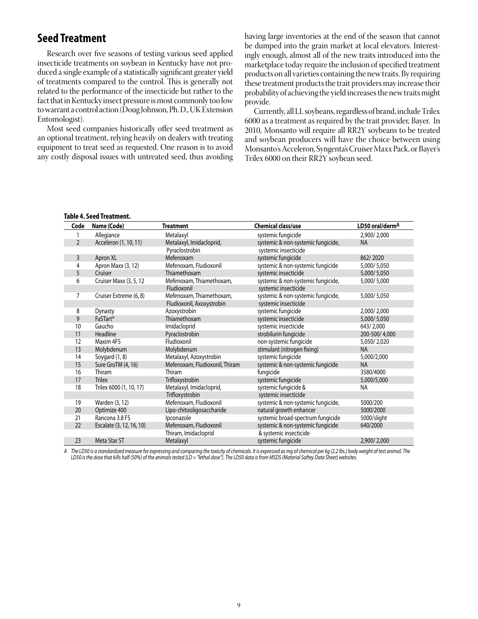## **Seed Treatment**

Research over five seasons of testing various seed applied insecticide treatments on soybean in Kentucky have not produced a single example of a statistically significant greater yield of treatments compared to the control. This is generally not related to the performance of the insecticide but rather to the fact that in Kentucky insect pressure is most commonly too low to warrant a control action (Doug Johnson, Ph. D., UK Extension Entomologist).

Most seed companies historically offer seed treatment as an optional treatment, relying heavily on dealers with treating equipment to treat seed as requested. One reason is to avoid any costly disposal issues with untreated seed, thus avoiding

having large inventories at the end of the season that cannot be dumped into the grain market at local elevators. Interestingly enough, almost all of the new traits introduced into the marketplace today require the inclusion of specified treatment products on all varieties containing the new traits. By requiring these treatment products the trait providers may increase their probability of achieving the yield increases the new traits might provide.

Currently, all LL soybeans, regardless of brand, include Trilex 6000 as a treatment as required by the trait provider, Bayer. In 2010, Monsanto will require all RR2Y soybeans to be treated and soybean producers will have the choice between using Monsanto's Acceleron, Syngenta's Cruiser Maxx Pack, or Bayer's Trilex 6000 on their RR2Y soybean seed.

| Code           | Name (Code)              | <b>Treatment</b>               | <b>Chemical class/use</b>          | LD50 oral/derm <sup>A</sup> |
|----------------|--------------------------|--------------------------------|------------------------------------|-----------------------------|
|                | Allegiance               | Metalaxyl                      | systemic fungicide                 | 2,900/2,000                 |
| $\overline{2}$ | Acceleron (1, 10, 11)    | Metalaxyl, Imidacloprid,       | systemic & non-systemic fungicide, | <b>NA</b>                   |
|                |                          | Pyraclostrobin                 | systemic insecticide               |                             |
| 3              | Apron XL                 | Mefenoxam                      | systemic fungicide                 | 862/2020                    |
| 4              | Apron Maxx (3, 12)       | Mefenoxam, Fludioxonil         | systemic & non-systemic fungicide  | 5,000/5,050                 |
| 5              | Cruiser                  | Thiamethoxam                   | systemic insecticide               | 5,000/5,050                 |
| 6              | Cruiser Maxx (3, 5, 12   | Mefenoxam, Thiamethoxam,       | systemic & non-systemic fungicide, | 5,000/5,000                 |
|                |                          | Fludioxonil                    | systemic insecticide               |                             |
| 7              | Cruiser Extreme (6, 8)   | Mefenoxam, Thiamethoxam,       | systemic & non-systemic fungicide, | 5,000/5,050                 |
|                |                          | Fludioxonil, Axoxystrobin      | systemic insecticide               |                             |
| 8              | <b>Dynasty</b>           | Azoxystrobin                   | systemic fungicide                 | 2,000/2,000                 |
| 9              | FaSTart <sup>®</sup>     | Thiamethoxam                   | systemic insecticide               | 5,000/5,050                 |
| 10             | Gaucho                   | Imidacloprid                   | systemic insecticide               | 643/2,000                   |
| 11             | Headline                 | Pyraclostrobin                 | strobilurin fungicide              | 200-500/4.000               |
| 12             | Maxim 4FS                | Fludioxonil                    | non-systemic fungicide             | 5,050/2,020                 |
| 13             | Molybdenum               | Molybdenum                     | stimulant (nitrogen fixing)        | <b>NA</b>                   |
| 14             | Soygard (1, 8)           | Metalaxyl, Azoxystrobin        | systemic fungicide                 | 5,000/2,000                 |
| 15             | Sure GroTM (4, 16)       | Mefenoxam, Fludioxonil, Thiram | systemic & non-systemic fungicide  | <b>NA</b>                   |
| 16             | Thiram                   | Thiram                         | fungicide                          | 3580/4000                   |
| 17             | <b>Trilex</b>            | Trifloxystrobin                | systemic fungicide                 | 5,000/5,000                 |
| 18             | Trilex 6000 (1, 10, 17)  | Metalaxyl, Imidacloprid,       | systemic fungicide &               | <b>NA</b>                   |
|                |                          | Trifloxystrobin                | systemic insecticide               |                             |
| 19             | Warden (3, 12)           | Mefenoxam, Fludioxonil         | systemic & non-systemic fungicide, | 5000/200                    |
| 20             | Optimize 400             | Lipo-chitooligosaccharide      | natural growth enhancer            | 5000/2000                   |
| 21             | Rancona 3.8 FS           | Ipconazole                     | systemic broad-spectrum fungicide  | 5000/slight                 |
| 22             | Escalate (3, 12, 16, 10) | Mefenoxam, Fludioxonil         | systemic & non-systemic fungicide  | 640/2000                    |
|                |                          | Thiram, Imidacloprid           | & systemic insecticide             |                             |
| 23             | Meta Star ST             | Metalaxyl                      | systemic fungicide                 | 2,900/2,000                 |

*A The LD50 is a standardized measure for expressing and comparing the toxicity of chemicals. It is expressed as mg of chemical per kg (2.2 lbs.) body weight of test animal. The LD50 is the dose that kills half (50%) of the animals tested (LD = "lethal dose"). The LD50 data is from MSDS (Material Saftey Data Sheet) websites.*

#### **Table 4. Seed Treatment.**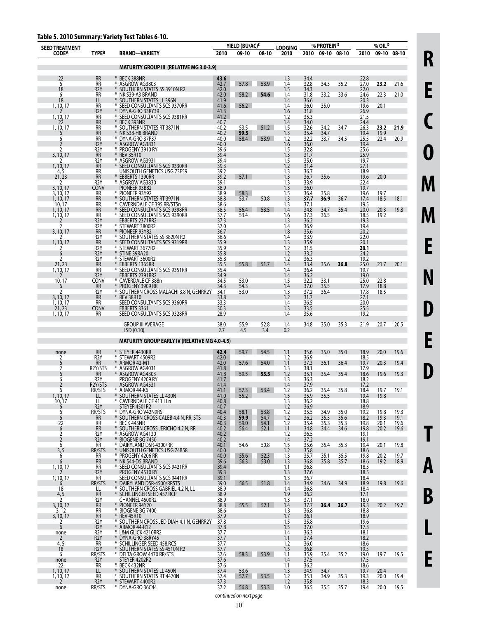| Table 5. 2010 Summary: Variety Test Tables 6-10. |  |  |
|--------------------------------------------------|--|--|
|--------------------------------------------------|--|--|

| <b>SEED TREATMENT</b>  |                                      | apic 3.2010 Juliillal j. valicty 1031 lupics 0                 |              | YIELD (BU/AC)C      |              | <b>LODGING</b>      |              | % PROTEIND   |                  |              | % OIL <sup>D</sup> |              |
|------------------------|--------------------------------------|----------------------------------------------------------------|--------------|---------------------|--------------|---------------------|--------------|--------------|------------------|--------------|--------------------|--------------|
| <b>CODEA</b>           | <b>TYPEB</b>                         | <b>BRAND-VARIETY</b>                                           | 2010         | 09-10               | 08-10        | 2010                |              |              | 2010 09-10 08-10 | 2010         |                    | 09-10 08-10  |
|                        |                                      | <b>MATURITY GROUP III (RELATIVE MG 3.0-3.9)</b>                |              |                     |              |                     |              |              |                  |              |                    |              |
| 22<br>6                | <b>RR</b><br>RR                      | * BECK 388NR<br>* ASGROW AG3803                                | 43.6<br>42.7 | 57.8                | 53.9         | 1.3<br>1.4          | 34.4<br>32.8 | 34.3         | 35.2             | 22.8<br>27.0 | 23.2               | 21.6         |
| 18<br>6                | R <sub>2</sub> Y<br><b>RR</b>        | * SOUTHERN STATES SS 3910N R2<br>* NK S39-A3 BRAND             | 42.0<br>42.0 | 58.2                | 54.6         | 1.5<br>1.4          | 34.3<br>31.8 | 33.2         | 33.6             | 22.0<br>24.6 | 22.3               | 21.0         |
| 18<br>1, 10, 17        | LL<br><b>RR</b>                      | * SOUTHERN STATES LL 396N<br>* SEED CONSULTANTS SCS 9370RR     | 41.9<br>41.6 | 56.2                |              | 1.4<br>1.4          | 36.6<br>36.0 | 35.0         |                  | 20.3<br>19.6 | 20.1               |              |
|                        | R <sub>2</sub> Y                     | * DYNA-GRO 33RY39                                              | 41.3         |                     |              | 1.6                 | 31.8         |              |                  | 26.9         |                    |              |
| 1, 10, 17              | RR<br><b>RR</b>                      | * SEED CONSULTANTS SCS 9381RR<br>BECK 393NR                    | 41.2<br>40.7 |                     |              | 1.2<br>1.4          | 35.3<br>34.0 |              |                  | 21.5<br>24.4 |                    |              |
| 1, 10, 17              | RR<br><b>RR</b>                      | * SOUTHERN STATES RT 3871N<br>* NK S38-H8 BRAND                | 40.2<br>40.2 | 53.5<br>59.5        | 51.2         | 1.5<br>1.3          | 32.6<br>35.4 | 34.2<br>34.7 | 34.7             | 26.3<br>19.4 | 23.2<br>19.9       | 21.9         |
| 6                      | <b>RR</b><br>R <sub>2</sub> Y        | * DYNA-GRO 37P37<br>* ASGROW AG3831                            | 40.0<br>40.0 | 58.4                | 53.9         | 1.2<br>1.6          | 32.2<br>36.0 | 33.7         | 34.5             | 25.5<br>19.4 | 22.4               | 20.9         |
| 3, 10, 17              | R <sub>2</sub> Y<br><b>RR</b>        | * PROGENY 3910 RY<br>* REV 35R10                               | 39.6<br>39.4 |                     |              | $\frac{1.5}{1.3}$   | 32.8<br>31.7 |              |                  | 25.6<br>25.9 |                    |              |
| 1, 10, 17              | R <sub>2</sub> Y<br><b>RR</b>        | * ASGROW AG3931<br>* SEED CONSULTANTS SCS 9330RR               | 39.4<br>39.3 |                     |              | 1.5<br>1.2          | 35.0<br>31.4 |              |                  | 19.7<br>27.1 |                    |              |
| 4,5<br>21, 23          | RR<br><b>RR</b>                      | UNISOUTH GENETICS USG 73F59<br>* EBBERTS 1390RR                | 39.2<br>39.2 | 57.1                |              | 1.3<br>1.3          | 36.7<br>36.7 | 35.6         |                  | 18.9<br>19.6 | 20.0               |              |
| 3, 10, 17              | R <sub>2</sub> Y<br>CONV             | * ASGROW AG3830<br>PIONEER 93B82                               | 39.1<br>38.9 |                     |              | $\frac{1.3}{1.3}$   | 33.9<br>36.0 |              |                  | 22.4<br>19.7 |                    |              |
| 3, 10, 17              | RR                                   | * PIONEER 93Y92                                                | 38.9         | 58.3                |              | 1.5                 | 36.4         | 35.8         |                  | 19.6         | 19.7               |              |
| 1, 10, 17<br>10, 17    | <b>RR</b><br>RR                      | * SOUTHERN STATES RT 3971N<br>* CAVERNDALE CF 395 RR/STSn      | 38.8<br>38.6 | 53.7                | 50.8         | 1.3<br>1.3          | 37.7<br>37.1 | 36.9         | 36.7             | 17.4<br>19.5 | 18.5               | 18.1         |
| 1, 10, 17<br>1, 10, 17 | <b>RR</b><br>RR                      | * SEED CONSULTANTS SCS 9398RR<br>* SEED CONSULTANTS SCS 9390RR | 38.5<br>37.7 | 56.4<br>53.4        | 53.5         | 1.4<br>1.6          | 34.8<br>37.3 | 34.7<br>36.5 | 35.4             | 20.0<br>18.5 | 20.3<br>19.2       | 19.8         |
|                        | R <sub>2</sub> Y<br>R <sub>2</sub> Y | EBBERTS 2371RR2<br>* STEWART 3800R2                            | 37.3<br>37.0 |                     |              | 1.3<br>1.4          | 36.2<br>36.9 |              |                  | 19.3<br>19.4 |                    |              |
| 3, 10, 17              | <b>RR</b><br>R <sub>2</sub> Y        | * PIONEER 93Y82<br>* SOUTHERN STATES SS 3820N R2               | 36.7<br>36.6 |                     |              | 1.8<br>1.4          | 35.6<br>33.9 |              |                  | 20.2<br>22.0 |                    |              |
| 1, 10, 17              | <b>RR</b><br>R <sub>2</sub> Y        | * SEED CONSULTANTS SCS 9319RR<br>* STEWART 3677R2              | 35.9<br>35.9 |                     |              | 1.3                 | 35.9<br>31.5 |              |                  | 20.1<br>28.1 |                    |              |
| 6<br>2                 | R <sub>2</sub> Y<br>R <sub>2</sub> Y | * STINE 39RA20<br>* STEWART 3600R2                             | 35.8<br>35.8 |                     |              | $1.2$<br>1.2<br>1.2 | 33.2<br>36.3 |              |                  | 24.2<br>19.2 |                    |              |
| 21, 23                 | <b>RR</b>                            | EBBERTS 1365RR<br>* SEED CONSULTANTS SCS 9351RR                | 35.5         | 55.8                | 51.7         | 1.4                 | 33.4<br>36.4 | 35.6         | 36.8             | 25.0         | 21.7               | 20.1         |
| 1, 10, 17              | RR<br>R <sub>2</sub> Y               | EBBERTS 2391RR2                                                | 35.4<br>34.9 |                     |              | 1.4<br>1.4          | 36.2         |              |                  | 19.7<br>19.0 |                    |              |
| 10, 17<br>6            | <b>CONV</b><br><b>RR</b>             | * CAVERDALE CF 388n<br>* PROGENY 3909 RR                       | 34.5<br>34.3 | 53.0<br>54.3        |              | 1.5<br>1.4          | 32.2<br>37.0 | 33.1<br>35.5 |                  | 25.0<br>17.9 | 22.8<br>18.8       |              |
| 3, 10, 17              | R <sub>2</sub> Y<br><b>RR</b>        | * SOUTHERN CROSS MALACHI 3.8 N, GENRR2Y<br>* REV 38R10         | 34.1<br>33.8 | 53.0                |              | 1.3<br>1.2          | 37.2<br>31.7 | 36.4         |                  | 17.8<br>27.1 | 18.5               |              |
| 1, 10, 17<br>21, 23    | RR<br><b>CONV</b>                    | SEED CONSULTANTS SCS 9360RR<br>EBBERTS 3361                    | 33.3<br>30.3 |                     |              | 1.4<br>1.3          | 36.5<br>33.5 |              |                  | 20.0<br>25.5 |                    |              |
| 1, 10, 17              | <b>RR</b>                            | SEED CONSULTANTS SCS 9328RR                                    | 28.9         |                     |              | 1.4                 | 35.6         |              |                  | 19.2         |                    |              |
|                        |                                      | <b>GROUP III AVERAGE</b><br>LSD(0.10)                          | 38.0<br>2.7  | 55.9<br>4.5         | 52.8<br>3.4  | 1.4<br>0.2          | 34.8         | 35.0         | 35.3             | 21.9         | 20.7               | 20.5         |
|                        |                                      | <b>MATURITY GROUP EARLY IV (RELATIVE MG 4.0-4.5)</b>           |              |                     |              |                     |              |              |                  |              |                    |              |
| none<br>2              | <b>RR</b><br>R <sub>2</sub> Y        | * STEYER 4430RR<br>* STEWART 4509R2                            | 42.4<br>42.0 | 59.7                | 54.5         | 1.1<br>1.2          | 35.6<br>36.9 | 35.0         | 35.0             | 18.9<br>18.5 | 20.0               | 19.6         |
| 6<br>2                 | <b>RR</b><br>R2Y/STS                 | * ARMOR 42-M1<br>* ASGROW AG4031                               | 42.0<br>41.8 | 57.6                | 54.0         | 1.1<br>1.3          | 37.3<br>38.1 | 36.1         | 36.4             | 19.7<br>17.9 | 20.3               | 19.4         |
|                        | <b>RR</b>                            | * ASGROW AG4303                                                | 41.8         | 59.5                | 55.5         | 1.2                 | 35.1         | 35.4         | 35.4             | 18.6         | 19.6               | 19.3         |
| 6                      | R <sub>2</sub> Y<br>R2Y/STS          | PROGENY 4209 RY<br>ASGROW AG4531                               | 41.7<br>41.4 |                     |              | 1.3<br>1.4          | 36.3<br>37.9 |              |                  | 18.2<br>17.2 |                    |              |
| 6<br>1, 10, 17         | RR/515<br>LL                         | * ARMOR 44-K6<br>* SOUTHERN STATES LL 430N                     | 41.1<br>41.0 | 55.2                | 57.3 53.4    | 1.2<br>1.5          | 36.2<br>35.9 | 35.4<br>35.5 | 35.8             | 18.4<br>19.4 | 19.7<br>19.8       | 19.1         |
| 10, 17<br>6            | LL<br>R <sub>2</sub> Y               | * CAVERNDALE CF 411 LLn<br>STEYER 4501R2                       | 40.8<br>40.7 |                     |              | 1.3<br>1.2          | 36.2<br>36.9 |              |                  | 18.8<br>18.9 |                    |              |
| 6<br>6                 | RR/STS<br>RR                         | * DYNA-GRO V42N9RS<br>* SOUTHERN CROSS CALEB 4.4 N, RR, STS    | 40.4<br>40.3 | $\frac{58.1}{59.9}$ | 53.8<br>54.7 | $\frac{1.2}{1.2}$   | 35.5<br>36.2 | 34.9<br>35.3 | 35.0<br>35.6     | 19.2<br>18.2 | 19.8<br>19.3       | 19.3<br>19.1 |
| 22<br>6                | RR<br><b>RR</b>                      | * BECK 445NR<br>* SOUTHERN CROSS JERICHO 4.2 N, RR             | 40.3<br>40.2 | 59.0<br>56.4        | 54.1<br>52.1 | 1.2<br>1.1          | 35.4<br>34.8 | 35.3<br>34.4 | 35.3<br>34.6     | 19.8<br>19.8 | 20.1<br>20.2       | 19.6<br>19.6 |
| 2<br>$\overline{2}$    | R <sub>2</sub> Y<br>R <sub>2</sub> Y | * ASGROW AG4130<br>* BIOGENE BG 7450                           | 40.2<br>40.2 |                     |              | 1.2<br>1.4          | 36.5<br>37.2 |              |                  | 19.1<br>19.1 |                    |              |
| 6<br>3, 5              | RR<br>RR/STS                         | * DAIRYLAND DSR-4300/RR<br>* UNISOUTH GENETICS USG 74B58       | 40.1<br>40.0 | 54.6                | 50.8         | $\frac{1.5}{1.2}$   | 35.6<br>35.8 | 35.4         | 35.3             | 19.4<br>18.6 | 20.1               | 19.8         |
| 6                      | RR                                   | * PROGENY 4206 RR                                              | 40.0         | 55.6                | 52.3         | 1.3                 | 35.7         | 35.1         | 35.5             | 19.8         | 20.2               | 19.7         |
| 6<br>1, 10, 17         | <b>RR</b><br>RR                      | * NK S44-D5 BRAND<br>* SEED CONSULTANTS SCS 9421RR             | 39.6<br>39.4 | 56.3                | 53.0         | 1.3<br>1.1          | 36.8<br>36.8 | 35.8         | 35.7             | 18.6<br>18.5 | 19.2               | 18.9         |
| 1, 10, 17              | R <sub>2</sub> Y<br><b>RR</b>        | PROGENY 4510 RY<br>SEED CONSULTANTS SCS 9441RR                 | 39.3<br>39.1 |                     |              | 1.3<br>1.3          | 37.6<br>36.7 |              |                  | 18.5<br>18.4 |                    |              |
| 6<br>18                | RR/STS<br>LL                         | DAIRYLAND DSR-4500/RRSTS<br>* SOUTHERN CROSS GABRIEL 4.2 N, LL | 39.0<br>38.9 | 56.5                | 51.8         | 1.4<br>1.4          | 34.9<br>36.8 | 34.6         | 34.9             | 18.9<br>18.4 | 19.8               | 19.6         |
| 4,5<br>2               | <b>RR</b><br>R <sub>2</sub> Y        | * SCHILLINGER SEED 457.RCP<br>CHANNEL 4500R2                   | 38.9<br>38.9 |                     |              | 1.9<br>1.3          | 36.2<br>37.1 |              |                  | 17.1<br>18.0 |                    |              |
| 3, 10, 17<br>3, 12     | RR<br>RR                             | * PIONEER 94Y20<br>* BIOGENE BG 7400                           | 38.8<br>38.6 | 55.5                | 52.1         | 1.4                 | 37.7<br>36.8 | 36.4         | 36.7             | 19.3<br>18.8 | 20.2               | 19.7         |
| 3, 10, 17              | RR                                   | * REV 45R10                                                    | 37.9         |                     |              | $\frac{1.3}{1.7}$   | 36.1         |              |                  | 18.9         |                    |              |
| 2<br>6                 | R <sub>2</sub> Y<br>R <sub>2</sub> Y | * SOUTHERN CROSS JEDIDIAH 4.1 N, GENRR2Y<br>* ARMOR 44-R12     | 37.8<br>37.8 |                     |              | 1.5<br>1.5          | 35.8<br>37.0 |              |                  | 19.6<br>17.3 |                    |              |
| none<br>$\overline{2}$ | R <sub>2</sub> Y<br>R <sub>2</sub> Y | * L&M GLICK 4210RR2<br>* DYNA-GRO 38RY45                       | 37.7<br>37.7 |                     |              | 1.4<br>1.1          | 36.3<br>37.4 |              |                  | 18.1<br>18.2 |                    |              |
| $\frac{4,5}{18}$       | RR<br>R <sub>2</sub> Y               | * SCHILLINGER SEED 458.RCS<br>* SOUTHERN STATES SS 4510N R2    | 37.7<br>37.7 |                     |              | $\frac{1.2}{1.5}$   | 36.0<br>36.8 |              |                  | 18.6<br>19.5 |                    |              |
| 6<br>none              | RR/STS<br>R <sub>2</sub> Y           | * DELTA GROW 4470 RR/STS<br>STEYER 4202R2                      | 37.6<br>37.6 | 58.3                | 53.9         | 1.1<br>1.4          | 35.9<br>37.5 | 35.4         | 35.2             | 19.0<br>17.5 | 19.7               | 19.5         |
| 22                     | RR<br>LL                             | * BECK 432NR                                                   | 37.6         |                     |              | 1.1                 | 36.2         | 34.7         |                  | 18.6         |                    |              |
| 1, 10, 17<br>1, 10, 17 | RR                                   | * SOUTHERN STATES LL 450N<br>* SOUTHERN STATES RT 4470N        | 37.4<br>37.4 | 53.6<br>57.7        | 53.5         | 1.3<br>$1.2$<br>1.2 | 34.9<br>35.1 | 34.9         | 35.3             | 19.7<br>19.3 | 20.4<br>20.0       | 19.4         |
| none                   | R <sub>2</sub> Y<br>RR/STS           | * STEWART 4400R2<br>* DYNA-GRO 36C44                           | 37.3<br>37.2 | 56.8                | 53.3         | 1.0                 | 35.8<br>36.5 | 35.5         | 35.7             | 18.3<br>19.4 | 20.0               | 19.5         |

**C O M M E N D E D T A**

**College**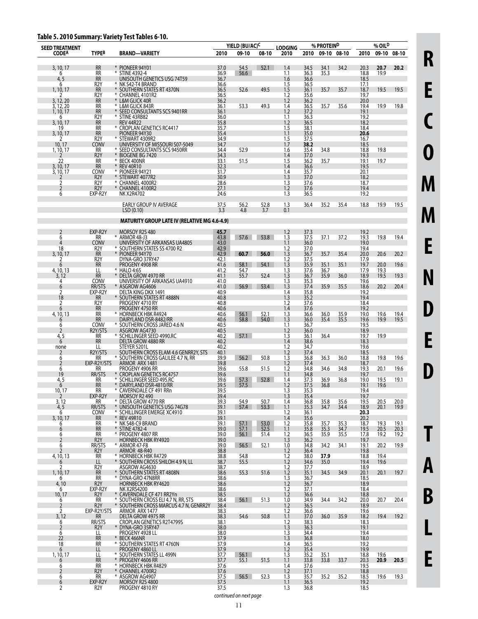### **Table 5. 2010 Summary: Variety Test Tables 6-10.**

| <b>SEED TREATMENT</b>  |                                 |                                                                     | YIELD (BU/AC) <sup>C</sup> |              | <b>LODGING</b> | % PROTEIN <sup>D</sup> |              |              | % OIL <sup>D</sup> |              |              |                   |
|------------------------|---------------------------------|---------------------------------------------------------------------|----------------------------|--------------|----------------|------------------------|--------------|--------------|--------------------|--------------|--------------|-------------------|
| <b>CODEA</b>           | <b>TYPEB</b>                    | <b>BRAND-VARIETY</b>                                                | 2010                       | 09-10        | 08-10          | 2010                   | 2010         | 09-10 08-10  |                    | 2010         | 09-10        | 08-10             |
|                        |                                 |                                                                     |                            |              |                |                        |              |              |                    |              |              |                   |
| 3, 10, 17<br>6         | <b>RR</b><br>RR                 | * PIONEER 94Y01<br>* STINE 4392-4                                   | 37.0<br>36.9               | 54.5<br>56.6 | 52.1           | 1.4<br>1.1             | 34.5<br>36.3 | 34.1<br>35.3 | 34.2               | 20.3<br>18.8 | 20.7<br>19.9 | 20.2              |
| 4, 5                   | <b>RR</b>                       | UNISOUTH GENETICS USG 74T59                                         | 36.7                       |              |                | 1.6                    | 36.6         |              |                    | 18.5         |              |                   |
| 6<br>1, 10, 17         | R <sub>2</sub> Y<br><b>RR</b>   | * NK S42-T4 BRAND<br>SOUTHERN STATES RT 4370N                       | 36.6<br>36.5               | 52.6         | 49.5           | 1.5<br>1.5             | 36.5<br>36.1 | 35.7         | 35.7               | 17.1<br>18.7 | 19.5         | 19.5              |
|                        | R <sub>2</sub> Y                | * CHANNEL 4101R2                                                    | 36.5                       |              |                | 1.2                    | 35.6         |              |                    | 19.7         |              |                   |
| 3, 12, 20<br>3, 12, 20 | <b>RR</b><br>RR                 | * L&M GLICK 40R<br>* L&M GLICK 843R                                 | 36.2<br>36.1               | 53.3         | 49.3           | 1.2<br>1.4             | 36.2<br>36.5 | 35.7         | 35.6               | 20.0<br>19.4 | 19.9         | 19.8              |
| 1, 10, 17              | <b>RR</b>                       | SEED CONSULTANTS SCS 9401RR                                         | 36.1                       |              |                | 1.2                    | 37.2         |              |                    | 19.1         |              |                   |
| 6                      | R <sub>2</sub> Y<br><b>RR</b>   | * STINE 43RB82                                                      | 36.0                       |              |                | 1.1                    | 36.3         |              |                    | 19.2         |              |                   |
| 3, 10, 17<br>19        | RR                              | REV 44R22<br>* CROPLAN GENETICS RC4417                              | 35.8<br>35.7               |              |                | 1.2<br>1.5             | 36.5<br>38.1 |              |                    | 18.2<br>18.4 |              |                   |
| 3, 10, 17              | <b>RR</b>                       | PIONEER 94Y30                                                       | 35.4                       |              |                | 1.1                    | 35.0         |              |                    | 20.6         |              |                   |
| 2<br>10, 17            | R <sub>2</sub> Y<br>CONV        | * STEWART 4309R2<br>UNIVERSITY OF MISSOURI S07-5049                 | 34.9<br>34.7               |              |                | 1.5<br>1.7             | 37.5<br>38.2 |              |                    | 16.7<br>18.5 |              |                   |
| 1, 10, 17              | RR                              | * SEED CONSULTANTS SCS 9450RR                                       | 34.4                       | 52.9         |                | 1.6                    | 35.4         | 34.8         |                    | 18.8         | 19.8         |                   |
| 2<br>22                | R <sub>2</sub> Y<br><b>RR</b>   | ¥<br>BIOGENE BG 7420<br><b>BECK 400NR</b><br>⋇                      | 34.3<br>33.1               | 51.5         |                | 1.4<br>1.5             | 37.0<br>36.2 | 35.7         |                    | 19.3<br>19.1 | 19.7         |                   |
| 3, 10, 17              | <b>RR</b>                       | * REV 40R10                                                         | 32.3                       |              |                | 1.4                    | 36.6         |              |                    | 19.5         |              |                   |
| 3, 10, 17              | <b>CONV</b><br>R <sub>2</sub> Y | PIONEER 94Y21<br>⋇<br>STEWART 4077R2                                | 31.7<br>30.9               |              |                | 1.4<br>1.3             | 35.7<br>37.0 |              |                    | 20.1<br>18.2 |              |                   |
| 2                      | R <sub>2</sub> Y                | * CHANNEL 4000R2                                                    | 28.6                       |              |                | 1.3                    | 37.6         |              |                    | 18.7         |              |                   |
| 2<br>6                 | R <sub>2</sub> Y<br>EXP-R2Y     | CHANNEL 4100R2<br>NK X2R4702                                        | 27.1<br>24.6               |              |                | 1.2<br>1.3             | 37.6<br>36.5 |              |                    | 19.4<br>19.2 |              |                   |
|                        |                                 |                                                                     |                            |              |                |                        |              |              |                    |              |              |                   |
|                        |                                 | EARLY GROUP IV AVERAGE<br>LSD(0.10)                                 | 37.5<br>3.3                | 56.2<br>4.8  | 52.8<br>3.7    | 1.3<br>0.1             | 36.4         | 35.2         | 35.4               | 18.8         | 19.9         | 19.5              |
|                        |                                 |                                                                     |                            |              |                |                        |              |              |                    |              |              |                   |
|                        |                                 | <b>MATURITY GROUP LATE IV (RELATIVE MG 4.6-4.9)</b>                 |                            |              |                |                        |              |              |                    |              |              |                   |
| 2                      | EXP-R2Y                         | MORSOY R2S 480                                                      | 45.7                       |              |                | 1.2                    | 37.3         |              |                    | 19.2         |              |                   |
| 6<br>4                 | RR<br><b>CONV</b>               | * ARMOR 48-J3<br>UNIVERSITY OF ARKANSAS UA4805                      | 43.8<br>43.0               | 57.6         | 53.8           | 1.3<br>1.1             | 37.5<br>36.0 | 37.1         | 37.2               | 19.3<br>19.0 | 19.8         | 19.4              |
| 18                     | R <sub>2</sub> Y                | * SOUTHERN STATES SS 4700 R2                                        | 42.9                       |              |                | 1.2                    | 37.0         |              |                    | 19.4         |              |                   |
| 3, 10, 17              | <b>RR</b><br>R <sub>2</sub> Y   | PIONEER 94Y70<br>¥<br>DYNA-GRO 37RY47                               | 42.9<br>42.1               | 60.7         | 56.0           | 1.3<br>1.2             | 36.7<br>37.5 | 35.7         | 35.4               | 20.0<br>17.9 | 20.6         | 20.2              |
| 6                      | <b>RR</b>                       | PROGENY 4908 RR                                                     | 41.6                       | 58.1         | 54.1           | 1.3                    | 35.9         | 35.1         | 35.1               | 19.7         | 20.0         | 19.6              |
| 4, 10, 13              | LL<br><b>RR</b>                 | * HALO 4:65                                                         | 41.2                       | 54.7<br>55.7 |                | 1.3                    | 37.6<br>36.7 | 36.7         |                    | 17.9         | 19.3<br>19.5 |                   |
| 3.12<br>4              | <b>CONV</b>                     | DELTA GROW 4970 RR<br>UNIVERSITY OF ARKANSAS UA4910                 | 41.1<br>41.0               |              | 52.4           | 1.3<br>1.3             | 35.3         | 35.9         | 36.0               | 18.9<br>19.6 |              | 19.3              |
| 6                      | RR/STS                          | * ASGROW AG4606                                                     | 41.0                       | 56.9         | 53.4           | 1.3                    | 37.4         | 35.9         | 35.5               | 18.6         | 20.2         | 20.4              |
| 2<br>18                | EXP-R2Y<br><b>RR</b>            | DELTA KING DKX 1491<br>SOUTHERN STATES RT 4888N                     | 40.9<br>40.8               |              |                | 1.4<br>1.3             | 35.8<br>35.2 |              |                    | 19.2<br>19.4 |              |                   |
| 2                      | R2Y                             | PROGENY 4710 RY                                                     | 40.8                       |              |                | 1.2                    | 37.6         |              |                    | 18.4         |              |                   |
| 6<br>4, 10, 13         | <b>RR</b><br>RR                 | PROGENY 4750 RR<br>* HORNBECK HBK R4924                             | 40.6<br>40.6               | 56.1         | 52.1           | 1.4<br>1.3             | 37.6<br>36.6 | 36.0         | 35.9               | 19.2<br>19.0 | 19.6         | 19.4              |
| 6                      | <b>RR</b>                       | DAIRYLAND DSR-8482/RR                                               | 40.6                       | 58.8         | 54.0           | 1.3                    | 36.0         | 35.4         | 35.5               | 19.6         | 19.9         | 19.5              |
| 6<br>2                 | <b>CONV</b><br>R2Y/STS          | * SOUTHERN CROSS JARED 4.6 N<br>ASGROW AG4730                       | 40.5<br>40.5               |              |                | 1.1<br>1.2             | 36.7<br>36.0 |              |                    | 19.5<br>18.9 |              |                   |
| $\frac{4,5}{6}$        | RR                              | * SCHILLINGER SEED 4990.RC                                          | 40.2                       | 57.1         |                | 1.3                    | 36.1         | 36.4         |                    | 19.7         | 19.9         |                   |
|                        | <b>RR</b><br>LL                 | DELTA GROW 4880 RR<br>STEYER 5201L                                  | 40.2<br>40.2               |              |                | 1.4<br>1.2             | 38.6<br>34.7 |              |                    | 18.3<br>19.6 |              |                   |
| none<br>2              | R2Y/STS                         | SOUTHERN CROSS ELAM 4.6 GENRR2Y, STS                                | 40.1                       |              |                | 1.2                    | 37.4         |              |                    | 18.5         |              |                   |
| 6<br>2                 | RR<br>EXP-R2Y/STS               | * SOUTHERN CROSS GALILEE 4.7 N, RR                                  | 39.9<br>39.8               | 56.2         | 50.8           | 1.3<br>1.2             | 36.8         | 36.3         | 36.0               | 18.8         | 19.8         | 19.6              |
| 6                      | RR                              | ARMOR ARX 1481<br>PROGENY 4906 RR                                   | 39.6                       | 55.8         | 51.5           | 1.2                    | 37.4<br>34.8 | 34.6         | 34.8               | 18.7<br>19.3 | 20.1         | 19.6              |
| 19                     | RR/STS                          | <b>CROPLAN GENETICS RC4757</b>                                      | 39.6                       |              |                | 1.1                    | 34.8         |              |                    | 19.7         |              |                   |
| 4, 5<br>6              | RR<br><b>RR</b>                 | * SCHILLINGER SEED 495.RC<br>¥<br>DAIRYLAND DSR-4810/RR             | 39.6<br>39.5               | 57.3<br>57.5 | 52.8           | 1.4<br>1.2             | 37.3<br>37.5 | 36.9<br>36.8 | 36.8               | 19.0<br>19.1 | 19.5<br>19.6 | 19.1              |
| $\frac{10,17}{2}$      | RR                              | * CAVERNDALE CF 491 RRn                                             | 39.5                       |              |                | 1.3                    | 35.3         |              |                    | 19.4         |              |                   |
| 3, 12                  | EXP-R2Y<br><b>RR</b>            | MORSOY R2 490<br>* DELTA GROW 4770 RR                               | 39.4<br>39.3               | 54.9         | 50.7           | 1.3<br>1.4             | 35.4<br>36.8 | 35.8         | 35.6               | 19.7<br>19.5 | 20.5         | 20.0              |
| 4, 5                   | RR/STS                          | UNISOUTH GENETICS USG 74G78<br>¥                                    | 39.1                       | 57.4         | 53.3           | 1.1                    | 35.3         | 34.7         | 34.4               | 18.9         | 20.1         | 19.9 <sub>1</sub> |
| 6<br>3, 10, 17         | CONV<br>RR                      | * SCHILLINGER EMERGE XC4910<br>* REV 49R10                          | 39.1<br>39.1               |              |                | 1.2<br>1.4             | 36.1<br>35.6 |              |                    | 20.3<br>20.2 |              |                   |
| 6                      | RR                              | * NK S48-C9 BRAND                                                   | 39.1                       | 57.1         | 53.0           | 1.2                    | 35.8         | 35.7         | 35.3               | 18.7         | 19.3         | 19.1              |
| 6<br>6                 | RR<br>RR                        | * STINE 4782-4<br>* PROGENY 4807 RR                                 | 39.0<br>39.0               | 57.1<br>56.1 | 52.5<br>51.4   | 1.1<br>1.2             | 35.8<br>36.5 | 35.3<br>35.9 | 34.7<br>35.5       | 19.5<br>17.8 | 20.5<br>19.2 | 20.3<br>19.2      |
| $\overline{2}$         | R <sub>2</sub> Y                | <b>HORNBECK HBK RY4920</b>                                          | 39.0                       |              |                | 1.3                    | 36.2         |              |                    | 19.7         |              |                   |
| 6                      | RR/STS<br>R <sub>2</sub> Y      | * ARMOR 47-F8<br>ARMOR 48-R40                                       | 39.0<br>38.8               | 56.5         | 52.1           | 1.0<br>1.2             | 34.8<br>36.4 | 34.2         | 34.1               | 19.1<br>19.8 | 20.2         | 19.9              |
| 4, 10, 13              | <b>RR</b>                       | * HORNBECK HBK R4729                                                | 38.8                       | 54.8         |                | 1.2                    | 38.0         | 37.9         |                    | 18.8         | 19.4         |                   |
| 6                      | LL<br>R <sub>2</sub> Y          | SOUTHERN CROSS SHILOH 4.9 N, LL<br>ASGROW AG4630                    | 38.7<br>38.7               | 55.5         |                | 1.2<br>1.2             | 34.6<br>37.7 | 35.0         |                    | 19.4<br>18.9 | 19.6         |                   |
| 1, 10, 17              | <b>RR</b>                       | SOUTHERN STATES RT 4808N                                            | 38.6                       | 55.3         | 51.6           | 1.2                    | 35.1         | 34.5         | 34.9               | 20.1         | 20.1         | 19.7              |
| 6<br>4,10              | RR<br>R <sub>2</sub> Y          | * DYNA-GRO 47N8RR<br><b>HORNBECK HBK RY4620</b>                     | 38.6<br>38.6               |              |                | 1.3<br>1.2             | 36.7<br>36.7 |              |                    | 18.5<br>18.9 |              |                   |
| 6                      | EXP-R2Y                         | <b>NK X2RS4200</b>                                                  | 38.6                       |              |                | 1.2                    | 37.1         |              |                    | 18.4         |              |                   |
| 10, 17<br>6            | R <sub>2</sub> Y<br><b>RR</b>   | * CAVERNDALE CF 471 RR2Yn<br>SOUTHERN CROSS ELI 4.7 N, RR, STS<br>* | 38.5<br>38.4               | 56.1         | 51.3           | 1.2<br>1.0             | 36.6<br>34.9 | 34.4         | 34.2               | 18.8<br>20.0 | 20.7         | 20.4              |
| $\overline{2}$         | R <sub>2</sub> Y                | SOUTHERN CROSS MARCUS 4.7 N, GENRR2Y                                | 38.4                       |              |                | 1.2                    | 36.5         |              |                    | 18.9         |              |                   |
| 2<br>3, 12             | EXP-R2Y/STS                     | ARMOR ARX 1477<br>DELTA GROW 4975 RR                                | 38.3<br>38.3               | 54.6         | 50.8           | 1.2<br>1.1             | 36.6<br>37.0 | 36.0         | 35.9               | 19.6<br>18.2 | 19.4         | 19.2              |
| 6                      | <b>RR</b><br>RR/STS             | <b>CROPLAN GENETICS R2T4799S</b>                                    | 38.1                       |              |                | 1.2                    | 38.3         |              |                    | 18.3         |              |                   |
| $\overline{2}$         | R <sub>2</sub> Y                | DYNA-GRO 35RY47                                                     | 38.0                       |              |                | 1.3                    | 36.3         |              |                    | 19.1         |              |                   |
| 6<br>22                | LL<br><b>RR</b>                 | PROGENY 4928 LL<br>BECK 466NR                                       | 38.0<br>37.9               |              |                | 1.3<br>1.3             | 34.4<br>36.8 |              |                    | 19.4<br>18.0 |              |                   |
| 18                     | RR                              | * SOUTHERN STATES RT 4760N                                          | 37.9                       |              |                | 1.4                    | 36.5         |              |                    | 19.2         |              |                   |
| 6<br>1, 10, 17         | LL<br>LL                        | PROGENY 4860 LL<br>* SOUTHERN STATES LL 499N                        | 37.9<br>37.7               | 56.1         |                | 1.2<br>1.3             | 35.4<br>35.2 | 35.1         |                    | 19.9<br>18.8 | 19.6         |                   |
| 6                      | <b>RR</b>                       | * PROGENY 4606 RR                                                   | 37.7                       | 55.1         | 51.5           | 1.1                    | 33.8         | 33.8         | 33.7               | 20.3         | 20.9         | 20.5              |
| 6<br>$\overline{2}$    | RR<br>R <sub>2</sub> Y          | * HORNBECK HBK R4829<br>CHANNEL 4700R2                              | 37.6<br>37.6               |              |                | 1.4<br>1.2             | 37.6<br>37.1 |              |                    | 19.5<br>18.8 |              |                   |
| 6                      | RR                              | * ASGROW AG4907                                                     | 37.5                       | 56.5         | 52.3           | 1.3                    | 35.7         | 35.2         | 35.2               | 18.5         | 19.6         | 19.3              |
| 6<br>2                 | EXP-R2Y<br>R <sub>2</sub> Y     | MORSOY R2S 4800<br>PROGENY 4810 RY                                  | 37.5<br>37.5               |              |                | 1.1<br>1.3             | 36.5<br>36.8 |              |                    | 19.2<br>18.5 |              |                   |
|                        |                                 |                                                                     |                            |              |                |                        |              |              |                    |              |              |                   |

**R E C O M M E N D E D**

**T**

**A**

**B**

**L**

**E**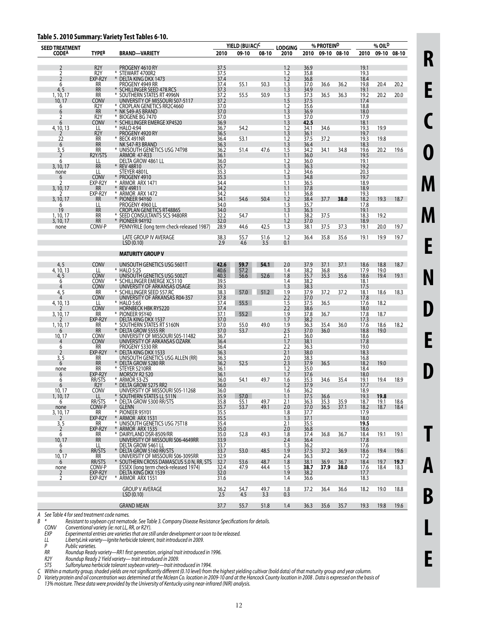#### **Table 5. 2010 Summary: Variety Test Tables 6-10.**

| <b>CODEA</b><br>TYPEB<br>2010<br>09-10<br>08-10<br>09-10 08-10<br>2010<br>09-10 08-10<br>BRAND—VARIETY<br>2010<br>2010<br>R <sub>2</sub> Y<br>37.5<br>1.2<br>36.9<br>19.1<br>$\overline{2}$<br>PROGENY 4610 RY<br>$\overline{2}$<br>R <sub>2</sub> Y<br>¥<br>STEWART 4700R2<br>37.5<br>1.2<br>35.8<br>19.3<br>1.2<br>$\overline{2}$<br>EXP-R2Y<br>36.8<br>18.4<br>$\ast$<br>DELTA KING DKX 1473<br>37.4<br>RR<br>PROGENY 4949 RR<br>37.4<br>50.3<br>1.3<br>37.0<br>36.6<br>36.2<br>19.8<br>20.4<br>20.2<br>6<br>55.1<br>4, 5<br>RR<br>SCHILLINGER SEED 478.RCS<br>37.3<br>1.3<br>34.9<br>19.1<br>1.3<br>37.3<br>RR<br>55.5<br>50.9<br>36.5<br>36.3<br>20.2<br>20.0<br>1, 10, 17<br>⋇<br>SOUTHERN STATES RT 4996N<br>37.2<br>19.2<br><b>CONV</b><br>UNIVERSITY OF MISSOURI S07-5117<br>37.2<br>1.5<br>37.5<br>10, 17<br>17.4<br>R <sub>2</sub> Y<br>CROPLAN GENETICS RR2C4660<br>37.0<br>35.6<br>1.2<br>18.8<br>6<br>1.3<br><b>RR</b><br>36.9<br>¥<br>NK S49-A5 BRAND<br>18.0<br>6<br>37.0<br>$\overline{\mathbf{c}}$<br>R <sub>2</sub> Y<br>* BIOGENE BG 7470<br>37.0<br>1.3<br>37.0<br>17.9<br><b>CONV</b><br>¥<br>SCHILLINGER EMERGE XP4520<br>36.9<br>1.3<br>6<br>42.5<br>18.1<br>54.2<br>1.2<br>34.6<br>19.9<br>4, 10, 13<br>LL<br>* HALO 4:94<br>36.7<br>34.1<br>19.3<br>R <sub>2</sub> Y<br>PROGENY 4920 RY<br>36.5<br>1.3<br>19.7<br>36.1<br>2<br>53.1<br>19.8<br>22<br>RR<br>⋇<br>BECK 491NR<br>36.4<br>1.2<br>37.5<br>37.2<br>19.3<br>1.3<br><b>RR</b><br>18.3<br>NK S47-R3 BRAND<br>36.3<br>36.4<br>6<br>3, 5<br>RR<br>* UNISOUTH GENETICS USG 74T98<br>36.2<br>47.6<br>1.5<br>34.2<br>34.8<br>19.6<br>51.4<br>34.1<br>19.6<br>20.2<br>$\overline{2}$<br>R2Y/STS<br>36.0<br><b>ARMOR 47-R33</b><br>36.1<br>1.1<br>19.5<br>36.0<br>DELTA GROW 4861 LL<br>36.0<br>1.2<br>19.1<br>6<br>LL<br><b>RR</b><br><b>REV 48R10</b><br>35.7<br>1.3<br>36.3<br>19.2<br>3, 10, 17<br>STEYER 4801L<br>35.3<br>1.2<br>34.6<br>LL<br>20.3<br>none<br>1.3<br><b>CONV</b><br>19.7<br>PROGENY 4910<br>35.3<br>34.8<br>6<br>$\overline{\phantom{a}}$<br>EXP-R2Y<br>* ARMOR ARX 1471<br>34.4<br>1.1<br>36.5<br>18.9<br>¥<br><b>REV 49R11</b><br>3, 10, 17<br><b>RR</b><br>34.2<br>1.1<br>37.8<br>18.9<br>EXP-R2Y<br>* ARMOR ARX 1472<br>34.2<br>1.1<br>36.8<br>19.3<br><b>RR</b><br>PIONEER 94Y60<br>34.1<br>54.6<br>50.4<br>1.2<br>38.4<br>38.0<br>18.2<br>19.3<br>3, 10, 17<br>37.7<br>18.7<br>PROGENY 4960 LL<br>LL<br>34.0<br>1.3<br>35.7<br>17.8<br>6<br><b>RR</b><br>1.3<br>19<br>CROPLAN GENETICS RT4886S<br>34.0<br>36.3<br>19.1<br>* SEED CONSULTANTS SCS 9480RR<br><b>RR</b><br>32.2<br>1.1<br>38.2<br>37.5<br>18.3<br>19.2<br>1, 10, 17<br>54.7<br><b>RR</b><br>¥<br>PIONEER 94Y92<br>3, 10, 17<br>32.0<br>1.2<br>37.0<br>18.9<br>1.3<br>CONV-P<br>28.9<br>44.6<br>42.5<br>37.5<br>37.3<br>20.0<br>19.7<br>PENNYRILE (long term check-released 1987)<br>38.1<br>19.1<br>none<br>LATE GROUP IV AVERAGE<br>38.3<br>1.2<br>36.4<br>35.6<br>19.1<br>19.9<br>19.7<br>55.7<br>51.6<br>35.8<br>2.9<br>3.5<br>LSD (0.10)<br>4.6<br>0.1<br><b>MATURITY GROUP V</b><br><b>CONV</b><br>UNISOUTH GENETICS USG 5601T<br>42.6<br>59.7<br>54.1<br>2.0<br>37.9<br>37.1<br>37.1<br>18.6<br>18.8<br>18.7<br>4, 5<br>4, 10, 13<br>LL<br>* HALO 5:25<br>40.6<br>38.2<br>35.7<br>17.9<br>19.0<br>57.2<br>56.6<br>1.4<br>36.8<br>1.8<br>35.3<br><b>CONV</b><br>40.3<br>19.4<br>UNISOUTH GENETICS USG 5002T<br>35.6<br>18.6<br>19.1<br>4, 5<br>52.6<br><b>CONV</b><br>* SCHILLINGER EMERGE XC5110<br>39.5<br>38.2<br>1.4<br>18.1<br>6<br><b>CONV</b><br>UNIVERSITY OF ARKANSAS OSAGE<br>39.3<br>38.3<br>1.3<br>17.5<br>4<br>37.9<br>4, 5<br>RR<br>57.0<br>1.9<br>37.2<br>37.2<br>18.6<br>18.3<br>* SCHILLINGER SEED 557.RC<br>38.3<br>51.2<br>18.1<br><b>CONV</b><br>UNIVERSITY OF ARKANSAS R04-357<br>37.8<br>2.2<br>37.0<br>17.8<br>4<br>* HALO 5:65<br>55.5<br>1.5<br>37.5<br>36.5<br>18.2<br>4, 10, 13<br>LL<br>37.4<br>17.6<br><b>CONV</b><br><b>HORNBECK HBK RY5220</b><br>2.2<br>37.4<br>38.6<br>18.0<br>RR<br>* PIONEER 95Y40<br>37.1<br>1.9<br>37.8<br>36.7<br>18.7<br>55.2<br>17.8<br>3, 10, 17<br>EXP-R2Y<br>DELTA KING DKX 1537<br>38.2<br>37.0<br>1.7<br>17.3<br>RR<br>* SOUTHERN STATES RT 5160N<br>55.0<br>49.0<br>36.0<br>18.2<br>37.0<br>1.9<br>36.3<br>35.4<br>17.6<br>18.6<br>1, 10, 17<br><b>RR</b><br>DELTA GROW 5555 RR<br>37.0<br>2.5<br>37.0<br>53.7<br>36.0<br>18.8<br>19.0<br>6<br><b>CONV</b><br>UNIVERSITY OF MISSOURI S05-11482<br>10, 17<br>36.7<br>2.1<br>36.0<br>18.6<br>UNIVERSITY OF ARKANSAS OZARK<br>1.7<br>38.1<br><b>CONV</b><br>17.8<br>36.4<br>PROGENY 5330 RR<br>36.4<br>2.2<br>36.3<br>RR<br>19.0<br>6<br>EXP-R2Y<br><b>DELTA KING DKX 1533</b><br>38.0<br>$\overline{2}$<br>36.3<br>2.1<br>18.3<br>3, 5<br>RR<br>UNISOUTH GENETICS USG ALLEN (RR)<br>36.3<br>2.0<br>38.3<br>16.8<br><b>RR</b><br>DELTA GROW 5280 RR<br>36.2<br>52.5<br>2.3<br>37.9<br>36.5<br>18.2<br>19.0<br>6<br>* STEYER 5210RR<br>35.0<br>RR<br>36.1<br>1.2<br>18.4<br>none<br>1.7<br>EXP-R2Y<br>37.6<br>MORSOY R2 520<br>36.1<br>18.0<br>6<br>RR/STS<br>* ARMOR 53-Z5<br>36.0<br>54.1<br>49.7<br>35.3<br>34.6<br>35.4<br>18.9<br>6<br>1.6<br>19.1<br>19.4<br>DELTA GROW 5275 RR2<br>6<br>R <sub>2</sub> Y<br>⋇<br>36.0<br>1.2<br>37.9<br>17.7<br>UNIVERSITY OF MISSOURI S05-11268<br>10, 17<br><b>CONV</b><br>36.2<br>18.9<br>36.0<br>1.6<br>LL<br>* SOUTHERN STATES LL 511N<br>35.9<br>57.0<br>1.1<br>37.5<br>36.6<br>19.3<br>19.8<br>1, 10, 17<br>RR/STS<br>* DELTA GROW 5300 RR/STS<br>35.8<br>35.3<br>35.9<br>19.1<br>6<br>55.1<br>49.7<br>2.1<br>36.3<br>37.0<br>18.7<br>18.6<br>37.1<br>36.5<br>CONV-P<br>49.1<br>18.7<br><b>GLENN</b><br>35.7<br>53.7<br>2.0<br>18.2<br>18.4<br>none<br>* PIONEER 95Y01<br>35.5<br>1.8<br>37.7<br>17.9<br>3, 10, 17<br>RR<br>EXP-R2Y<br>* ARMOR ARX 1531<br>1.3<br>35.5<br>37.1<br>18.0<br>2<br>3, 5<br>* UNISOUTH GENETICS USG 75T18<br>RR<br>35.4<br>35.5<br>19.5<br>2.1<br>$\overline{2}$<br>EXP-R2Y<br>* ARMOR ARX 1535<br>35.0<br>2.0<br>36.8<br>18.6<br>* DAIRYLAND DSR-8509/RR<br>RR<br>35.0<br>52.8<br>49.3<br>37.4<br>36.7<br>19.1<br>6<br>1.8<br>36.8<br>18.4<br>19.1<br><b>RR</b><br>36.4<br>10, 17<br>UNIVERSITY OF MISSOURI S06-4649RR<br>33.9<br>2.4<br>17.8<br>DELTA GROW 5461 LL<br>36.2<br>6<br>LL<br>33.7<br>1.3<br>17.6<br>RR/STS<br>DELTA GROW 5160 RR/STS<br>48.5<br>37.2<br>36.9<br>19.4<br>19.6<br>6<br>¥<br>33.7<br>53.0<br>1.9<br>37.5<br>18.6<br>10, 17<br><b>RR</b><br>UNIVERSITY OF MISSOURI S06-3095RR<br>32.9<br>2.4<br>36.3<br>17.2<br>RR/STS<br>32.7<br>48.7<br>1.8<br>38.1<br>36.7<br>18.4<br>19.7<br>SOUTHERN CROSS DAMASCUS 5.0 N, RR, STS<br>53.6<br>36.9<br>19.7<br>6<br>CONV-P<br>ESSEX (long term check-released 1974)<br>38.0<br>32.4<br>47.9<br>44.4<br>1.5<br>38.7<br>37.9<br>17.6<br>18.4<br>18.3<br>none<br>EXP-R2Y<br>DELTA KING DKX 1539<br>32.0<br>1.9<br>2<br>38.2<br>17.7<br>EXP-R2Y<br>$\overline{2}$<br>* ARMOR ARX 1551<br>18.3<br>31.6<br>1.4<br>36.6<br><b>GROUP V AVERAGE</b><br>36.2<br>54.7<br>36.6<br>18.2<br>19.0<br>18.8<br>49.7<br>1.8<br>37.2<br>36.4<br>2.5<br>4.5<br>3.3<br>LSD(0.10)<br>0.3<br><b>GRAND MEAN</b><br>37.7<br>55.7<br>35.7<br>19.8<br>51.8<br>1.4<br>36.3<br>35.6<br>19.3<br>19.6 | <b>SEED TREATMENT</b> |  | YIELD (BU/AC)C | <b>LODGING</b> | % PROTEIND |  | % OIL <sup>D</sup> |  |
|-------------------------------------------------------------------------------------------------------------------------------------------------------------------------------------------------------------------------------------------------------------------------------------------------------------------------------------------------------------------------------------------------------------------------------------------------------------------------------------------------------------------------------------------------------------------------------------------------------------------------------------------------------------------------------------------------------------------------------------------------------------------------------------------------------------------------------------------------------------------------------------------------------------------------------------------------------------------------------------------------------------------------------------------------------------------------------------------------------------------------------------------------------------------------------------------------------------------------------------------------------------------------------------------------------------------------------------------------------------------------------------------------------------------------------------------------------------------------------------------------------------------------------------------------------------------------------------------------------------------------------------------------------------------------------------------------------------------------------------------------------------------------------------------------------------------------------------------------------------------------------------------------------------------------------------------------------------------------------------------------------------------------------------------------------------------------------------------------------------------------------------------------------------------------------------------------------------------------------------------------------------------------------------------------------------------------------------------------------------------------------------------------------------------------------------------------------------------------------------------------------------------------------------------------------------------------------------------------------------------------------------------------------------------------------------------------------------------------------------------------------------------------------------------------------------------------------------------------------------------------------------------------------------------------------------------------------------------------------------------------------------------------------------------------------------------------------------------------------------------------------------------------------------------------------------------------------------------------------------------------------------------------------------------------------------------------------------------------------------------------------------------------------------------------------------------------------------------------------------------------------------------------------------------------------------------------------------------------------------------------------------------------------------------------------------------------------------------------------------------------------------------------------------------------------------------------------------------------------------------------------------------------------------------------------------------------------------------------------------------------------------------------------------------------------------------------------------------------------------------------------------------------------------------------------------------------------------------------------------------------------------------------------------------------------------------------------------------------------------------------------------------------------------------------------------------------------------------------------------------------------------------------------------------------------------------------------------------------------------------------------------------------------------------------------------------------------------------------------------------------------------------------------------------------------------------------------------------------------------------------------------------------------------------------------------------------------------------------------------------------------------------------------------------------------------------------------------------------------------------------------------------------------------------------------------------------------------------------------------------------------------------------------------------------------------------------------------------------------------------------------------------------------------------------------------------------------------------------------------------------------------------------------------------------------------------------------------------------------------------------------------------------------------------------------------------------------------------------------------------------------------------------------------------------------------------------------------------------------------------------------------------------------------------------------------------------------------------------------------------------------------------------------------------------------------------------------------------------------------------------------------------------------------------------------------------------------------------------------------------------------------------------------------------------------------------------------------------------------------------------------------------------------------------------------------------------------------------------------------------------------------------------------------------------------------------------------------------------------------------------------------------------------------------------------------------------------------------------------------------------------------------------------------------------------------------------------------------------------------------------------------------------------------------------------------------------------------------------------------------------------------------------------------------------------------------------------------------------------------------------------------------------------------------------------------------------|-----------------------|--|----------------|----------------|------------|--|--------------------|--|
|                                                                                                                                                                                                                                                                                                                                                                                                                                                                                                                                                                                                                                                                                                                                                                                                                                                                                                                                                                                                                                                                                                                                                                                                                                                                                                                                                                                                                                                                                                                                                                                                                                                                                                                                                                                                                                                                                                                                                                                                                                                                                                                                                                                                                                                                                                                                                                                                                                                                                                                                                                                                                                                                                                                                                                                                                                                                                                                                                                                                                                                                                                                                                                                                                                                                                                                                                                                                                                                                                                                                                                                                                                                                                                                                                                                                                                                                                                                                                                                                                                                                                                                                                                                                                                                                                                                                                                                                                                                                                                                                                                                                                                                                                                                                                                                                                                                                                                                                                                                                                                                                                                                                                                                                                                                                                                                                                                                                                                                                                                                                                                                                                                                                                                                                                                                                                                                                                                                                                                                                                                                                                                                                                                                                                                                                                                                                                                                                                                                                                                                                                                                                                                                                                                                                                                                                                                                                                                                                                                                                                                                                                                                                                                                                 |                       |  |                |                |            |  |                    |  |
|                                                                                                                                                                                                                                                                                                                                                                                                                                                                                                                                                                                                                                                                                                                                                                                                                                                                                                                                                                                                                                                                                                                                                                                                                                                                                                                                                                                                                                                                                                                                                                                                                                                                                                                                                                                                                                                                                                                                                                                                                                                                                                                                                                                                                                                                                                                                                                                                                                                                                                                                                                                                                                                                                                                                                                                                                                                                                                                                                                                                                                                                                                                                                                                                                                                                                                                                                                                                                                                                                                                                                                                                                                                                                                                                                                                                                                                                                                                                                                                                                                                                                                                                                                                                                                                                                                                                                                                                                                                                                                                                                                                                                                                                                                                                                                                                                                                                                                                                                                                                                                                                                                                                                                                                                                                                                                                                                                                                                                                                                                                                                                                                                                                                                                                                                                                                                                                                                                                                                                                                                                                                                                                                                                                                                                                                                                                                                                                                                                                                                                                                                                                                                                                                                                                                                                                                                                                                                                                                                                                                                                                                                                                                                                                                 |                       |  |                |                |            |  |                    |  |
|                                                                                                                                                                                                                                                                                                                                                                                                                                                                                                                                                                                                                                                                                                                                                                                                                                                                                                                                                                                                                                                                                                                                                                                                                                                                                                                                                                                                                                                                                                                                                                                                                                                                                                                                                                                                                                                                                                                                                                                                                                                                                                                                                                                                                                                                                                                                                                                                                                                                                                                                                                                                                                                                                                                                                                                                                                                                                                                                                                                                                                                                                                                                                                                                                                                                                                                                                                                                                                                                                                                                                                                                                                                                                                                                                                                                                                                                                                                                                                                                                                                                                                                                                                                                                                                                                                                                                                                                                                                                                                                                                                                                                                                                                                                                                                                                                                                                                                                                                                                                                                                                                                                                                                                                                                                                                                                                                                                                                                                                                                                                                                                                                                                                                                                                                                                                                                                                                                                                                                                                                                                                                                                                                                                                                                                                                                                                                                                                                                                                                                                                                                                                                                                                                                                                                                                                                                                                                                                                                                                                                                                                                                                                                                                                 |                       |  |                |                |            |  |                    |  |
|                                                                                                                                                                                                                                                                                                                                                                                                                                                                                                                                                                                                                                                                                                                                                                                                                                                                                                                                                                                                                                                                                                                                                                                                                                                                                                                                                                                                                                                                                                                                                                                                                                                                                                                                                                                                                                                                                                                                                                                                                                                                                                                                                                                                                                                                                                                                                                                                                                                                                                                                                                                                                                                                                                                                                                                                                                                                                                                                                                                                                                                                                                                                                                                                                                                                                                                                                                                                                                                                                                                                                                                                                                                                                                                                                                                                                                                                                                                                                                                                                                                                                                                                                                                                                                                                                                                                                                                                                                                                                                                                                                                                                                                                                                                                                                                                                                                                                                                                                                                                                                                                                                                                                                                                                                                                                                                                                                                                                                                                                                                                                                                                                                                                                                                                                                                                                                                                                                                                                                                                                                                                                                                                                                                                                                                                                                                                                                                                                                                                                                                                                                                                                                                                                                                                                                                                                                                                                                                                                                                                                                                                                                                                                                                                 |                       |  |                |                |            |  |                    |  |
|                                                                                                                                                                                                                                                                                                                                                                                                                                                                                                                                                                                                                                                                                                                                                                                                                                                                                                                                                                                                                                                                                                                                                                                                                                                                                                                                                                                                                                                                                                                                                                                                                                                                                                                                                                                                                                                                                                                                                                                                                                                                                                                                                                                                                                                                                                                                                                                                                                                                                                                                                                                                                                                                                                                                                                                                                                                                                                                                                                                                                                                                                                                                                                                                                                                                                                                                                                                                                                                                                                                                                                                                                                                                                                                                                                                                                                                                                                                                                                                                                                                                                                                                                                                                                                                                                                                                                                                                                                                                                                                                                                                                                                                                                                                                                                                                                                                                                                                                                                                                                                                                                                                                                                                                                                                                                                                                                                                                                                                                                                                                                                                                                                                                                                                                                                                                                                                                                                                                                                                                                                                                                                                                                                                                                                                                                                                                                                                                                                                                                                                                                                                                                                                                                                                                                                                                                                                                                                                                                                                                                                                                                                                                                                                                 |                       |  |                |                |            |  |                    |  |
|                                                                                                                                                                                                                                                                                                                                                                                                                                                                                                                                                                                                                                                                                                                                                                                                                                                                                                                                                                                                                                                                                                                                                                                                                                                                                                                                                                                                                                                                                                                                                                                                                                                                                                                                                                                                                                                                                                                                                                                                                                                                                                                                                                                                                                                                                                                                                                                                                                                                                                                                                                                                                                                                                                                                                                                                                                                                                                                                                                                                                                                                                                                                                                                                                                                                                                                                                                                                                                                                                                                                                                                                                                                                                                                                                                                                                                                                                                                                                                                                                                                                                                                                                                                                                                                                                                                                                                                                                                                                                                                                                                                                                                                                                                                                                                                                                                                                                                                                                                                                                                                                                                                                                                                                                                                                                                                                                                                                                                                                                                                                                                                                                                                                                                                                                                                                                                                                                                                                                                                                                                                                                                                                                                                                                                                                                                                                                                                                                                                                                                                                                                                                                                                                                                                                                                                                                                                                                                                                                                                                                                                                                                                                                                                                 |                       |  |                |                |            |  |                    |  |
|                                                                                                                                                                                                                                                                                                                                                                                                                                                                                                                                                                                                                                                                                                                                                                                                                                                                                                                                                                                                                                                                                                                                                                                                                                                                                                                                                                                                                                                                                                                                                                                                                                                                                                                                                                                                                                                                                                                                                                                                                                                                                                                                                                                                                                                                                                                                                                                                                                                                                                                                                                                                                                                                                                                                                                                                                                                                                                                                                                                                                                                                                                                                                                                                                                                                                                                                                                                                                                                                                                                                                                                                                                                                                                                                                                                                                                                                                                                                                                                                                                                                                                                                                                                                                                                                                                                                                                                                                                                                                                                                                                                                                                                                                                                                                                                                                                                                                                                                                                                                                                                                                                                                                                                                                                                                                                                                                                                                                                                                                                                                                                                                                                                                                                                                                                                                                                                                                                                                                                                                                                                                                                                                                                                                                                                                                                                                                                                                                                                                                                                                                                                                                                                                                                                                                                                                                                                                                                                                                                                                                                                                                                                                                                                                 |                       |  |                |                |            |  |                    |  |
|                                                                                                                                                                                                                                                                                                                                                                                                                                                                                                                                                                                                                                                                                                                                                                                                                                                                                                                                                                                                                                                                                                                                                                                                                                                                                                                                                                                                                                                                                                                                                                                                                                                                                                                                                                                                                                                                                                                                                                                                                                                                                                                                                                                                                                                                                                                                                                                                                                                                                                                                                                                                                                                                                                                                                                                                                                                                                                                                                                                                                                                                                                                                                                                                                                                                                                                                                                                                                                                                                                                                                                                                                                                                                                                                                                                                                                                                                                                                                                                                                                                                                                                                                                                                                                                                                                                                                                                                                                                                                                                                                                                                                                                                                                                                                                                                                                                                                                                                                                                                                                                                                                                                                                                                                                                                                                                                                                                                                                                                                                                                                                                                                                                                                                                                                                                                                                                                                                                                                                                                                                                                                                                                                                                                                                                                                                                                                                                                                                                                                                                                                                                                                                                                                                                                                                                                                                                                                                                                                                                                                                                                                                                                                                                                 |                       |  |                |                |            |  |                    |  |
|                                                                                                                                                                                                                                                                                                                                                                                                                                                                                                                                                                                                                                                                                                                                                                                                                                                                                                                                                                                                                                                                                                                                                                                                                                                                                                                                                                                                                                                                                                                                                                                                                                                                                                                                                                                                                                                                                                                                                                                                                                                                                                                                                                                                                                                                                                                                                                                                                                                                                                                                                                                                                                                                                                                                                                                                                                                                                                                                                                                                                                                                                                                                                                                                                                                                                                                                                                                                                                                                                                                                                                                                                                                                                                                                                                                                                                                                                                                                                                                                                                                                                                                                                                                                                                                                                                                                                                                                                                                                                                                                                                                                                                                                                                                                                                                                                                                                                                                                                                                                                                                                                                                                                                                                                                                                                                                                                                                                                                                                                                                                                                                                                                                                                                                                                                                                                                                                                                                                                                                                                                                                                                                                                                                                                                                                                                                                                                                                                                                                                                                                                                                                                                                                                                                                                                                                                                                                                                                                                                                                                                                                                                                                                                                                 |                       |  |                |                |            |  |                    |  |
|                                                                                                                                                                                                                                                                                                                                                                                                                                                                                                                                                                                                                                                                                                                                                                                                                                                                                                                                                                                                                                                                                                                                                                                                                                                                                                                                                                                                                                                                                                                                                                                                                                                                                                                                                                                                                                                                                                                                                                                                                                                                                                                                                                                                                                                                                                                                                                                                                                                                                                                                                                                                                                                                                                                                                                                                                                                                                                                                                                                                                                                                                                                                                                                                                                                                                                                                                                                                                                                                                                                                                                                                                                                                                                                                                                                                                                                                                                                                                                                                                                                                                                                                                                                                                                                                                                                                                                                                                                                                                                                                                                                                                                                                                                                                                                                                                                                                                                                                                                                                                                                                                                                                                                                                                                                                                                                                                                                                                                                                                                                                                                                                                                                                                                                                                                                                                                                                                                                                                                                                                                                                                                                                                                                                                                                                                                                                                                                                                                                                                                                                                                                                                                                                                                                                                                                                                                                                                                                                                                                                                                                                                                                                                                                                 |                       |  |                |                |            |  |                    |  |
|                                                                                                                                                                                                                                                                                                                                                                                                                                                                                                                                                                                                                                                                                                                                                                                                                                                                                                                                                                                                                                                                                                                                                                                                                                                                                                                                                                                                                                                                                                                                                                                                                                                                                                                                                                                                                                                                                                                                                                                                                                                                                                                                                                                                                                                                                                                                                                                                                                                                                                                                                                                                                                                                                                                                                                                                                                                                                                                                                                                                                                                                                                                                                                                                                                                                                                                                                                                                                                                                                                                                                                                                                                                                                                                                                                                                                                                                                                                                                                                                                                                                                                                                                                                                                                                                                                                                                                                                                                                                                                                                                                                                                                                                                                                                                                                                                                                                                                                                                                                                                                                                                                                                                                                                                                                                                                                                                                                                                                                                                                                                                                                                                                                                                                                                                                                                                                                                                                                                                                                                                                                                                                                                                                                                                                                                                                                                                                                                                                                                                                                                                                                                                                                                                                                                                                                                                                                                                                                                                                                                                                                                                                                                                                                                 |                       |  |                |                |            |  |                    |  |
|                                                                                                                                                                                                                                                                                                                                                                                                                                                                                                                                                                                                                                                                                                                                                                                                                                                                                                                                                                                                                                                                                                                                                                                                                                                                                                                                                                                                                                                                                                                                                                                                                                                                                                                                                                                                                                                                                                                                                                                                                                                                                                                                                                                                                                                                                                                                                                                                                                                                                                                                                                                                                                                                                                                                                                                                                                                                                                                                                                                                                                                                                                                                                                                                                                                                                                                                                                                                                                                                                                                                                                                                                                                                                                                                                                                                                                                                                                                                                                                                                                                                                                                                                                                                                                                                                                                                                                                                                                                                                                                                                                                                                                                                                                                                                                                                                                                                                                                                                                                                                                                                                                                                                                                                                                                                                                                                                                                                                                                                                                                                                                                                                                                                                                                                                                                                                                                                                                                                                                                                                                                                                                                                                                                                                                                                                                                                                                                                                                                                                                                                                                                                                                                                                                                                                                                                                                                                                                                                                                                                                                                                                                                                                                                                 |                       |  |                |                |            |  |                    |  |
|                                                                                                                                                                                                                                                                                                                                                                                                                                                                                                                                                                                                                                                                                                                                                                                                                                                                                                                                                                                                                                                                                                                                                                                                                                                                                                                                                                                                                                                                                                                                                                                                                                                                                                                                                                                                                                                                                                                                                                                                                                                                                                                                                                                                                                                                                                                                                                                                                                                                                                                                                                                                                                                                                                                                                                                                                                                                                                                                                                                                                                                                                                                                                                                                                                                                                                                                                                                                                                                                                                                                                                                                                                                                                                                                                                                                                                                                                                                                                                                                                                                                                                                                                                                                                                                                                                                                                                                                                                                                                                                                                                                                                                                                                                                                                                                                                                                                                                                                                                                                                                                                                                                                                                                                                                                                                                                                                                                                                                                                                                                                                                                                                                                                                                                                                                                                                                                                                                                                                                                                                                                                                                                                                                                                                                                                                                                                                                                                                                                                                                                                                                                                                                                                                                                                                                                                                                                                                                                                                                                                                                                                                                                                                                                                 |                       |  |                |                |            |  |                    |  |
|                                                                                                                                                                                                                                                                                                                                                                                                                                                                                                                                                                                                                                                                                                                                                                                                                                                                                                                                                                                                                                                                                                                                                                                                                                                                                                                                                                                                                                                                                                                                                                                                                                                                                                                                                                                                                                                                                                                                                                                                                                                                                                                                                                                                                                                                                                                                                                                                                                                                                                                                                                                                                                                                                                                                                                                                                                                                                                                                                                                                                                                                                                                                                                                                                                                                                                                                                                                                                                                                                                                                                                                                                                                                                                                                                                                                                                                                                                                                                                                                                                                                                                                                                                                                                                                                                                                                                                                                                                                                                                                                                                                                                                                                                                                                                                                                                                                                                                                                                                                                                                                                                                                                                                                                                                                                                                                                                                                                                                                                                                                                                                                                                                                                                                                                                                                                                                                                                                                                                                                                                                                                                                                                                                                                                                                                                                                                                                                                                                                                                                                                                                                                                                                                                                                                                                                                                                                                                                                                                                                                                                                                                                                                                                                                 |                       |  |                |                |            |  |                    |  |
|                                                                                                                                                                                                                                                                                                                                                                                                                                                                                                                                                                                                                                                                                                                                                                                                                                                                                                                                                                                                                                                                                                                                                                                                                                                                                                                                                                                                                                                                                                                                                                                                                                                                                                                                                                                                                                                                                                                                                                                                                                                                                                                                                                                                                                                                                                                                                                                                                                                                                                                                                                                                                                                                                                                                                                                                                                                                                                                                                                                                                                                                                                                                                                                                                                                                                                                                                                                                                                                                                                                                                                                                                                                                                                                                                                                                                                                                                                                                                                                                                                                                                                                                                                                                                                                                                                                                                                                                                                                                                                                                                                                                                                                                                                                                                                                                                                                                                                                                                                                                                                                                                                                                                                                                                                                                                                                                                                                                                                                                                                                                                                                                                                                                                                                                                                                                                                                                                                                                                                                                                                                                                                                                                                                                                                                                                                                                                                                                                                                                                                                                                                                                                                                                                                                                                                                                                                                                                                                                                                                                                                                                                                                                                                                                 |                       |  |                |                |            |  |                    |  |
|                                                                                                                                                                                                                                                                                                                                                                                                                                                                                                                                                                                                                                                                                                                                                                                                                                                                                                                                                                                                                                                                                                                                                                                                                                                                                                                                                                                                                                                                                                                                                                                                                                                                                                                                                                                                                                                                                                                                                                                                                                                                                                                                                                                                                                                                                                                                                                                                                                                                                                                                                                                                                                                                                                                                                                                                                                                                                                                                                                                                                                                                                                                                                                                                                                                                                                                                                                                                                                                                                                                                                                                                                                                                                                                                                                                                                                                                                                                                                                                                                                                                                                                                                                                                                                                                                                                                                                                                                                                                                                                                                                                                                                                                                                                                                                                                                                                                                                                                                                                                                                                                                                                                                                                                                                                                                                                                                                                                                                                                                                                                                                                                                                                                                                                                                                                                                                                                                                                                                                                                                                                                                                                                                                                                                                                                                                                                                                                                                                                                                                                                                                                                                                                                                                                                                                                                                                                                                                                                                                                                                                                                                                                                                                                                 |                       |  |                |                |            |  |                    |  |
|                                                                                                                                                                                                                                                                                                                                                                                                                                                                                                                                                                                                                                                                                                                                                                                                                                                                                                                                                                                                                                                                                                                                                                                                                                                                                                                                                                                                                                                                                                                                                                                                                                                                                                                                                                                                                                                                                                                                                                                                                                                                                                                                                                                                                                                                                                                                                                                                                                                                                                                                                                                                                                                                                                                                                                                                                                                                                                                                                                                                                                                                                                                                                                                                                                                                                                                                                                                                                                                                                                                                                                                                                                                                                                                                                                                                                                                                                                                                                                                                                                                                                                                                                                                                                                                                                                                                                                                                                                                                                                                                                                                                                                                                                                                                                                                                                                                                                                                                                                                                                                                                                                                                                                                                                                                                                                                                                                                                                                                                                                                                                                                                                                                                                                                                                                                                                                                                                                                                                                                                                                                                                                                                                                                                                                                                                                                                                                                                                                                                                                                                                                                                                                                                                                                                                                                                                                                                                                                                                                                                                                                                                                                                                                                                 |                       |  |                |                |            |  |                    |  |
|                                                                                                                                                                                                                                                                                                                                                                                                                                                                                                                                                                                                                                                                                                                                                                                                                                                                                                                                                                                                                                                                                                                                                                                                                                                                                                                                                                                                                                                                                                                                                                                                                                                                                                                                                                                                                                                                                                                                                                                                                                                                                                                                                                                                                                                                                                                                                                                                                                                                                                                                                                                                                                                                                                                                                                                                                                                                                                                                                                                                                                                                                                                                                                                                                                                                                                                                                                                                                                                                                                                                                                                                                                                                                                                                                                                                                                                                                                                                                                                                                                                                                                                                                                                                                                                                                                                                                                                                                                                                                                                                                                                                                                                                                                                                                                                                                                                                                                                                                                                                                                                                                                                                                                                                                                                                                                                                                                                                                                                                                                                                                                                                                                                                                                                                                                                                                                                                                                                                                                                                                                                                                                                                                                                                                                                                                                                                                                                                                                                                                                                                                                                                                                                                                                                                                                                                                                                                                                                                                                                                                                                                                                                                                                                                 |                       |  |                |                |            |  |                    |  |
|                                                                                                                                                                                                                                                                                                                                                                                                                                                                                                                                                                                                                                                                                                                                                                                                                                                                                                                                                                                                                                                                                                                                                                                                                                                                                                                                                                                                                                                                                                                                                                                                                                                                                                                                                                                                                                                                                                                                                                                                                                                                                                                                                                                                                                                                                                                                                                                                                                                                                                                                                                                                                                                                                                                                                                                                                                                                                                                                                                                                                                                                                                                                                                                                                                                                                                                                                                                                                                                                                                                                                                                                                                                                                                                                                                                                                                                                                                                                                                                                                                                                                                                                                                                                                                                                                                                                                                                                                                                                                                                                                                                                                                                                                                                                                                                                                                                                                                                                                                                                                                                                                                                                                                                                                                                                                                                                                                                                                                                                                                                                                                                                                                                                                                                                                                                                                                                                                                                                                                                                                                                                                                                                                                                                                                                                                                                                                                                                                                                                                                                                                                                                                                                                                                                                                                                                                                                                                                                                                                                                                                                                                                                                                                                                 |                       |  |                |                |            |  |                    |  |
|                                                                                                                                                                                                                                                                                                                                                                                                                                                                                                                                                                                                                                                                                                                                                                                                                                                                                                                                                                                                                                                                                                                                                                                                                                                                                                                                                                                                                                                                                                                                                                                                                                                                                                                                                                                                                                                                                                                                                                                                                                                                                                                                                                                                                                                                                                                                                                                                                                                                                                                                                                                                                                                                                                                                                                                                                                                                                                                                                                                                                                                                                                                                                                                                                                                                                                                                                                                                                                                                                                                                                                                                                                                                                                                                                                                                                                                                                                                                                                                                                                                                                                                                                                                                                                                                                                                                                                                                                                                                                                                                                                                                                                                                                                                                                                                                                                                                                                                                                                                                                                                                                                                                                                                                                                                                                                                                                                                                                                                                                                                                                                                                                                                                                                                                                                                                                                                                                                                                                                                                                                                                                                                                                                                                                                                                                                                                                                                                                                                                                                                                                                                                                                                                                                                                                                                                                                                                                                                                                                                                                                                                                                                                                                                                 |                       |  |                |                |            |  |                    |  |
|                                                                                                                                                                                                                                                                                                                                                                                                                                                                                                                                                                                                                                                                                                                                                                                                                                                                                                                                                                                                                                                                                                                                                                                                                                                                                                                                                                                                                                                                                                                                                                                                                                                                                                                                                                                                                                                                                                                                                                                                                                                                                                                                                                                                                                                                                                                                                                                                                                                                                                                                                                                                                                                                                                                                                                                                                                                                                                                                                                                                                                                                                                                                                                                                                                                                                                                                                                                                                                                                                                                                                                                                                                                                                                                                                                                                                                                                                                                                                                                                                                                                                                                                                                                                                                                                                                                                                                                                                                                                                                                                                                                                                                                                                                                                                                                                                                                                                                                                                                                                                                                                                                                                                                                                                                                                                                                                                                                                                                                                                                                                                                                                                                                                                                                                                                                                                                                                                                                                                                                                                                                                                                                                                                                                                                                                                                                                                                                                                                                                                                                                                                                                                                                                                                                                                                                                                                                                                                                                                                                                                                                                                                                                                                                                 |                       |  |                |                |            |  |                    |  |
|                                                                                                                                                                                                                                                                                                                                                                                                                                                                                                                                                                                                                                                                                                                                                                                                                                                                                                                                                                                                                                                                                                                                                                                                                                                                                                                                                                                                                                                                                                                                                                                                                                                                                                                                                                                                                                                                                                                                                                                                                                                                                                                                                                                                                                                                                                                                                                                                                                                                                                                                                                                                                                                                                                                                                                                                                                                                                                                                                                                                                                                                                                                                                                                                                                                                                                                                                                                                                                                                                                                                                                                                                                                                                                                                                                                                                                                                                                                                                                                                                                                                                                                                                                                                                                                                                                                                                                                                                                                                                                                                                                                                                                                                                                                                                                                                                                                                                                                                                                                                                                                                                                                                                                                                                                                                                                                                                                                                                                                                                                                                                                                                                                                                                                                                                                                                                                                                                                                                                                                                                                                                                                                                                                                                                                                                                                                                                                                                                                                                                                                                                                                                                                                                                                                                                                                                                                                                                                                                                                                                                                                                                                                                                                                                 |                       |  |                |                |            |  |                    |  |
|                                                                                                                                                                                                                                                                                                                                                                                                                                                                                                                                                                                                                                                                                                                                                                                                                                                                                                                                                                                                                                                                                                                                                                                                                                                                                                                                                                                                                                                                                                                                                                                                                                                                                                                                                                                                                                                                                                                                                                                                                                                                                                                                                                                                                                                                                                                                                                                                                                                                                                                                                                                                                                                                                                                                                                                                                                                                                                                                                                                                                                                                                                                                                                                                                                                                                                                                                                                                                                                                                                                                                                                                                                                                                                                                                                                                                                                                                                                                                                                                                                                                                                                                                                                                                                                                                                                                                                                                                                                                                                                                                                                                                                                                                                                                                                                                                                                                                                                                                                                                                                                                                                                                                                                                                                                                                                                                                                                                                                                                                                                                                                                                                                                                                                                                                                                                                                                                                                                                                                                                                                                                                                                                                                                                                                                                                                                                                                                                                                                                                                                                                                                                                                                                                                                                                                                                                                                                                                                                                                                                                                                                                                                                                                                                 |                       |  |                |                |            |  |                    |  |
|                                                                                                                                                                                                                                                                                                                                                                                                                                                                                                                                                                                                                                                                                                                                                                                                                                                                                                                                                                                                                                                                                                                                                                                                                                                                                                                                                                                                                                                                                                                                                                                                                                                                                                                                                                                                                                                                                                                                                                                                                                                                                                                                                                                                                                                                                                                                                                                                                                                                                                                                                                                                                                                                                                                                                                                                                                                                                                                                                                                                                                                                                                                                                                                                                                                                                                                                                                                                                                                                                                                                                                                                                                                                                                                                                                                                                                                                                                                                                                                                                                                                                                                                                                                                                                                                                                                                                                                                                                                                                                                                                                                                                                                                                                                                                                                                                                                                                                                                                                                                                                                                                                                                                                                                                                                                                                                                                                                                                                                                                                                                                                                                                                                                                                                                                                                                                                                                                                                                                                                                                                                                                                                                                                                                                                                                                                                                                                                                                                                                                                                                                                                                                                                                                                                                                                                                                                                                                                                                                                                                                                                                                                                                                                                                 |                       |  |                |                |            |  |                    |  |
|                                                                                                                                                                                                                                                                                                                                                                                                                                                                                                                                                                                                                                                                                                                                                                                                                                                                                                                                                                                                                                                                                                                                                                                                                                                                                                                                                                                                                                                                                                                                                                                                                                                                                                                                                                                                                                                                                                                                                                                                                                                                                                                                                                                                                                                                                                                                                                                                                                                                                                                                                                                                                                                                                                                                                                                                                                                                                                                                                                                                                                                                                                                                                                                                                                                                                                                                                                                                                                                                                                                                                                                                                                                                                                                                                                                                                                                                                                                                                                                                                                                                                                                                                                                                                                                                                                                                                                                                                                                                                                                                                                                                                                                                                                                                                                                                                                                                                                                                                                                                                                                                                                                                                                                                                                                                                                                                                                                                                                                                                                                                                                                                                                                                                                                                                                                                                                                                                                                                                                                                                                                                                                                                                                                                                                                                                                                                                                                                                                                                                                                                                                                                                                                                                                                                                                                                                                                                                                                                                                                                                                                                                                                                                                                                 |                       |  |                |                |            |  |                    |  |
|                                                                                                                                                                                                                                                                                                                                                                                                                                                                                                                                                                                                                                                                                                                                                                                                                                                                                                                                                                                                                                                                                                                                                                                                                                                                                                                                                                                                                                                                                                                                                                                                                                                                                                                                                                                                                                                                                                                                                                                                                                                                                                                                                                                                                                                                                                                                                                                                                                                                                                                                                                                                                                                                                                                                                                                                                                                                                                                                                                                                                                                                                                                                                                                                                                                                                                                                                                                                                                                                                                                                                                                                                                                                                                                                                                                                                                                                                                                                                                                                                                                                                                                                                                                                                                                                                                                                                                                                                                                                                                                                                                                                                                                                                                                                                                                                                                                                                                                                                                                                                                                                                                                                                                                                                                                                                                                                                                                                                                                                                                                                                                                                                                                                                                                                                                                                                                                                                                                                                                                                                                                                                                                                                                                                                                                                                                                                                                                                                                                                                                                                                                                                                                                                                                                                                                                                                                                                                                                                                                                                                                                                                                                                                                                                 |                       |  |                |                |            |  |                    |  |
|                                                                                                                                                                                                                                                                                                                                                                                                                                                                                                                                                                                                                                                                                                                                                                                                                                                                                                                                                                                                                                                                                                                                                                                                                                                                                                                                                                                                                                                                                                                                                                                                                                                                                                                                                                                                                                                                                                                                                                                                                                                                                                                                                                                                                                                                                                                                                                                                                                                                                                                                                                                                                                                                                                                                                                                                                                                                                                                                                                                                                                                                                                                                                                                                                                                                                                                                                                                                                                                                                                                                                                                                                                                                                                                                                                                                                                                                                                                                                                                                                                                                                                                                                                                                                                                                                                                                                                                                                                                                                                                                                                                                                                                                                                                                                                                                                                                                                                                                                                                                                                                                                                                                                                                                                                                                                                                                                                                                                                                                                                                                                                                                                                                                                                                                                                                                                                                                                                                                                                                                                                                                                                                                                                                                                                                                                                                                                                                                                                                                                                                                                                                                                                                                                                                                                                                                                                                                                                                                                                                                                                                                                                                                                                                                 |                       |  |                |                |            |  |                    |  |
|                                                                                                                                                                                                                                                                                                                                                                                                                                                                                                                                                                                                                                                                                                                                                                                                                                                                                                                                                                                                                                                                                                                                                                                                                                                                                                                                                                                                                                                                                                                                                                                                                                                                                                                                                                                                                                                                                                                                                                                                                                                                                                                                                                                                                                                                                                                                                                                                                                                                                                                                                                                                                                                                                                                                                                                                                                                                                                                                                                                                                                                                                                                                                                                                                                                                                                                                                                                                                                                                                                                                                                                                                                                                                                                                                                                                                                                                                                                                                                                                                                                                                                                                                                                                                                                                                                                                                                                                                                                                                                                                                                                                                                                                                                                                                                                                                                                                                                                                                                                                                                                                                                                                                                                                                                                                                                                                                                                                                                                                                                                                                                                                                                                                                                                                                                                                                                                                                                                                                                                                                                                                                                                                                                                                                                                                                                                                                                                                                                                                                                                                                                                                                                                                                                                                                                                                                                                                                                                                                                                                                                                                                                                                                                                                 |                       |  |                |                |            |  |                    |  |
|                                                                                                                                                                                                                                                                                                                                                                                                                                                                                                                                                                                                                                                                                                                                                                                                                                                                                                                                                                                                                                                                                                                                                                                                                                                                                                                                                                                                                                                                                                                                                                                                                                                                                                                                                                                                                                                                                                                                                                                                                                                                                                                                                                                                                                                                                                                                                                                                                                                                                                                                                                                                                                                                                                                                                                                                                                                                                                                                                                                                                                                                                                                                                                                                                                                                                                                                                                                                                                                                                                                                                                                                                                                                                                                                                                                                                                                                                                                                                                                                                                                                                                                                                                                                                                                                                                                                                                                                                                                                                                                                                                                                                                                                                                                                                                                                                                                                                                                                                                                                                                                                                                                                                                                                                                                                                                                                                                                                                                                                                                                                                                                                                                                                                                                                                                                                                                                                                                                                                                                                                                                                                                                                                                                                                                                                                                                                                                                                                                                                                                                                                                                                                                                                                                                                                                                                                                                                                                                                                                                                                                                                                                                                                                                                 |                       |  |                |                |            |  |                    |  |
|                                                                                                                                                                                                                                                                                                                                                                                                                                                                                                                                                                                                                                                                                                                                                                                                                                                                                                                                                                                                                                                                                                                                                                                                                                                                                                                                                                                                                                                                                                                                                                                                                                                                                                                                                                                                                                                                                                                                                                                                                                                                                                                                                                                                                                                                                                                                                                                                                                                                                                                                                                                                                                                                                                                                                                                                                                                                                                                                                                                                                                                                                                                                                                                                                                                                                                                                                                                                                                                                                                                                                                                                                                                                                                                                                                                                                                                                                                                                                                                                                                                                                                                                                                                                                                                                                                                                                                                                                                                                                                                                                                                                                                                                                                                                                                                                                                                                                                                                                                                                                                                                                                                                                                                                                                                                                                                                                                                                                                                                                                                                                                                                                                                                                                                                                                                                                                                                                                                                                                                                                                                                                                                                                                                                                                                                                                                                                                                                                                                                                                                                                                                                                                                                                                                                                                                                                                                                                                                                                                                                                                                                                                                                                                                                 |                       |  |                |                |            |  |                    |  |
|                                                                                                                                                                                                                                                                                                                                                                                                                                                                                                                                                                                                                                                                                                                                                                                                                                                                                                                                                                                                                                                                                                                                                                                                                                                                                                                                                                                                                                                                                                                                                                                                                                                                                                                                                                                                                                                                                                                                                                                                                                                                                                                                                                                                                                                                                                                                                                                                                                                                                                                                                                                                                                                                                                                                                                                                                                                                                                                                                                                                                                                                                                                                                                                                                                                                                                                                                                                                                                                                                                                                                                                                                                                                                                                                                                                                                                                                                                                                                                                                                                                                                                                                                                                                                                                                                                                                                                                                                                                                                                                                                                                                                                                                                                                                                                                                                                                                                                                                                                                                                                                                                                                                                                                                                                                                                                                                                                                                                                                                                                                                                                                                                                                                                                                                                                                                                                                                                                                                                                                                                                                                                                                                                                                                                                                                                                                                                                                                                                                                                                                                                                                                                                                                                                                                                                                                                                                                                                                                                                                                                                                                                                                                                                                                 |                       |  |                |                |            |  |                    |  |
|                                                                                                                                                                                                                                                                                                                                                                                                                                                                                                                                                                                                                                                                                                                                                                                                                                                                                                                                                                                                                                                                                                                                                                                                                                                                                                                                                                                                                                                                                                                                                                                                                                                                                                                                                                                                                                                                                                                                                                                                                                                                                                                                                                                                                                                                                                                                                                                                                                                                                                                                                                                                                                                                                                                                                                                                                                                                                                                                                                                                                                                                                                                                                                                                                                                                                                                                                                                                                                                                                                                                                                                                                                                                                                                                                                                                                                                                                                                                                                                                                                                                                                                                                                                                                                                                                                                                                                                                                                                                                                                                                                                                                                                                                                                                                                                                                                                                                                                                                                                                                                                                                                                                                                                                                                                                                                                                                                                                                                                                                                                                                                                                                                                                                                                                                                                                                                                                                                                                                                                                                                                                                                                                                                                                                                                                                                                                                                                                                                                                                                                                                                                                                                                                                                                                                                                                                                                                                                                                                                                                                                                                                                                                                                                                 |                       |  |                |                |            |  |                    |  |
|                                                                                                                                                                                                                                                                                                                                                                                                                                                                                                                                                                                                                                                                                                                                                                                                                                                                                                                                                                                                                                                                                                                                                                                                                                                                                                                                                                                                                                                                                                                                                                                                                                                                                                                                                                                                                                                                                                                                                                                                                                                                                                                                                                                                                                                                                                                                                                                                                                                                                                                                                                                                                                                                                                                                                                                                                                                                                                                                                                                                                                                                                                                                                                                                                                                                                                                                                                                                                                                                                                                                                                                                                                                                                                                                                                                                                                                                                                                                                                                                                                                                                                                                                                                                                                                                                                                                                                                                                                                                                                                                                                                                                                                                                                                                                                                                                                                                                                                                                                                                                                                                                                                                                                                                                                                                                                                                                                                                                                                                                                                                                                                                                                                                                                                                                                                                                                                                                                                                                                                                                                                                                                                                                                                                                                                                                                                                                                                                                                                                                                                                                                                                                                                                                                                                                                                                                                                                                                                                                                                                                                                                                                                                                                                                 |                       |  |                |                |            |  |                    |  |
|                                                                                                                                                                                                                                                                                                                                                                                                                                                                                                                                                                                                                                                                                                                                                                                                                                                                                                                                                                                                                                                                                                                                                                                                                                                                                                                                                                                                                                                                                                                                                                                                                                                                                                                                                                                                                                                                                                                                                                                                                                                                                                                                                                                                                                                                                                                                                                                                                                                                                                                                                                                                                                                                                                                                                                                                                                                                                                                                                                                                                                                                                                                                                                                                                                                                                                                                                                                                                                                                                                                                                                                                                                                                                                                                                                                                                                                                                                                                                                                                                                                                                                                                                                                                                                                                                                                                                                                                                                                                                                                                                                                                                                                                                                                                                                                                                                                                                                                                                                                                                                                                                                                                                                                                                                                                                                                                                                                                                                                                                                                                                                                                                                                                                                                                                                                                                                                                                                                                                                                                                                                                                                                                                                                                                                                                                                                                                                                                                                                                                                                                                                                                                                                                                                                                                                                                                                                                                                                                                                                                                                                                                                                                                                                                 |                       |  |                |                |            |  |                    |  |
|                                                                                                                                                                                                                                                                                                                                                                                                                                                                                                                                                                                                                                                                                                                                                                                                                                                                                                                                                                                                                                                                                                                                                                                                                                                                                                                                                                                                                                                                                                                                                                                                                                                                                                                                                                                                                                                                                                                                                                                                                                                                                                                                                                                                                                                                                                                                                                                                                                                                                                                                                                                                                                                                                                                                                                                                                                                                                                                                                                                                                                                                                                                                                                                                                                                                                                                                                                                                                                                                                                                                                                                                                                                                                                                                                                                                                                                                                                                                                                                                                                                                                                                                                                                                                                                                                                                                                                                                                                                                                                                                                                                                                                                                                                                                                                                                                                                                                                                                                                                                                                                                                                                                                                                                                                                                                                                                                                                                                                                                                                                                                                                                                                                                                                                                                                                                                                                                                                                                                                                                                                                                                                                                                                                                                                                                                                                                                                                                                                                                                                                                                                                                                                                                                                                                                                                                                                                                                                                                                                                                                                                                                                                                                                                                 |                       |  |                |                |            |  |                    |  |
|                                                                                                                                                                                                                                                                                                                                                                                                                                                                                                                                                                                                                                                                                                                                                                                                                                                                                                                                                                                                                                                                                                                                                                                                                                                                                                                                                                                                                                                                                                                                                                                                                                                                                                                                                                                                                                                                                                                                                                                                                                                                                                                                                                                                                                                                                                                                                                                                                                                                                                                                                                                                                                                                                                                                                                                                                                                                                                                                                                                                                                                                                                                                                                                                                                                                                                                                                                                                                                                                                                                                                                                                                                                                                                                                                                                                                                                                                                                                                                                                                                                                                                                                                                                                                                                                                                                                                                                                                                                                                                                                                                                                                                                                                                                                                                                                                                                                                                                                                                                                                                                                                                                                                                                                                                                                                                                                                                                                                                                                                                                                                                                                                                                                                                                                                                                                                                                                                                                                                                                                                                                                                                                                                                                                                                                                                                                                                                                                                                                                                                                                                                                                                                                                                                                                                                                                                                                                                                                                                                                                                                                                                                                                                                                                 |                       |  |                |                |            |  |                    |  |
|                                                                                                                                                                                                                                                                                                                                                                                                                                                                                                                                                                                                                                                                                                                                                                                                                                                                                                                                                                                                                                                                                                                                                                                                                                                                                                                                                                                                                                                                                                                                                                                                                                                                                                                                                                                                                                                                                                                                                                                                                                                                                                                                                                                                                                                                                                                                                                                                                                                                                                                                                                                                                                                                                                                                                                                                                                                                                                                                                                                                                                                                                                                                                                                                                                                                                                                                                                                                                                                                                                                                                                                                                                                                                                                                                                                                                                                                                                                                                                                                                                                                                                                                                                                                                                                                                                                                                                                                                                                                                                                                                                                                                                                                                                                                                                                                                                                                                                                                                                                                                                                                                                                                                                                                                                                                                                                                                                                                                                                                                                                                                                                                                                                                                                                                                                                                                                                                                                                                                                                                                                                                                                                                                                                                                                                                                                                                                                                                                                                                                                                                                                                                                                                                                                                                                                                                                                                                                                                                                                                                                                                                                                                                                                                                 |                       |  |                |                |            |  |                    |  |
|                                                                                                                                                                                                                                                                                                                                                                                                                                                                                                                                                                                                                                                                                                                                                                                                                                                                                                                                                                                                                                                                                                                                                                                                                                                                                                                                                                                                                                                                                                                                                                                                                                                                                                                                                                                                                                                                                                                                                                                                                                                                                                                                                                                                                                                                                                                                                                                                                                                                                                                                                                                                                                                                                                                                                                                                                                                                                                                                                                                                                                                                                                                                                                                                                                                                                                                                                                                                                                                                                                                                                                                                                                                                                                                                                                                                                                                                                                                                                                                                                                                                                                                                                                                                                                                                                                                                                                                                                                                                                                                                                                                                                                                                                                                                                                                                                                                                                                                                                                                                                                                                                                                                                                                                                                                                                                                                                                                                                                                                                                                                                                                                                                                                                                                                                                                                                                                                                                                                                                                                                                                                                                                                                                                                                                                                                                                                                                                                                                                                                                                                                                                                                                                                                                                                                                                                                                                                                                                                                                                                                                                                                                                                                                                                 |                       |  |                |                |            |  |                    |  |
|                                                                                                                                                                                                                                                                                                                                                                                                                                                                                                                                                                                                                                                                                                                                                                                                                                                                                                                                                                                                                                                                                                                                                                                                                                                                                                                                                                                                                                                                                                                                                                                                                                                                                                                                                                                                                                                                                                                                                                                                                                                                                                                                                                                                                                                                                                                                                                                                                                                                                                                                                                                                                                                                                                                                                                                                                                                                                                                                                                                                                                                                                                                                                                                                                                                                                                                                                                                                                                                                                                                                                                                                                                                                                                                                                                                                                                                                                                                                                                                                                                                                                                                                                                                                                                                                                                                                                                                                                                                                                                                                                                                                                                                                                                                                                                                                                                                                                                                                                                                                                                                                                                                                                                                                                                                                                                                                                                                                                                                                                                                                                                                                                                                                                                                                                                                                                                                                                                                                                                                                                                                                                                                                                                                                                                                                                                                                                                                                                                                                                                                                                                                                                                                                                                                                                                                                                                                                                                                                                                                                                                                                                                                                                                                                 |                       |  |                |                |            |  |                    |  |
|                                                                                                                                                                                                                                                                                                                                                                                                                                                                                                                                                                                                                                                                                                                                                                                                                                                                                                                                                                                                                                                                                                                                                                                                                                                                                                                                                                                                                                                                                                                                                                                                                                                                                                                                                                                                                                                                                                                                                                                                                                                                                                                                                                                                                                                                                                                                                                                                                                                                                                                                                                                                                                                                                                                                                                                                                                                                                                                                                                                                                                                                                                                                                                                                                                                                                                                                                                                                                                                                                                                                                                                                                                                                                                                                                                                                                                                                                                                                                                                                                                                                                                                                                                                                                                                                                                                                                                                                                                                                                                                                                                                                                                                                                                                                                                                                                                                                                                                                                                                                                                                                                                                                                                                                                                                                                                                                                                                                                                                                                                                                                                                                                                                                                                                                                                                                                                                                                                                                                                                                                                                                                                                                                                                                                                                                                                                                                                                                                                                                                                                                                                                                                                                                                                                                                                                                                                                                                                                                                                                                                                                                                                                                                                                                 |                       |  |                |                |            |  |                    |  |
|                                                                                                                                                                                                                                                                                                                                                                                                                                                                                                                                                                                                                                                                                                                                                                                                                                                                                                                                                                                                                                                                                                                                                                                                                                                                                                                                                                                                                                                                                                                                                                                                                                                                                                                                                                                                                                                                                                                                                                                                                                                                                                                                                                                                                                                                                                                                                                                                                                                                                                                                                                                                                                                                                                                                                                                                                                                                                                                                                                                                                                                                                                                                                                                                                                                                                                                                                                                                                                                                                                                                                                                                                                                                                                                                                                                                                                                                                                                                                                                                                                                                                                                                                                                                                                                                                                                                                                                                                                                                                                                                                                                                                                                                                                                                                                                                                                                                                                                                                                                                                                                                                                                                                                                                                                                                                                                                                                                                                                                                                                                                                                                                                                                                                                                                                                                                                                                                                                                                                                                                                                                                                                                                                                                                                                                                                                                                                                                                                                                                                                                                                                                                                                                                                                                                                                                                                                                                                                                                                                                                                                                                                                                                                                                                 |                       |  |                |                |            |  |                    |  |
|                                                                                                                                                                                                                                                                                                                                                                                                                                                                                                                                                                                                                                                                                                                                                                                                                                                                                                                                                                                                                                                                                                                                                                                                                                                                                                                                                                                                                                                                                                                                                                                                                                                                                                                                                                                                                                                                                                                                                                                                                                                                                                                                                                                                                                                                                                                                                                                                                                                                                                                                                                                                                                                                                                                                                                                                                                                                                                                                                                                                                                                                                                                                                                                                                                                                                                                                                                                                                                                                                                                                                                                                                                                                                                                                                                                                                                                                                                                                                                                                                                                                                                                                                                                                                                                                                                                                                                                                                                                                                                                                                                                                                                                                                                                                                                                                                                                                                                                                                                                                                                                                                                                                                                                                                                                                                                                                                                                                                                                                                                                                                                                                                                                                                                                                                                                                                                                                                                                                                                                                                                                                                                                                                                                                                                                                                                                                                                                                                                                                                                                                                                                                                                                                                                                                                                                                                                                                                                                                                                                                                                                                                                                                                                                                 |                       |  |                |                |            |  |                    |  |
|                                                                                                                                                                                                                                                                                                                                                                                                                                                                                                                                                                                                                                                                                                                                                                                                                                                                                                                                                                                                                                                                                                                                                                                                                                                                                                                                                                                                                                                                                                                                                                                                                                                                                                                                                                                                                                                                                                                                                                                                                                                                                                                                                                                                                                                                                                                                                                                                                                                                                                                                                                                                                                                                                                                                                                                                                                                                                                                                                                                                                                                                                                                                                                                                                                                                                                                                                                                                                                                                                                                                                                                                                                                                                                                                                                                                                                                                                                                                                                                                                                                                                                                                                                                                                                                                                                                                                                                                                                                                                                                                                                                                                                                                                                                                                                                                                                                                                                                                                                                                                                                                                                                                                                                                                                                                                                                                                                                                                                                                                                                                                                                                                                                                                                                                                                                                                                                                                                                                                                                                                                                                                                                                                                                                                                                                                                                                                                                                                                                                                                                                                                                                                                                                                                                                                                                                                                                                                                                                                                                                                                                                                                                                                                                                 |                       |  |                |                |            |  |                    |  |
|                                                                                                                                                                                                                                                                                                                                                                                                                                                                                                                                                                                                                                                                                                                                                                                                                                                                                                                                                                                                                                                                                                                                                                                                                                                                                                                                                                                                                                                                                                                                                                                                                                                                                                                                                                                                                                                                                                                                                                                                                                                                                                                                                                                                                                                                                                                                                                                                                                                                                                                                                                                                                                                                                                                                                                                                                                                                                                                                                                                                                                                                                                                                                                                                                                                                                                                                                                                                                                                                                                                                                                                                                                                                                                                                                                                                                                                                                                                                                                                                                                                                                                                                                                                                                                                                                                                                                                                                                                                                                                                                                                                                                                                                                                                                                                                                                                                                                                                                                                                                                                                                                                                                                                                                                                                                                                                                                                                                                                                                                                                                                                                                                                                                                                                                                                                                                                                                                                                                                                                                                                                                                                                                                                                                                                                                                                                                                                                                                                                                                                                                                                                                                                                                                                                                                                                                                                                                                                                                                                                                                                                                                                                                                                                                 |                       |  |                |                |            |  |                    |  |
|                                                                                                                                                                                                                                                                                                                                                                                                                                                                                                                                                                                                                                                                                                                                                                                                                                                                                                                                                                                                                                                                                                                                                                                                                                                                                                                                                                                                                                                                                                                                                                                                                                                                                                                                                                                                                                                                                                                                                                                                                                                                                                                                                                                                                                                                                                                                                                                                                                                                                                                                                                                                                                                                                                                                                                                                                                                                                                                                                                                                                                                                                                                                                                                                                                                                                                                                                                                                                                                                                                                                                                                                                                                                                                                                                                                                                                                                                                                                                                                                                                                                                                                                                                                                                                                                                                                                                                                                                                                                                                                                                                                                                                                                                                                                                                                                                                                                                                                                                                                                                                                                                                                                                                                                                                                                                                                                                                                                                                                                                                                                                                                                                                                                                                                                                                                                                                                                                                                                                                                                                                                                                                                                                                                                                                                                                                                                                                                                                                                                                                                                                                                                                                                                                                                                                                                                                                                                                                                                                                                                                                                                                                                                                                                                 |                       |  |                |                |            |  |                    |  |
|                                                                                                                                                                                                                                                                                                                                                                                                                                                                                                                                                                                                                                                                                                                                                                                                                                                                                                                                                                                                                                                                                                                                                                                                                                                                                                                                                                                                                                                                                                                                                                                                                                                                                                                                                                                                                                                                                                                                                                                                                                                                                                                                                                                                                                                                                                                                                                                                                                                                                                                                                                                                                                                                                                                                                                                                                                                                                                                                                                                                                                                                                                                                                                                                                                                                                                                                                                                                                                                                                                                                                                                                                                                                                                                                                                                                                                                                                                                                                                                                                                                                                                                                                                                                                                                                                                                                                                                                                                                                                                                                                                                                                                                                                                                                                                                                                                                                                                                                                                                                                                                                                                                                                                                                                                                                                                                                                                                                                                                                                                                                                                                                                                                                                                                                                                                                                                                                                                                                                                                                                                                                                                                                                                                                                                                                                                                                                                                                                                                                                                                                                                                                                                                                                                                                                                                                                                                                                                                                                                                                                                                                                                                                                                                                 |                       |  |                |                |            |  |                    |  |
|                                                                                                                                                                                                                                                                                                                                                                                                                                                                                                                                                                                                                                                                                                                                                                                                                                                                                                                                                                                                                                                                                                                                                                                                                                                                                                                                                                                                                                                                                                                                                                                                                                                                                                                                                                                                                                                                                                                                                                                                                                                                                                                                                                                                                                                                                                                                                                                                                                                                                                                                                                                                                                                                                                                                                                                                                                                                                                                                                                                                                                                                                                                                                                                                                                                                                                                                                                                                                                                                                                                                                                                                                                                                                                                                                                                                                                                                                                                                                                                                                                                                                                                                                                                                                                                                                                                                                                                                                                                                                                                                                                                                                                                                                                                                                                                                                                                                                                                                                                                                                                                                                                                                                                                                                                                                                                                                                                                                                                                                                                                                                                                                                                                                                                                                                                                                                                                                                                                                                                                                                                                                                                                                                                                                                                                                                                                                                                                                                                                                                                                                                                                                                                                                                                                                                                                                                                                                                                                                                                                                                                                                                                                                                                                                 |                       |  |                |                |            |  |                    |  |
|                                                                                                                                                                                                                                                                                                                                                                                                                                                                                                                                                                                                                                                                                                                                                                                                                                                                                                                                                                                                                                                                                                                                                                                                                                                                                                                                                                                                                                                                                                                                                                                                                                                                                                                                                                                                                                                                                                                                                                                                                                                                                                                                                                                                                                                                                                                                                                                                                                                                                                                                                                                                                                                                                                                                                                                                                                                                                                                                                                                                                                                                                                                                                                                                                                                                                                                                                                                                                                                                                                                                                                                                                                                                                                                                                                                                                                                                                                                                                                                                                                                                                                                                                                                                                                                                                                                                                                                                                                                                                                                                                                                                                                                                                                                                                                                                                                                                                                                                                                                                                                                                                                                                                                                                                                                                                                                                                                                                                                                                                                                                                                                                                                                                                                                                                                                                                                                                                                                                                                                                                                                                                                                                                                                                                                                                                                                                                                                                                                                                                                                                                                                                                                                                                                                                                                                                                                                                                                                                                                                                                                                                                                                                                                                                 |                       |  |                |                |            |  |                    |  |
|                                                                                                                                                                                                                                                                                                                                                                                                                                                                                                                                                                                                                                                                                                                                                                                                                                                                                                                                                                                                                                                                                                                                                                                                                                                                                                                                                                                                                                                                                                                                                                                                                                                                                                                                                                                                                                                                                                                                                                                                                                                                                                                                                                                                                                                                                                                                                                                                                                                                                                                                                                                                                                                                                                                                                                                                                                                                                                                                                                                                                                                                                                                                                                                                                                                                                                                                                                                                                                                                                                                                                                                                                                                                                                                                                                                                                                                                                                                                                                                                                                                                                                                                                                                                                                                                                                                                                                                                                                                                                                                                                                                                                                                                                                                                                                                                                                                                                                                                                                                                                                                                                                                                                                                                                                                                                                                                                                                                                                                                                                                                                                                                                                                                                                                                                                                                                                                                                                                                                                                                                                                                                                                                                                                                                                                                                                                                                                                                                                                                                                                                                                                                                                                                                                                                                                                                                                                                                                                                                                                                                                                                                                                                                                                                 |                       |  |                |                |            |  |                    |  |
|                                                                                                                                                                                                                                                                                                                                                                                                                                                                                                                                                                                                                                                                                                                                                                                                                                                                                                                                                                                                                                                                                                                                                                                                                                                                                                                                                                                                                                                                                                                                                                                                                                                                                                                                                                                                                                                                                                                                                                                                                                                                                                                                                                                                                                                                                                                                                                                                                                                                                                                                                                                                                                                                                                                                                                                                                                                                                                                                                                                                                                                                                                                                                                                                                                                                                                                                                                                                                                                                                                                                                                                                                                                                                                                                                                                                                                                                                                                                                                                                                                                                                                                                                                                                                                                                                                                                                                                                                                                                                                                                                                                                                                                                                                                                                                                                                                                                                                                                                                                                                                                                                                                                                                                                                                                                                                                                                                                                                                                                                                                                                                                                                                                                                                                                                                                                                                                                                                                                                                                                                                                                                                                                                                                                                                                                                                                                                                                                                                                                                                                                                                                                                                                                                                                                                                                                                                                                                                                                                                                                                                                                                                                                                                                                 |                       |  |                |                |            |  |                    |  |
|                                                                                                                                                                                                                                                                                                                                                                                                                                                                                                                                                                                                                                                                                                                                                                                                                                                                                                                                                                                                                                                                                                                                                                                                                                                                                                                                                                                                                                                                                                                                                                                                                                                                                                                                                                                                                                                                                                                                                                                                                                                                                                                                                                                                                                                                                                                                                                                                                                                                                                                                                                                                                                                                                                                                                                                                                                                                                                                                                                                                                                                                                                                                                                                                                                                                                                                                                                                                                                                                                                                                                                                                                                                                                                                                                                                                                                                                                                                                                                                                                                                                                                                                                                                                                                                                                                                                                                                                                                                                                                                                                                                                                                                                                                                                                                                                                                                                                                                                                                                                                                                                                                                                                                                                                                                                                                                                                                                                                                                                                                                                                                                                                                                                                                                                                                                                                                                                                                                                                                                                                                                                                                                                                                                                                                                                                                                                                                                                                                                                                                                                                                                                                                                                                                                                                                                                                                                                                                                                                                                                                                                                                                                                                                                                 |                       |  |                |                |            |  |                    |  |
|                                                                                                                                                                                                                                                                                                                                                                                                                                                                                                                                                                                                                                                                                                                                                                                                                                                                                                                                                                                                                                                                                                                                                                                                                                                                                                                                                                                                                                                                                                                                                                                                                                                                                                                                                                                                                                                                                                                                                                                                                                                                                                                                                                                                                                                                                                                                                                                                                                                                                                                                                                                                                                                                                                                                                                                                                                                                                                                                                                                                                                                                                                                                                                                                                                                                                                                                                                                                                                                                                                                                                                                                                                                                                                                                                                                                                                                                                                                                                                                                                                                                                                                                                                                                                                                                                                                                                                                                                                                                                                                                                                                                                                                                                                                                                                                                                                                                                                                                                                                                                                                                                                                                                                                                                                                                                                                                                                                                                                                                                                                                                                                                                                                                                                                                                                                                                                                                                                                                                                                                                                                                                                                                                                                                                                                                                                                                                                                                                                                                                                                                                                                                                                                                                                                                                                                                                                                                                                                                                                                                                                                                                                                                                                                                 |                       |  |                |                |            |  |                    |  |
|                                                                                                                                                                                                                                                                                                                                                                                                                                                                                                                                                                                                                                                                                                                                                                                                                                                                                                                                                                                                                                                                                                                                                                                                                                                                                                                                                                                                                                                                                                                                                                                                                                                                                                                                                                                                                                                                                                                                                                                                                                                                                                                                                                                                                                                                                                                                                                                                                                                                                                                                                                                                                                                                                                                                                                                                                                                                                                                                                                                                                                                                                                                                                                                                                                                                                                                                                                                                                                                                                                                                                                                                                                                                                                                                                                                                                                                                                                                                                                                                                                                                                                                                                                                                                                                                                                                                                                                                                                                                                                                                                                                                                                                                                                                                                                                                                                                                                                                                                                                                                                                                                                                                                                                                                                                                                                                                                                                                                                                                                                                                                                                                                                                                                                                                                                                                                                                                                                                                                                                                                                                                                                                                                                                                                                                                                                                                                                                                                                                                                                                                                                                                                                                                                                                                                                                                                                                                                                                                                                                                                                                                                                                                                                                                 |                       |  |                |                |            |  |                    |  |
|                                                                                                                                                                                                                                                                                                                                                                                                                                                                                                                                                                                                                                                                                                                                                                                                                                                                                                                                                                                                                                                                                                                                                                                                                                                                                                                                                                                                                                                                                                                                                                                                                                                                                                                                                                                                                                                                                                                                                                                                                                                                                                                                                                                                                                                                                                                                                                                                                                                                                                                                                                                                                                                                                                                                                                                                                                                                                                                                                                                                                                                                                                                                                                                                                                                                                                                                                                                                                                                                                                                                                                                                                                                                                                                                                                                                                                                                                                                                                                                                                                                                                                                                                                                                                                                                                                                                                                                                                                                                                                                                                                                                                                                                                                                                                                                                                                                                                                                                                                                                                                                                                                                                                                                                                                                                                                                                                                                                                                                                                                                                                                                                                                                                                                                                                                                                                                                                                                                                                                                                                                                                                                                                                                                                                                                                                                                                                                                                                                                                                                                                                                                                                                                                                                                                                                                                                                                                                                                                                                                                                                                                                                                                                                                                 |                       |  |                |                |            |  |                    |  |
|                                                                                                                                                                                                                                                                                                                                                                                                                                                                                                                                                                                                                                                                                                                                                                                                                                                                                                                                                                                                                                                                                                                                                                                                                                                                                                                                                                                                                                                                                                                                                                                                                                                                                                                                                                                                                                                                                                                                                                                                                                                                                                                                                                                                                                                                                                                                                                                                                                                                                                                                                                                                                                                                                                                                                                                                                                                                                                                                                                                                                                                                                                                                                                                                                                                                                                                                                                                                                                                                                                                                                                                                                                                                                                                                                                                                                                                                                                                                                                                                                                                                                                                                                                                                                                                                                                                                                                                                                                                                                                                                                                                                                                                                                                                                                                                                                                                                                                                                                                                                                                                                                                                                                                                                                                                                                                                                                                                                                                                                                                                                                                                                                                                                                                                                                                                                                                                                                                                                                                                                                                                                                                                                                                                                                                                                                                                                                                                                                                                                                                                                                                                                                                                                                                                                                                                                                                                                                                                                                                                                                                                                                                                                                                                                 |                       |  |                |                |            |  |                    |  |
|                                                                                                                                                                                                                                                                                                                                                                                                                                                                                                                                                                                                                                                                                                                                                                                                                                                                                                                                                                                                                                                                                                                                                                                                                                                                                                                                                                                                                                                                                                                                                                                                                                                                                                                                                                                                                                                                                                                                                                                                                                                                                                                                                                                                                                                                                                                                                                                                                                                                                                                                                                                                                                                                                                                                                                                                                                                                                                                                                                                                                                                                                                                                                                                                                                                                                                                                                                                                                                                                                                                                                                                                                                                                                                                                                                                                                                                                                                                                                                                                                                                                                                                                                                                                                                                                                                                                                                                                                                                                                                                                                                                                                                                                                                                                                                                                                                                                                                                                                                                                                                                                                                                                                                                                                                                                                                                                                                                                                                                                                                                                                                                                                                                                                                                                                                                                                                                                                                                                                                                                                                                                                                                                                                                                                                                                                                                                                                                                                                                                                                                                                                                                                                                                                                                                                                                                                                                                                                                                                                                                                                                                                                                                                                                                 |                       |  |                |                |            |  |                    |  |
|                                                                                                                                                                                                                                                                                                                                                                                                                                                                                                                                                                                                                                                                                                                                                                                                                                                                                                                                                                                                                                                                                                                                                                                                                                                                                                                                                                                                                                                                                                                                                                                                                                                                                                                                                                                                                                                                                                                                                                                                                                                                                                                                                                                                                                                                                                                                                                                                                                                                                                                                                                                                                                                                                                                                                                                                                                                                                                                                                                                                                                                                                                                                                                                                                                                                                                                                                                                                                                                                                                                                                                                                                                                                                                                                                                                                                                                                                                                                                                                                                                                                                                                                                                                                                                                                                                                                                                                                                                                                                                                                                                                                                                                                                                                                                                                                                                                                                                                                                                                                                                                                                                                                                                                                                                                                                                                                                                                                                                                                                                                                                                                                                                                                                                                                                                                                                                                                                                                                                                                                                                                                                                                                                                                                                                                                                                                                                                                                                                                                                                                                                                                                                                                                                                                                                                                                                                                                                                                                                                                                                                                                                                                                                                                                 |                       |  |                |                |            |  |                    |  |
|                                                                                                                                                                                                                                                                                                                                                                                                                                                                                                                                                                                                                                                                                                                                                                                                                                                                                                                                                                                                                                                                                                                                                                                                                                                                                                                                                                                                                                                                                                                                                                                                                                                                                                                                                                                                                                                                                                                                                                                                                                                                                                                                                                                                                                                                                                                                                                                                                                                                                                                                                                                                                                                                                                                                                                                                                                                                                                                                                                                                                                                                                                                                                                                                                                                                                                                                                                                                                                                                                                                                                                                                                                                                                                                                                                                                                                                                                                                                                                                                                                                                                                                                                                                                                                                                                                                                                                                                                                                                                                                                                                                                                                                                                                                                                                                                                                                                                                                                                                                                                                                                                                                                                                                                                                                                                                                                                                                                                                                                                                                                                                                                                                                                                                                                                                                                                                                                                                                                                                                                                                                                                                                                                                                                                                                                                                                                                                                                                                                                                                                                                                                                                                                                                                                                                                                                                                                                                                                                                                                                                                                                                                                                                                                                 |                       |  |                |                |            |  |                    |  |
|                                                                                                                                                                                                                                                                                                                                                                                                                                                                                                                                                                                                                                                                                                                                                                                                                                                                                                                                                                                                                                                                                                                                                                                                                                                                                                                                                                                                                                                                                                                                                                                                                                                                                                                                                                                                                                                                                                                                                                                                                                                                                                                                                                                                                                                                                                                                                                                                                                                                                                                                                                                                                                                                                                                                                                                                                                                                                                                                                                                                                                                                                                                                                                                                                                                                                                                                                                                                                                                                                                                                                                                                                                                                                                                                                                                                                                                                                                                                                                                                                                                                                                                                                                                                                                                                                                                                                                                                                                                                                                                                                                                                                                                                                                                                                                                                                                                                                                                                                                                                                                                                                                                                                                                                                                                                                                                                                                                                                                                                                                                                                                                                                                                                                                                                                                                                                                                                                                                                                                                                                                                                                                                                                                                                                                                                                                                                                                                                                                                                                                                                                                                                                                                                                                                                                                                                                                                                                                                                                                                                                                                                                                                                                                                                 |                       |  |                |                |            |  |                    |  |
|                                                                                                                                                                                                                                                                                                                                                                                                                                                                                                                                                                                                                                                                                                                                                                                                                                                                                                                                                                                                                                                                                                                                                                                                                                                                                                                                                                                                                                                                                                                                                                                                                                                                                                                                                                                                                                                                                                                                                                                                                                                                                                                                                                                                                                                                                                                                                                                                                                                                                                                                                                                                                                                                                                                                                                                                                                                                                                                                                                                                                                                                                                                                                                                                                                                                                                                                                                                                                                                                                                                                                                                                                                                                                                                                                                                                                                                                                                                                                                                                                                                                                                                                                                                                                                                                                                                                                                                                                                                                                                                                                                                                                                                                                                                                                                                                                                                                                                                                                                                                                                                                                                                                                                                                                                                                                                                                                                                                                                                                                                                                                                                                                                                                                                                                                                                                                                                                                                                                                                                                                                                                                                                                                                                                                                                                                                                                                                                                                                                                                                                                                                                                                                                                                                                                                                                                                                                                                                                                                                                                                                                                                                                                                                                                 |                       |  |                |                |            |  |                    |  |
|                                                                                                                                                                                                                                                                                                                                                                                                                                                                                                                                                                                                                                                                                                                                                                                                                                                                                                                                                                                                                                                                                                                                                                                                                                                                                                                                                                                                                                                                                                                                                                                                                                                                                                                                                                                                                                                                                                                                                                                                                                                                                                                                                                                                                                                                                                                                                                                                                                                                                                                                                                                                                                                                                                                                                                                                                                                                                                                                                                                                                                                                                                                                                                                                                                                                                                                                                                                                                                                                                                                                                                                                                                                                                                                                                                                                                                                                                                                                                                                                                                                                                                                                                                                                                                                                                                                                                                                                                                                                                                                                                                                                                                                                                                                                                                                                                                                                                                                                                                                                                                                                                                                                                                                                                                                                                                                                                                                                                                                                                                                                                                                                                                                                                                                                                                                                                                                                                                                                                                                                                                                                                                                                                                                                                                                                                                                                                                                                                                                                                                                                                                                                                                                                                                                                                                                                                                                                                                                                                                                                                                                                                                                                                                                                 |                       |  |                |                |            |  |                    |  |
|                                                                                                                                                                                                                                                                                                                                                                                                                                                                                                                                                                                                                                                                                                                                                                                                                                                                                                                                                                                                                                                                                                                                                                                                                                                                                                                                                                                                                                                                                                                                                                                                                                                                                                                                                                                                                                                                                                                                                                                                                                                                                                                                                                                                                                                                                                                                                                                                                                                                                                                                                                                                                                                                                                                                                                                                                                                                                                                                                                                                                                                                                                                                                                                                                                                                                                                                                                                                                                                                                                                                                                                                                                                                                                                                                                                                                                                                                                                                                                                                                                                                                                                                                                                                                                                                                                                                                                                                                                                                                                                                                                                                                                                                                                                                                                                                                                                                                                                                                                                                                                                                                                                                                                                                                                                                                                                                                                                                                                                                                                                                                                                                                                                                                                                                                                                                                                                                                                                                                                                                                                                                                                                                                                                                                                                                                                                                                                                                                                                                                                                                                                                                                                                                                                                                                                                                                                                                                                                                                                                                                                                                                                                                                                                                 |                       |  |                |                |            |  |                    |  |

**R**

**E**

**C**

**O**

**M**

**M**

**E**

**N**

**D**

**E**

**D**

**T**

**A**

**B**

**L**

**E**

*A See Table 4 for seed treatment code names.*

*B \* Resistant to soybean cyst nematode. See Table 3. Company Disease Resistance Specifications for details.* 

*CONV Conventional variety (ie: not LL, RR, or R2Y).*

*EXP Experimental entries are varieties that are still under development or soon to be released.*<br> *LibertyLink variety—Ignite herbicide tolerent, trait introduced in 2009.*<br> *Public varieties.* 

*LL LibertyLink variety—Ignite herbicide tolerent, trait introduced in 2009.*

*P Public varieties. RR Roundup Ready variety—RR1 first generation, original trait introduced in 1996.*

*R2Y Roundup Ready 2 Yield variety— trait introduced in 2009.*

*STS Sulfonylurea herbicide tolerant soybean variety—trait introduced in 1994.*

*C Within a maturity group, shaded yields are not significantly different (0.10 level) from the highest yielding cultivar (bold data) of that maturity group and year column.*

*D* Variety protein and oil concentration was determined at the Mclean Co. location in 2009-10 and at the Hancock County location in 2008 . Data is expressed on the basis of

*13% moisture. These data were provided by the University of Kentucky using near-infrared (NIR) analysis.*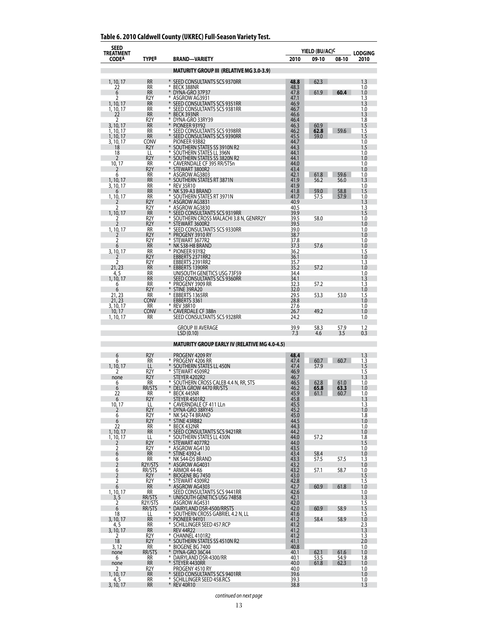| <b>SEED</b><br><b>TREATMENT</b><br><b>CODEA</b> | TYPEB                                | <b>BRAND-VARIETY</b>                                               | 2010         | YIELD (BU/AC) <sup>c</sup><br>09-10 | 08-10        | <b>LODGING</b><br>2010 |
|-------------------------------------------------|--------------------------------------|--------------------------------------------------------------------|--------------|-------------------------------------|--------------|------------------------|
|                                                 |                                      |                                                                    |              |                                     |              |                        |
|                                                 |                                      | <b>MATURITY GROUP III (RELATIVE MG 3.0-3.9)</b>                    |              |                                     |              |                        |
| 1, 10, 17<br>22                                 | <b>RR</b><br>RR                      | * SEED CONSULTANTS SCS 9370RR<br>⋇<br><b>BECK 388NR</b>            | 48.8<br>48.3 | 62.3                                |              | 1.3<br>1.0             |
| 6                                               | <b>RR</b>                            | ¥<br>DYNA-GRO 37P37<br>⋇                                           | 47.8         | 61.9                                | 60.4         | 1.0                    |
| 2<br>1, 10, 17                                  | R2Y<br><b>RR</b>                     | ASGROW AG3931<br>¥<br>SEED CONSULTANTS SCS 9351RR                  | 47.1<br>46.9 |                                     |              | 1.3<br>1.3             |
| 1, 10, 17<br>22                                 | RR<br><b>RR</b>                      | ⋇<br>SEED CONSULTANTS SCS 9381RR<br>⋇<br>BECK 393NR                | 46.7<br>46.6 |                                     |              | 1.0<br>1.3             |
| 2                                               | R <sub>2</sub> Y                     | ⋇<br>DYNA-GRO 33RY39<br>¥                                          | 46.4         |                                     |              | 1.8                    |
| 3, 10, 17<br>1, 10, 17                          | <b>RR</b><br>RR                      | PIONEER 93Y92<br>SEED CONSULTANTS SCS 9398RR<br>⋇                  | 46.3<br>46.2 | 60.9<br>62.8                        | 59.6         | 1.5<br>1.5             |
| 1, 10, 17<br>3, 10, 17                          | <b>RR</b><br>CONV                    | $\ast$<br>SEED CONSULTANTS SCS 9390RR<br>PIONEER 93B82             | 45.5<br>44.7 | 59.0                                |              | 1.5<br>1.0             |
| 18                                              | R <sub>2</sub> Y                     | SOUTHERN STATES SS 3910N R2                                        | 44.3         |                                     |              | 1.5                    |
| 18<br>2                                         | LL<br>R2Y                            | SOUTHERN STATES LL 396N<br>¥<br>SOUTHERN STATES SS 3820N R2        | 44.1<br>44.1 |                                     |              | 1.0<br>1.0             |
| 10, 17                                          | RR<br>R <sub>2</sub> Y               | ⋇<br>CAVERNDALE CF 395 RR/STSn<br>* STEWART 3800R2                 | 44.0<br>43.4 |                                     |              | 1.0<br>1.0             |
| 6                                               | RR                                   | ⋇<br>ASGROW AG3803                                                 | 42.1         | 61.8                                | 59.6         | 1.0                    |
| 1, 10, 17<br>3, 10, 17                          | <b>RR</b><br>RR                      | $\ast$<br>SOUTHERN STATES RT 3871N<br>∗<br><b>REV 35R10</b>        | 41.9<br>41.9 | 56.2                                | 56.0         | 1.3<br>1.0             |
| 1, 10, 17                                       | RR<br><b>RR</b>                      | ¥<br>NK S39-A3 BRAND<br>SOUTHERN STATES RT 3971N<br>∗              | 41.8<br>41.7 | 59.0<br>57.5                        | 58.8<br>57.9 | 1.5<br>1.0             |
| 2                                               | R2Y                                  | ∗<br>ASGROW AG3831                                                 | 40.9         |                                     |              | 1.3                    |
| 2<br>1, 10, 17                                  | R2Y<br><b>RR</b>                     | ⋇<br>ASGROW AG3830<br>¥<br>SEED CONSULTANTS SCS 9319RR             | 40.5<br>39.9 |                                     |              | 1.3<br>1.5             |
| 7<br>2                                          | R <sub>2</sub> Y<br>R2Y              | ∗<br>SOUTHERN CROSS MALACHI 3.8 N, GENRR2Y<br>¥<br>STEWART 3600R2  | 39.5<br>39.5 | 58.0                                |              | 1.0<br>1.0             |
| 1, 10, 17                                       | <b>RR</b>                            | SEED CONSULTANTS SCS 9330RR<br>∗                                   | 39.0         |                                     |              | 1.0                    |
| 2                                               | R2Y<br>R2Y                           | $*$<br>PROGENY 3910 RY<br>⋇<br>STEWART 3677R2                      | 38.7<br>37.8 |                                     |              | 1.0<br>1.0             |
| 6                                               | <b>RR</b>                            | $\ast$<br>NK S38-H8 BRAND<br>⋇                                     | 37.3         | 57.6                                |              | 1.0                    |
| 3, 10, 17                                       | <b>RR</b><br>R2Y                     | PIONEER 93Y82<br>EBBERTS 2371RR2                                   | 36.2<br>36.1 |                                     |              | 1.5<br>1.0             |
| 2<br>21, 23                                     | R <sub>2</sub> Y<br><b>RR</b>        | EBBERTS 2391RR2<br>* EBBERTS 1390RR                                | 35.7<br>35.2 | 57.2                                |              | 1.3<br>1.0             |
| 4, 5                                            | RR                                   | UNISOUTH GENETICS USG 73F59                                        | 34.4         |                                     |              | 1.0                    |
| 1, 10, 17<br>6                                  | <b>RR</b><br><b>RR</b>               | SEED CONSULTANTS SCS 9360RR<br>PROGENY 3909 RR                     | 34.1<br>32.3 | 57.2                                |              | 1.3<br>1.3             |
| 6                                               | R2Y                                  | ¥<br>STINE 39RA20                                                  | 32.0         |                                     |              | 1.0                    |
| 21, 23<br>21, 23                                | RR<br>CONV                           | EBBERTS 1365RR<br>⋇<br>EBBERTS 3361                                | 29.5<br>28.8 | 53.3                                | 53.0         | 1.5<br>1.0             |
| 3, 10, 17<br>10, 17                             | RR<br>Conv                           | * REV 38R10<br>*<br><b>CAVERDALE CF 388n</b>                       | 27.6<br>26.7 | 49.2                                |              | 1.0<br>1.0             |
| 1, 10, 17                                       | <b>RR</b>                            | SEED CONSULTANTS SCS 9328RR                                        | 24.2         |                                     |              | 1.0                    |
|                                                 |                                      | <b>GROUP III AVERAGE</b>                                           | 39.9         | 58.3                                | 57.9         | 1.2                    |
|                                                 |                                      | LSD (0.10)<br><b>MATURITY GROUP EARLY IV (RELATIVE MG 4.0-4.5)</b> | 7.3          | 4.6                                 | 3.5          | 0.3                    |
|                                                 |                                      |                                                                    |              |                                     |              |                        |
| 6<br>6                                          | R2Y<br><b>RR</b>                     | PROGENY 4209 RY<br>* PROGENY 4206 RR                               | 48.4<br>47.4 | 60.7                                | 60.7         | 1.3<br>1.3             |
| 1, 10, 17                                       | LL<br>R2Y                            | * SOUTHERN STATES LL 450N<br>* STEWART 4509R2                      | 47.4<br>46.9 | 57.9                                |              | 1.5<br>1.5             |
| none                                            | R <sub>2</sub> Y                     | STEYER 4202R2                                                      | 46.7         |                                     |              | 1.3                    |
| 6<br>6                                          | <b>RR</b><br>RR/STS                  | SOUTHERN CROSS CALEB 4.4 N, RR, STS<br>⋇<br>DELTA GROW 4470 RR/STS | 46.5<br>46.2 | 62.8<br>65.8                        | 61.0<br>63.3 | 1.0<br>1.0             |
| 22<br>6                                         | RR<br>R <sub>2</sub> Y               | *<br>BECK 445NR<br>STEYER 4501R2                                   | 45.9<br>45.8 | 61.1                                | 60.7         | 1.0<br>1.3             |
| 10, 17                                          | LL                                   | * CAVERNDALE CF 411 LLn                                            | 45.5         |                                     |              | 1.3                    |
| 2<br>6                                          | R <sub>2</sub> Y<br>R <sub>2</sub> Y | * DYNA-GRO 38RY45<br>* NK S42-T4 BRAND                             | 45.2<br>45.0 |                                     |              | 1.0<br>1.8             |
| 6                                               | R <sub>2</sub> Y                     | $\ast$<br>STINE 43RB82<br>BECK 432NR<br>$\ast$                     | 44.5<br>44.3 |                                     |              | 1.0                    |
| 22<br>1, 10, 17                                 | RR<br><b>RR</b>                      | * SEED CONSULTANTS SCS 9421RR                                      | 44.2         |                                     |              | 1.0<br>1.0             |
| 1, 10, 17<br>$\overline{2}$                     | LL<br>R <sub>2</sub> Y               | *<br>SOUTHERN STATES LL 430N<br>¥<br>STEWART 4077R2                | 44.0<br>44.0 | 57.2                                |              | 1.8<br>1.5             |
| 2                                               | R <sub>2</sub> Y                     | ⋇<br>ASGROW AG4130                                                 | 43.5         |                                     |              | 1.0                    |
| 6<br>6                                          | <b>RR</b><br>RR                      | $*$<br><b>STINE 4392-4</b><br>* NK S44-D5 BRAND                    | 43.4<br>43.3 | 58.4<br>57.5                        | 57.5         | 1.0<br>1.3             |
| $\overline{2}$<br>6                             | R2Y/STS<br>RR/STS                    | * ASGROW AG4031<br>⋇<br>ARMOR 44-K6                                | 43.2<br>43.2 | 57.1                                | 58.7         | 1.0<br>1.0             |
| $\overline{2}$                                  | R <sub>2</sub> Y                     | ¥<br><b>BIOGENE BG 7450</b>                                        | 43.0         |                                     |              | 1.5                    |
| 2<br>6                                          | R <sub>2</sub> Y<br><b>RR</b>        | ⋇<br>STEWART 4309R2<br>¥<br>ASGROW AG4303                          | 42.8<br>42.7 | 60.9                                | 61.8         | 1.5<br>1.0             |
| 1, 10, 17                                       | RR                                   | SEED CONSULTANTS SCS 9441RR                                        | 42.6         |                                     |              | 1.0                    |
| $\frac{3}{2}$                                   | RR/STS<br>R2Y/STS                    | * UNISOUTH GENETICS USG 74B58<br>ASGROW AG4531                     | 42.1<br>42.0 |                                     |              | 1.3<br>1.5             |
| 6<br>18                                         | RR/STS<br>LL                         | DAIRYLAND DSR-4500/RRSTS<br>* SOUTHERN CROSS GABRIEL 4.2 N, LL     | 42.0<br>41.6 | 60.9                                | 58.9         | 1.5<br>1.5             |
| 3, 10, 17                                       | <b>RR</b>                            | $*$<br>PIONEER 94Y01                                               | 41.2         | 58.4                                | 58.9         | 1.0                    |
| 4, 5<br>3, 10, 17                               | RR<br><b>RR</b>                      | * SCHILLINGER SEED 457.RCP<br><b>REV 44R22</b>                     | 41.2<br>41.2 |                                     |              | 2.3<br>1.3             |
| 2<br>18                                         | R2Y<br>R <sub>2</sub> Y              | * CHANNEL 4101R2<br>* SOUTHERN STATES SS 4510N R2                  | 41.2<br>41.1 |                                     |              | 1.3<br>2.0             |
| 3, 12                                           | <b>RR</b>                            | * BIOGENE BG 7400                                                  | 40.8         |                                     |              | 1.0                    |
| none<br>6                                       | RR/STS<br>RR                         | $*$<br>DYNA-GRO 36C44<br>* DAIRYLAND DSR-4300/RR                   | 40.1<br>40.1 | 62.1<br>53.5                        | 61.6<br>54.9 | 1.0<br>1.8             |
| none                                            | <b>RR</b>                            | * STEYER 4430RR                                                    | 40.0         | 61.8                                | 62.3         | 1.0                    |
| 2<br>1, 10, 17                                  | R2Y<br><b>RR</b>                     | PROGENY 4510 RY<br>SEED CONSULTANTS SCS 9401RR                     | 40.0<br>39.6 |                                     |              | 1.0<br>1.0             |
| 4, 5<br>3, 10, 17                               | RR<br><b>RR</b>                      | * SCHILLINGER SEED 458.RCS<br>* REV 40R10                          | 39.3<br>38.8 |                                     |              | 1.0<br>1.3             |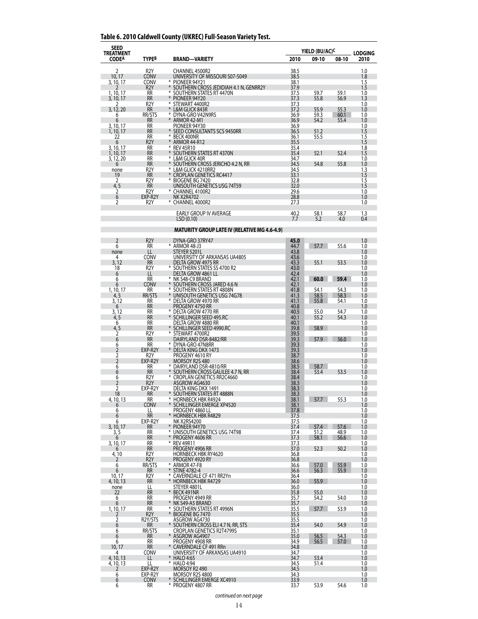## **Table 6. 2010 Caldwell County (UKREC) Full-Season Variety Test.**

| SEED<br><b>TREATMENT</b> |                               |                                                                             |              | YIELD (BU/AC) <sup>C</sup> |              | <b>LODGING</b> |
|--------------------------|-------------------------------|-----------------------------------------------------------------------------|--------------|----------------------------|--------------|----------------|
| <b>CODEA</b>             | <b>TYPEB</b>                  | <b>BRAND-VARIETY</b>                                                        | 2010         | 09-10                      | 08-10        | 2010           |
| 2                        | R <sub>2</sub> Y              | CHANNEL 4500R2                                                              | 38.5         |                            |              | 1.0            |
| 10, 17                   | <b>CONV</b>                   | UNIVERSITY OF MISSOURI S07-5049                                             | 38.5         |                            |              | 1.8            |
| 3, 10, 17                | CONV<br>R <sub>2</sub> Y      | * PIONEER 94Y21<br>¥<br>SOUTHERN CROSS JEDIDIAH 4.1 N, GENRR2Y              | 38.1<br>37.9 |                            |              | 1.5<br>1.5     |
| 1.10,17                  | RR                            | SOUTHERN STATES RT 4470N<br>¥                                               | 37.5         | 59.7                       | 59.1         | 1.0            |
| 3, 10, 17                | RR<br>R2Y                     | PIONEER 94Y20<br>*<br>STEWART 4400R2                                        | 37.3<br>37.3 | 55.8                       | 56.9         | 1.3<br>1.0     |
| 3, 12, 20                | <b>RR</b>                     | *<br>L&M GLICK 843R<br>⋇                                                    | 37.2         | 55.9                       | 55.3         | 1.0            |
| 6<br>6                   | RR/STS<br><b>RR</b>           | DYNA-GRO V42N9RS<br>ARMOR 42-M1                                             | 36.9<br>36.9 | 59.3<br>54.2               | 60.1<br>55.4 | 1.0<br>1.0     |
| 3, 10, 17                | <b>RR</b>                     | PIONEER 94Y30<br>*                                                          | 36.9         |                            |              | 1.0            |
| 1, 10, 17<br>22          | RR<br>RR                      | SEED CONSULTANTS SCS 9450RR<br>⋇<br><b>BECK 400NR</b>                       | 36.5<br>36.1 | 51.2<br>55.5               |              | 1.5<br>1.5     |
| 6                        | R <sub>2</sub> Y              | ¥<br><b>ARMOR 44-R12</b><br>⋇<br><b>REV 45R10</b>                           | 35.5         |                            |              | 1.5            |
| 3, 10, 17<br>1, 10, 17   | RR<br><b>RR</b>               | $\ast$<br>SOUTHERN STATES RT 4370N                                          | 35.4<br>35.4 | 52.1                       | 52.4         | 1.8<br>1.5     |
| 3, 12, 20<br>6           | <b>RR</b><br>RR               | ⋇<br>L&M GLICK 40R<br>¥<br>SOUTHERN CROSS JERICHO 4.2 N, RR                 | 34.7<br>34.5 | 54.8                       | 55.8         | 1.0<br>1.0     |
| none                     | R2Y                           | ⋇<br>L&M GLICK 4210RR2                                                      | 34.5         |                            |              | 1.3            |
| 19<br>2                  | <b>RR</b><br>R2Y              | * CROPLAN GENETICS RC4417<br>⋇<br>BIOGENE BG 7420                           | 33.1<br>32.8 |                            |              | 1.5<br>1.5     |
| 4, 5                     | <b>RR</b>                     | UNISOUTH GENETICS USG 74T59                                                 | 32.0         |                            |              | 1.5            |
| 2<br>6                   | R <sub>2</sub> Y<br>EXP-R2Y   | ∗<br>CHANNEL 4100R2<br><b>NK X2R4702</b>                                    | 29.6<br>28.8 |                            |              | 1.0<br>1.0     |
| 2                        | R <sub>2</sub> Y              | * CHANNEL 4000R2                                                            | 27.3         |                            |              | 1.0            |
|                          |                               | EARLY GROUP IV AVERAGE                                                      | 40.2         | 58.1                       | 58.7         | 1.3            |
|                          |                               | LSD (0.10)                                                                  | 7.7          | 5.2                        | 4.0          | 0.4            |
|                          |                               | MATURITY GROUP LATE IV (RELATIVE MG 4.6-4.9)                                |              |                            |              |                |
|                          |                               |                                                                             |              |                            |              |                |
| 2<br>6                   | R <sub>2</sub> Y<br><b>RR</b> | DYNA-GRO 37RY47<br>* ARMOR 48-J3                                            | 45.0<br>44.7 | 57.7                       | 55.6         | 1.0<br>1.0     |
| none                     | LL                            | STEYER 5201L                                                                | 43.8         |                            |              | 1.0            |
| 4<br>3, 12               | CONV<br><b>RR</b>             | UNIVERSITY OF ARKANSAS UA4805<br>DELTA GROW 4975 RR                         | 43.6<br>43.3 | 55.1                       | 53.5         | 1.0<br>1.0     |
| 18                       | R <sub>2</sub> Y              | * SOUTHERN STATES SS 4700 R2                                                | 43.0         |                            |              | 1.0            |
| 6<br>6                   | LL<br>RR                      | <b>DELTA GROW 4861 LL</b><br>⋇<br>NK S48-C9 BRAND                           | 42.4<br>42.1 | 60.0                       | 59.4         | 1.0<br>1.0     |
| 6                        | Conv                          | ¥<br>SOUTHERN CROSS JARED 4.6 N                                             | 42.1         |                            |              | 1.0            |
| 1, 10, 17<br>4, 5        | RR.<br>RR/STS                 | SOUTHERN STATES RT 4808N<br>UNISOUTH GENETICS USG 74G78                     | 41.8<br>41.3 | 54.1<br>58.5               | 54.3<br>58.3 | 1.0<br>1.0     |
| 3, 12                    | RR                            | * DELTA GROW 4970 RR                                                        | 41.1         | 55.8                       | 54.1         | 1.0            |
| 6<br>3, 12               | <b>RR</b><br>RR               | PROGENY 4750 RR<br>* DELTA GROW 4770 RR                                     | 40.8<br>40.5 | 55.0                       | 54.7         | 1.0<br>1.0     |
| 4,5                      | <b>RR</b>                     | $\ast$<br>SCHILLINGER SEED 495.RC                                           | 40.1         | 55.2                       | 54.3         | 1.0            |
| 6                        | RR<br><b>RR</b>               | DELTA GROW 4880 RR<br>*<br>SCHILLINGER SEED 4990.RC                         | 40.1<br>39.8 | 58.9                       |              | 1.0<br>1.0     |
| $\frac{4,5}{2}$          | R2Y                           | * STEWART 4700R2                                                            | 39.5         |                            |              | 1.0            |
| 6<br>6                   | <b>RR</b><br>RR               | DAIRYLAND DSR-8482/RR<br>* DYNA-GRO 47N8RR                                  | 39.3<br>39.3 | 57.9                       | 56.0         | 1.0<br>1.0     |
| $\overline{2}$           | EXP-R2Y                       | DELTA KING DKX 1473                                                         | 39.3         |                            |              | 1.0            |
| 2<br>$\overline{2}$      | R <sub>2</sub> Y<br>EXP-R2Y   | PROGENY 4610 RY<br>MORSOY R2S 480                                           | 38.7<br>38.6 |                            |              | 1.0<br>1.0     |
| 6                        | RR                            | * DAIRYLAND DSR-4810/RR                                                     | 38.5         | 58.7                       |              | 1.0            |
| 6<br>6                   | <b>RR</b><br>R2Y              | * SOUTHERN CROSS GALILEE 4.7 N, RR<br>⋇<br><b>CROPLAN GENETICS RR2C4660</b> | 38.4<br>38.4 | 53.4                       | 53.5         | 1.0<br>1.0     |
| $\overline{2}$           | R <sub>2</sub> Y              | ASGROW AG4630                                                               | 38.3         |                            |              | 1.0            |
| 2<br>18                  | EXP-R2Y<br>RR                 | DELTA KING DKX 1491<br>SOUTHERN STATES RT 4888N                             | 38.3<br>38.3 |                            |              | 1.0<br>1.0     |
| 4, 10, 13                | RR                            | $\ast$<br><b>HORNBECK HBK R4924</b><br>$\ast$                               | 38.1         | 57.7                       | 55.3         | 1.0            |
| 6<br>6                   | <b>CONV</b><br>LL             | SCHILLINGER EMERGE XP4520<br>PROGENY 4860 LL                                | 38.1<br>37.8 |                            |              | 1.0<br>1.0     |
| 6                        | <b>RR</b><br>EXP-R2Y          | * HORNBECK HBK R4829<br>NK X2RS4200                                         | 37.5         |                            |              | 1.0            |
| 6<br>3, 10, 17           | <b>RR</b>                     | *<br>PIONEER 94Y70                                                          | 37.5<br>37.4 | 57.4                       | 57.6         | 1.0<br>1.0     |
| 3, 5                     | RR<br><b>RR</b>               | * UNISOUTH GENETICS USG 74T98<br>* PROGENY 4606 RR                          | 37.4<br>37.3 | 51.2<br>58.1               | 48.9<br>56.6 | 1.0<br>1.0     |
| 6<br>3, 10, 17           | RR                            | * REV 49R11                                                                 | 37.3         |                            |              | 1.0            |
| 6<br>4, 10               | <b>RR</b><br>R <sub>2</sub> Y | PROGENY 4906 RR<br><b>HORNBECK HBK RY4620</b>                               | 37.0<br>36.8 | 52.3                       | 50.2         | 1.0<br>1.0     |
| 2                        | R2Y                           | PROGENY 4920 RY                                                             | 36.8         |                            |              | 1.0            |
| 6<br>6                   | RR/STS<br><b>RR</b>           | * ARMOR 47-F8<br>$*$<br><b>STINE 4782-4</b>                                 | 36.6<br>36.6 | 57.0<br>56.3               | 55.9<br>55.9 | 1.0<br>1.0     |
| 10, 17                   | R2Y                           | * CAVERNDALE CF 471 RR2Yn                                                   | 36.4         |                            |              | 1.0            |
| 4, 10, 13<br>none        | <b>RR</b><br>LL               | $*$<br><b>HORNBECK HBK R4729</b><br>STEYER 4801L                            | 36.0<br>36.0 | 55.9                       |              | 1.0<br>1.0     |
| 22                       | <b>RR</b>                     | *<br>BECK 491NR                                                             | 35.8         | 55.0                       |              | 1.0            |
| 6<br>6                   | RR<br><b>RR</b>               | PROGENY 4949 RR<br>* NK S49-A5 BRAND                                        | 35.7<br>35.7 | 54.2                       | 54.0         | 1.0<br>1.0     |
| 1, 10, 17                | RR                            | * SOUTHERN STATES RT 4996N                                                  | 35.5         | 57.7                       | 53.9         | 1.0            |
| 2<br>2                   | R <sub>2</sub> Y<br>R2Y/STS   | ¥<br><b>BIOGENE BG 7470</b><br>ASGROW AG4730                                | 35.5<br>35.5 |                            |              | 1.0<br>1.0     |
| 6                        | RR                            | * SOUTHERN CROSS ELI 4.7 N, RR, STS                                         | 35.4         | 54.0                       | 54.9         | 1.0            |
| 6<br>6                   | RR/STS<br><b>RR</b>           | <b>CROPLAN GENETICS R2T4799S</b><br>* ASGROW AG4907                         | 35.1<br>35.0 | 56.5                       | 54.3         | 1.0<br>1.0     |
| 6                        | RR                            | PROGENY 4908 RR                                                             | 34.9         | 56.5                       | 57.0         | 1.0            |
| 10, 17<br>4              | <b>RR</b><br><b>CONV</b>      | ¥<br>CAVERNDALE CF 491 RRn<br>UNIVERSITY OF ARKANSAS UA4910                 | 34.8<br>34.7 |                            |              | 1.0<br>1.0     |
| 4, 10, 13                | LL                            | *<br>HALO 4:65                                                              | 34.7         | 53.4                       |              | 1.0            |
| 4, 10, 13<br>2           | LL<br>EXP-R2Y                 | * HALO 4:94<br>MORSOY R2 490                                                | 34.5<br>34.5 | 51.4                       |              | 1.0<br>1.0     |
| 6                        | EXP-R2Y                       | MORSOY R2S 4800                                                             | 34.3         |                            |              | 1.0            |
| 6<br>6                   | <b>CONV</b><br>RR             | SCHILLINGER EMERGE XC4910<br>* Progeny 4807 RR                              | 33.9<br>33.7 | 53.9                       | 54.6         | 1.0<br>1.0     |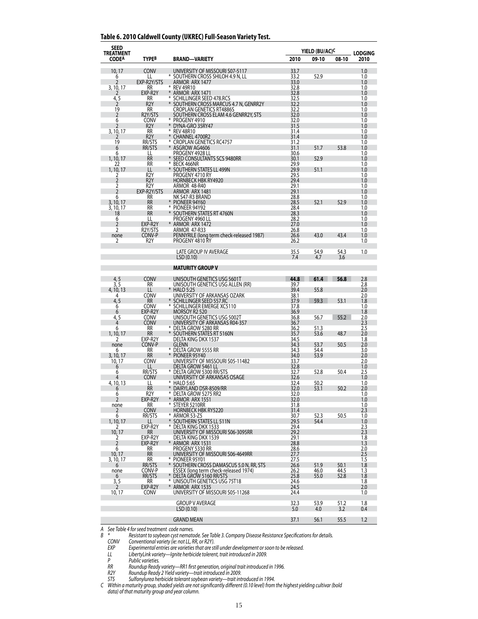#### **Table 6. 2010 Caldwell County (UKREC) Full-Season Variety Test.**

| SEED<br><b>TREATMENT</b> |                                      |                                                                    | YIELD (BU/AC) <sup>C</sup> |              |              | <b>LODGING</b> |
|--------------------------|--------------------------------------|--------------------------------------------------------------------|----------------------------|--------------|--------------|----------------|
| <b>CODEA</b>             | <b>TYPEB</b>                         | <b>BRAND-VARIETY</b>                                               | 2010                       | 09-10        | 08-10        | 2010           |
| 10, 17                   | CONV                                 | UNIVERSITY OF MISSOURI S07-5117                                    | 33.7                       |              |              | 1.0            |
| 6                        | LL                                   | * SOUTHERN CROSS SHILOH 4.9 N, LL                                  | 33.2                       | 52.9         |              | 1.0            |
| 2<br>3, 10, 17           | EXP-R2Y/STS<br>RR                    | ARMOR ARX 1477<br>* REV 49R10                                      | 33.0<br>32.8               |              |              | 1.0<br>1.0     |
|                          | EXP-R2Y                              | * ARMOR ARX 1471<br>¥                                              | 32.8                       |              |              | 1.0            |
| 4, 5<br>2                | RR<br>R <sub>2</sub> Y               | SCHILLINGER SEED 478.RCS<br>* SOUTHERN CROSS MARCUS 4.7 N, GENRR2Y | 32.5<br>32.2               |              |              | 1.0<br>1.0     |
| 19                       | RR                                   | CROPLAN GENETICS RT4886S                                           | 32.2                       |              |              | 1.0            |
| 2<br>6                   | R2Y/STS<br><b>CONV</b>               | SOUTHERN CROSS ELAM 4.6 GENRR2Y, STS<br>* PROGENY 4910             | 32.0<br>32.0               |              |              | 1.0<br>1.0     |
| 2<br>3, 10, 17           | R <sub>2</sub> Y<br>RR               | * DYNA-GRO 35RY47<br>⋇<br><b>REV 48R10</b>                         | 31.5<br>31.4               |              |              | 1.0<br>1.0     |
| $\mathcal{V}$            | R <sub>2</sub> Y                     | * CHANNEL 4700R2                                                   | 31.4                       |              |              | 1.0            |
| 19<br>6                  | RR/STS<br>RR/STS                     | * CROPLAN GENETICS RC4757<br>ASGROW AG4606                         | 31.2<br>31.1               | 51.7         | 53.8         | 1.0<br>1.0     |
| 6                        | LL                                   | PROGENY 4928 LL                                                    | 30.6                       |              |              | 1.0            |
| 1, 10, 17<br>22          | <b>RR</b><br>RR                      | * SEED CONSULTANTS SCS 9480RR<br>⋇<br>BECK 466NR                   | 30.1<br>29.9               | 52.9         |              | 1.0<br>1.0     |
| 1, 10, 17                | LL                                   | * SOUTHERN STATES LL 499N                                          | 29.9                       | 51.1         |              | 1.0            |
| 2<br>$\overline{2}$      | R <sub>2</sub> Y<br>R <sub>2</sub> Y | PROGENY 4710 RY<br><b>HORNBECK HBK RY4920</b>                      | 29.5<br>29.4               |              |              | 1.0<br>1.0     |
| 2                        | R <sub>2</sub> Y                     | ARMOR 48-R40                                                       | 29.1                       |              |              | 1.0            |
| $\overline{2}$<br>6      | EXP-R2Y/STS<br>RR                    | ARMOR ARX 1481<br>NK S47-R3 BRAND                                  | 29.1<br>28.8               |              |              | 1.0<br>1.0     |
| 3, 10, 17                | <b>RR</b>                            | * PIONEER 94Y60                                                    | 28.5                       | 52.1         | 52.9         | 1.0            |
| 3, 10, 17<br>18          | RR<br><b>RR</b>                      | * PIONEER 94Y92<br>* SOUTHERN STATES RT 4760N                      | 28.4<br>28.3               |              |              | 1.0<br>1.0     |
| 6                        | LL                                   | PROGENY 4960 LL                                                    | 28.2                       |              |              | 1.0            |
| 2<br>2                   | EXP-R2Y<br>R2Y/STS                   | * ARMOR ARX 1472<br><b>ARMOR 47-R33</b>                            | 27.0<br>26.8               |              |              | 1.0<br>1.0     |
| none                     | CONV-P<br>R <sub>2</sub> Y           | PENNYRILE (long term check-released 1987)<br>PROGENY 4810 RY       | 26.6                       | 43.0         | 43.4         | 1.0<br>1.0     |
| 2                        |                                      |                                                                    | 26.2                       |              |              |                |
|                          |                                      | LATE GROUP IV AVERAGE<br>LSD(0.10)                                 | 35.5<br>7.4                | 54.9<br>4.7  | 54.3<br>3.6  | 1.0            |
|                          |                                      |                                                                    |                            |              |              |                |
|                          |                                      | <b>MATURITY GROUP V</b>                                            |                            |              |              |                |
| 4, 5                     | <b>CONV</b>                          | UNISOUTH GENETICS USG 5601T                                        | 44.8                       | 61.4         | 56.8         | 2.8            |
| 3.5<br>4, 10, 13         | <b>RR</b><br>LL                      | UNISOUTH GENETICS USG ALLEN (RR)<br>* HALO 5:25                    | 39.7<br>39.4               | 55.8         |              | 2.8<br>2.0     |
| 4                        | CONV                                 | UNIVERSITY OF ARKANSAS OZARK                                       | 38.1                       |              |              | 2.0            |
| 4,5<br>6                 | RR<br><b>CONV</b>                    | * SCHILLINGER SEED 557.RC<br>* SCHILLINGER EMERGE XC5110           | 37.9<br>37.8               | 59.3         | 53.1         | 1.8<br>1.0     |
| 6                        | EXP-R2Y                              | MORSOY R2 520                                                      | 36.9                       |              |              | 1.8            |
| 4,5<br>4                 | <b>CONV</b><br><b>CONV</b>           | UNISOUTH GENETICS USG 5002T<br>UNIVERSITY OF ARKANSAS R04-357      | 36.8<br>36.7               | 56.7         | 55.2         | 2.0<br>2.3     |
| 6<br>1, 10, 17           | <b>RR</b>                            | * DELTA GROW 5280 RR                                               | 36.2                       | 51.3<br>53.6 | 48.7         | 2.5            |
| 2                        | <b>RR</b><br>EXP-R2Y                 | * SOUTHERN STATES RT 5160N<br>DELTA KING DKX 1537                  | 35.7<br>34.5               |              |              | 2.0<br>1.8     |
| none<br>6                | CONV-P<br>RR                         | <b>GLENN</b><br>* DELTA GROW 5555 RR                               | 34.3<br>34.3               | 53.7<br>54.4 | 50.5         | 2.0<br>3.0     |
| 3, 10, 17                | <b>RR</b>                            | * PIONEER 95Y40                                                    | 34.0                       | 53.9         |              | 2.0            |
| 10, 17<br>6              | CONV<br>LL                           | UNIVERSITY OF MISSOURI S05-11482<br>DELTA GROW 5461 LL             | 33.7<br>32.8               |              |              | 2.0<br>1.0     |
| 6                        | RR/STS                               | * DELTA GROW 5300 RR/STS                                           | 32.7                       | 52.8         | 50.4         | 2.5            |
| 4<br>4, 10, 13           | <b>CONV</b><br>LL                    | UNIVERSITY OF ARKANSAS OSAGE<br>* HALO 5:65                        | 32.6<br>32.4               | 50.2         |              | 1.0<br>1.0     |
| 6                        | <b>RR</b>                            | * DAIRYLAND DSR-8509/RR                                            | 32.0                       | 53.1         | 50.2         | 2.0            |
| 6<br>$\overline{2}$      | R2Y<br>EXP-R2Y                       | * DELTA GROW 5275 RR2<br>* ARMOR ARX 1551                          | 32.0<br>32.0               |              |              | 1.0<br>1.0     |
| none                     | RR                                   | * STEYER 5210RR                                                    | 31.8                       |              |              | 1.0            |
| 2<br>6                   | <b>CONV</b><br>RR/STS                | <b>HORNBECK HBK RY5220</b><br>* ARMOR 53-Z5                        | 31.4<br>30.7               | 52.3         | 50.5         | 2.3<br>1.0     |
| 1, 10, 17                |                                      | * SOUTHERN STATES LL 511N                                          | 29.5                       | 54.4         |              | 1.0            |
| 10, 17                   | EXP-R2Y<br>RR                        | * DELTA KING DKX 1533<br>UNIVERSITY OF MISSOURI S06-3095RR         | 29.4<br>29.2               |              |              | 2.3<br>2.3     |
| 2<br>$\overline{2}$      | EXP-R2Y                              | DELTA KING DKX 1539                                                | 29.1                       |              |              | 1.8            |
| 6                        | EXP-R2Y<br>RR                        | ARMOR ARX 1531<br>PROGENY 5330 RR                                  | 28.8<br>28.6               |              |              | 1.3<br>2.0     |
| 10, 17<br>3, 10, 17      | <b>RR</b><br>RR                      | UNIVERSITY OF MISSOURI S06-4649RR<br>* PIONEER 95Y01               | 27.7<br>27.5               |              |              | 2.5<br>1.5     |
| 6                        | RR/STS                               | * SOUTHERN CROSS DAMASCUS 5.0 N, RR, STS                           | 26.6                       | 51.9         | 50.1         | 1.8            |
| none<br>6                | CONV-P<br>RR/STS                     | ESSEX (long term check-released 1974)<br>DELTA GROW 5160 RR/STS    | 26.2<br>25.8               | 46.0<br>55.0 | 44.5<br>52.8 | 1.3<br>1.8     |
| 3, 5                     | RR                                   | * UNISOUTH GENETICS USG 75T18                                      | 24.6                       |              |              | 1.8            |
| $\overline{2}$<br>10, 17 | EXP-R2Y<br><b>CONV</b>               | * ARMOR ARX 1535<br>UNIVERSITY OF MISSOURI S05-11268               | 24.5<br>24.4               |              |              | 2.0<br>1.0     |
|                          |                                      |                                                                    |                            |              |              |                |
|                          |                                      | <b>GROUP V AVERAGE</b><br>LSD(0.10)                                | 32.3<br>5.0                | 53.9<br>4.0  | 51.2<br>3.2  | 1.8<br>0.4     |
|                          |                                      | <b>GRAND MEAN</b>                                                  | 37.1                       | 56.1         | 55.5         | 1.2            |
|                          |                                      |                                                                    |                            |              |              |                |

*A See Table 4 for seed treatment code names.*

*B \* Resistant to soybean cyst nematode. See Table 3. Company Disease Resistance Specifications for details.* 

*CONV Conventional variety (ie: not LL, RR, or R2Y). EXP Experimental entries are varieties that are still under development or soon to be released.*

*P Public varieties.*

*LL LibertyLink variety—Ignite herbicide tolerent, trait introduced in 2009. RR Roundup Ready variety—RR1 first generation, original trait introduced in 1996.*

*R2Y Roundup Ready 2 Yield variety—trait introduced in 2009.*

*STS Sulfonylurea herbicide tolerant soybean variety—trait introduced in 1994.*

*C Within a maturity group, shaded yields are not significantly different (0.10 level) from the highest yielding cultivar (bold data) of that maturity group and year column.*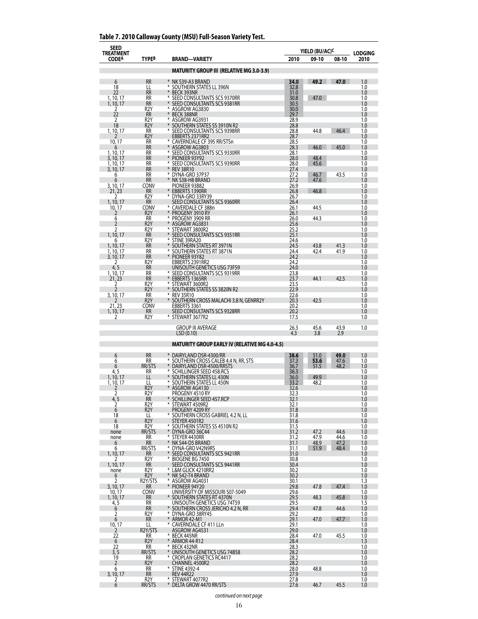| Table 7. 2010 Calloway County (MSU) Full-Season Variety Test. |  |  |  |
|---------------------------------------------------------------|--|--|--|
|---------------------------------------------------------------|--|--|--|

| <b>SEED</b><br><b>TREATMENT</b> |                                      |                                                              | YIELD (BU/AC) <sup>c</sup> |              | <b>LODGING</b> |            |
|---------------------------------|--------------------------------------|--------------------------------------------------------------|----------------------------|--------------|----------------|------------|
| <b>CODEA</b>                    | TYPEB                                | <b>BRAND-VARIETY</b>                                         | 2010                       | 09-10        | 08-10          | 2010       |
|                                 |                                      | <b>MATURITY GROUP III (RELATIVE MG 3.0-3.9)</b>              |                            |              |                |            |
| 6                               | <b>RR</b>                            | * NK S39-A3 BRAND                                            | 34.0                       | 49.2 47.0    |                | 1.0        |
| 18                              | LL                                   | ⋇<br>SOUTHERN STATES LL 396N                                 | 32.8                       |              |                | 1.0        |
| 22<br>1, 10, 17                 | <b>RR</b><br>RR                      | ¥<br>BECK 393NR<br>⋇<br>SEED CONSULTANTS SCS 9370RR          | 31.0<br>30.8               | 47.0         |                | 1.0<br>1.0 |
| 1, 10, 17                       | <b>RR</b><br>R <sub>2</sub> Y        | ¥<br>SEED CONSULTANTS SCS 9381RR<br>⋇                        | 30.5                       |              |                | 1.0<br>1.0 |
| 2<br>22                         | <b>RR</b>                            | ASGROW AG3830<br>$*$<br>BECK 388NR                           | 30.0<br>29.7               |              |                | 1.0        |
| 2<br>18                         | R2Y<br>R <sub>2</sub> Y              | ⋇<br>ASGROW AG3931<br>SOUTHERN STATES SS 3910N R2            | 28.9<br>28.8               |              |                | 1.0<br>1.0 |
| 1, 10, 17                       | RR                                   | ⋇<br>SEED CONSULTANTS SCS 9398RR                             | 28.8                       | 44.8         | 46.4           | 1.0        |
| 10, 17                          | R2Y<br><b>RR</b>                     | EBBERTS 2371RR2<br>* CAVERNDALE CF 395 RR/STSn               | 28.7<br>28.5               |              |                | 1.0<br>1.0 |
| 6                               | <b>RR</b>                            | * ASGROW AG3803<br>⋇                                         | 28.3                       | 46.0         | 45.0           | 1.0        |
| 1, 10, 17<br>3, 10, 17          | RR<br><b>RR</b>                      | SEED CONSULTANTS SCS 9330RR<br>$*$<br>PIONEER 93Y92          | 28.1<br>28.0               | 48.4         |                | 1.0<br>1.0 |
| 1, 10, 17<br>3, 10, 17          | RR<br><b>RR</b>                      | ⋇<br>SEED CONSULTANTS SCS 9390RR<br>¥<br><b>REV 38R10</b>    | 28.0<br>27.4               | 45.6         |                | 1.0<br>1.0 |
| 6                               | <b>RR</b>                            | * DYNA-GRO 37P37                                             | 27.2                       | 46.7         | 43.5           | 1.0        |
| 6<br>3, 10, 17                  | <b>RR</b><br>CONV                    | NK S38-H8 BRAND<br>PIONEER 93B82                             | 27.2<br>26.9               | 47.6         |                | 1.0<br>1.0 |
| 21, 23                          | <b>RR</b>                            | <b>EBBERTS 1390RR</b>                                        | 26.8                       | 46.8         |                | 1.0        |
| 2<br>1, 10, 17                  | R <sub>2</sub> Y<br><b>RR</b>        | * DYNA-GRO 33RY39<br>SEED CONSULTANTS SCS 9360RR             | 26.7<br>26.4               |              |                | 1.0<br>1.0 |
| 10, 17<br>2                     | CONV<br>R <sub>2</sub> Y             | * CAVERDALE CF 388n<br>PROGENY 3910 RY                       | 26.1<br>26.1               | 44.5         |                | 1.0<br>1.0 |
| 6                               | <b>RR</b>                            | ⋇<br>PROGENY 3909 RR                                         | 26.0                       | 44.3         |                | 1.0        |
| 2<br>2                          | R <sub>2</sub> Y<br>R <sub>2</sub> Y | ASGROW AG3831<br>⋇<br>STEWART 3800R2                         | 25.6<br>25.2               |              |                | 1.0<br>1.0 |
| 1, 10, 17                       | <b>RR</b>                            | ¥<br>SEED CONSULTANTS SCS 9351RR<br>⋇                        | 25.1                       |              |                | 1.0        |
| 6<br>1, 10, 17                  | R <sub>2</sub> Y<br><b>RR</b>        | STINE 39RA20<br>SOUTHERN STATES RT 3971N                     | 24.6<br>24.5               | 43.8         | 41.3           | 1.0<br>1.0 |
| 1, 10, 17                       | RR<br><b>RR</b>                      | ⋇<br>SOUTHERN STATES RT 3871N<br>PIONEER 93Y82               | 24.4<br>24.2               | 42.4         | 41.9           | 1.0<br>1.0 |
| 3, 10, 17<br>2                  | R <sub>2</sub> Y                     | EBBERTS 2391RR2                                              | 24.2                       |              |                | 1.0        |
| 4, 5<br>1, 10, 17               | RR<br><b>RR</b>                      | UNISOUTH GENETICS USG 73F59<br>* SEED CONSULTANTS SCS 9319RR | 24.0<br>23.8               |              |                | 1.0<br>1.0 |
| 21, 23                          | <b>RR</b>                            | EBBERTS 1365RR                                               | 23.7                       | 44.1         | 42.5           | 1.0        |
| 2<br>$\overline{2}$             | R2Y<br>R <sub>2</sub> Y              | STEWART 3600R2<br>SOUTHERN STATES SS 3820N R2                | 23.5<br>22.9               |              |                | 1.0<br>1.0 |
| 3, 10, 17                       | RR                                   | * REV 35R10                                                  | 22.6                       |              |                | 1.0        |
| 21, 23                          | R <sub>2</sub> Y<br>CONV             | * SOUTHERN CROSS MALACHI 3.8 N, GENRR2Y<br>EBBERTS 3361      | 20.3<br>20.2               | 42.5         |                | 1.0<br>1.0 |
| 1, 10, 17<br>2                  | <b>RR</b><br>R <sub>2</sub> Y        | SEED CONSULTANTS SCS 9328RR<br>* STEWART 3677R2              | 20.2<br>17.5               |              |                | 1.0<br>1.0 |
|                                 |                                      |                                                              |                            |              |                |            |
|                                 |                                      | <b>GROUP III AVERAGE</b><br>LSD(0.10)                        | 26.3<br>4.3                | 45.6<br>3.8  | 43.9<br>2.9    | 1.0        |
|                                 |                                      | <b>MATURITY GROUP EARLY IV (RELATIVE MG 4.0-4.5)</b>         |                            |              |                |            |
| 6                               | <b>RR</b>                            | * DAIRYLAND DSR-4300/RR                                      | 38.6                       | 51.0         | 49.0           | 1.0        |
| 6                               | RR                                   | * SOUTHERN CROSS CALEB 4.4 N, RR, STS                        | 37.3                       | 53.6         | 47.6           | 1.0        |
| 6<br>4, 5                       | RR/STS<br>RR                         | DAIRYLAND DSR-4500/RRSTS<br>* SCHILLINGER SEED 458.RCS       | 36.7<br>36.3               | 51.5         | 48.2           | 1.0<br>1.0 |
| 1, 10, 17                       | LL                                   | SOUTHERN STATES LL 430N                                      | 36.0                       | 49.9         |                | 1.0        |
| 1, 10, 17<br>2                  | Щ<br>R <sub>2</sub> Y                | SOUTHERN STATES LL 450N<br>ASGROW AG4130                     | 33.2<br>32.6               | 48.2         |                | 1.0<br>1.0 |
| 2                               | R2Y                                  | PROGENY 4510 RY<br>* SCHILLINGER SEED 457.RCP                | 32.3                       |              |                | 1.0        |
| $\frac{4,5}{2}$                 | <b>RR</b><br>R <sub>2</sub> Y        | * STEWART 4509R2                                             | 32.1<br>32.1               |              |                | 1.0<br>1.0 |
| 6<br>18                         | R <sub>2</sub> Y<br>LL               | PROGENY 4209 RY<br>* SOUTHERN CROSS GABRIEL 4.2 N, LL        | 31.8<br>31.8               |              |                | 1.0<br>1.0 |
| 6                               | R <sub>2</sub> Y                     | STEYER 4501R2                                                | 31.6                       |              |                | 1.0        |
| 18<br>none                      | R2Y<br>RR/STS                        | * SOUTHERN STATES SS 4510N R2<br>$*$<br>DYNA-GRO 36C44       | 31.5<br>31.2               | 47.2         | 44.6           | 1.0<br>1.0 |
| none                            | RR<br><b>RR</b>                      | * STEYER 4430RR                                              | 31.2                       | 47.9         | 44.6           | 1.0        |
| 6<br>6                          | RR/STS                               | * NK S44-D5 BRAND<br>* DYNA-GRO V42N9RS                      | 31.1<br>31.1               | 48.9<br>51.9 | 47.2<br>48.4   | 1.0<br>1.0 |
| 1, 10, 17<br>2                  | <b>RR</b><br>R <sub>2</sub> Y        | SEED CONSULTANTS SCS 9421RR<br>* BIOGENE BG 7450             | 31.0<br>30.8               |              |                | 1.0<br>1.0 |
| 1, 10, 17                       | <b>RR</b>                            | SEED CONSULTANTS SCS 9441RR                                  | 30.4                       |              |                | 1.0        |
| none<br>6                       | R <sub>2</sub> Y<br>R <sub>2</sub> Y | * L&M GLICK 4210RR2<br>* NK S42-T4 BRAND                     | 30.2<br>30.2               |              |                | 1.0<br>1.0 |
| 2                               | R2Y/STS                              | * ASGROW AG4031<br>$*$                                       | 30.1                       |              |                | 1.3        |
| 3, 10, 17<br>10, 17             | <b>RR</b><br><b>CONV</b>             | PIONEER 94Y20<br>UNIVERSITY OF MISSOURI S07-5049             | 29.8<br>29.6               | 47.8         | 47.4           | 1.0<br>1.0 |
| 1, 10, 17<br>4, 5               | RR<br><b>RR</b>                      | * SOUTHERN STATES RT 4370N<br>UNISOUTH GENETICS USG 74T59    | 29.5<br>29.5               | 48.3         | 45.8           | 1.0<br>1.5 |
| 6                               | <b>RR</b>                            | * Southern Cross Jericho 4.2 N, RR<br>* DYNA-GRO 38RY45      | 29.4                       | 47.8         | 44.6           | 1.0        |
| 2<br>6                          | R2Y<br><b>RR</b>                     | * ARMOR 42-M1                                                | 29.2<br>29.1               | 47.0         | 47.7           | 1.0<br>1.0 |
| 10, 17                          | LL                                   | * CAVERNDALE CF 411 LLn                                      | 29.1                       |              |                | 1.0        |
| 2<br>22                         | R2Y/STS<br>RR.                       | ASGROW AG4531<br>* BECK 445NR                                | 29.0<br>28.4               | 47.0         | 45.5           | 1.0<br>1.0 |
| 6<br>22                         | R <sub>2</sub> Y<br>RR               | * ARMOR 44-R12<br>* BECK 432NR                               | 28.4<br>28.3               |              |                | 1.3<br>1.0 |
| 3, 5                            | RR/STS                               | * UNISOUTH GENETICS USG 74B58                                | 28.2                       |              |                | 1.0        |
| 19<br>2                         | RR<br>R2Y                            | * CROPLAN GENETICS RC4417<br>CHANNEL 4500R2                  | 28.2<br>28.2               |              |                | 1.0<br>1.0 |
| 6                               | RR                                   | * STINE 4392-4                                               | 28.0                       | 48.8         |                | 1.0        |
| 3, 10, 17<br>2                  | <b>RR</b><br>R2Y                     | <b>REV 44R22</b><br>* STEWART 4077R2                         | 27.9<br>27.8               |              |                | 1.0<br>1.0 |
| 6                               | RR/STS                               | * DELTA GROW 4470 RR/STS                                     | 27.6                       | 46.7         | 45.5           | 1.0        |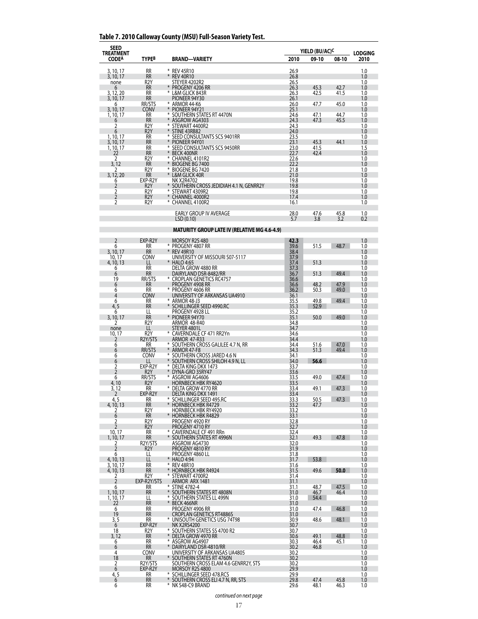## **Table 7. 2010 Calloway County (MSU) Full-Season Variety Test.**

| SEED<br><b>TREATMENT</b> |                                      |                                                                    |              | YIELD (BU/AC) <sup>C</sup> |              |                        |
|--------------------------|--------------------------------------|--------------------------------------------------------------------|--------------|----------------------------|--------------|------------------------|
| <b>CODEA</b>             | <b>TYPEB</b>                         | <b>BRAND-VARIETY</b>                                               | 2010         | 09-10                      | 08-10        | <b>LODGING</b><br>2010 |
| 3, 10, 17                | RR                                   | * REV 45R10                                                        | 26.9         |                            |              | 1.0                    |
| 3, 10, 17                | <b>RR</b>                            | $\ast$<br><b>REV 40R10</b>                                         | 26.8         |                            |              | 1.0                    |
| none<br>6                | R <sub>2</sub> Y<br><b>RR</b>        | STEYER 4202R2<br>PROGENY 4206 RR                                   | 26.5<br>26.3 | 45.3                       | 42.7         | 1.0<br>1.0             |
| 3, 12, 20                | RR                                   | $*$<br>L&M GLICK 843R                                              | 26.3         | 42.5                       | 41.5         | 1.0                    |
| 3, 10, 17<br>6           | <b>RR</b><br>RR/STS                  | PIONEER 94Y30<br>* ARMOR 44-K6                                     | 26.1<br>26.0 | 47.7                       | 45.0         | 1.0<br>1.0             |
| 3, 10, 17                | <b>CONV</b><br>RR                    | * PIONEER 94Y21<br>* SOUTHERN STATES RT 4470N                      | 25.1<br>24.6 | 47.1                       | 44.7         | 1.0<br>1.0             |
| 1, 10, 17<br>6           | <b>RR</b>                            | ¥<br>ASGROW AG4303                                                 | 24.3         | 47.3                       | 45.5         | 1.0                    |
| 2<br>6                   | R <sub>2</sub> Y<br>R <sub>2</sub> Y | * STEWART 4400R2<br>$\ast$<br>STINE 43RB82                         | 24.3<br>24.0 |                            |              | 1.0<br>1.0             |
| 1, 10, 17                | <b>RR</b>                            | ⋇<br>SEED CONSULTANTS SCS 9401RR                                   | 23.5         |                            |              | 1.0                    |
| 3, 10, 17<br>1, 10, 17   | <b>RR</b><br>RR                      | $*$<br>PIONEER 94Y01<br>⋇<br>SEED CONSULTANTS SCS 9450RR           | 23.1<br>23.0 | 45.3<br>41.5               | 44.1         | 1.0<br>1.5             |
| 22                       | <b>RR</b>                            | $*$<br><b>BECK 400NR</b>                                           | 22.7         | 42.4                       |              | 1.0                    |
| 2<br>3, 12               | R <sub>2</sub> Y<br><b>RR</b>        | * CHANNEL 4101R2<br>¥<br>BIOGENE BG 7400                           | 22.6<br>22.2 |                            |              | 1.0<br>1.0             |
|                          | R <sub>2</sub> Y                     | ⋇<br>BIOGENE BG 7420                                               | 21.8         |                            |              | 1.0                    |
| 3, 12, 20<br>6           | <b>RR</b><br>EXP-R2Y                 | * L&M GLICK 40R<br><b>NK X2R4702</b>                               | 21.0<br>19.8 |                            |              | 1.0<br>1.0             |
| 2                        | R <sub>2</sub> Y                     | SOUTHERN CROSS JEDIDIAH 4.1 N, GENRR2Y<br>* STEWART 4309R2         | 19.8         |                            |              | 1.0                    |
| 2<br>$\overline{2}$      | R <sub>2</sub> Y<br>R <sub>2</sub> Y | CHANNEL 4000R2                                                     | 19.8<br>17.4 |                            |              | 1.0<br>1.0             |
| 2                        | R <sub>2</sub> Y                     | * CHANNEL 4100R2                                                   | 16.1         |                            |              | 1.0                    |
|                          |                                      | EARLY GROUP IV AVERAGE                                             | 28.0         | 47.6                       | 45.8         | 1.0                    |
|                          |                                      | LSD(0.10)                                                          | 5.7          | 3.8                        | 3.2          | 0.2                    |
|                          |                                      | <b>MATURITY GROUP LATE IV (RELATIVE MG 4.6-4.9)</b>                |              |                            |              |                        |
| 2                        | EXP-R2Y                              | MORSOY R2S 480                                                     | 42.3         |                            |              | 1.0                    |
| 6                        | RR                                   | * PROGENY 4807 RR                                                  | 39.6         | 51.5                       | 48.7         | 1.0                    |
| 3, 10, 17<br>10.17       | <b>RR</b><br>CONV                    | $*$<br><b>REV 49R10</b><br>UNIVERSITY OF MISSOURI S07-5117         | 38.4<br>37.9 |                            |              | 1.0<br>1.0             |
| 4, 10, 13                | LL                                   | * HALO 4:65                                                        | 37.4         | 51.3                       |              | 1.0                    |
| 6<br>6                   | <b>RR</b><br><b>RR</b>               | DELTA GROW 4880 RR<br>DAIRYLAND DSR-8482/RR                        | 37.3<br>36.7 | 51.3                       | 49.4         | 1.0<br>1.0             |
| 19                       | RR/STS                               | * CROPLAN GENETICS RC4757                                          | 36.6         |                            |              | 1.0                    |
| 6<br>6                   | <b>RR</b><br>RR                      | PROGENY 4908 RR<br>* PROGENY 4606 RR                               | 36.6<br>36.2 | 48.2<br>50.3               | 47.9<br>49.0 | 1.0<br>1.0             |
| 4                        | <b>CONV</b>                          | UNIVERSITY OF ARKANSAS UA4910                                      | 36.1         |                            |              | 1.0                    |
| 6<br>4, 5                | RR<br><b>RR</b>                      | * ARMOR 48-J3<br>* SCHILLINGER SEED 4990.RC                        | 35.5<br>35.3 | 49.8<br>52.9               | 49.4         | 1.0<br>1.0             |
| 6                        | Щ<br><b>RR</b>                       | PROGENY 4928 LL                                                    | 35.2         |                            |              | 1.0                    |
| 3, 10, 17<br>2           | R <sub>2</sub> Y                     | * PIONEER 94Y70<br>ARMOR 48-R40                                    | 35.1<br>34.8 | 50.0                       | 49.0         | 1.0<br>1.0             |
| none<br>10, 17           | LL<br>R2Y                            | STEYER 4801L<br>* CAVERNDALE CF 471 RR2Yn                          | 34.7<br>34.6 |                            |              | 1.0<br>1.0             |
| 2                        | R <sub>2</sub> Y/STS                 | <b>ARMOR 47-R33</b>                                                | 34.4         |                            |              | 1.0                    |
| 6<br>6                   | RR<br>RR/STS                         | SOUTHERN CROSS GALILEE 4.7 N, RR<br>⋇<br>ARMOR 47-F8               | 34.4<br>34.3 | 51.6<br>51.3               | 47.0<br>49.4 | 1.0<br>1.0             |
| 6                        | CONV                                 | * SOUTHERN CROSS JARED 4.6 N                                       | 34.1         |                            |              | 1.0                    |
| 6<br>2                   | EXP-R2Y                              | *<br>SOUTHERN CROSS SHILOH 4.9 N, LL<br>⋇<br>DELTA KING DKX 1473   | 34.0<br>33.7 | 56.6                       |              | 1.0<br>1.0             |
| $\overline{2}$           | R <sub>2</sub> Y                     | * DYNA-GRO 35RY47                                                  | 33.6         |                            |              | 1.0                    |
| 6<br>4,10                | RR/STS<br>R <sub>2</sub> Y           | ASGROW AG4606<br><b>HORNBECK HBK RY4620</b>                        | 33.5<br>33.5 | 49.0                       | 47.4         | 1.0<br>1.0             |
| 3, 12                    | RR                                   | $\ast$<br>DELTA GROW 4770 RR                                       | 33.4         | 49.1                       | 47.3         | 1.0                    |
| 2<br>4, 5                | EXP-R2Y<br>RR                        | DELTA KING DKX 1491<br>* SCHILLINGER SEED 495.RC                   | 33.4<br>33.3 | 50.5                       | 47.3         | 1.0<br>1.0             |
| 4, 10, 13                | <b>RR</b>                            | $*$<br><b>HORNBECK HBK R4729</b>                                   | 33.2         | 47.7                       |              | 1.0                    |
| 2<br>6                   | R <sub>2</sub> Y<br><b>RR</b>        | HORNBECK HBK RY4920<br>* HORNBECK HBK R4829                        | 33.2<br>33.1 |                            |              | 1.0<br>1.0             |
| 2<br>$\overline{2}$      | R2Y<br>R <sub>2</sub> Y              | PROGENY 4920 RY<br>PROGENY 4710 RY                                 | 32.8<br>32.7 |                            |              | 1.0<br>1.0             |
| 10, 17                   | RR                                   | * CAVERNDALE CF 491 RRn                                            | 32.4         |                            |              | 1.0                    |
| 1, 10, 17<br>2           | <b>RR</b><br>R2Y/STS                 | * SOUTHERN STATES RT 4996N<br>ASGROW AG4730                        | 32.1<br>32.0 | 49.3                       | 47.8         | 1.0<br>1.0             |
| $\overline{2}$           | R <sub>2</sub> Y                     | PROGENY 4810 RY                                                    | 31.9         |                            |              | 1.0                    |
| 6<br>4, 10, 13           | LL<br>LL                             | PROGENY 4860 LL<br>* HALO 4:94                                     | 31.8<br>31.7 | 53.8                       |              | 1.0<br>1.0             |
| 3, 10, 17                | RR                                   | * REV 48R10                                                        | 31.6         |                            |              | 1.0                    |
| 4, 10, 13<br>2           | <b>RR</b><br>R <sub>2</sub> Y        | * HORNBECK HBK R4924<br>* STEWART 4700R2                           | 31.5<br>31.4 | 49.6                       | 50.0         | 1.0<br>1.0             |
| $\overline{2}$           | EXP-R2Y/STS                          | ARMOR ARX 1481                                                     | 31.1         |                            |              | 1.0                    |
| 6<br>1, 10, 17           | RR<br><b>RR</b>                      | * STINE 4782-4<br>* SOUTHERN STATES RT 4808N                       | 31.1<br>31.0 | 48.7<br>46.7               | 47.5<br>46.4 | 1.0<br>1.0             |
| 1, 10, 17                | LL                                   | * SOUTHERN STATES LL 499N                                          | 31.0         | 54.4                       |              | 1.0                    |
| 22<br>6                  | <b>RR</b><br>RR                      | * BECK 466NR<br>PROGENY 4906 RR                                    | 31.0<br>31.0 | 47.4                       | 46.8         | 1.0<br>1.0             |
| 19<br>3, 5               | <b>RR</b><br>RR                      | <b>CROPLAN GENETICS RT4886S</b><br>* UNISOUTH GENETICS USG 74T98   | 31.0         | 48.6                       | 48.1         | 1.0<br>1.0             |
| $6\overline{6}$          | EXP-R2Y                              | NK X2RS4200                                                        | 30.9<br>30.7 |                            |              | 1.0                    |
| 18<br>3, 12              | R2Y<br><b>RR</b>                     | * SOUTHERN STATES SS 4700 R2<br>* DELTA GROW 4970 RR               | 30.7<br>30.6 | 49.1                       | 48.8         | 1.0<br>1.0             |
| 6                        | RR                                   | * ASGROW AG4907                                                    | 30.3         | 46.4                       | 45.1         | 1.0                    |
| 6<br>4                   | <b>RR</b><br><b>CONV</b>             | ¥<br>DAIRYLAND DSR-4810/RR<br>UNIVERSITY OF ARKANSAS UA4805        | 30.2<br>30.2 | 46.8                       |              | 1.0<br>1.0             |
| 18                       | RR                                   | * SOUTHERN STATES RT 4760N<br>SOUTHERN CROSS ELAM 4.6 GENRR2Y, STS | 30.2         |                            |              | 1.0                    |
| 2<br>6                   | R2Y/STS<br>EXP-R2Y                   | MORSOY R2S 4800                                                    | 30.2<br>29.9 |                            |              | 1.0<br>1.0             |
| 4, 5                     | RR                                   | * SCHILLINGER SEED 478.RCS                                         | 29.9         |                            |              | 1.0                    |
| 6<br>6                   | <b>RR</b><br>RR                      | * SOUTHERN CROSS ELI 4.7 N, RR, STS<br>* NK S48-C9 BRAND           | 29.8<br>29.6 | 47.4<br>48.1               | 45.8<br>46.3 | 1.0<br>1.0             |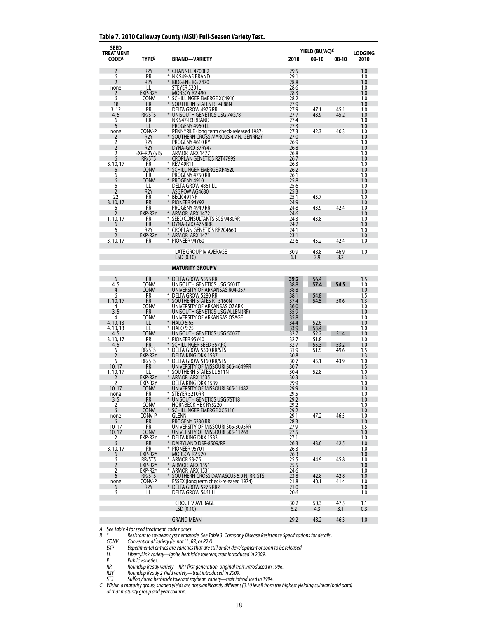#### **Table 7. 2010 Calloway County (MSU) Full-Season Variety Test.**

| <b>SEED</b><br><b>TREATMENT</b> |                        |        |                                                                                     |              | YIELD (BU/AC) <sup>C</sup> |              | <b>LODGING</b> |
|---------------------------------|------------------------|--------|-------------------------------------------------------------------------------------|--------------|----------------------------|--------------|----------------|
| <b>CODEA</b>                    | TYPE <sup>B</sup>      |        | <b>BRAND-VARIETY</b>                                                                | 2010         | 09-10                      | 08-10        | 2010           |
| 2                               | R <sub>2</sub> Y       |        | * CHANNEL 4700R2                                                                    | 29.5         |                            |              | 1.0            |
| 6                               | RR                     |        | NK S49-A5 BRAND                                                                     | 29.1         |                            |              | 1.0            |
| 2                               | R <sub>2</sub> Y       | *      | BIOGENE BG 7470                                                                     | 28.8         |                            |              | 1.0            |
| none<br>2                       | LL<br>EXP-R2Y          |        | STEYER 5201L<br>MORSOY R2 490                                                       | 28.6<br>28.3 |                            |              | 1.0<br>1.0     |
| 6                               | CONV                   |        | * SCHILLINGER EMERGE XC4910                                                         | 28.2         |                            |              | 1.0            |
| 18                              | RR                     | ⋇      | SOUTHERN STATES RT 4888N                                                            | 27.9         |                            |              | 1.0            |
| 3, 12<br>4, 5                   | RR<br>RR/STS           |        | DELTA GROW 4975 RR<br>UNISOUTH GENETICS USG 74G78                                   | 27.9<br>27.7 | 47.1<br>43.9               | 45.1<br>45.2 | 1.0<br>1.0     |
| 6                               | <b>RR</b>              |        | NK S47-R3 BRAND                                                                     | 27.4         |                            |              | 1.0            |
| 6                               | LL<br>CONV-P           |        | PROGENY 4960 LL                                                                     | 27.3         |                            |              | 1.0            |
| none<br>2                       | R <sub>2</sub> Y       |        | PENNYRILE (long term check-released 1987)<br>* SOUTHERN CROSS MARCUS 4.7 N, GENRR2Y | 27.3<br>27.0 | 42.3                       | 40.3         | 1.0<br>1.0     |
| 2                               | R <sub>2</sub> Y       |        | PROGENY 4610 RY                                                                     | 26.9         |                            |              | 1.0            |
| $\overline{2}$                  | R <sub>2</sub> Y       |        | DYNA-GRO 37RY47                                                                     | 26.8         |                            |              | 1.0            |
| 2<br>6                          | EXP-R2Y/STS<br>RR/STS  |        | ARMOR ARX 1477<br><b>CROPLAN GENETICS R2T4799S</b>                                  | 26.8<br>26.7 |                            |              | 1.0<br>1.0     |
| 3, 10, 17                       | <b>RR</b>              |        | * REV 49R11                                                                         | 26.3         |                            |              | 1.0            |
| 6                               | CONV                   |        | * SCHILLINGER EMERGE XP4520                                                         | 26.2         |                            |              | 1.0            |
| 6<br>6                          | RR<br>Conv             |        | PROGENY 4750 RR<br>PROGENY 4910                                                     | 26.1<br>25.8 |                            |              | 1.0<br>1.0     |
| 6                               | LL                     |        | DELTA GROW 4861 LL                                                                  | 25.6         |                            |              | 1.0            |
| 2<br>22                         | R <sub>2</sub> Y<br>RR |        | ASGROW AG4630<br>* BECK 491NR                                                       | 25.3<br>25.1 | 45.7                       |              | 1.0            |
| 3, 10, 17                       | <b>RR</b>              | $*$    | PIONEER 94Y92                                                                       | 24.9         |                            |              | 1.0<br>1.0     |
| 6                               | RR                     |        | PROGENY 4949 RR                                                                     | 24.8         | 43.9                       | 42.4         | 1.0            |
| 2                               | EXP-R2Y                | ⋇      | ARMOR ARX 1472                                                                      | 24.6         |                            |              | 1.0            |
| 1, 10, 17<br>6                  | <b>RR</b><br><b>RR</b> |        | SEED CONSULTANTS SCS 9480RR<br>DYNA-GRO 47N8RR                                      | 24.3<br>24.2 | 43.8                       |              | 1.0<br>1.0     |
| 6                               | R2Y                    | ∗      | CROPLAN GENETICS RR2C4660                                                           | 24.1         |                            |              | 1.0            |
| 2                               | EXP-R2Y                |        | * ARMOR ARX 1471                                                                    | 23.1         |                            |              | 1.0            |
| 3, 10, 17                       | <b>RR</b>              |        | * PIONEER 94Y60                                                                     | 22.6         | 45.2                       | 42.4         | 1.0            |
|                                 |                        |        | <b>LATE GROUP IV AVERAGE</b>                                                        | 30.9         | 48.8                       | 46.9         | 1.0            |
|                                 |                        |        | LSD(0.10)                                                                           | 6.1          | 3.9                        | 3.2          |                |
|                                 |                        |        | <b>MATURITY GROUP V</b>                                                             |              |                            |              |                |
| 6                               | <b>RR</b>              |        | * DELTA GROW 5555 RR                                                                | 39.2         | 56.4                       |              | 1.5            |
| 4, 5                            | CONV                   |        | UNISOUTH GENETICS USG 5601T                                                         | 38.8         | 57.4                       | 54.5         | 1.0            |
| 4<br>6                          | Conv<br>RR             |        | UNIVERSITY OF ARKANSAS R04-357<br>* DELTA GROW 5280 RR                              | 38.8<br>38.1 | 54.8                       |              | 1.0<br>1.5     |
| 1, 10, 17                       | <b>RR</b>              | $*$    | SOUTHERN STATES RT 5160N                                                            | 37.4         | 54.5                       | 50.6         | 1.3            |
| 4                               | CONV                   |        | UNIVERSITY OF ARKANSAS OZARK                                                        | 36.0         |                            |              | 1.0            |
| 3, 5<br>4                       | <b>RR</b><br>CONV      |        | UNISOUTH GENETICS USG ALLEN (RR)<br>UNIVERSITY OF ARKANSAS OSAGE                    | 35.9<br>35.8 |                            |              | 1.0<br>1.0     |
| 4, 10, 13                       | LL                     | *      | <b>HALO 5:65</b>                                                                    | 34.4         | 52.6                       |              | 1.0            |
| 4, 10, 13                       | LL                     |        | * HALO 5:25                                                                         | 33.9         | 53.4                       |              | 1.0            |
| 4, 5<br>3, 10, 17               | <b>CONV</b><br>RR      | ∗      | UNISOUTH GENETICS USG 5002T<br>PIONEER 95Y40                                        | 32.7<br>32.7 | 52.2<br>51.8               | 51.4         | 1.0<br>1.0     |
| 4, 5                            | <b>RR</b>              |        | SCHILLINGER SEED 557.RC                                                             | 32.7         | 55.3                       | 53.2         | 1.0            |
| 6                               | RR/STS                 | *      | DELTA GROW 5300 RR/STS                                                              | 31.9         | 51.5                       | 49.6         | 1.5            |
| 2<br>6                          | EXP-R2Y<br>RR/STS      |        | DELTA KING DKX 1537<br>* DELTA GROW 5160 RR/STS                                     | 30.8<br>30.7 | 45.1                       | 43.9         | 1.3<br>1.0     |
| 10, 17                          | <b>RR</b>              |        | UNIVERSITY OF MISSOURI S06-4649RR                                                   | 30.7         |                            |              | 1.5            |
| 1, 10, 17                       | LL                     | ⋇      | * SOUTHERN STATES LL 511N<br>ARMOR ARX 1535                                         | 30.4         | 52.8                       |              | 1.0            |
| 2<br>2                          | EXP-R2Y<br>EXP-R2Y     |        | DELTA KING DKX 1539                                                                 | 30.3<br>29.9 |                            |              | 1.3<br>1.0     |
| 10, 17                          | <b>CONV</b>            |        | UNIVERSITY OF MISSOURI S05-11482                                                    | 29.9         |                            |              | 1.0            |
| none                            | RR                     |        | * STEYER 5210RR                                                                     | 29.5         |                            |              | 1.0            |
| 3, 5<br>2                       | <b>RR</b><br>CONV      |        | * UNISOUTH GENETICS USG 75T18<br><b>HORNBECK HBK RY5220</b>                         | 29.2<br>29.2 |                            |              | 1.0<br>1.0     |
| 6                               | <b>CONV</b>            |        | SCHILLINGER EMERGE XC5110                                                           | 29.2         |                            |              | 1.0            |
| none                            | CONV-P                 |        | GLENN                                                                               | 29.1         | 47.2                       | 46.5         | 1.0            |
| 6<br>10, 17                     | RR<br>RR               |        | PROGENY 5330 RR<br>UNIVERSITY OF MISSOURI S06-3095RR                                | 28.3<br>27.9 |                            |              | 1.0<br>1.5     |
| 10, 17                          | <b>CONV</b>            |        | UNIVERSITY OF MISSOURI S05-11268                                                    | 27.5         |                            |              | 1.0            |
| 2                               | EXP-R2Y<br>RR          |        | * DELTA KING DKX 1533                                                               | 27.1         |                            |              | 1.0            |
| 6<br>3, 10, 17                  | RR                     | ¥<br>* | DAIRYLAND DSR-8509/RR<br>PIONEER 95Y01                                              | 26.3<br>26.3 | 43.0                       | 42.5         | 1.0<br>1.0     |
| 6                               | EXP-R2Y                |        | MORSOY R2 520                                                                       | 26.3         |                            |              | 1.0            |
| 6                               | RR/STS                 |        | * ARMOR 53-Z5                                                                       | 25.5         | 44.9                       | 45.8         | 1.0            |
| 2<br>2                          | EXP-R2Y                |        | * ARMOR ARX 1551<br>* ARMOR ARX 1531                                                | 25.5         |                            |              | 1.0<br>1.0     |
| 6                               | EXP-R2Y<br>RR/STS      |        | * SOUTHERN CROSS DAMASCUS 5.0 N, RR, STS                                            | 24.6<br>23.8 | 42.8                       | 42.8         | 1.0            |
| none                            | CONV-P                 |        | ESSEX (long term check-released 1974)                                               | 21.8         | 40.1                       | 41.4         | 1.0            |
| 6<br>6                          | R2Y<br>LL              |        | $*$ Delta Grow 5275 RR2<br>DELTA GROW 5461 LL                                       | 21.0<br>20.6 |                            |              | 1.0<br>1.0     |
|                                 |                        |        |                                                                                     |              |                            |              |                |
|                                 |                        |        | <b>GROUP V AVERAGE</b><br>LSD(0.10)                                                 | 30.2<br>6.2  | 50.3<br>4.3                | 47.5<br>3.1  | 1.1<br>0.3     |
|                                 |                        |        |                                                                                     |              |                            |              |                |
|                                 |                        |        | <b>GRAND MEAN</b>                                                                   | 29.2         | 48.2                       | 46.3         | 1.0            |

*A See Table 4 for seed treatment code names.*

*B \* Resistant to soybean cyst nematode. See Table 3. Company Disease Resistance Specifications for details.* 

*CONV Conventional variety (ie: not LL, RR, or R2Y).*

*EXP Experimental entries are varieties that are still under development or soon to be released.*

*LL LibertyLink variety—Ignite herbicide tolerent, trait introduced in 2009.*

*P Public varieties.*

*RR Roundup Ready variety—RR1 first generation, original trait introduced in 1996.*

*R2Y Roundup Ready 2 Yield variety—trait introduced in 2009.*

*STS Sulfonylurea herbicide tolerant soybean variety—trait introduced in 1994.*

*C Within a maturity group, shaded yields are not significantly different (0.10 level) from the highest yielding cultivar (bold data) of that maturity group and year column.*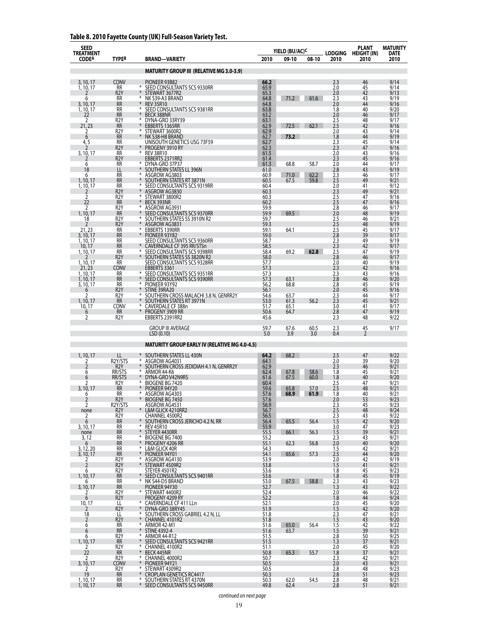## **Table 8. 2010 Fayette County (UK) Full-Season Variety Test.**

| SEED<br>TREATMENT      |                                      |                                                                             |                      | YIELD (BU/AC) <sup>C</sup> |              | LODGING           | PLANT<br><b>HEIGHT (IN)</b> | <b>MATURITY</b><br>DATE |
|------------------------|--------------------------------------|-----------------------------------------------------------------------------|----------------------|----------------------------|--------------|-------------------|-----------------------------|-------------------------|
| <b>CODEA</b>           | <b>TYPE<sup>B</sup></b>              | <b>BRAND-VARIETY</b>                                                        | 2010                 | 09-10                      | 08-10        | 2010              | 2010                        | 2010                    |
|                        |                                      | <b>MATURITY GROUP III (RELATIVE MG 3.0-3.9)</b>                             |                      |                            |              |                   |                             |                         |
| 3, 10, 17              | <b>CONV</b>                          | PIONEER 93B82<br>*                                                          | 66.2                 |                            |              | 2.3               | 46<br>45                    | 9/14                    |
| 1, 10, 17              | RR<br>R <sub>2</sub> Y               | SEED CONSULTANTS SCS 9330RR<br>STEWART 3677R2                               | 65.9<br>65.3         |                            |              | 2.0<br>2.0        | 42                          | 9/14<br>9/13            |
| 6<br>3, 10, 17         | <b>RR</b><br><b>RR</b>               | ⋇<br>NK S39-A3 BRAND<br>$\ast$<br><b>REV 35R10</b>                          | 64.8<br>64.8         | 71.2                       | 61.6         | 2.3<br>2.0        | 43<br>44                    | 9/19<br>9/16            |
| 1, 10, 17<br>22        | <b>RR</b><br><b>RR</b>               | ⋇<br>SEED CONSULTANTS SCS 9381RR<br>∗<br><b>BECK 388NR</b>                  | 63.8<br>63.2         |                            |              | 1.8<br>2.0        | 40<br>46                    | 9/20<br>9/17            |
| 2                      | R <sub>2</sub> Y                     | ⋇<br>DYNA-GRO 33RY39                                                        | 63.1                 |                            |              | 2.5               | 48                          | 9/17                    |
| 21, 23<br>2            | <b>RR</b><br>R2Y                     | EBBERTS 1365RR<br>STEWART 3600R2                                            | 62.9<br>62.9         | 72.5                       | 62.1         | 2.5<br>2.0        | 42<br>43                    | 9/16<br>9/14            |
| 6<br>4,5               | <b>RR</b><br>RR                      | $\ast$<br>NK S38-H8 BRAND<br>UNISOUTH GENETICS USG 73F59                    | 62.7<br>62.7         | 73.2                       |              | 1.8<br>2.3        | 44                          | 9/19<br>9/14            |
|                        | R2Y                                  | $\ast$<br>PROGENY 3910 RY<br>⋇                                              | 62.3                 |                            |              | 2.3               | 45<br>47                    | 9/16                    |
| 3, 10, 17              | RR<br>R <sub>2</sub> Y               | <b>REV 38R10</b><br>EBBERTS 2371RR2<br>₩                                    | 61.5<br>61.4         |                            |              | 2.0<br>2.3        | 43<br>45                    | 9/16<br>9/16            |
| 6<br>18                | <b>RR</b><br>LL                      | DYNA-GRO 37P37<br>$\ast$<br>SOUTHERN STATES LL 396N                         | 61.3<br>61.0         | 68.8                       | 58.7         | 2.0<br>2.8        | 44<br>43                    | 9/17<br>9/19            |
| 6<br>1, 10, 17         | RR<br><b>RR</b>                      | ⋇<br>ASGROW AG3803<br>∗<br>SOUTHERN STATES RT 3871N                         | 60.9<br>60.5         | 71.0<br>67.5               | 62.2<br>59.8 | $2.3$<br>$2.5$    | 46<br>49                    | 9/17<br>9/21            |
| 1, 10, 17              | RR                                   | ⋇<br>SEED CONSULTANTS SCS 9319RR                                            | 60.4                 |                            |              | 2.0               | 41                          | 9/12                    |
| 2                      | R <sub>2</sub> Y<br>R <sub>2</sub> Y | ASGROW AG3830<br>⋇<br>STEWART 3800R2                                        | 60.3<br>60.3         |                            |              | 2.3<br>2.5        | 49<br>47                    | 9/21<br>9/16            |
| 22<br>2                | <b>RR</b><br>R <sub>2</sub> Y        | $\ast$<br><b>BECK 393NR</b><br>⋇<br>ASGROW AG3931                           | 60.2                 |                            |              | 2.5<br>2.8        | 47<br>46                    | 9/16<br>9/17            |
| 1, 10, 17              | <b>RR</b><br>R <sub>2</sub> Y        | SEED CONSULTANTS SCS 9370RR<br>⋇                                            | 59.9<br>59.9<br>59.7 | 69.5                       |              | 2.0<br>2.5        | 48<br>46                    | 9/19                    |
| 18<br>2                | R <sub>2</sub> Y                     | SOUTHERN STATES SS 3910N R2<br>ASGROW AG3831<br>₩                           | 59.3                 |                            |              | 2.5               | 48                          | 9/21<br>9/19            |
| 21, 23<br>3, 10, 17    | <b>RR</b><br><b>RR</b>               | EBBERTS 1390RR<br>$\ast$<br>PIONEER 93Y82                                   | 59.1<br>59.0         | 64.1                       |              | 2.5<br>2.8        | 45<br>39                    | 9/17<br>9/17            |
| 1, 10, 17<br>10, 17    | RR<br><b>RR</b>                      | SEED CONSULTANTS SCS 9360RR<br>CAVERNDALE CF 395 RR/STSn                    | 58.7<br>58.5         |                            |              | 2.3<br>2.3        | 49<br>42                    | 9/19<br>9/17            |
| 1, 10, 17              | RR                                   | ⋇<br>SEED CONSULTANTS SCS 9398RR                                            | 58.4                 | 69.2                       | 62.8         | 2.5               | 47                          | 9/19                    |
| 1, 10, 17              | R <sub>2</sub> Y<br><b>RR</b>        | SOUTHERN STATES SS 3820N R2<br>SEED CONSULTANTS SCS 9328RR                  | 58.0<br>57.7         |                            |              | 2.8<br>2.0        | 46<br>40                    | 9/17<br>9/19            |
| 21, 23<br>1, 10, 17    | CONV<br>RR                           | EBBERTS 3361<br>⋇<br>SEED CONSULTANTS SCS 9351RR                            | 57.3<br>57.3         |                            |              | 2.3<br>2.3        | 42<br>43                    | 9/16<br>9/16            |
| 1, 10, 17<br>3, 10, 17 | <b>RR</b><br><b>RR</b>               | ∗<br>SEED CONSULTANTS SCS 9390RR<br>⋇<br>PIONEER 93Y92                      | 57.3<br>56.2         | 63.1<br>68.8               |              | 2.8<br>2.8        | 46<br>45                    | 9/20<br>9/19            |
| 6                      | R <sub>2</sub> Y                     | STINE 39RA20                                                                | 56.1                 |                            |              | 2.0               | 45                          | 9/16                    |
| 1, 10, 17              | R <sub>2</sub> Y<br><b>RR</b>        | SOUTHERN CROSS MALACHI 3.8 N, GENRR2Y<br>$\ast$<br>SOUTHERN STATES RT 3971N | 54.6<br>53.0         | 63.7<br>61.3               | 56.2         | 2.3<br>2.3        | 44<br>45                    | 9/17<br>9/21            |
| 10, 17<br>6            | CONV<br><b>RR</b>                    | ⋇<br>CAVERDALE CF 388n<br>¥<br>PROGENY 3909 RR                              | 51.7<br>50.6         | 65.1<br>64.7               |              | 3.0<br>2.8        | 41<br>47                    | 9/17<br>9/19            |
| 2                      | R <sub>2</sub> Y                     | EBBERTS 2391RR2                                                             | 45.6                 |                            |              | 2.3               | 48                          | 9/22                    |
|                        |                                      | GROUP III AVERAGE<br>LSD(0.10)                                              | 59.7<br>5.0          | 67.6<br>3.9                | 60.5<br>3.0  | 2.3<br>0.4        | 45<br>$\overline{2}$        | 9/17                    |
|                        |                                      | <b>MATURITY GROUP EARLY IV (RELATIVE MG 4.0-4.5)</b>                        |                      |                            |              |                   |                             |                         |
| 1, 10, 17              | LL                                   | SOUTHERN STATES LL 430N                                                     | 64.2                 | 68.2                       |              | 2.5               | 47                          | 9/22                    |
| 2<br>2                 | R2Y/STS<br>R <sub>2</sub> Y          | ASGROW AG4031<br>$\ast$<br>SOUTHERN CROSS JEDIDIAH 4.1 N, GENRR2Y           | 64.1<br>62.9         |                            |              | 2.0<br>2.3        | 39<br>46                    | 9/20<br>9/21            |
| 6                      | RR/STS                               | ARMOR 44-K6                                                                 | 62.4                 | 67.8                       | 58.6         | 1.8               | 45                          | 9/21                    |
| 6<br>2                 | RR/STS<br>R <sub>2</sub> Y           | DYNA-GRO V42N9RS<br>⋇<br>₩<br>BIOGENE BG 7420                               | 61.6<br>60.4         | 67.5                       | 60.0         | 1.8<br>2.5        | 40<br>47                    | 9/20<br>9/21            |
| 3, 10, 17<br>O         | <b>RR</b><br>RR.                     | PIONEER 94Y20<br>ASGROW AG4303                                              | 59.6<br>57.b         | 65.8<br><b>08.9</b>        | 57.0<br>01.Y | 2.5<br>8. ا       | 48<br>4U                    | 9/21<br>9/2 I           |
| $\overline{2}$<br>2    | R <sub>2</sub> Y<br>R2Y/STS          | ¥<br><b>BIOGENE BG 7450</b>                                                 | 57.6                 |                            |              | 2.0               | 53                          | 9/23                    |
| none                   | R <sub>2</sub> Y                     | ASGROW AG4531<br>L&M GLICK 4210RR2                                          | 56.9<br>56.7         |                            |              | $\frac{2.3}{2.5}$ | $\frac{45}{48}$             | 9/23<br>9/24            |
| 2<br>6                 | R <sub>2</sub> Y<br><b>RR</b>        | CHANNEL 4500R2<br>SOUTHERN CROSS JERICHO 4.2 N, RR                          | 56.5<br>56.4         | 65.5                       | 56.4         | 2.3<br>1.5        | 43<br>42                    | 9/22<br>9/20            |
| 3, 10, 17<br>none      | RR<br><b>RR</b>                      | ⋇<br><b>REV 45R10</b><br>$\ast$<br>STEYER 4430RR                            | 55.9<br>55.5         | 66.1                       | 56.3         | 3.0<br>1.5        | 47<br>39                    | 9/23<br>9/21            |
| 3, 12<br>6             | RR<br><b>RR</b>                      | <b>BIOGENE BG 7400</b><br>$\ast$<br>$\ast$<br>PROGENY 4206 RR               | 55.2<br>55.1         | 62.3                       | 56.8         | $^{2.3}_{2.0}$    | $\frac{43}{40}$             | 9/21                    |
| 3, 12, 20              | RR                                   | ⋇<br>L&M GLICK 40R                                                          | 54.3                 |                            |              | 1.5               | 42                          | 9/20<br>9/21            |
| 3, 10, 17<br>2         | <b>RR</b><br>R <sub>2</sub> Y        | $\ast$<br>PIONEER 94Y01<br>ASGROW AG4130<br>$\ast$                          | 54.1<br>53.9         | 65.6                       | 57.3         | $2.5$<br>$2.0$    | 44<br>42                    | 9/20<br>9/19            |
| $\overline{2}$<br>6    | R <sub>2</sub> Y                     | $\ast$<br>STEWART 4509R2                                                    | 53.8<br>53.6         |                            |              | 1.5<br>1.8        | 41                          | 9/21                    |
| 1, 10, 17              | R2Y<br>RR                            | STEYER 4501R2<br>SEED CONSULTANTS SCS 9401RR<br>$*$<br>*                    | 53.6                 |                            |              | 1.8               | $\frac{45}{45}$             | 9/23<br>9/19            |
| 6<br>3, 10, 17         | RR<br><b>RR</b>                      | NK S44-D5 BRAND<br>PIONEER 94Y30<br>STEWART 4400R2                          | 53.0<br>52.7         | 67.5                       | 58.8         | 2.3<br>1.3        | 43<br>43                    | 9/23<br>9/22            |
| 2<br>6                 | R <sub>2</sub> Y<br>R <sub>2</sub> Y | $\ast$<br>PROGENY 4209 RY                                                   | 52.4<br>52.2         |                            |              | 2.0<br>1.8        | 46<br>44                    | 9/22<br>9/24            |
| $\frac{10,17}{2}$      | LL<br>R <sub>2</sub> Y               | $*$<br>CAVERNDALE CF 411 LLn<br>¥<br>DYNA-GRO 38RY45                        | 52.1<br>51.9         |                            |              | 2.0<br>1.5        | $\frac{45}{42}$             | 9/20<br>9/20            |
| 18                     | LL                                   | ⋇<br>SOUTHERN CROSS GABRIEL 4.2 N, LL                                       | 51.8                 |                            |              | 2.3               | 47                          | 9/21                    |
| $\overline{2}$<br>6    | R <sub>2</sub> Y<br>RR               | $\ast$<br>CHANNEL 4101R2<br>ARMOR 42-M1<br>⋇                                | 51.8<br>51.6         | 65.0                       | 56.4         | 1.5<br>1.5        | 43<br>42                    | 9/20<br>9/22            |
| 6<br>6                 | <b>RR</b><br>R <sub>2</sub> Y        | $\ast$<br>STINE 4392-4<br>⋇<br>ARMOR 44-R12                                 | 51.6<br>51.5         | 63.7                       |              | 1.5               | 39<br>50                    | 9/21<br>9/25            |
| 1, 10, 17              | <b>RR</b>                            | $\ast$<br>SEED CONSULTANTS SCS 9421RR<br>⋇                                  | 51.5                 |                            |              | $2.8$<br>$1.3$    | 37                          | 9/21                    |
| 2<br>22                | R <sub>2</sub> Y<br><b>RR</b>        | CHANNEL 4100R2<br>BECK 445NR<br>CHANNEL 4000R2                              | 51.1<br>50.8         | 65.3                       | 55.7         | 2.0<br>1.8        | 45<br>37                    | 9/20<br>9/21            |
| 2<br>3, 10, 17         | R <sub>2</sub> Y<br>CONV             | ⋇<br>$\ast$<br>PIONEER 94Y21                                                | 50.7<br>50.5         |                            |              | 2.3<br>2.0        | 42<br>43                    | 9/21<br>9/21            |
| 2<br>19                | R2Y<br>RR                            | ⋇<br>STEWART 4309R2<br>¥<br><b>CROPLAN GENETICS RC4417</b>                  | 50.5<br>50.3         |                            |              | 2.8<br>2.8        | 48<br>51                    | 9/23<br>9/23            |
| 1, 10, 17              | RR                                   | ⋇<br>SOUTHERN STATES RT 4370N                                               | 50.3                 | 62.0                       | 54.5         | 2.8               | 48                          | 9/21                    |
| 1, 10, 17              | <b>RR</b>                            | $*$<br>SEED CONSULTANTS SCS 9450RR                                          | 49.8                 | 62.4                       |              | 2.8               | 51                          | 9/21                    |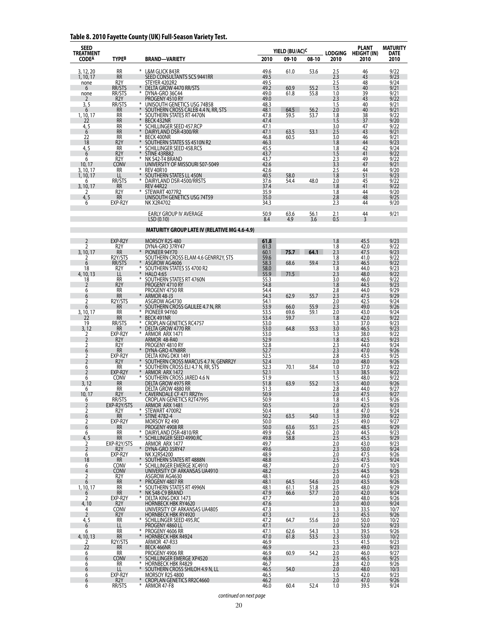## **Table 8. 2010 Fayette County (UK) Full-Season Variety Test.**

| <b>SEED</b><br><b>TREATMENT</b> |                               |             |                                                                 |              | YIELD (BU/AC) <sup>C</sup> |              | <b>LODGING</b> | <b>PLANT</b><br><b>HEIGHT (IN)</b> | <b>MATURITY</b><br><b>DATE</b> |
|---------------------------------|-------------------------------|-------------|-----------------------------------------------------------------|--------------|----------------------------|--------------|----------------|------------------------------------|--------------------------------|
| <b>CODEA</b>                    | <b>TYPEB</b>                  |             | <b>BRAND-VARIETY</b>                                            | 2010         | 09-10                      | 08-10        | 2010           | 2010                               | 2010                           |
| 3, 12, 20                       | RR                            |             | * L&M GLICK 843R                                                | 49.6         | 61.0                       | 53.6         | 2.5            | 46                                 | 9/22                           |
| 1, 10, 17<br>none               | <b>RR</b><br>R <sub>2</sub> Y |             | SEED CONSULTANTS SCS 9441RR<br>STEYER 4202R2                    | 49.5<br>49.5 |                            |              | 2.3<br>2.5     | 43<br>48                           | 9/23<br>9/24                   |
| 6                               | RR/STS                        |             | DELTA GROW 4470 RR/STS                                          | 49.2         | 60.9                       | 55.2         | 1.5            | 40                                 | 9/21                           |
| none<br>2                       | RR/STS<br>R <sub>2</sub> Y    | ⋇           | DYNA-GRO 36C44<br>PROGENY 4510 RY                               | 49.0<br>49.0 | 61.8                       | 55.8         | 1.0<br>2.3     | 39<br>43                           | 9/21<br>9/22                   |
| 3, 5                            | RR/STS                        | $*$         | UNISOUTH GENETICS USG 74B58                                     | 48.3         |                            |              | 1.5            | 40                                 | 9/21                           |
| 6<br>1, 10, 17                  | RR<br>RR                      | ⋇           | SOUTHERN CROSS CALEB 4.4 N, RR, STS<br>SOUTHERN STATES RT 4470N | 48.1<br>47.8 | 64.5<br>59.5               | 56.2<br>53.7 | 2.0<br>1.8     | 40<br>38                           | 9/21<br>9/22                   |
| 22                              | <b>RR</b>                     |             | BECK 432NR                                                      | 47.4         |                            |              | 1.5            | 37                                 | 9/20                           |
| 4,5<br>6                        | RR<br><b>RR</b>               | ⋇<br>$\ast$ | SCHILLINGER SEED 457.RCP<br>DAIRYLAND DSR-4300/RR               | 47.1<br>47.1 | 63.5                       | 53.1         | 3.0<br>2.5     | 47<br>43                           | 9/22<br>9/21                   |
| 22                              | <b>RR</b>                     | ⋇           | BECK 400NR                                                      | 46.8         | 60.5                       |              | 3.0            | 46                                 | 9/21                           |
| 18<br>4, 5                      | R <sub>2</sub> Y<br><b>RR</b> | ¥<br>⋇      | SOUTHERN STATES SS 4510N R2<br>SCHILLINGER SEED 458.RCS         | 46.3<br>45.5 |                            |              | 1.8<br>1.8     | 44<br>42                           | 9/23<br>9/24                   |
| $\overline{6}$                  | R <sub>2</sub> Y              |             | STINE 43RB82                                                    | 43.7         |                            |              | 1.5            | 41                                 | 9/22                           |
| 6<br>10, 17                     | R <sub>2</sub> Y<br>CONV      | ⋇           | NK S42-T4 BRAND<br>university of Missouri S07-5049              | 43.7<br>42.6 |                            |              | 2.3<br>3.3     | 49<br>47                           | 9/22<br>9/21                   |
| 3, 10, 17                       | <b>RR</b>                     | ⋇           | <b>REV 40R10</b>                                                | 42.6         |                            |              | 2.5            | 44                                 | 9/20                           |
| 1, 10, 17<br>6                  | LL<br>RR/STS                  | ⋇           | SOUTHERN STATES LL 450N<br>DAIRYLAND DSR-4500/RRSTS             | 40.5<br>37.6 | 58.0<br>54.4               | 48.0         | 1.8<br>2.0     | 51<br>45                           | 9/23<br>9/22                   |
| 3, 10, 17                       | <b>RR</b>                     |             | <b>REV 44R22</b>                                                | 37.4         |                            |              | 1.8            | 41                                 | 9/22                           |
| 2<br>4, 5                       | R <sub>2</sub> Y<br>RR        | ⋇           | STEWART 4077R2<br>UNISOUTH GENETICS USG 74T59                   | 35.9<br>35.0 |                            |              | 1.8<br>2.8     | 44<br>48                           | 9/20<br>9/25                   |
| 6                               | EXP-R2Y                       |             | <b>NK X2R4702</b>                                               | 34.3         |                            |              | 2.3            | 44                                 | 9/20                           |
|                                 |                               |             | EARLY GROUP IV AVERAGE<br>LSD(0.10)                             | 50.9<br>8.4  | 63.6<br>4.9                | 56.1<br>3.6  | 2.1<br>0.5     | 44<br>3                            | 9/21                           |
|                                 |                               |             | <b>MATURITY GROUP LATE IV (RELATIVE MG 4.6-4.9)</b>             |              |                            |              |                |                                    |                                |
| 2                               | EXP-R2Y                       |             | MORSOY R2S 480                                                  | 61.8         |                            |              | 1.8            | 45.5                               | 9/23                           |
| 2                               | R <sub>2</sub> Y              |             | DYNA-GRO 37RY47                                                 | 61.3         |                            |              | 1.8            | 42.0                               | 9/22                           |
| 3, 10, 17<br>2                  | <b>RR</b><br>R2Y/STS          |             | PIONEER 94Y70<br>SOUTHERN CROSS ELAM 4.6 GENRR2Y, STS           | 60.1<br>59.6 | 75.7                       | 64.1         | 2.3<br>1.8     | 47.5<br>41.0                       | 9/23<br>9/22                   |
| 6                               | RR/STS                        |             | ASGROW AG4606                                                   | 58.3         | 68.6                       | 59.4         | 2.3            | 46.5                               | 9/22                           |
| 18<br>4, 10, 13                 | R <sub>2</sub> Y<br>LL        | ⋇           | SOUTHERN STATES SS 4700 R2<br><b>HALO 4:65</b>                  | 58.0<br>55.9 | 71.5                       |              | 1.8<br>2.3     | 44.0<br>48.0                       | 9/23<br>9/22                   |
| 18                              | RR                            | ⋇           | SOUTHERN STATES RT 4760N                                        | 55.3         |                            |              | 3.0            | 46.0                               | 9/22                           |
| $\overline{2}$<br>6             | R <sub>2</sub> Y<br>RR        |             | PROGENY 4710 RY<br>PROGENY 4750 RR                              | 54.8<br>54.4 |                            |              | 1.8<br>2.8     | 44.5<br>44.0                       | 9/23<br>9/29                   |
| 6                               | <b>RR</b>                     | $\ast$      | ARMOR 48-J3                                                     | 54.3         | 62.9                       | 55.7         | 2.3            | 47.5                               | 9/29                           |
| $\overline{2}$<br>6             | R2Y/STS<br>RR                 |             | ASGROW AG4730<br>SOUTHERN CROSS GALILEE 4.7 N, RR               | 54.1<br>53.9 | 66.0                       | 55.9         | 2.0<br>2.3     | 42.5<br>49.0                       | 9/24<br>9/26                   |
| 3, 10, 17                       | RR                            | ⋇           | PIONEER 94Y60                                                   | 53.5         | 69.6                       | 59.1         | 2.0            | 43.0                               | 9/24                           |
| 22<br>19                        | <b>RR</b><br>RR/STS           |             | BECK 491NR<br><b>CROPLAN GENETICS RC4757</b>                    | 53.4<br>53.0 | 59.7                       |              | 1.8<br>1.3     | 42.0<br>37.0                       | 9/22<br>9/23                   |
| 3, 12                           | RR                            | $\ast$      | DELTA GROW 4770 RR                                              | 53.0         | 64.8                       | 55.3         | 3.0            | 46.5                               | 9/23                           |
| $\overline{2}$<br>2             | EXP-R2Y<br>R <sub>2</sub> Y   | *           | ARMOR ARX 1471<br>ARMOR 48-R40                                  | 53.0<br>52.9 |                            |              | 1.3<br>1.8     | 38.0<br>42.5                       | 9/22<br>9/23                   |
| 2                               | R2Y                           |             | PROGENY 4810 RY                                                 | 52.8         |                            |              | 2.3            | 44.0                               | 9/24                           |
| 6<br>2                          | <b>RR</b><br>EXP-R2Y          |             | DYNA-GRO 47N8RR<br>DELTA KING DKX 1491                          | 52.7<br>52.5 |                            |              | 2.3<br>2.8     | 47.0<br>43.5                       | 9/26<br>9/25                   |
| $\overline{2}$                  | R <sub>2</sub> Y              |             | SOUTHERN CROSS MARCUS 4.7 N, GENRR2Y                            | 52.4         |                            |              | 2.0            | 48.0                               | 9/26                           |
| 6<br>$\overline{2}$             | <b>RR</b><br>EXP-R2Y          | ⋇           | SOUTHERN CROSS ELI 4.7 N, RR, STS<br>ARMOR ARX 1472             | 52.3<br>52.1 | 70.1                       | 58.4         | 1.0<br>1.3     | 37.0<br>38.5                       | 9/22<br>9/22                   |
| 6                               | Conv                          | ⋇           | SOUTHERN CROSS JARED 4.6 N                                      | 51.9         |                            |              | 1.5            | 48.0                               | 9/22                           |
| 3, 12<br>6                      | <b>RR</b><br>RR               |             | DELTA GROW 4975 RR<br>DELTA GROW 4880 RR                        | 51.8<br>51.3 | 63.9                       | 55.2         | 1.5<br>2.8     | 40.0<br>44.0                       | 9/26<br>9/27                   |
| 10, 17                          | R <sub>2</sub> Y              |             | CAVERNDALE CF 471 RR2Yn                                         | 50.9         |                            |              | 2.0            | 47.5                               | 9/27                           |
| $\ddot{6}$<br>$\overline{2}$    | RR/STS<br>EXP-R2Y/STS         |             | <b>CROPLAN GENETICS R2T4799S</b><br>ARMOR ARX 1481              | 50.9<br>50.5 |                            |              | 1.8<br>2.0     | 41.5<br>42.5                       | 9/26<br>9/23                   |
| 2                               | R2Y                           | $\ast$      | STEWART 4700R2                                                  | 50.4         |                            |              | 1.8            | 47.0                               | 9/24                           |
| 6<br>2                          | <b>RR</b><br>EXP-R2Y          | $\ast$      | <b>STINE 4782-4</b><br>MORSOY R2 490                            | 50.2<br>50.0 | 63.5                       | 54.0         | 1.3<br>2.5     | 39.0<br>49.0                       | 9/22<br>9/27                   |
| 6                               | <b>RR</b>                     | ⋇           | PROGENY 4908 RR                                                 | 50.0         | 63.6                       | 55.1         | 2.5            | 48.5                               | 9/29                           |
| 6<br>4, 5                       | <b>RR</b><br><b>RR</b>        | $*$         | DAIRYLAND DSR-4810/RR<br>SCHILLINGER SEED 4990.RC               | 49.9<br>49.8 | 62.4<br>58.8               |              | 2.0<br>2.5     | 44.5<br>45.5                       | 9/23<br>9/29                   |
| 2<br>$\overline{2}$             | EXP-R2Y/STS                   | $\ast$      | ARMOR ARX 1477                                                  | 49.7         |                            |              | 2.0<br>2.3     | 43.0<br>50.0                       | 9/23<br>9/24                   |
| 6                               | R <sub>2</sub> Y<br>EXP-R2Y   |             | DYNA-GRO 35RY47<br><b>NK X2RS4200</b>                           | 49.6<br>48.9 |                            |              | 2.0            | 47.5                               | 9/26                           |
| 18                              | RR.                           | *           | SOUTHERN STATES RT 4888N<br>SCHILLINGER EMERGE XC4910           | 48.8         |                            |              | 2.5<br>2.0     | 47.5<br>47.5                       | 9/24<br>10/3                   |
| 6<br>$\overline{4}$             | CONV<br><b>CONV</b>           |             | UNIVERSITY OF ARKANSAS UA4910                                   | 48.7<br>48.2 |                            |              | 2.5            | 44.5                               | 9/26                           |
| 2                               | R <sub>2</sub> Y<br><b>RR</b> |             | ASGROW AG4630<br>PROGENY 4807 RR                                | 48.1<br>48.1 | 64.5                       | 54.6         | 2.0<br>2.0     | 44.0<br>43.5                       | 9/23<br>9/26                   |
| 6<br>1, 10, 17                  | RR                            | ⋇           | SOUTHERN STATES RT 4996N                                        | 48.1         | 61.1                       | 51.8         | 2.5            | 48.0                               | 9/29                           |
| 6<br>2                          | <b>RR</b><br>EXP-R2Y          | $\ast$<br>⋇ | NK S48-C9 BRAND<br>DELTA KING DKX 1473                          | 47.9<br>47.7 | 66.6                       | 57.7         | 2.0<br>2.0     | 42.0<br>48.0                       | 9/24<br>9/26                   |
| 4,10                            | R <sub>2</sub> Y              |             | <b>HORNBECK HBK RY4620</b>                                      | 47.6         |                            |              | 2.0            | 40.0                               | 9/24                           |
| 4<br>$\overline{2}$             | CONV<br>R <sub>2</sub> Y      |             | UNIVERSITY OF ARKANSAS UA4805<br>HORNBECK HBK RY4920            | 47.3<br>47.3 |                            |              | 1.3<br>2.3     | 33.5<br>45.5                       | 10/7<br>9/26                   |
| 4, 5                            | RR                            | *           | SCHILLINGER SEED 495.RC                                         | 47.2         | 64.7                       | 55.6         | 3.0            | 50.0                               | 10/2                           |
| 6<br>6                          | LL<br><b>RR</b>               | ⋇           | PROGENY 4860 LL<br>PROGENY 4606 RR                              | 47.1<br>47.1 | 62.6                       | 54.3         | 2.0<br>1.3     | 52.0<br>39.5                       | 9/23<br>9/26                   |
| 4, 10, 13                       | <b>RR</b>                     | $\ast$      | <b>HORNBECK HBK R4924</b>                                       | 47.0         | 61.8                       | 53.5         | 2.3            | 53.0                               | 10/2                           |
| 2<br>22                         | R2Y/STS<br><b>RR</b>          |             | <b>ARMOR 47-R33</b><br>BECK 466NR                               | 46.9<br>46.9 |                            |              | 1.5<br>2.3     | 41.5<br>49.0                       | 9/23<br>9/23                   |
| 6                               | RR                            |             | PROGENY 4906 RR                                                 | 46.9         | 60.9                       | 54.2         | 2.0            | 46.0                               | 9/27                           |
| 6<br>6                          | <b>CONV</b><br>RR.            | ⋇<br>⋇      | SCHILLINGER EMERGE XP4520<br><b>HORNBECK HBK R4829</b>          | 46.8<br>46.7 |                            |              | 2.5<br>2.8     | 46.5<br>42.0                       | 9/25<br>9/26                   |
| 6                               | LL                            | $*$         | SOUTHERN CROSS SHILOH 4.9 N, LL                                 | 46.5         | 54.0                       |              | 2.0            | 48.0                               | 10/3                           |
| 6<br>6                          | EXP-R2Y<br>R <sub>2</sub> Y   | $*$         | MORSOY R2S 4800<br><b>CROPLAN GENETICS RR2C4660</b>             | 46.5<br>46.2 |                            |              | 1.5<br>2.0     | 42.0<br>47.0                       | 9/23<br>9/26                   |
| 6                               | RR/STS                        |             | * ARMOR 47-F8                                                   | 46.0         | 60.4                       | 52.4         | 1.0            | 39.5                               | 9/24                           |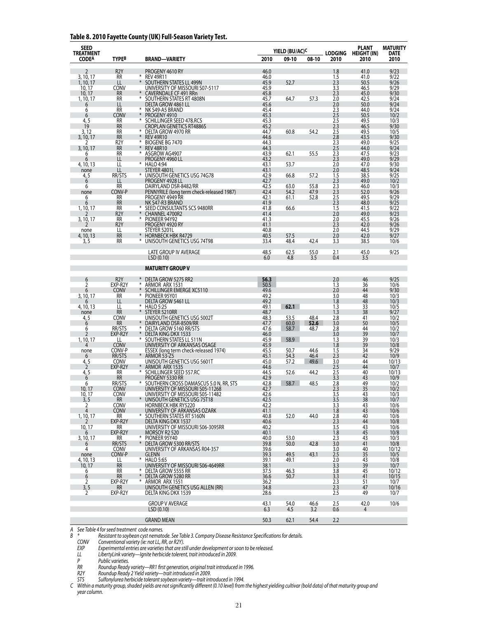#### **Table 8. 2010 Fayette County (UK) Full-Season Variety Test.**

| SEED<br><b>TREATMENT</b><br><b>CODEA</b> | TYPE <sup>B</sup>             | BRAND—VARIETY                                                            | 2010         | YIELD (BU/AC) <sup>C</sup><br>09-10 | 08-10        | <b>LODGING</b><br>2010  | PLANT<br><b>HEIGHT (IN)</b><br>2010 | <b>MATURITY</b><br><b>DATE</b><br>2010 |
|------------------------------------------|-------------------------------|--------------------------------------------------------------------------|--------------|-------------------------------------|--------------|-------------------------|-------------------------------------|----------------------------------------|
|                                          |                               |                                                                          |              |                                     |              |                         |                                     |                                        |
| 2                                        | R <sub>2</sub> Y              | PROGENY 4610 RY                                                          | 46.0         |                                     |              | 1.8                     | 41.0                                | 9/23                                   |
| 3, 10, 17<br>1, 10, 17                   | <b>RR</b><br>LL               | ⋇<br><b>REV 49R11</b><br>₩<br>SOUTHERN STATES LL 499N                    | 46.0<br>45.9 | 52.7                                |              | 1.5<br>2.3              | 41.0<br>50.5                        | 9/22<br>9/26                           |
| 10, 17                                   | CONV                          | UNIVERSITY OF MISSOURI S07-5117                                          | 45.9         |                                     |              | 3.3                     | 46.5                                | 9/29                                   |
| 10, 17                                   | <b>RR</b>                     | CAVERNDALE CF 491 RRn                                                    | 45.8         |                                     |              | 2.3                     | 45.0                                | 9/30                                   |
| 1, 10, 17                                | RR<br>LL                      | ⋇<br>SOUTHERN STATES RT 4808N<br>DELTA GROW 4861 LL                      | 45.7<br>45.6 | 64.7                                | 57.3         | 2.0<br>2.0              | 42.5<br>50.0                        | 9/24<br>9/24                           |
| 6<br>6                                   | <b>RR</b>                     | ⋇<br>NK S49-A5 BRAND                                                     | 45.4         |                                     |              | 2.3                     | 44.0                                | 9/24                                   |
| 6                                        | CONV                          | $\ast$<br>PROGENY 4910                                                   | 45.3         |                                     |              | 2.5                     | 50.5                                | 10/2                                   |
| 4, 5<br>19                               | RR<br><b>RR</b>               | SCHILLINGER SEED 478.RCS<br>⋇<br><b>CROPLAN GENETICS RT4886S</b>         | 45.3<br>45.2 |                                     |              | 2.5<br>2.3              | 49.5<br>46.5                        | 10/3<br>9/30                           |
| 3, 12                                    | RR                            | $\ast$<br>DELTA GROW 4970 RR                                             | 44.7         | 60.8                                | 54.2         | 2.5                     | 49.5                                | 10/5                                   |
| 3, 10, 17                                | <b>RR</b>                     | $\ast$<br><b>REV 49R10</b>                                               | 44.6         |                                     |              | 2.8                     | 43.5                                | 9/30                                   |
| 3, 10, 17                                | R <sub>2</sub> Y<br><b>RR</b> | ⋇<br>BIOGENE BG 7470<br>⋇<br><b>REV 48R10</b>                            | 44.3<br>44.3 |                                     |              | 2.3<br>2.5              | 49.0<br>44.0                        | 9/25<br>9/24                           |
| 6                                        | RR                            | ⋇<br>ASGROW AG4907                                                       | 43.9         | 62.1                                | 55.5         | 2.3                     | 47.5                                | 9/23                                   |
| 6                                        | LL                            | PROGENY 4960 LL                                                          | 43.2         |                                     |              | 2.3                     | 49.0                                | 9/29                                   |
| 4, 10, 13<br>none                        | LL<br>LL                      | ₩<br><b>HALO 4:94</b><br>STEYER 4801L                                    | 43.1<br>43.1 | 53.7                                |              | 2.0<br>2.0              | 47.0<br>48.5                        | 9/30<br>9/24                           |
| 4, 5                                     | RR/STS                        | UNISOUTH GENETICS USG 74G78                                              | 42.9         | 66.8                                | 57.2         | 1.5                     | 38.5                                | 9/25                                   |
| 6                                        | LL                            | PROGENY 4928 LL                                                          | 42.7         |                                     |              | 2.3                     | 49.0                                | 10/2                                   |
| 6<br>none                                | RR<br>CONV-P                  | DAIRYLAND DSR-8482/RR<br>PENNYRILE (long term check-released 1987)       | 42.5<br>42.4 | 63.0<br>54.2                        | 55.8<br>47.9 | 2.3<br>2.3              | 46.0<br>52.0                        | 10/3<br>9/26                           |
| 6                                        | RR                            | Progeny 4949 RR                                                          | 42.1         | 61.1                                | 52.8         | 2.5                     | 49.5                                | 9/29                                   |
| 6                                        | <b>RR</b>                     | NK S47-R3 BRAND                                                          | 41.9         |                                     |              | 2.3                     | 48.0                                | 9/25                                   |
| 1, 10, 17                                | <b>RR</b><br>R <sub>2</sub> Y | SEED CONSULTANTS SCS 9480RR<br>CHANNEL 4700R2                            | 41.8<br>41.4 | 66.6                                |              | 1.5<br>2.0              | 41.5<br>49.0                        | 9/22<br>9/23                           |
| 3, 10, 17                                | RR                            | ⋇<br>PIONEER 94Y92                                                       | 41.3         |                                     |              | 2.0                     | 45.5                                | 9/26                                   |
| 7                                        | R <sub>2</sub> Y              | PROGENY 4920 RY                                                          | 41.1         |                                     |              | 2.3                     | 42.0                                | 9/26                                   |
| none                                     | LL<br><b>RR</b>               | STEYER 5201L<br><b>HORNBECK HBK R4729</b><br>¥                           | 40.8<br>40.5 | 57.5                                |              | 2.0<br>2.0              | 44.5<br>42.0                        | 9/29<br>9/27                           |
| 4, 10, 13<br>3,5                         | <b>RR</b>                     | UNISOUTH GENETICS USG 74T98                                              | 33.4         | 48.4                                | 42.4         | 3.3                     | 38.5                                | 10/6                                   |
|                                          |                               |                                                                          |              |                                     |              |                         |                                     |                                        |
|                                          |                               | LATE GROUP IV AVERAGE<br>LSD(0.10)                                       | 48.5<br>6.0  | 62.5<br>4.8                         | 55.0<br>3.5  | 2.1<br>0.4              | 45.0<br>3.5                         | 9/25                                   |
|                                          |                               |                                                                          |              |                                     |              |                         |                                     |                                        |
|                                          |                               | <b>MATURITY GROUP V</b>                                                  |              |                                     |              |                         |                                     |                                        |
| 6                                        | R <sub>2</sub> Y              | ∗<br>DELTA GROW 5275 RR2                                                 | 56.3         |                                     |              | 2.0                     | 46                                  | 9/25                                   |
| 2                                        | EXP-R2Y                       | ⋇<br>ARMOR ARX 1531                                                      | 50.5         |                                     |              | 1.3                     | 36                                  | 10/6                                   |
| 6<br>3, 10, 17                           | <b>CONV</b><br>RR             | SCHILLINGER EMERGE XC5110<br>$\ast$<br>PIONEER 95Y01                     | 49.6<br>49.2 |                                     |              | 2.0<br>3.0              | 44<br>48                            | 9/30<br>10/3                           |
|                                          | LL                            | <b>DELTA GROW 5461 LL</b>                                                | 49.2         |                                     |              | 1.8                     | 48                                  | 10/3                                   |
| 4, 10, 13                                | LL                            | ⋇<br><b>HALO 5:25</b><br>₩                                               | 49.1         | 62.1                                |              | 1.3                     | 33                                  | 10/5                                   |
| none<br>4, 5                             | <b>RR</b><br>Conv             | STEYER 5210RR<br>UNISOUTH GENETICS USG 5002T                             | 48.7<br>48.3 | 53.5                                | 48.4         | 1.3<br>2.8              | 38<br>41                            | 9/27<br>10/2                           |
| 6                                        | <b>RR</b>                     | DAIRYLAND DSR-8509/RR                                                    | 47.7         | 60.0                                | 52.6         | 3.0                     | 50                                  | 10/5                                   |
| 6                                        | RR/STS                        | $\ast$<br>DELTA GROW 5160 RR/STS<br><b>DELTA KING DKX 1533</b><br>$\ast$ | 47.6         | 58.7                                | 48.7         | 2.8<br>3.0              | 44<br>39                            | 10/2                                   |
| 1, 10, 17                                | EXP-R2Y<br>LL                 | SOUTHERN STATES LL 511N                                                  | 46.0<br>45.9 | 58.9                                |              | 1.3                     | 39                                  | 10/7<br>10/3                           |
|                                          | <b>CONV</b>                   | UNIVERSITY OF ARKANSAS OSAGE                                             | 45.9         |                                     |              | 1.8                     | 39                                  | 10/8                                   |
| none                                     | CONV-P<br><b>RR/STS</b>       | ESSEX (long term check-released 1974)                                    | 45.5         | 50.7<br>54.3                        | 44.6<br>46.4 | 1.5<br>2.3              | 34<br>42                            | 9/29<br>10/9                           |
| 6                                        | CONV                          | <b>ARMOR 53-Z5</b><br>UNISOUTH GENETICS USG 5601T                        | 45.1<br>45.0 | 57.2                                | 49.6         | 3.0                     | 44                                  | 10/13                                  |
| $\frac{4,5}{2}$                          | EXP-R2Y                       | ARMOR ARX 1535                                                           | 44.6         |                                     |              | 2.5                     | 44                                  | 10/7                                   |
| 4, 5<br>6                                | RR<br><b>RR</b>               | SCHILLINGER SEED 557.RC<br>PROGENY 5330 RR                               | 44.5<br>42.9 | 52.6                                | 44.2         | 2.5<br>3.3              | 40<br>43                            | 10/13<br>10/9                          |
| 6                                        | RR/STS                        | ⋇<br>SOUTHERN CROSS DAMASCUS 5.0 N, RR, STS                              | 42.8         | 58.7                                | 48.5         | 2.8                     | 49                                  | 10/2                                   |
| 10, 17                                   | <b>CONV</b>                   | UNIVERSITY OF MISSOURI S05-11268                                         | 42.7         |                                     |              | 2.3                     | 35                                  | 10/2                                   |
| 10, 17                                   | Conv                          | UNIVERSITY OF MISSOURI S05-11482                                         | 42.6         |                                     |              | $\frac{3.5}{3.5}$       | 43<br>38                            | 10/3<br>10/7                           |
| 3, 5<br>2                                | RR<br>CONV                    | * UNISOUTH GENETICS USG 75T18<br><b>HORNBECK HBK RY5220</b>              | 42.5<br>42.2 |                                     |              | 3.3                     | 43                                  | 10/6                                   |
| $\overline{4}$                           | <b>CONV</b>                   | UNIVERSITY OF ARKANSAS OZARK                                             | 41.1         |                                     |              | 1.8                     | 43                                  | 10/6                                   |
| 1, 10, 17                                | RR<br>EXP-R2Y                 | $\ast$<br>SOUTHERN STATES RT 5160N<br>DELTA KING DKX 1537                | 40.8<br>40.6 | 52.0                                | 44.0         | 2.8<br>2.3              | 40<br>44                            | 10/6<br>10/8                           |
| 2<br>10, 17                              | RR                            | UNIVERSITY OF MISSOURI S06-3095RR                                        | 40.2         |                                     |              |                         |                                     | 10/6                                   |
|                                          | EXP-R2Y                       | MORSOY R2 520                                                            | 40.1         |                                     |              | $\frac{3.5}{1.8}$       | $^{43}_{45}$                        | 10/8                                   |
| 3, 10, 17                                | RR<br>RR/STS                  | *<br>PIONEER 95Y40<br>$\ast$<br>DELTA GROW 5300 RR/STS                   | 40.0<br>39.8 | 53.0<br>50.0                        | 42.8         | 2.3<br>3.0              | 43<br>41                            | 10/3<br>10/8                           |
| 4                                        | CÓNV                          | UNIVERSITY OF ARKANSAS R04-357                                           | 39.6         |                                     |              | 3.0                     | 40                                  | 10/12                                  |
| none                                     | CONV-P                        | <b>GLENN</b>                                                             | 39.3         | 49.5                                | 43.1         | 2.5                     | 35                                  | 10/5                                   |
| 4, 10, 13<br>10, 17                      | LL<br><b>RR</b>               | *<br><b>HALO 5:65</b><br>UNIVERSITY OF MISSOURI S06-4649RR               | 39.1<br>38.1 | 49.1                                |              | 2.0<br>$\overline{3.3}$ | 43<br>39                            | 10/8<br>10/7                           |
| 6                                        | <b>RR</b>                     | ⋇<br>DELTA GROW 5555 RR                                                  | 37.5         | 46.3                                |              | 3.8                     | 45                                  | 10/12                                  |
| 6                                        | RR                            | $\ast$<br>DELTA GROW 5280 RR                                             | 36.6         | 50.7                                |              | 3.3                     | 41                                  | 10/15                                  |
| 2<br>3, 5                                | EXP-R2Y<br><b>RR</b>          | ARMOR ARX 1551<br>⋇<br>UNISOUTH GENETICS USG ALLEN (RR)                  | 36.2<br>34.8 |                                     |              | 2.3<br>2.3              | 51<br>47                            | 10/7<br>10/16                          |
| 2                                        | EXP-R2Y                       | DELTA KING DKX 1539                                                      | 28.6         |                                     |              | 2.5                     | 49                                  | 10/7                                   |
|                                          |                               | <b>GROUP V AVERAGE</b>                                                   | 43.1         | 54.0                                | 46.6         | 2.5                     | 42.0                                | 10/6                                   |
|                                          |                               | LSD(0.10)                                                                | 6.3          | 4.5                                 | 3.2          | 0.6                     | $\overline{4}$                      |                                        |
|                                          |                               |                                                                          |              |                                     |              |                         |                                     |                                        |
|                                          |                               | <b>GRAND MEAN</b>                                                        | 50.3         | 62.1                                | 54.4         | 2.2                     |                                     |                                        |

*A See Table 4 for seed treatment code names.*

*B \* Resistant to soybean cyst nematode. See Table 3. Company Disease Resistance Specifications for details.* 

*CONV Conventional variety (ie: not LL, RR, or R2Y).*

*EXP Experimental entries are varieties that are still under development or soon to be released.*

*LL LibertyLink variety—Ignite herbicide tolerent, trait introduced in 2009.*

*P Public varieties.*

*RR Roundup Ready variety—RR1 first generation, original trait introduced in 1996.*

*R2Y Roundup Ready 2 Yield variety—trait introduced in 2009.*

*STS Sulfonylurea herbicide tolerant soybean variety—trait introduced in 1994.*

*C Within a maturity group, shaded yields are not significantly different (0.10 level) from the highest yielding cultivar (bold data) of that maturity group and year column.*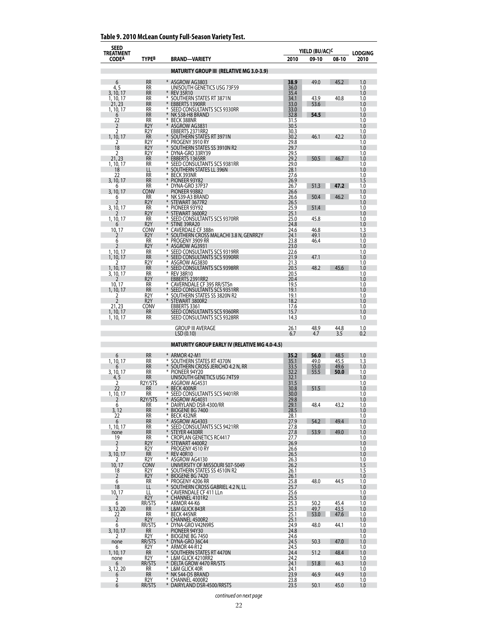| <b>SEED</b><br>TREATMENT |                                      |                                                                  |                      | YIELD (BU/AC) <sup>C</sup> |              | <b>LODGING</b> |
|--------------------------|--------------------------------------|------------------------------------------------------------------|----------------------|----------------------------|--------------|----------------|
| <b>CODEA</b>             | TYPE <sup>B</sup>                    | BRAND—VARIETY                                                    | 2010                 | 09-10                      | 08-10        | 2010           |
|                          |                                      | <b>MATURITY GROUP III (RELATIVE MG 3.0-3.9)</b>                  |                      |                            |              |                |
| 6                        | <b>RR</b>                            | * ASGROW AG3803                                                  | 38.9                 | 49.0                       | 45.2         | 1.0            |
| 4, 5<br>3, 10, 17        | <b>RR</b><br><b>RR</b>               | UNISOUTH GENETICS USG 73F59<br><b>REV 35R10</b>                  | 36.0<br>35.4         |                            |              | 1.0<br>1.0     |
| 1, 10, 17                | RR                                   | *<br>SOUTHERN STATES RT 3871N                                    | 34.1                 | 43.9                       | 40.8         | 1.0            |
| 21, 23<br>1, 10, 17      | <b>RR</b><br>RR                      | <b>EBBERTS 1390RR</b><br>⋇<br>SEED CONSULTANTS SCS 9330RR        | 33.0                 | 53.6                       |              | 1.0<br>1.0     |
| 6<br>22                  | <b>RR</b><br>RR                      | NK S38-H8 BRAND<br>⋇<br><b>BECK 388NR</b>                        | 33.0<br>32.8<br>31.5 | 54.5                       |              | 1.0<br>1.0     |
| 2                        | R <sub>2</sub> Y                     | ASGROW AG3831                                                    | 30.5                 |                            |              | 1.0            |
| 2<br>1, 10, 17           | R <sub>2</sub> Y<br><b>RR</b>        | EBBERTS 2371RR2<br>* SOUTHERN STATES RT 3971N                    | 30.3<br>30.2         | 46.1                       | 42.2         | 1.0<br>1.0     |
| 2<br>18                  | R <sub>2</sub> Y<br>R <sub>2</sub> Y | PROGENY 3910 RY<br>SOUTHERN STATES SS 3910N R2                   | 29.8<br>29.7         |                            |              | 1.0<br>1.0     |
| 2                        | R <sub>2</sub> Y                     | ⋇<br>DYNA-GRO 33RY39                                             | 29.5                 |                            |              | 1.0            |
| 21, 23<br>1, 10, 17      | RR<br><b>RR</b>                      | EBBERTS 1365RR<br>* SEED CONSULTANTS SCS 9381RR                  | 29.2<br>29.0         | 50.5                       | 46.7         | 1.0<br>1.0     |
| 18<br>22                 | LL<br>RR                             | ¥<br>SOUTHERN STATES LL 396N<br>BECK 393NR                       | 28.1                 |                            |              | 1.0<br>1.0     |
| 3, 10, 17                | <b>RR</b>                            | PIONEER 93Y82<br>*                                               | 27.6<br>26.9         |                            |              | 1.5            |
| 6<br>3, 10, 17           | <b>RR</b><br>CONV                    | ⋇<br>DYNA-GRO 37P37<br>PIONEER 93B82                             | 26.7<br>26.6         | 51.3                       | 47.2         | 1.0<br>1.0     |
| 6<br>7                   | RR<br>R <sub>2</sub> Y               | * NK S39-A3 BRAND<br>⋇                                           | 26.6<br>26.5         | 50.4                       | 46.2         | 1.0            |
| 3, 10, 17                | RR                                   | STEWART 3677R2<br>PIONEER 93Y92                                  | 25.9<br>25.1         | 51.4                       |              | 1.0<br>1.0     |
| 1, 10, 17                | R <sub>2</sub> Y<br><b>RR</b>        | STEWART 3600R2<br>SEED CONSULTANTS SCS 9370RR                    | 25.0                 | 45.8                       |              | 1.0<br>1.0     |
|                          | R <sub>2</sub> Y                     | STINE 39RA20<br>¥                                                | 24.8                 |                            |              | 1.0            |
| 10, 17<br>2              | CONV<br>R <sub>2</sub> Y             | CAVERDALE CF 388n<br>SOUTHERN CROSS MALACHI 3.8 N, GENRR2Y       | 24.6<br>24.1         | 46.8<br>49.1               |              | 1.3<br>1.0     |
| 6<br>2                   | RR<br>R <sub>2</sub> Y               | PROGENY 3909 RR<br>ASGROW AG3931                                 | 23.8<br>23.0         | 46.4                       |              | 1.0<br>1.0     |
| 1, 10, 17                | RR                                   | SEED CONSULTANTS SCS 9319RR                                      | 22.6                 |                            |              | 1.0            |
| 1, 10, 17<br>7           | <b>RR</b><br>R <sub>2</sub> Y        | SEED CONSULTANTS SCS 9390RR<br>¥<br>ASGROW AG3830                | 21.9<br>21.3         | 47.1                       |              | 1.0<br>1.0     |
| 1, 10, 17<br>3, 10, 17   | <b>RR</b><br>RR                      | * SEED CONSULTANTS SCS 9398RR<br><b>REV 38R10</b>                | 20.5<br>20.5         | 48.2                       | 45.6         | 1.0<br>1.0     |
| 2                        | R <sub>2</sub> Y                     | EBBERTS 2391RR2                                                  | 20.4                 |                            |              | 1.0            |
| 10.17<br>1, 10, 17       | RR<br><b>RR</b>                      | CAVERNDALE CF 395 RR/STSn<br>SEED CONSULTANTS SCS 9351RR         | 19.5<br>19.1         |                            |              | 1.0<br>1.0     |
| 2<br>$\overline{2}$      | R2Y<br>R <sub>2</sub> Y              | SOUTHERN STATES SS 3820N R2<br>⋇<br>* STEWART 3800R2             | 19.1<br>18.2         |                            |              | 1.0<br>1.0     |
| 21, 23                   | CONV                                 | EBBERTS 3361                                                     | 17.6                 |                            |              | 1.0            |
| 1, 10, 17<br>1, 10, 17   | <b>RR</b><br><b>RR</b>               | SEED CONSULTANTS SCS 9360RR<br>SEED CONSULTANTS SCS 9328RR       | 15.7<br>14.3         |                            |              | 1.0<br>1.0     |
|                          |                                      | <b>GROUP III AVERAGE</b>                                         | 26.1                 | 48.9                       | 44.8         | 1.0            |
|                          |                                      | LSD(0.10)                                                        | 6.7                  | 4.7                        | 3.5          | 0.2            |
|                          |                                      | <b>MATURITY GROUP EARLY IV (RELATIVE MG 4.0-4.5)</b>             |                      |                            |              |                |
| 6                        | <b>RR</b>                            | ARMOR 42-M1                                                      | 35.2                 | 56.0                       | 48.5         | 1.0            |
| 1, 10, 17<br>6           | <b>RR</b><br><b>RR</b>               | * SOUTHERN STATES RT 4370N<br>* Southern cross Jericho 4.2 N, RR | 35.1<br>33.5         | 49.0<br>55.0               | 45.5<br>49.6 | 1.3<br>1.0     |
| 3, 10, 17<br>4, 5        | RR<br><b>RR</b>                      | PIONEER 94Y20<br>UNISOUTH GENETICS USG 74T59                     | 32.2<br>32.1         | 55.5                       | 50.0         | 1.0<br>1.0     |
| 2                        | R2Y/STS                              | ASGROW AG4531                                                    | 31.5                 |                            |              | 1.0            |
| 22<br>1, 10, 17          | RR<br>RR                             | <b>BECK 400NR</b><br>¥<br>SEED CONSULTANTS SCS 9401RR            | 30.8<br>30.0         | 51.5                       |              | 1.0<br>1.0     |
| $\overline{2}$<br>6      | R2Y/STS                              | * ASGROW AG4031<br>⋇<br>DAIRYLAND DSR-4300/RR                    | 29.8<br>29.1         | 48.4                       | 43.2         | 1.0<br>1.0     |
| 3, 12                    | RR<br>RR                             | BIOGENE BG 7400                                                  | 28.5                 |                            |              | 1.0            |
| 22<br>6                  | RR<br><b>RR</b>                      | ⋇<br>BECK 432NR<br>* ASGROW AG4303                               | 28.1<br>27.9         | 54.2                       | 49.4         | 1.0<br>1.0     |
| 1, 10, 17<br>none        | RR<br><b>RR</b>                      | * SEED CONSULTANTS SCS 9421RR<br>* STEYER 4430RR                 | 27.8<br>27.8         | 53.9                       | 49.0         | 1.0<br>1.0     |
| 19                       | RR                                   | * CROPLAN GENETICS RC4417                                        | 27.7                 |                            |              | 1.0            |
| $\overline{2}$<br>2      | R <sub>2</sub> Y<br>R <sub>2</sub> Y | * STEWART 4400R2<br>PROGENY 4510 RY                              | 26.9<br>26.6         |                            |              | 1.0<br>1.0     |
| 3, 10, 17<br>2           | <b>RR</b><br>R <sub>2</sub> Y        | * REV 40R10<br>* ASGROW AG4130                                   | 26.5<br>26.3         |                            |              | 1.0<br>1.0     |
| 10, 17                   | <b>CONV</b>                          | UNIVERSITY OF MISSOURI S07-5049                                  | 26.2                 |                            |              | 1.5            |
| 18<br>2                  | R2Y<br>R <sub>2</sub> Y              | * SOUTHERN STATES SS 4510N R2<br>* BIOGENE BG 7420               | 26.1<br>26.1         |                            |              | 1.5<br>1.0     |
| 6<br>18                  | RR.<br>LL.                           | PROGENY 4206 RR<br>⋇<br>* SOUTHERN CROSS GABRIEL 4.2 N, LL       | 25.8                 | 48.0                       | 44.5         | 1.0            |
| 10, 17                   | LL                                   | ¥<br><b>CAVERNDALE CF 411 LLn</b>                                | 25.7<br>25.6         |                            |              | 1.0<br>1.0     |
| 2<br>6                   | R <sub>2</sub> Y<br>RR/STS           | * CHANNEL 4101R2<br>* ARMOR 44-K6                                | 25.5                 | 50.2                       | 45.4         | 1.0<br>1.0     |
| 3, 12, 20                | <b>RR</b>                            | * L&M GLICK 843R                                                 | 25.3<br>25.1         | 49.7                       | 43.5         | 1.0            |
| 22<br>$\overline{2}$     | RR<br>R2Y                            | * BECK 445NR<br>CHANNEL 4500R2                                   | 25.1<br>25.1         | 53.0                       | 47.6         | 1.0<br>1.0     |
| 6<br>3, 10, 17           | RR/STS<br><b>RR</b>                  | * DYNA-GRO V42N9RS<br>PIONEER 94Y30                              | 24.9<br>24.8         | 48.0                       | 44.1         | 1.0<br>1.0     |
| 2                        | R2Y                                  | * BIOGENE BG 7450                                                | 24.6                 |                            |              | 1.0            |
| none<br>6                | RR/STS<br>R <sub>2</sub> Y           | * DYNA-GRO 36C44<br>⋇<br>ARMOR 44-R12                            | 24.5<br>24.5         | 50.3                       | 47.0         | 1.0<br>1.0     |
| 1, 10, 17<br>none        | <b>RR</b><br>R2Y                     | * SOUTHERN STATES RT 4470N<br>* L&M GLICK 4210RR2                | 24.4<br>24.2         | 51.2                       | 48.4         | 1.0<br>1.0     |
| 6                        | RR/STS                               | * DELTA GROW 4470 RR/STS                                         | 24.1                 | 51.8                       | 46.3         | 1.0            |
| 3, 12, 20<br>6           | RR<br>$\overline{\text{RR}}$         | * L&M GLICK 40R<br>* NK S44-D5 BRAND                             | 24.1<br>23.9         | 46.9                       | 44.9         | 1.0<br>1.0     |
| 2<br>6                   | R2Y<br>RR/STS                        | * CHANNEL 4000R2<br>* DAIRYLAND DSR-4500/RRSTS                   | 23.8<br>23.5         | 50.1                       | 45.0         | 1.0<br>1.0     |

## **Table 9. 2010 McLean County Full-Season Variety Test.**

*continued on next page*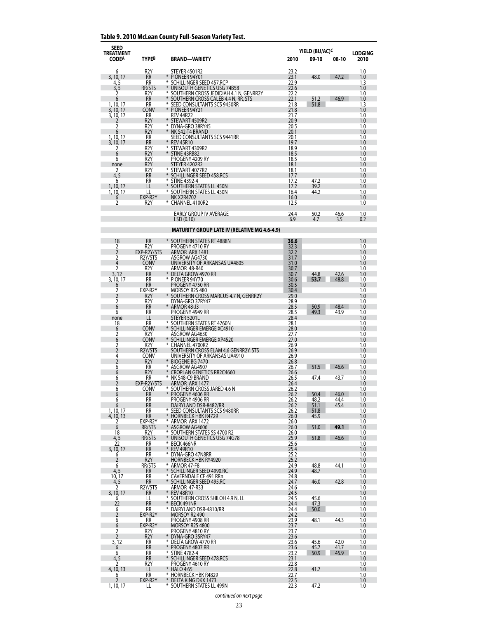### **Table 9. 2010 McLean County Full-Season Variety Test.**

| SEED<br><b>TREATMENT</b> |                                      |                                                                    | YIELD (BU/AC) <sup>c</sup> |              | <b>LODGING</b> |            |
|--------------------------|--------------------------------------|--------------------------------------------------------------------|----------------------------|--------------|----------------|------------|
| <b>CODEA</b>             | <b>TYPEB</b>                         | <b>BRAND-VARIETY</b>                                               | 2010                       | 09-10        | 08-10          | 2010       |
| 6                        | R <sub>2</sub> Y                     | STEYER 4501R2                                                      | 23.2                       |              |                | 1.0        |
| 3, 10, 17                | <b>RR</b>                            | PIONEER 94Y01                                                      | 23.1                       | 48.0         | 47.2           | 1.0        |
| 4, 5<br>3, 5             | RR<br>RR/STS                         | ₩<br>SCHILLINGER SEED 457.RCP<br>UNISOUTH GENETICS USG 74B58       | 22.9<br>22.6               |              |                | 1.3<br>1.0 |
| 2                        | R <sub>2</sub> Y                     | * SOUTHERN CROSS JEDIDIAH 4.1 N, GENRR2Y                           | 22.2                       |              |                | 1.0        |
| 6<br>1, 10, 17           | <b>RR</b><br>RR                      | SOUTHERN CROSS CALEB 4.4 N, RR, STS<br>SEED CONSULTANTS SCS 9450RR | 22.1<br>21.8               | 51.2<br>51.8 | 46.9           | 1.0<br>1.3 |
| 3, 10, 17<br>3, 10, 17   | <b>CONV</b><br>RR                    | * PIONEER 94Y21<br><b>REV 44R22</b>                                | 21.8<br>21.7               |              |                | 1.0<br>1.0 |
| 2                        | R <sub>2</sub> Y                     | STEWART 4509R2                                                     | 20.9                       |              |                | 1.0        |
| 2<br>6                   | R <sub>2</sub> Y<br>R <sub>2</sub> Y | ⋇<br>DYNA-GRO 38RY45<br>NK S42-T4 BRAND                            | 20.5<br>20.1               |              |                | 1.0<br>1.0 |
| 1, 10, 17                | RR                                   | SEED CONSULTANTS SCS 9441RR                                        | 20.1                       |              |                | 1.0        |
| 3, 10, 17<br>2           | <b>RR</b><br>R2Y                     | <b>REV 45R10</b><br>₩<br>STEWART 4309R2                            | 19.7<br>18.9               |              |                | 1.0<br>1.0 |
| 6                        | R <sub>2</sub> Y                     | * STINE 43RB82                                                     | 18.5                       |              |                | 1.0        |
| 6<br>none                | R <sub>2</sub> Y<br>R <sub>2</sub> Y | PROGENY 4209 RY<br>STEYER 4202R2                                   | 18.5<br>18.1               |              |                | 1.0<br>1.0 |
| 2<br>4, 5                | R2Y<br><b>RR</b>                     | STEWART 4077R2<br>SCHILLINGER SEED 458.RCS                         | 18.1                       |              |                | 1.0        |
| 6                        | RR                                   | <b>STINE 4392-4</b>                                                | 17.7<br>17.2               | 47.2         |                | 1.0<br>1.0 |
| 1, 10, 17<br>1, 10, 17   | LL<br>LL                             | SOUTHERN STATES LL 450N<br>* SOUTHERN STATES LL 430N               | 17.2<br>16.4               | 39.2<br>44.2 |                | 1.0<br>1.0 |
| 6                        | EXP-R2Y                              | <b>NK X2R4702</b>                                                  | 16.0                       |              |                | 1.0        |
| 2                        | R2Y                                  | CHANNEL 4100R2                                                     | 12.5                       |              |                | 1.0        |
|                          |                                      | EARLY GROUP IV AVERAGE                                             | 24.4                       | 50.2         | 46.6           | 1.0        |
|                          |                                      | LSD(0.10)                                                          | 6.9                        | 4.7          | 3.5            | 0.2        |
|                          |                                      | <b>MATURITY GROUP LATE IV (RELATIVE MG 4.6-4.9)</b>                |                            |              |                |            |
| 18                       | <b>RR</b>                            | * SOUTHERN STATES RT 4888N                                         | 36.6                       |              |                | 1.0        |
| 2                        | R <sub>2</sub> Y                     | PROGENY 4710 RY                                                    | 32.3                       |              |                | 1.0        |
| $\overline{2}$<br>2      | EXP-R2Y/STS<br>R2Y/STS               | ARMOR ARX 1481<br>ASGROW AG4730                                    | 32.2<br>31.7               |              |                | 1.0<br>1.0 |
| 4                        | <b>CONV</b>                          | UNIVERSITY OF ARKANSAS UA4805                                      | 31.0                       |              |                | 1.0        |
| 2<br>3.12                | R2Y<br><b>RR</b>                     | ARMOR 48-R40<br>DELTA GROW 4970 RR                                 | 30.7<br>30.7               | 44.8         | 42.6           | 1.0<br>1.0 |
| 3, 10, 17<br>6           | RR<br>RR                             | PIONEER 94Y70<br>⋇<br>PROGENY 4750 RR                              | 30.6<br>30.5               | 53.7         | 48.8           | 1.0<br>1.0 |
| 2                        | EXP-R2Y                              | MORSOY R2S 480                                                     | 30.4                       |              |                | 1.0        |
| 2<br>2                   | R2Y<br>R2Y                           | * SOUTHERN CROSS MARCUS 4.7 N, GENRR2Y<br>DYNA-GRO 37RY47          | 29.0<br>28.9               |              |                | 1.0<br>1.0 |
| 6                        | <b>RR</b>                            | ARMOR 48-J3                                                        | 28.5                       | 50.9         | 48.4           | 1.0        |
| 6<br>none                | RR<br>LL                             | PROGENY 4949 RR<br>STEYER 5201L                                    | 28.5<br>28.4               | 49.3         | 43.9           | 1.0<br>1.0 |
| 18                       | RR                                   | * SOUTHERN STATES RT 4760N                                         | 28.1                       |              |                | 1.0        |
| 6<br>2                   | <b>CONV</b><br>R2Y                   | * SCHILLINGER EMERGE XC4910<br>ASGROW AG4630                       | 28.0<br>27.7               |              |                | 1.0<br>1.0 |
| 6                        | <b>CONV</b>                          | SCHILLINGER EMERGE XP4520                                          | 27.0                       |              |                | 1.0        |
| 2<br>$\overline{2}$      | R2Y<br>R2Y/STS                       | * CHANNEL 4700R2<br>SOUTHERN CROSS ELAM 4.6 GENRR2Y, STS           | 26.9<br>26.9               |              |                | 1.0<br>1.0 |
| 4                        | <b>CONV</b>                          | UNIVERSITY OF ARKANSAS UA4910                                      | 26.9                       |              |                | 1.0        |
| $\overline{2}$<br>6      | R <sub>2</sub> Y<br><b>RR</b>        | * BIOGENE BG 7470<br>⋇<br>ASGROW AG4907                            | 26.8<br>26.7               | 51.5         | 46.6           | 1.0<br>1.0 |
| 6                        | R <sub>2</sub> Y                     | <b>CROPLAN GENETICS RR2C4660</b>                                   | 26.6                       |              |                | 1.0        |
| 6<br>2                   | RR<br>EXP-R2Y/STS                    | * NK S48-C9 BRAND<br>ARMOR ARX 1477                                | 26.5<br>26.4               | 47.4         | 43.7           | 1.0<br>1.0 |
| 6                        | CONV                                 | SOUTHERN CROSS JARED 4.6 N                                         | 26.2                       |              |                | 1.0        |
| 6<br>6                   | RR<br>RR                             | ¥<br>PROGENY 4606 RR<br>PROGENY 4906 RR                            | 26.2<br>26.2               | 50.4<br>48.2 | 46.0<br>44.4   | 1.0<br>1.0 |
| 6                        | <b>RR</b>                            | DAIRYLAND DSR-8482/RR                                              | 26.2                       | 51.1         | 45.4           | 1.0        |
| 1, 10, 17<br>4, 10, 13   | RR<br>RR                             | SEED CONSULTANTS SCS 9480RR<br>¥<br><b>HORNBECK HBK R4729</b>      | 26.2<br>26.0               | 51.8<br>45.9 |                | 1.0<br>1.0 |
| 2                        | EXP-R2Y                              | * ARMOR ARX 1472<br>¥                                              | 26.0                       |              | 49.1           | 1.0        |
| 6<br>18                  | RR/STS<br>R2Y                        | ASGROW AG4606<br>SOUTHERN STATES SS 4700 R2<br>⋇                   | 26.0<br>26.0               | 51.0         |                | 1.0<br>1.0 |
| 4, 5<br>22               | RR/STS<br>RR                         | * UNISOUTH GENETICS USG 74G78<br>¥<br>BECK 466NR                   | 25.9<br>25.6               | 51.8         | 46.6           | 1.0<br>1.0 |
| 3, 10, 17                | <b>RR</b>                            | * REV 49R10                                                        | 25.4                       |              |                | 1.0        |
| 6<br>2                   | RR<br>R2Y                            | * DYNA-GRO 47N8RR<br><b>HORNBECK HBK RY4920</b>                    | 25.2<br>25.2               |              |                | 1.0<br>1.0 |
| 6                        | RR/STS                               | ARMOR 47-F8                                                        | 24.9                       | 48.8         | 44.1           | 1.0        |
| 4, 5<br>10, 17           | RR<br>RR                             | * SCHILLINGER SEED 4990.RC<br><b>CAVERNDALE CF 491 RRn</b>         | 24.9<br>24.8               | 48.7         |                | 1.0<br>1.0 |
| 4, 5                     | RR                                   | * SCHILLINGER SEED 495.RC                                          | 24.7                       | 46.0         | 42.8           | 1.0        |
| 2<br>3, 10, 17           | R2Y/STS<br>RR                        | ARMOR 47-R33<br>* REV 48R10                                        | 24.6<br>24.5               |              |                | 1.0<br>1.0 |
| 6<br>22                  | LL<br><b>RR</b>                      | ⋇<br>SOUTHERN CROSS SHILOH 4.9 N, LL<br>* BECK 491NR               | 24.5<br>24.4               | 45.6<br>47.3 |                | 1.0<br>1.0 |
| 6                        | RR                                   | * DAIRYLAND DSR-4810/RR                                            | 24.4                       | 50.0         |                | 1.0        |
| 2<br>6                   | EXP-R2Y<br>RR                        | MORSOY R2 490<br>PROGENY 4908 RR                                   | 24.2<br>23.9               | 48.1         | 44.3           | 1.0<br>1.0 |
| 6                        | EXP-R2Y                              | MORSOY R2S 4800                                                    | 23.7                       |              |                | 1.0        |
| 2<br>$\overline{2}$      | R2Y<br>R2Y                           | PROGENY 4810 RY<br>* DYNA-GRO 35RY47                               | 23.7<br>23.6               |              |                | 1.0<br>1.0 |
| 3, 12                    | RR                                   | ₩<br>DELTA GROW 4770 RR                                            | 23.6                       | 45.6         | 42.0           | 1.0        |
| 6<br>6                   | RR<br><b>RR</b>                      | * Progeny 4807 RR<br>* STINE 4782-4                                | 23.6<br>23.2               | 45.7<br>50.9 | 41.7<br>45.9   | 1.0<br>1.0 |
| 4,5                      | <b>RR</b>                            | * SCHILLINGER SEED 478.RCS                                         | 23.1                       |              |                | 1.0        |
| 4, 10, 13                | R <sub>2</sub> Y<br>LL               | PROGENY 4610 RY<br>* HALO 4:65                                     | 22.8<br>22.8               | 41.7         |                | 1.0<br>1.0 |
| 6<br>2                   | RR<br>EXP-R2Y                        | ₩<br><b>HORNBECK HBK R4829</b><br>* DELTA KING DKX 1473            | 22.7<br>22.5               |              |                | 1.0<br>1.0 |
| 1, 10, 17                | LL                                   | * SOUTHERN STATES LL 499N                                          | 22.3                       | 47.2         |                | 1.0        |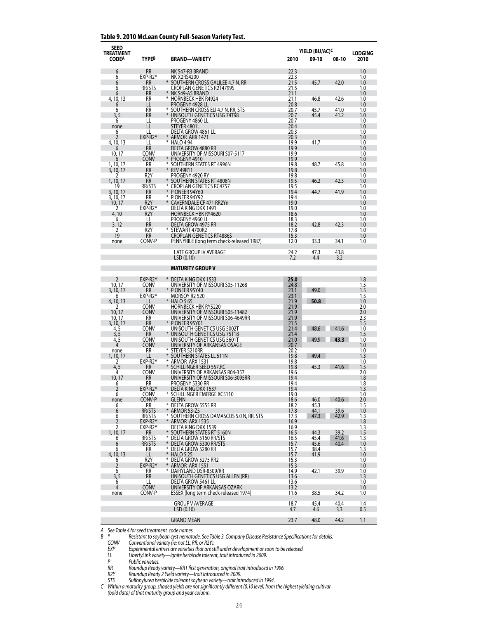#### **Table 9. 2010 McLean County Full-Season Variety Test.**

| <b>SEED</b><br>TREATMENT |                               |                                                                       |              | YIELD (BU/AC) <sup>C</sup> |              | <b>LODGING</b> |
|--------------------------|-------------------------------|-----------------------------------------------------------------------|--------------|----------------------------|--------------|----------------|
| <b>CODEA</b>             | TYPE <sup>B</sup>             | <b>BRAND-VARIETY</b>                                                  | 2010         | 09-10                      | 08-10        | 2010           |
| 6                        | <b>RR</b>                     | NK S47-R3 BRAND                                                       | 22.3         |                            |              | 1.0            |
| 6                        | EXP-R2Y                       | NK X2RS4200                                                           | 22.3<br>21.5 |                            |              | 1.0            |
| 6<br>6                   | RR.<br>RR/STS                 | SOUTHERN CROSS GALILEE 4.7 N, RR<br>CROPLAN GENETICS R2T4799S         | 21.5         | 45.7                       | 42.0         | 1.0<br>1.0     |
| 6<br>4, 10, 13           | <b>RR</b><br><b>RR</b>        | NK S49-A5 BRAND<br>* HORNBECK HBK R4924                               | 21.1<br>21.1 | 46.8                       | 42.6         | 1.0<br>1.0     |
| 6                        | LL                            | PROGENY 4928 LL                                                       | 20.8         |                            |              | 1.0            |
| 6<br>3.5                 | RR<br><b>RR</b>               | * SOUTHERN CROSS ELI 4.7 N, RR, STS<br>UNISOUTH GENETICS USG 74T98    | 20.7<br>20.7 | 45.7<br>45.4               | 41.0<br>41.2 | 1.0<br>1.0     |
| 6                        | LL                            | PROGENY 4860 LL                                                       | 20.7         |                            |              | 1.0            |
| none<br>6                | LL<br>LL                      | STEYER 4801L<br>DELTA GROW 4861 LL                                    | 20.4<br>20.3 |                            |              | 1.0<br>1.0     |
| 2                        | EXP-R2Y<br>LL                 | * ARMOR ARX 1471<br>* HALO 4:94                                       | 20.3<br>19.9 | 41.7                       |              | 1.0<br>1.0     |
| 4, 10, 13<br>6           | <b>RR</b>                     | DELTA GROW 4880 RR                                                    | 19.9         |                            |              | 1.0            |
| 10, 17<br>ь              | Conv<br>Conv                  | UNIVERSITY OF MISSOURI S07-5117<br>* PROGENY 4910                     | 19.9<br>19.9 |                            |              | 1.0<br>1.0     |
| 1, 10, 17                | RR                            | * SOUTHERN STATES RT 4996N                                            | 19.8         | 48.7                       | 45.8         | 1.0            |
| 3, 10, 17<br>2           | <b>RR</b><br>R2Y              | * REV 49R11<br>PROGENY 4920 RY                                        | 19.8<br>19.8 |                            |              | 1.0<br>1.0     |
| 1, 10, 17                | <b>RR</b>                     | SOUTHERN STATES RT 4808N<br>⋇                                         | 19.5         | 46.2                       | 42.3         | 1.0            |
| 19<br>3, 10, 17          | RR/STS<br><b>RR</b>           | <b>CROPLAN GENETICS RC4757</b><br>¥<br>PIONEER 94Y60                  | 19.5<br>19.4 | 44.7                       | 41.9         | 1.0<br>1.0     |
| 3, 10, 17<br>10, 17      | <b>RR</b><br>R <sub>2</sub> Y | * PIONEER 94Y92<br>¥<br>CAVERNDALE CF 471 RR2Yn                       | 19.4<br>19.0 |                            |              | 1.0<br>1.0     |
| 2                        | EXP-R2Y                       | DELTA KING DKX 1491                                                   | 19.0         |                            |              | 1.0            |
| 4,10<br>6                | R <sub>2</sub> Y<br>LL        | HORNBECK HBK RY4620<br>PROGENY 4960 LL                                | 18.6<br>18.3 |                            |              | 1.0<br>1.0     |
| 3, 12                    | <b>RR</b>                     | DELTA GROW 4975 RR                                                    | 18.2         | 42.8                       | 42.3         | 1.0            |
| 2<br>19                  | R <sub>2</sub> Y<br><b>RR</b> | STEWART 4700R2<br><b>CROPLAN GENETICS RT4886S</b>                     | 17.8<br>15.3 |                            |              | 1.0<br>1.0     |
| none                     | CONV-P                        | PENNYRILE (long term check-released 1987)                             | 12.0         | 33.3                       | 34.1         | 1.0            |
|                          |                               | <b>LATE GROUP IV AVERAGE</b>                                          | 24.2         | 47.3                       | 43.8         |                |
|                          |                               | LSD(0.10)                                                             | 7.2          | 4.4                        | 3.2          |                |
|                          |                               | MATURITY GROUP V                                                      |              |                            |              |                |
| 2                        | EXP-R2Y                       | * DELTA KING DKX 1533                                                 | 25.0         |                            |              | 1.8            |
| 10, 17<br>3, 10, 17      | <b>CONV</b><br>RR             | UNIVERSITY OF MISSOURI S05-11268<br>* PIONEER 95Y40                   | 24.8<br>23.1 | 49.0                       |              | 1.5<br>1.5     |
| 6                        | EXP-R2Y                       | MORSOY R2 520<br>*                                                    | 23.1         |                            |              | 1.5            |
| 4, 10, 13<br>2           | LL<br>CONV                    | <b>HALO 5:65</b><br><b>HORNBECK HBK RY5220</b>                        | 21.9<br>21.9 | 50.8                       |              | 1.0<br>2.0     |
| 10, 17<br>10, 17         | <b>CONV</b><br>RR             | UNIVERSITY OF MISSOURI S05-11482<br>university of Missouri S06-4649RR | 21.9<br>21.9 |                            |              | 2.0<br>2.3     |
| 3, 10, 17                | RR                            | * PIONEER 95Y01                                                       | 21.5         |                            |              | 1.5            |
| 4, 5<br>3, 5             | CONV<br>RR                    | UNISOUTH GENETICS USG 5002T<br>UNISOUTH GENETICS USG 75T18            | 21.4<br>21.4 | 48.6                       | 41.6         | 1.0<br>1.5     |
| 4, 5                     | CONV                          | UNISOUTH GENETICS USG 5601T                                           | 21.0         | 49.9                       | 43.3         | 1.0            |
| 4<br>none                | <b>CONV</b><br>RR             | UNIVERSITY OF ARKANSAS OSAGE<br>₩<br>STEYER 5210RR                    | 20.7<br>20.2 |                            |              | 1.0<br>1.0     |
| 1, 10, 17                | LL<br>EXP-R2Y                 | * SOUTHERN STATES LL 511N                                             | 19.8<br>19.8 | 49.4                       |              | 1.3            |
| 2<br>4, 5                | RR                            | * ARMOR ARX 1531<br>¥<br>SCHILLINGER SEED 557.RC                      | 19.8         | 45.3                       | 41.6         | 1.0<br>1.5     |
| 4<br>10, 17              | CONV<br><b>RR</b>             | UNIVERSITY OF ARKANSAS R04-357<br>UNIVERSITY OF MISSOURI S06-3095RR   | 19.6<br>19.4 |                            |              | 2.0<br>1.8     |
| 6                        | RR                            | PROGENY 5330 RR                                                       | 19.4         |                            |              | 1.8            |
| 2<br>6                   | EXP-R2Y<br><b>CONV</b>        | DELTA KING DKX 1537<br>* SCHILLINGER EMERGE XC5110                    | 19.4<br>19.0 |                            |              | 1.3<br>1.0     |
| none                     | CONV-P                        | <b>GLENN</b>                                                          | 18.6         | 46.0                       | 40.6         | 2.0            |
| 6<br>6                   | RR<br>RR/STS                  | * DELTA GROW 5555 RR<br>¥<br><b>ARMOR 53-Z5</b>                       | 18.2<br>17.8 | 45.3<br>44.1               | 39.6         | 1.5<br>1.0     |
| 6<br>$\overline{2}$      | RR/STS<br>EXP-R2Y             | * SOUTHERN CROSS DAMASCUS 5.0 N, RR, STS<br>* ARMOR ARX 1535          | 17.3<br>16.9 | 47.3                       | 42.9         | 1.3<br>1.8     |
| 2                        | EXP-R2Y                       | DELTA KING DKX 1539                                                   | 16.9         |                            |              | 1.3            |
| 1, 10, 17<br>6           | RR<br>RR/STS                  | * SOUTHERN STATES RT 5160N<br>* DELTA GROW 5160 RR/STS                | 16.5<br>16.5 | 44.3<br>45.4               | 39.2<br>41.6 | 1.5<br>1.3     |
| 6                        | RR/STS                        | * DELTA GROW 5300 RR/STS                                              | 15.7         | 45.6                       | 40.4         | 1.0            |
| 6<br>4, 10, 13           | RR<br>LL                      | * Delta Grow 5280 RR<br>* HALO 5:25                                   | 15.7<br>15.7 | 38.4<br>41.9               |              | 1.3<br>1.0     |
| 6<br>2                   | R <sub>2</sub> Y<br>EXP-R2Y   | * DELTA GROW 5275 RR2<br>* ARMOR ARX 1551                             | 15.3         |                            |              | 1.0<br>1.0     |
| 6                        | RR                            | * DAIRYLAND DSR-8509/RR                                               | 15.3<br>14.9 | 42.1                       | 39.9         | 1.0            |
| 3, 5<br>6                | <b>RR</b><br>LL               | UNISOUTH GENETICS USG ALLEN (RR)<br>delta grow 5461 ll                | 13.6<br>13.6 |                            |              | 1.3<br>1.0     |
| 4                        | <b>CONV</b>                   | UNIVERSITY OF ARKANSAS OZARK                                          | 13.2         |                            |              | 1.0            |
| none                     | CONV-P                        | ESSEX (long term check-released 1974)                                 | 11.6         | 38.5                       | 34.2         | 1.0            |
|                          |                               | <b>GROUP V AVERAGE</b><br>LSD(0.10)                                   | 18.7<br>4.7  | 45.4<br>4.6                | 40.4<br>3.3  | 1.4<br>0.5     |
|                          |                               | <b>GRAND MEAN</b>                                                     | 23.7         | 48.0                       | 44.2         | 1.1            |
|                          |                               |                                                                       |              |                            |              |                |

*A See Table 4 for seed treatment code names.*

**B** *B <b>EXECUTE: B <i>Resistant to soybean cyst nematode. See Table 3. Company Disease Resistance Specifications for details.* CONV Conventional variety (ie: not LL, RR, or R2Y).

*CONV Conventional variety (ie: not LL, RR, or R2Y).*

*EXP Experimental entries are varieties that are still under development or soon to be released.*

*LL LibertyLink variety—Ignite herbicide tolerent, trait introduced in 2009.*

*P Public varieties.*

*RR Roundup Ready variety—RR1 first generation, original trait introduced in 1996.*

*R2Y Roundup Ready 2 Yield variety—trait introduced in 2009.*

*STS Sulfonylurea herbicide tolerant soybean variety—trait introduced in 1994.*

*C Within a maturity group, shaded yields are not significantly different (0.10 level) from the highest yielding cultivar (bold data) of that maturity group and year column.*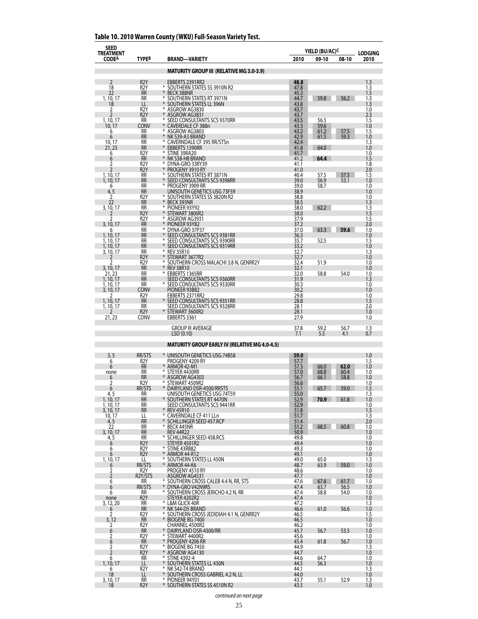| <b>SEED</b><br>TREATMENT<br><b>CODEA</b> | TYPE <sup>B</sup>                    | <b>BRAND-VARIETY</b>                                             | 2010         | YIELD (BU/AC) <sup>C</sup><br>09-10<br>08-10 | <b>LODGING</b><br>2010 |
|------------------------------------------|--------------------------------------|------------------------------------------------------------------|--------------|----------------------------------------------|------------------------|
|                                          |                                      | <b>MATURITY GROUP III (RELATIVE MG 3.0-3.9)</b>                  |              |                                              |                        |
| 2                                        | R <sub>2</sub> Y                     | EBBERTS 2391RR2                                                  | 48.8         |                                              | 1.3                    |
| 18<br>22                                 | R <sub>2</sub> Y<br><b>RR</b>        | * SOUTHERN STATES SS 3910N R2<br>¥<br><b>BECK 388NR</b>          | 47.8<br>45.3 |                                              | 1.3<br>1.5             |
| 1, 10, 17                                | RR                                   | ⋇<br>SOUTHERN STATES RT 3971N                                    | 44.7         | 59.8<br>56.2                                 | 1.3                    |
| 18<br>2                                  | LL<br>R <sub>2</sub> Y               | SOUTHERN STATES LL 396N<br>₩<br>ASGROW AG3830                    | 43.8<br>43.7 |                                              | 1.3<br>1.0             |
| 2                                        | R <sub>2</sub> Y                     | ASGROW AG3831<br>₩                                               | 43.7         |                                              | 2.3                    |
| 1, 10, 17<br>10, 17                      | <b>RR</b><br>Conv                    | SEED CONSULTANTS SCS 9370RR<br>¥<br>CAVERDALE CF 388n            | 43.5<br>43.3 | 56.5<br>59.6                                 | 1.5<br>1.0             |
| 6                                        | RR                                   | ₩<br>ASGROW AG3803                                               | 43.2         | 61.2<br>57.5                                 | 1.5                    |
| 6<br>10, 17                              | <b>RR</b><br>RR                      | NK S39-A3 BRAND<br>₩<br>CAVERNDALE CF 395 RR/STSn                | 42.9<br>42.4 | 59.3<br>61.5                                 | 1.0<br>1.3             |
| 21, 23<br>6                              | <b>RR</b><br>R <sub>2</sub> Y        | ₩<br><b>EBBERTS 1390RR</b><br>⋇<br>STINE 39RA20                  | 41.8<br>41.7 | 64.0                                         | 1.0<br>1.0             |
| 6                                        | <b>RR</b>                            | ¥<br>NK S38-H8 BRAND                                             | 41.2         | 64.4                                         | 1.5                    |
| 2<br>$\overline{2}$                      | R2Y<br>R <sub>2</sub> Y              | ⋇<br>DYNA-GRO 33RY39<br>PROGENY 3910 RY                          | 41.1<br>41.0 |                                              | 1.8<br>2.0             |
| 1, 10, 17                                | RR                                   | ₩<br>SOUTHERN STATES RT 3871N                                    | 40.4         | 57.5<br>57.5                                 | 1.5                    |
| 1, 10, 17<br>6                           | <b>RR</b><br><b>RR</b>               | SEED CONSULTANTS SCS 9398RR<br>⋇<br>PROGENY 3909 RR              | 39.0<br>39.0 | 56.9<br>53.1<br>58.7                         | 1.0<br>1.0             |
| 4, 5                                     | RR                                   | UNISOUTH GENETICS USG 73F59                                      | 38.9         |                                              | 1.0                    |
| 2<br>22                                  | R2Y<br><b>RR</b>                     | SOUTHERN STATES SS 3820N R2<br>¥<br>BECK 393NR                   | 38.8<br>38.5 |                                              | 1.0<br>1.3             |
| 3, 10, 17                                | RR                                   | ₩<br>PIONEER 93Y92<br>₩                                          | 38.0         | 62.2                                         | 1.3                    |
| 7<br>2                                   | R <sub>2</sub> Y<br>R <sub>2</sub> Y | STEWART 3800R2<br>₩<br>ASGROW AG3931                             | 38.0<br>37.9 |                                              | 1.5<br>1.5             |
| 3, 10, 17                                | <b>RR</b>                            | ¥<br>PIONEER 93Y82<br>⋇                                          | 37.2         |                                              | 2.0                    |
| h<br>1, 10, 17                           | RR<br><b>RR</b>                      | DYNA-GRO 37P37<br>SEED CONSULTANTS SCS 9381RR                    | 37.0<br>36.3 | 59.6<br>63.3                                 | 1.0<br>1.0             |
| 1, 10, 17                                | RR                                   | ₩<br>SEED CONSULTANTS SCS 9390RR<br>⋇                            | 35.7         | 52.5                                         | 1.5                    |
| 1, 10, 17<br>3, 10, 17                   | <b>RR</b><br><b>RR</b>               | SEED CONSULTANTS SCS 9319RR<br>⋇<br><b>REV 35R10</b>             | 33.2<br>32.7 |                                              | 1.0<br>1.3             |
| 2                                        | R <sub>2</sub> Y                     | ¥<br>STEWART 3677R2<br>₩                                         | 32.7         |                                              | 1.0                    |
| 2<br>3, 10, 17                           | R2Y<br><b>RR</b>                     | SOUTHERN CROSS MALACHI 3.8 N, GENRR2Y<br>¥<br><b>REV 38R10</b>   | 32.4<br>32.1 | 51.9                                         | 1.0<br>1.0             |
| 21, 23                                   | RR                                   | ₩<br>EBBERTS 1365RR                                              | 32.0         | 58.8<br>54.0                                 | 1.0                    |
| 1, 10, 17<br>1, 10, 17                   | <b>RR</b><br><b>RR</b>               | SEED CONSULTANTS SCS 9360RR<br>* SEED CONSULTANTS SCS 9330RR     | 31.9<br>30.3 |                                              | 1.3<br>1.0             |
| 3, 10, 17                                | Conv                                 | PIONEER 93B82                                                    | 30.2         |                                              | 1.0                    |
| 1, 10, 17                                | R <sub>2</sub> Y<br><b>RR</b>        | EBBERTS 2371RR2<br>SEED CONSULTANTS SCS 9351RR                   | 29.8<br>28.8 |                                              | 1.0<br>1.5             |
| 1, 10, 17<br>7                           | RR                                   | SEED CONSULTANTS SCS 9328RR<br>¥                                 | 28.1         |                                              | 2.0                    |
| 21, 23                                   | R <sub>2</sub> Y<br>CONV             | STEWART 3600R2<br>EBBERTS 3361                                   | 28.1<br>27.9 |                                              | 1.0<br>1.0             |
|                                          |                                      | <b>GROUP III AVERAGE</b>                                         | 37.8         | 59.2<br>56.7                                 | 1.3                    |
|                                          |                                      | LSD(0.10)                                                        | 7.1          | 5.5<br>4.1                                   | 0.7                    |
|                                          |                                      | <b>MATURITY GROUP EARLY IV (RELATIVE MG 4.0-4.5)</b>             |              |                                              |                        |
| 3, 5                                     | <b>RR/STS</b>                        | * UNISOUTH GENETICS USG 74B58                                    | 59.0<br>57.7 |                                              | 1.0                    |
| 6<br>6                                   | R2Y<br><b>RR</b>                     | PROGENY 4209 RY<br>ARMOR 42-M1                                   | 57.3         | 66.0<br>62.0                                 | 1.5<br>1.0             |
| none                                     | RR<br><b>RR</b>                      | ⋇<br>STEYER 4430RR                                               | 57.0<br>56.7 | 68.8<br>60.4<br>58.8<br>66.1                 | 1.0<br>1.0             |
| 6<br>2                                   | R <sub>2</sub> Y                     | ASGROW AG4303<br>⋇<br>STEWART 4509R2                             | 56.6         |                                              | 1.0                    |
| 6<br>4, 5                                | RR/STS<br>RR                         | DAIRYLAND DSR-4500/RRSTS<br>UNISOUTH GENETICS USG 74T59          | 55.1<br>55.0 | 65.7<br>59.0                                 | 1.5<br>1.3             |
| 1, 10, 17                                | <b>RR</b>                            | * SOUTHERN STATES RT 4470N                                       | 52.9         | 70.9<br>61.8                                 | 1.0                    |
| 1, 10, 17<br>3, 10, 17                   | RR<br><b>RR</b>                      | SEED CONSULTANTS SCS 9441RR<br>¥<br><b>REV 45R10</b>             | 52.9<br>51.8 |                                              | 1.0<br>1.5             |
| 10, 17                                   | LL                                   | ⋇<br>CAVERNDALE CF 411 LLn                                       | 51.7         |                                              | 1.3                    |
| 4, 5<br>22                               | <b>RR</b><br>RR                      | ⋇<br>SCHILLINGER SEED 457.RCP<br>⋇<br>BECK 445NR                 | 51.4<br>51.2 | 60.8<br>68.5                                 | 2.0<br>1.0             |
| 3, 10, 17                                | <b>RR</b>                            | <b>REV 44R22</b>                                                 | 50.9         |                                              | 1.0                    |
| $\frac{4}{6}$                            | RR<br>R <sub>2</sub> Y               | ₩<br>SCHILLINGER SEED 458.RCS<br>STEYER 4501R2                   | 49.8<br>49.4 |                                              | 1.0<br>1.0             |
| 6                                        | R <sub>2</sub> Y                     | * STINE 43RB82                                                   | 49.3         |                                              | 1.0                    |
| 6<br>1, 10, 17                           | R <sub>2</sub> Y<br>LL               | $\ast$<br>ARMOR 44-R12<br>⋇<br>SOUTHERN STATES LL 450N           | 49.1<br>49.0 | 65.0                                         | 1.0<br>1.3             |
| 6                                        | RR/STS                               | ARMOR 44-K6                                                      | 48.7         | 63.9<br>59.0                                 | 1.0                    |
| 2<br>$\overline{2}$                      | R2Y<br>R2Y/STS                       | PROGENY 4510 RY<br>ASGROW AG4531                                 | 48.6<br>47.7 |                                              | 1.0<br>1.0             |
| 6                                        | RR                                   | * SOUTHERN CROSS CALEB 4.4 N, RR, STS                            | 47.6         | 67.6<br>61.7                                 | 1.0                    |
| 6<br>6                                   | RR/STS<br>RR                         | * DYNA-GRO V42N9RS<br>* SOUTHERN CROSS JERICHO 4.2 N, RR         | 47.4<br>47.4 | 63.7<br>56.5<br>58.8<br>54.0                 | 1.0<br>1.0             |
| none                                     | R <sub>2</sub> Y                     | STEYER 4202R2<br>$\ast$<br>L&M GLICK 40R                         | 47.4         |                                              | 1.0                    |
| 3, 12, 20<br>6                           | RR<br><b>RR</b>                      | $\ast$<br>NK S44-D5 BRAND                                        | 47.2<br>46.6 | 56.6<br>61.0                                 | 1.3<br>1.0             |
| 2                                        | R2Y<br><b>RR</b>                     | ⋇<br>SOUTHERN CROSS JEDIDIAH 4.1 N, GENRR2Y<br>* BIOGENE BG 7400 | 46.5<br>46.5 |                                              | 1.5<br>1.0             |
| 3, 12<br>2                               | R <sub>2</sub> Y                     | CHANNEL 4500R2                                                   | 46.2         |                                              | 1.0                    |
| 6<br>2                                   | RR<br>R <sub>2</sub> Y               | DAIRYLAND DSR-4300/RR<br>⋇<br>STEWART 4400R2                     | 45.7<br>45.6 | 56.7<br>53.5                                 | 1.0<br>1.0             |
| 6                                        | RR                                   | $\ast$<br>PROGENY 4206 RR                                        | 45.4         | 61.8<br>56.7                                 | 1.0                    |
| 2<br>2                                   | R2Y<br>R <sub>2</sub> Y              | ₩<br>BIOGENE BG 7450<br>$\ast$<br>ASGROW AG4130                  | 44.9<br>44.7 |                                              | 1.3<br>1.0             |
| 6                                        | RR                                   | $\ast$<br><b>STINE 4392-4</b>                                    | 44.6         | 64.7                                         | 1.0                    |
| 1, 10, 17<br>6                           | LL<br>R2Y                            | $\ast$<br>SOUTHERN STATES LL 430N<br>NK S42-T4 BRAND<br>₩        | 44.5<br>44.1 | 56.3                                         | 1.0<br>1.3             |
| 18                                       | LL                                   | SOUTHERN CROSS GABRIEL 4.2 N, LL                                 | 44.0         |                                              | 1.0                    |
| 3, 10, 17<br>18                          | RR<br>R <sub>2</sub> Y               | ⋇<br>PIONEER 94Y01<br>$\ast$<br>SOUTHERN STATES SS 4510N R2      | 43.7<br>43.5 | 55.1<br>52.9                                 | 1.3<br>1.0             |

## **Table 10. 2010 Warren County (WKU) Full-Season Variety Test.**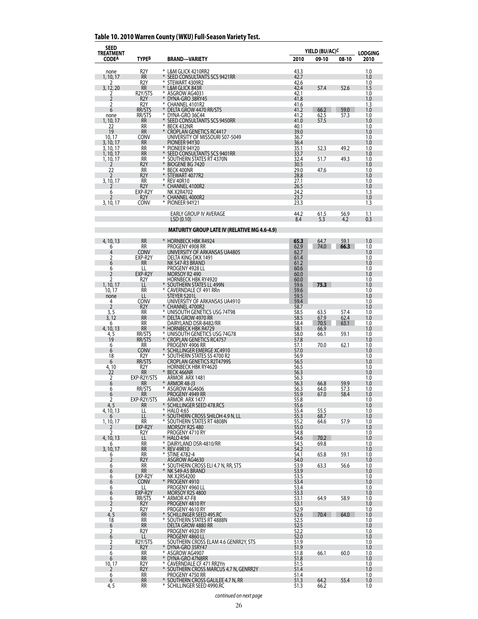| <b>SEED</b><br>TREATMENT |                                 |                                                                     | YIELD (BU/AC) <sup>c</sup> | <b>LODGING</b> |              |            |
|--------------------------|---------------------------------|---------------------------------------------------------------------|----------------------------|----------------|--------------|------------|
| <b>CODEA</b>             | <b>TYPEB</b>                    | <b>BRAND-VARIETY</b>                                                | 2010                       | 09-10          | 08-10        | 2010       |
| none                     | R <sub>2</sub> Y                | * L&M GLICK 4210RR2                                                 | 43.3                       |                |              | 1.0        |
| 1, 10, 17<br>2           | <b>RR</b><br>R <sub>2</sub> Y   | $*$<br>SEED CONSULTANTS SCS 9421RR<br>* STEWART 4309R2              | 42.7<br>42.6               |                |              | 1.0<br>1.0 |
| 3, 12, 20<br>2           | <b>RR</b><br>R2Y/STS            | L&M GLICK 843R<br>⋇<br>ASGROW AG4031                                | 42.4<br>42.1               | 57.4           | 52.6         | 1.5<br>1.0 |
| $\overline{2}$           | R <sub>2</sub> Y                | ¥<br>DYNA-GRO 38RY45<br>*                                           | 41.8                       |                |              | 1.0        |
| 2<br>6                   | R <sub>2</sub> Y<br>RR/STS      | CHANNEL 4101R2<br>¥<br>DELTA GROW 4470 RR/STS                       | 41.6<br>41.2               | 66.2           | 59.0         | 1.3<br>1.0 |
| none<br>1, 10, 17        | RR/STS<br><b>RR</b>             | *<br>DYNA-GRO 36C44<br>SEED CONSULTANTS SCS 9450RR                  | 41.2<br>41.0               | 62.5<br>57.5   | 57.3         | 1.0<br>1.0 |
| 22<br>19                 | RR<br><b>RR</b>                 | BECK 432NR<br>⋇<br>$*$                                              | 40.1                       |                |              | 1.0<br>1.0 |
| 10, 17                   | CONV                            | <b>CROPLAN GENETICS RC4417</b><br>UNIVERSITY OF MISSOURI S07-5049   | 39.0<br>36.7               |                |              | 1.0        |
| 3, 10, 17<br>3, 10, 17   | RR<br>RR                        | PIONEER 94Y30<br>* PIONEER 94Y20                                    | 36.4<br>35.1               | 52.3           | 49.2         | 1.0<br>1.0 |
| 1, 10, 17<br>1, 10, 17   | <b>RR</b><br>RR                 | SEED CONSULTANTS SCS 9401RR<br>SOUTHERN STATES RT 4370N<br>⋇        | 33.7<br>32.4               | 51.7           | 49.3         | 1.0<br>1.0 |
| 2                        | R <sub>2</sub> Y                | ¥<br><b>BIOGENE BG 7420</b>                                         | 30.5                       |                |              | 1.0        |
| 22                       | RR<br>R <sub>2</sub> Y          | ¥<br>BECK 400NR<br>*<br>STEWART 4077R2                              | 29.0<br>28.8               | 47.6           |              | 1.0<br>1.0 |
| 3, 10, 17                | RR<br>R <sub>2</sub> Y          | * REV 40R10<br>CHANNEL 4100R2                                       | 27.1<br>26.5               |                |              | 1.0<br>1.0 |
| 6                        | EXP-R2Y                         | NK X2R4702                                                          | 24.2                       |                |              | 1.3        |
| 7<br>3, 10, 17           | R <sub>2</sub> Y<br><b>CONV</b> | CHANNEL 4000R2<br>* PIONEER 94Y21                                   | 23.7<br>23.3               |                |              | 1.0<br>1.3 |
|                          |                                 | <b>EARLY GROUP IV AVERAGE</b>                                       | 44.2                       | 61.5           | 56.9         | 1.1        |
|                          |                                 | LSD(0.10)                                                           | 8.4                        | 5.3            | 4.2          | 0.3        |
|                          |                                 | <b>MATURITY GROUP LATE IV (RELATIVE MG 4.6-4.9)</b>                 |                            |                |              |            |
| 4, 10, 13                | <b>RR</b>                       | * HORNBECK HBK R4924                                                | 65.3                       | 64.7           | 59.1         | 1.0        |
| 6<br>4                   | <b>RR</b><br><b>CONV</b>        | PROGENY 4908 RR<br>UNIVERSITY OF ARKANSAS UA4805                    | 62.9<br>62.7               | 74.0           | 66.3         | 1.0<br>1.0 |
| 2                        | EXP-R2Y                         | DELTA KING DKX 1491                                                 | 61.4                       |                |              | 1.0        |
| 6<br>6                   | <b>RR</b><br>LL                 | NK S47-R3 BRAND<br>PROGENY 4928 LL                                  | 61.2<br>60.6               |                |              | 1.0<br>1.0 |
| 2<br>2                   | EXP-R2Y<br>R <sub>2</sub> Y     | MORSOY R2490<br><b>HORNBECK HBK RY4920</b>                          | 60.0<br>60.0               |                |              | 1.0<br>1.0 |
| 1, 10, 17<br>10, 17      | LL<br><b>RR</b>                 | SOUTHERN STATES LL 499N<br>* CAVERNDALE CF 491 RRn                  | 59.6<br>59.6               | 75.3           |              | 1.0<br>1.0 |
| none                     | LL                              | STEYER 5201L                                                        | 59.5                       |                |              | 1.0        |
| 4<br>2                   | CONV<br>R <sub>2</sub> Y        | UNIVERSITY OF ARKANSAS UA4910<br>* CHANNEL 4700R2                   | 59.4<br>58.7               |                |              | 1.0<br>1.0 |
| 3, 5<br>3,12             | RR<br><b>RR</b>                 | * UNISOUTH GENETICS USG 74T98<br>DELTA GROW 4970 RR                 | 58.5<br>58.5               | 63.5<br>67.9   | 57.4<br>62.4 | 1.0<br>1.0 |
| 6                        | <b>RR</b>                       | DAIRYLAND DSR-8482/RR                                               | 58.4                       | 70.5           | 63.1         | 1.0        |
| 4, 10, 13<br>4, 5        | <b>RR</b><br>RR/STS             | * HORNBECK HBK R4729<br>* UNISOUTH GENETICS USG 74G78               | 58.1<br>58.0               | 66.9<br>66.1   | 59.1         | 1.0<br>1.0 |
| 19<br>6                  | rr/sts<br>RR                    | *<br><b>CROPLAN GENETICS RC4757</b><br>PROGENY 4906 RR              | 57.8<br>57.1               | 70.0           | 62.1         | 1.0<br>1.0 |
| 6                        | CONV                            | SCHILLINGER EMERGE XC4910                                           | 57.0                       |                |              | 1.0        |
| 18<br>6                  | R2Y<br>RR/STS                   | * SOUTHERN STATES SS 4700 R2<br><b>CROPLAN GENETICS R2T4799S</b>    | 56.9<br>56.5               |                |              | 1.0<br>1.0 |
| $\frac{4,10}{22}$        | R2Y<br>RR                       | <b>HORNBECK HBK RY4620</b><br>* BECK 466NR                          | 56.5<br>56.3               |                |              | 1.0<br>1.0 |
| 2<br>6                   | EXP-R2Y/STS<br>RR               | ARMOR ARX 1481<br>ARMOR 48-J3                                       | 56.3<br>56.3               | 66.8           | 59.9         | 1.0<br>1.0 |
| 6                        | RR/STS                          | * ASGROW AG4606                                                     | 56.3                       | 64.0           | 57.3         | 1.0        |
| 6<br>2                   | <b>RR</b><br>EXP-R2Y/STS        | PROGENY 4949 RR<br>ARMOR ARX 1477                                   | 55.9<br>55.8               | 67.0           | 58.4         | 1.0<br>1.0 |
| 4, 5<br>4, 10, 13        | RR<br>LL                        | * SCHILLINGER SEED 478.RCS<br>* HALO 4:65                           | 55.6<br>55.4               | 55.5           |              | 1.0<br>1.0 |
|                          | LL                              | * SOUTHERN CROSS SHILOH 4.9 N, LL                                   | 55.3                       | 68.7           |              | 1.0        |
| 1, 10, 17<br>2           | RR<br>EXP-R2Y                   | * SOUTHERN STATES RT 4808N<br>MORSOY R2S 480                        | 55.2<br>55.0               | 64.6           | 57.9         | 1.0<br>1.0 |
| 2<br>4, 10, 13           | R <sub>2</sub> Y<br>LL          | PROGENY 4710 RY<br>* HALO 4:94                                      | 54.8<br>54.6               | 70.2           |              | 1.0<br>1.0 |
| 6<br>3, 10, 17           | RR<br><b>RR</b>                 | * DAIRYLAND DSR-4810/RR<br>* REV 49R10                              | 54.5<br>54.2               | 69.8           |              | 1.0<br>1.0 |
| 6                        | RR                              | * STINE 4782-4                                                      | 54.1                       | 65.8           | 59.1         | 1.0        |
| 2<br>6                   | R <sub>2</sub> Y<br>RR          | ASGROW AG4630<br>* SOUTHERN CROSS ELI 4.7 N, RR, STS                | 54.0<br>53.9               | 63.3           | 56.6         | 1.0<br>1.0 |
| 6<br>6                   | <b>RR</b><br>EXP-R2Y            | * NK S49-A5 BRAND<br>NK X2RS4200                                    | 53.9<br>53.5               |                |              | 1.0<br>1.0 |
| 6                        | <b>CONV</b>                     | * PROGENY 4910                                                      | 53.4                       |                |              | 1.0        |
| 6<br>6                   | LL<br>EXP-R2Y                   | PROGENY 4960 LL<br><b>MORSOY R2S 4800</b>                           | 53.4<br>53.3               |                |              | 1.0<br>1.0 |
| 6<br>2                   | RR/STS<br>R <sub>2</sub> Y      | * ARMOR 47-F8<br>PROGENY 4810 RY                                    | 53.1<br>53.1               | 64.9           | 58.9         | 1.0<br>1.0 |
| 2                        | R <sub>2</sub> Y                | PROGENY 4610 RY                                                     | 52.9                       |                |              | 1.0        |
| 4, 5<br>18               | <b>RR</b><br>RR                 | SCHILLINGER SEED 495.RC<br>* SOUTHERN STATES RT 4888N               | 52.6<br>52.5               | 70.4           | 64.0         | 1.0<br>1.0 |
| 6<br>2                   | <b>RR</b><br>R <sub>2</sub> Y   | DELTA GROW 4880 RR<br>PROGENY 4920 RY                               | 52.5<br>52.2               |                |              | 1.0<br>1.0 |
| 6<br>2                   | LL<br>R2Y/STS                   | PROGENY 4860 LL<br>SOUTHERN CROSS ELAM 4.6 GENRR2Y, STS             | 52.0<br>51.9               |                |              | 1.0<br>1.0 |
| 2                        | R <sub>2</sub> Y                | DYNA-GRO 35RY47                                                     | 51.9                       |                |              | 1.0        |
| 6<br>6                   | <b>RR</b><br><b>RR</b>          | * ASGROW AG4907<br>* DYNA-GRO 47N8RR                                | 51.8<br>51.8               | 66.1           | 60.0         | 1.0<br>1.0 |
| $\frac{10,17}{2}$        | R2Y<br>R <sub>2</sub> Y         | * CAVERNDALE CF 471 RR2Yn<br>* SOUTHERN CROSS MARCUS 4.7 N, GENRR2Y | 51.5<br>51.4               |                |              | 1.0<br>1.0 |
| 6                        | <b>RR</b>                       | PROGENY 4750 RR                                                     | 51.4                       |                |              | 1.0        |
| 6<br>4, 5                | <b>RR</b><br>RR                 | SOUTHERN CROSS GALILEE 4.7 N, RR<br>* SCHILLINGER SEED 4990.RC      | 51.3<br>51.3               | 64.2<br>66.2   | 55.4         | 1.0<br>1.0 |

## **Table 10. 2010 Warren County (WKU) Full-Season Variety Test.**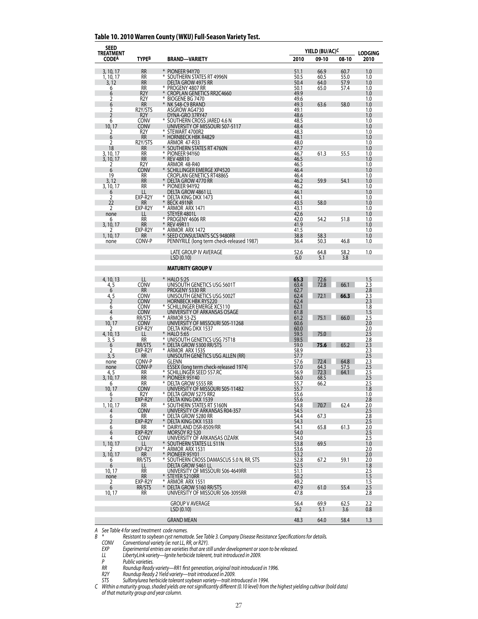| <b>SEED</b><br>TREATMENT |                                      |                                                                    |              | YIELD (BU/AC) <sup>c</sup> |       |                        |  |
|--------------------------|--------------------------------------|--------------------------------------------------------------------|--------------|----------------------------|-------|------------------------|--|
| <b>CODEA</b>             | TYPE <sup>B</sup>                    | <b>BRAND-VARIETY</b>                                               | 2010         | 09-10                      | 08-10 | <b>LODGING</b><br>2010 |  |
| 3, 10, 17                | <b>RR</b>                            | * PIONEER 94Y70                                                    | 51.1         | 66.9                       | 60.7  | 1.0                    |  |
| 1, 10, 17                | RR                                   | * SOUTHERN STATES RT 4996N                                         | 50.5         | 60.5                       | 55.0  | 1.0                    |  |
| 3, 12                    | <b>RR</b>                            | DELTA GROW 4975 RR                                                 | 50.4         | 64.0                       | 57.9  | 1.0                    |  |
| 6                        | <b>RR</b>                            | * Progeny 4807 RR<br>* CROPLAN GENETICS RR2C4660                   | 50.1         | 65.0                       | 57.4  | 1.0                    |  |
| 6<br>2                   | R <sub>2</sub> Y<br>R <sub>2</sub> Y |                                                                    | 49.9<br>49.6 |                            |       | 1.0<br>1.0             |  |
| 6                        | <b>RR</b>                            | BIOGENE BG 7470<br>NK S48-C9 BRAND                                 | 49.3         | 63.6                       | 58.0  | 1.0                    |  |
| 2                        | R2Y/STS                              | ASGROW AG4730                                                      | 49.1         |                            |       | 1.0                    |  |
| $\overline{2}$           | R <sub>2</sub> Y                     | DYNA-GRO 37RY47                                                    | 48.6         |                            |       | 1.0                    |  |
| 6<br>10, 17              | Conv<br>Conv                         | * SOUTHERN CROSS JARED 4.6 N<br>UNIVERSITY OF MISSOURI S07-5117    | 48.5<br>48.4 |                            |       | 1.0<br>1.0             |  |
| 2                        | R <sub>2</sub> Y                     |                                                                    | 48.3         |                            |       | 1.0                    |  |
| 6                        | <b>RR</b>                            | * STEWART 4700R2<br>* HORNBECK HBK R4829                           | 48.1         |                            |       | 1.0                    |  |
| 2                        | R2Y/STS                              | <b>ARMOR 47-R33</b>                                                | 48.0         |                            |       | 1.0                    |  |
| 18<br>3, 10, 17          | <b>RR</b><br>RR                      | SOUTHERN STATES RT 4760N<br>PIONEER 94Y60<br>*                     | 47.7<br>46.7 | 61.3                       | 55.5  | 1.0<br>1.0             |  |
| 3, 10, 17                | <b>RR</b>                            | * REV 48R10                                                        | 46.5         |                            |       | 1.0                    |  |
| 2                        | R2Y                                  | ARMOR 48-R40                                                       | 46.5         |                            |       | 1.0                    |  |
| 6                        | CONV                                 | SCHILLINGER EMERGE XP4520                                          | 46.4         |                            |       | 1.0                    |  |
| 19<br>3, 12              | RR<br><b>RR</b>                      | <b>CROPLAN GENETICS RT4886S</b><br>DELTA GROW 4770 RR              | 46.4<br>46.2 | 59.9                       | 54.1  | 1.0<br>1.0             |  |
| 3, 10, 17                | RR                                   | * PIONEER 94Y92                                                    | 46.2         |                            |       | 1.0                    |  |
| 6                        | LL                                   | DELTA GROW 4861 LL                                                 | 46.1         |                            |       | 1.0                    |  |
| 2                        | EXP-R2Y                              | DELTA KING DKX 1473                                                | 44.1         |                            |       | 1.0                    |  |
| 22<br>2                  | RR<br>EXP-R2Y                        | BECK 491NR<br>$*$<br>* ARMOR ARX 1471                              | 43.5<br>43.1 | 58.0                       |       | 1.0<br>1.0             |  |
| none                     |                                      | STEYER 4801L                                                       | 42.6         |                            |       | 1.0                    |  |
| 6                        | <b>RR</b>                            | * PROGENY 4606 RR                                                  | 42.0         | 54.2                       | 51.8  | 1.0                    |  |
| 3, 10, 17                | RR                                   | * REV 49R11                                                        | 41.9         |                            |       | 1.0                    |  |
| 7                        | EXP-R2Y<br>RR                        | * ARMOR ARX 1472<br>SEED CONSULTANTS SCS 9480RR                    | 41.5<br>38.8 | 58.3                       |       | 1.0<br>1.0             |  |
| 1, 10, 17<br>none        | CONV-P                               | PENNYRILE (long term check-released 1987)                          | 36.4         | 50.3                       | 46.8  | 1.0                    |  |
|                          |                                      |                                                                    |              |                            |       |                        |  |
|                          |                                      | LATE GROUP IV AVERAGE                                              | 52.6         | 64.8                       | 58.2  | 1.0                    |  |
|                          |                                      | LSD(0.10)                                                          | 6.0          | 5.1                        | 3.8   |                        |  |
|                          |                                      | <b>MATURITY GROUP V</b>                                            |              |                            |       |                        |  |
| 4, 10, 13                | LL                                   | * HALO 5:25                                                        | 65.3         |                            |       | 1.5                    |  |
| 4, 5                     | <b>CONV</b>                          | UNISOUTH GENETICS USG 5601T                                        | 63.4         | 72.6<br>72.8               | 66.1  | 2.3                    |  |
| 6                        | RR                                   | PROGENY 5330 RR                                                    | 62.7         |                            |       | 2.8                    |  |
| $\frac{4,5}{2}$          | <b>CONV</b>                          | UNISOUTH GENETICS USG 5002T<br>HORNBECK HBK RY5220                 | 62.4         | 72.1                       | 66.3  | 2.3                    |  |
| 6                        | Conv<br><b>CONV</b>                  | SCHILLINGER EMERGE XC5110                                          | 62.4<br>62.1 |                            |       | 2.3<br>1.8             |  |
| 4                        | <b>CONV</b>                          | UNIVERSITY OF ARKANSAS OSAGE                                       |              |                            |       | 1.5                    |  |
| 6                        | RR/STS                               | * ARMOR 53-Z5                                                      | 61.8<br>61.2 | 75.1                       | 66.0  | 2.5                    |  |
| 10, 17                   | <b>CONV</b>                          | UNIVERSITY OF MISSOURI S05-11268                                   | 60.6         |                            |       | 2.0                    |  |
| 2<br>4, 10, 13           | EXP-R2Y<br>LL                        | DELTA KING DKX 1537<br><b>HALO 5:65</b>                            | 60.0<br>59.5 | 75.0                       |       | 2.0<br>2.5             |  |
| 3, 5                     | RR                                   | * UNISOUTH GENETICS USG 75T18                                      | 59.5         |                            |       | 2.8                    |  |
| 6                        | RR/STS                               | DELTA GROW 5300 RR/STS                                             | 59.0         | 75.6                       | 65.2  | 2.3                    |  |
| 2                        | EXP-R2Y                              | * ARMOR ARX 1535                                                   | 58.9         |                            |       | 2.3                    |  |
| 3, 5<br>none             | <b>RR</b><br>CONV-P                  | UNISOUTH GENETICS USG ALLEN (RR)<br>GLENN                          | 57.7         | 72.4                       | 64.8  | 2.5<br>2.3             |  |
| none                     | CONV-P                               | ESSEX (long term check-released 1974)                              | 57.6<br>57.0 | 64.3                       | 57.5  | 2.5                    |  |
| 4, 5                     | RR                                   | * SCHILLINGER SEED 557.RC                                          | 56.9         | 72.3                       | 64.1  | 2.5                    |  |
| 3, 10, 17                | <b>RR</b>                            | PIONEER 95Y40<br>⋇                                                 | 56.0         | 68.5                       |       | 2.5                    |  |
| 6<br>10, 17              | RR<br>CONV                           | DELTA GROW 5555 RR<br>UNIVERSITY OF MISSOURI S05-11482             | 55.7<br>55.7 | 66.2                       |       | 2.5<br>1.8             |  |
| $\circ$                  | R2Y                                  | DELTA GROW 5275 RR2                                                | 55.6         |                            |       | 1.0                    |  |
| $\overline{2}$           | EXP-R2Y                              | DELTA KING DKX 1539                                                | 55.6         |                            |       | 2.8                    |  |
| 1, 10, 17<br>4           | RR<br><b>CONV</b>                    | * SOUTHERN STATES RT 5160N<br>UNIVERSITY OF ARKANSAS R04-357       | 54.8<br>54.5 | 70.7                       | 62.4  | 2.0<br>2.5             |  |
| 6                        | RR                                   | * DELTA GROW 5280 RR                                               | 54.4         | 67.3                       |       | 2.8                    |  |
| 2                        | EXP-R2Y                              | * DELTA KING DKX 1533                                              | 54.3         |                            |       | $2.5\,$                |  |
| 6                        | RR                                   | * DAIRYLAND DSR-8509/RR                                            | 54.1         | 65.8                       | 61.3  | 2.0                    |  |
| 6                        | EXP-R2Y                              | MORSOY R2 520                                                      | 54.0         |                            |       | 2.5                    |  |
| 4<br>1, 10, 17           | <b>CONV</b><br>LL.                   | UNIVERSITY OF ARKANSAS OZARK<br>* SOUTHERN STATES LL 511N          | 54.0<br>53.8 | 69.5                       |       | 2.5<br>1.0             |  |
|                          | EXP-R2Y                              | * ARMOR ARX 1531                                                   | 53.6         |                            |       | 2.0                    |  |
| 3, 10, 17                | RR                                   | * PIONEER 95Y01                                                    | 53.2         |                            |       | 2.0                    |  |
| 6                        | RR/STS                               | * SOUTHERN CROSS DAMASCUS 5.0 N, RR, STS<br>DELTA GROW 5461 LL     | 52.8         | 67.2                       | 59.1  | 2.0                    |  |
| 6<br>10, 17              | LL<br>RR                             | UNIVERSITY OF MISSOURI S06-4649RR                                  | 52.5<br>51.1 |                            |       | 1.8<br>2.5             |  |
| none                     | RR                                   | * STEYER 5210RR                                                    | 50.2         |                            |       | 1.5                    |  |
| 2                        | EXP-R2Y                              | * ARMOR ARX 1551                                                   | 49.2         |                            |       | 1.5                    |  |
| 6<br>10, 17              | RR/STS<br>RR                         | DELTA GROW 5160 RR/STS<br>$*$<br>UNIVERSITY OF MISSOURI S06-3095RR | 47.9<br>47.8 | 61.0                       | 55.4  | 2.5<br>2.8             |  |
|                          |                                      |                                                                    |              |                            |       |                        |  |
|                          |                                      | <b>GROUP V AVERAGE</b>                                             | 56.4         | 69.9                       | 62.5  | 2.2                    |  |
|                          |                                      | LSD(0.10)                                                          | 6.2          | 5.1                        | 3.6   | 0.8                    |  |

#### **Table 10. 2010 Warren County (WKU) Full-Season Variety Test.**

*A See Table 4 for seed treatment code names.*

*B \* Resistant to soybean cyst nematode. See Table 3. Company Disease Resistance Specifications for details.* 

*CONV Conventional variety (ie: not LL, RR, or R2Y).*

*EXP Experimental entries are varieties that are still under development or soon to be released.*

*LL LibertyLink variety—Ignite herbicide tolerent, trait introduced in 2009.*

P *Public varieties.*<br>
RR *Roundup Ready variety—RR1 first generation, original trait introduced in 1996.*<br>
RR *Roundup Ready variety—RR1 first generation, original trait introduced in 1996. RR Roundup Ready variety—RR1 first generation, original trait introduced in 1996.*

*R2Y Roundup Ready 2 Yield variety—trait introduced in 2009.*

*STS Sulfonylurea herbicide tolerant soybean variety—trait introduced in 1994.*

*C Within a maturity group, shaded yields are not significantly different (0.10 level) from the highest yielding cultivar (bold data) of that maturity group and year column.*

27

GRAND MEAN 48.3 64.0 58.4 1.3